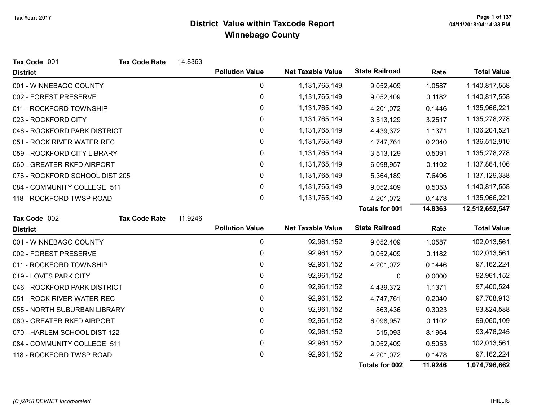| Tax Code 001                   | <b>Tax Code Rate</b> | 14.8363 |                        |                          |                       |         |                    |
|--------------------------------|----------------------|---------|------------------------|--------------------------|-----------------------|---------|--------------------|
| <b>District</b>                |                      |         | <b>Pollution Value</b> | <b>Net Taxable Value</b> | <b>State Railroad</b> | Rate    | <b>Total Value</b> |
| 001 - WINNEBAGO COUNTY         |                      |         | 0                      | 1,131,765,149            | 9,052,409             | 1.0587  | 1,140,817,558      |
| 002 - FOREST PRESERVE          |                      |         | 0                      | 1,131,765,149            | 9,052,409             | 0.1182  | 1,140,817,558      |
| 011 - ROCKFORD TOWNSHIP        |                      |         | 0                      | 1,131,765,149            | 4,201,072             | 0.1446  | 1,135,966,221      |
| 023 - ROCKFORD CITY            |                      |         | 0                      | 1,131,765,149            | 3,513,129             | 3.2517  | 1,135,278,278      |
| 046 - ROCKFORD PARK DISTRICT   |                      |         | 0                      | 1,131,765,149            | 4,439,372             | 1.1371  | 1,136,204,521      |
| 051 - ROCK RIVER WATER REC     |                      |         | 0                      | 1,131,765,149            | 4,747,761             | 0.2040  | 1,136,512,910      |
| 059 - ROCKFORD CITY LIBRARY    |                      |         | 0                      | 1,131,765,149            | 3,513,129             | 0.5091  | 1,135,278,278      |
| 060 - GREATER RKFD AIRPORT     |                      |         | 0                      | 1,131,765,149            | 6,098,957             | 0.1102  | 1,137,864,106      |
| 076 - ROCKFORD SCHOOL DIST 205 |                      |         | $\mathbf{0}$           | 1,131,765,149            | 5,364,189             | 7.6496  | 1,137,129,338      |
| 084 - COMMUNITY COLLEGE 511    |                      |         | 0                      | 1,131,765,149            | 9,052,409             | 0.5053  | 1,140,817,558      |
| 118 - ROCKFORD TWSP ROAD       |                      |         | 0                      | 1,131,765,149            | 4,201,072             | 0.1478  | 1,135,966,221      |
|                                |                      |         |                        |                          | <b>Totals for 001</b> | 14.8363 | 12,512,652,547     |
| Tax Code 002                   | <b>Tax Code Rate</b> | 11.9246 |                        |                          |                       |         |                    |
| <b>District</b>                |                      |         | <b>Pollution Value</b> | <b>Net Taxable Value</b> | <b>State Railroad</b> | Rate    | <b>Total Value</b> |
| 001 - WINNEBAGO COUNTY         |                      |         | 0                      | 92,961,152               | 9,052,409             | 1.0587  | 102,013,561        |
| 002 - FOREST PRESERVE          |                      |         | 0                      | 92,961,152               | 9,052,409             | 0.1182  | 102,013,561        |
| 011 - ROCKFORD TOWNSHIP        |                      |         | 0                      | 92,961,152               | 4,201,072             | 0.1446  | 97, 162, 224       |
| 019 - LOVES PARK CITY          |                      |         | 0                      | 92,961,152               | 0                     | 0.0000  | 92,961,152         |
| 046 - ROCKFORD PARK DISTRICT   |                      |         | 0                      | 92,961,152               | 4,439,372             | 1.1371  | 97,400,524         |
| 051 - ROCK RIVER WATER REC     |                      |         | 0                      | 92,961,152               | 4,747,761             | 0.2040  | 97,708,913         |
| 055 - NORTH SUBURBAN LIBRARY   |                      |         | 0                      | 92,961,152               | 863,436               | 0.3023  | 93,824,588         |
| 060 - GREATER RKFD AIRPORT     |                      |         | 0                      | 92,961,152               | 6,098,957             | 0.1102  | 99,060,109         |
| 070 - HARLEM SCHOOL DIST 122   |                      |         | $\mathbf 0$            | 92,961,152               | 515,093               | 8.1964  | 93,476,245         |
| 084 - COMMUNITY COLLEGE 511    |                      |         | 0                      | 92,961,152               | 9,052,409             | 0.5053  | 102,013,561        |
| 118 - ROCKFORD TWSP ROAD       |                      |         | 0                      | 92,961,152               | 4,201,072             | 0.1478  | 97, 162, 224       |
|                                |                      |         |                        |                          | <b>Totals for 002</b> | 11.9246 | 1,074,796,662      |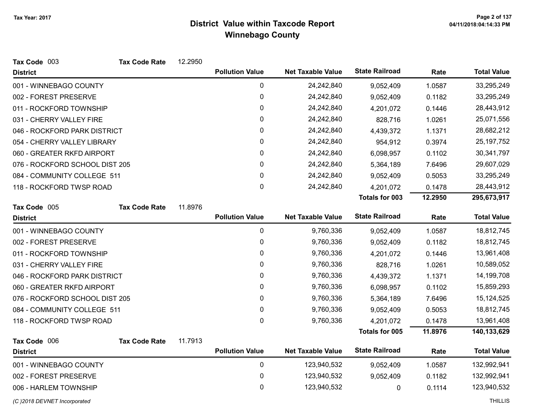| Tax Code 003                   | <b>Tax Code Rate</b> | 12.2950 |                        |                          |                       |         |                    |
|--------------------------------|----------------------|---------|------------------------|--------------------------|-----------------------|---------|--------------------|
| <b>District</b>                |                      |         | <b>Pollution Value</b> | <b>Net Taxable Value</b> | <b>State Railroad</b> | Rate    | <b>Total Value</b> |
| 001 - WINNEBAGO COUNTY         |                      |         | 0                      | 24,242,840               | 9,052,409             | 1.0587  | 33,295,249         |
| 002 - FOREST PRESERVE          |                      |         | $\pmb{0}$              | 24,242,840               | 9,052,409             | 0.1182  | 33,295,249         |
| 011 - ROCKFORD TOWNSHIP        |                      |         | 0                      | 24,242,840               | 4,201,072             | 0.1446  | 28,443,912         |
| 031 - CHERRY VALLEY FIRE       |                      |         | 0                      | 24,242,840               | 828,716               | 1.0261  | 25,071,556         |
| 046 - ROCKFORD PARK DISTRICT   |                      |         | $\pmb{0}$              | 24,242,840               | 4,439,372             | 1.1371  | 28,682,212         |
| 054 - CHERRY VALLEY LIBRARY    |                      |         | 0                      | 24,242,840               | 954,912               | 0.3974  | 25, 197, 752       |
| 060 - GREATER RKFD AIRPORT     |                      |         | 0                      | 24,242,840               | 6,098,957             | 0.1102  | 30,341,797         |
| 076 - ROCKFORD SCHOOL DIST 205 |                      |         | $\mathbf 0$            | 24,242,840               | 5,364,189             | 7.6496  | 29,607,029         |
| 084 - COMMUNITY COLLEGE 511    |                      |         | 0                      | 24,242,840               | 9,052,409             | 0.5053  | 33,295,249         |
| 118 - ROCKFORD TWSP ROAD       |                      |         | 0                      | 24,242,840               | 4,201,072             | 0.1478  | 28,443,912         |
|                                |                      |         |                        |                          | Totals for 003        | 12.2950 | 295,673,917        |
| Tax Code 005                   | <b>Tax Code Rate</b> | 11.8976 |                        |                          |                       |         |                    |
| <b>District</b>                |                      |         | <b>Pollution Value</b> | <b>Net Taxable Value</b> | <b>State Railroad</b> | Rate    | <b>Total Value</b> |
| 001 - WINNEBAGO COUNTY         |                      |         | $\pmb{0}$              | 9,760,336                | 9,052,409             | 1.0587  | 18,812,745         |
| 002 - FOREST PRESERVE          |                      |         | 0                      | 9,760,336                | 9,052,409             | 0.1182  | 18,812,745         |
| 011 - ROCKFORD TOWNSHIP        |                      |         | 0                      | 9,760,336                | 4,201,072             | 0.1446  | 13,961,408         |
| 031 - CHERRY VALLEY FIRE       |                      |         | 0                      | 9,760,336                | 828,716               | 1.0261  | 10,589,052         |
| 046 - ROCKFORD PARK DISTRICT   |                      |         | 0                      | 9,760,336                | 4,439,372             | 1.1371  | 14,199,708         |
| 060 - GREATER RKFD AIRPORT     |                      |         | 0                      | 9,760,336                | 6,098,957             | 0.1102  | 15,859,293         |
| 076 - ROCKFORD SCHOOL DIST 205 |                      |         | 0                      | 9,760,336                | 5,364,189             | 7.6496  | 15,124,525         |
| 084 - COMMUNITY COLLEGE 511    |                      |         | 0                      | 9,760,336                | 9,052,409             | 0.5053  | 18,812,745         |
| 118 - ROCKFORD TWSP ROAD       |                      |         | 0                      | 9,760,336                | 4,201,072             | 0.1478  | 13,961,408         |
|                                |                      |         |                        |                          | Totals for 005        | 11.8976 | 140,133,629        |
| Tax Code 006                   | <b>Tax Code Rate</b> | 11.7913 |                        |                          |                       |         |                    |
| <b>District</b>                |                      |         | <b>Pollution Value</b> | <b>Net Taxable Value</b> | <b>State Railroad</b> | Rate    | <b>Total Value</b> |
| 001 - WINNEBAGO COUNTY         |                      |         | 0                      | 123,940,532              | 9,052,409             | 1.0587  | 132,992,941        |
| 002 - FOREST PRESERVE          |                      |         | 0                      | 123,940,532              | 9,052,409             | 0.1182  | 132,992,941        |
| 006 - HARLEM TOWNSHIP          |                      |         | 0                      | 123,940,532              | 0                     | 0.1114  | 123,940,532        |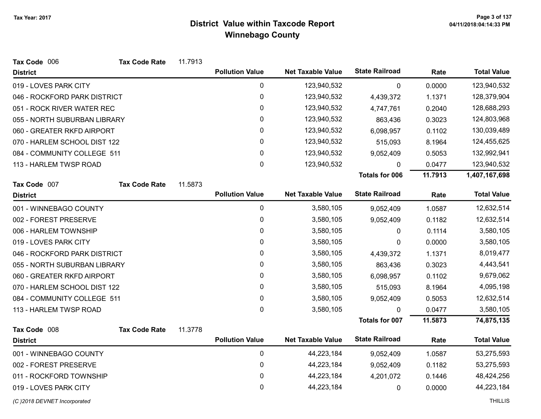| Tax Code 006                 | <b>Tax Code Rate</b> | 11.7913 |                        |                          |                       |         |                    |
|------------------------------|----------------------|---------|------------------------|--------------------------|-----------------------|---------|--------------------|
| <b>District</b>              |                      |         | <b>Pollution Value</b> | <b>Net Taxable Value</b> | <b>State Railroad</b> | Rate    | <b>Total Value</b> |
| 019 - LOVES PARK CITY        |                      |         | $\pmb{0}$              | 123,940,532              | 0                     | 0.0000  | 123,940,532        |
| 046 - ROCKFORD PARK DISTRICT |                      |         | 0                      | 123,940,532              | 4,439,372             | 1.1371  | 128,379,904        |
| 051 - ROCK RIVER WATER REC   |                      |         | 0                      | 123,940,532              | 4,747,761             | 0.2040  | 128,688,293        |
| 055 - NORTH SUBURBAN LIBRARY |                      |         | 0                      | 123,940,532              | 863,436               | 0.3023  | 124,803,968        |
| 060 - GREATER RKFD AIRPORT   |                      |         | 0                      | 123,940,532              | 6,098,957             | 0.1102  | 130,039,489        |
| 070 - HARLEM SCHOOL DIST 122 |                      |         | 0                      | 123,940,532              | 515,093               | 8.1964  | 124,455,625        |
| 084 - COMMUNITY COLLEGE 511  |                      |         | 0                      | 123,940,532              | 9,052,409             | 0.5053  | 132,992,941        |
| 113 - HARLEM TWSP ROAD       |                      |         | 0                      | 123,940,532              | 0                     | 0.0477  | 123,940,532        |
|                              |                      |         |                        |                          | <b>Totals for 006</b> | 11.7913 | 1,407,167,698      |
| Tax Code 007                 | <b>Tax Code Rate</b> | 11.5873 |                        |                          |                       |         |                    |
| <b>District</b>              |                      |         | <b>Pollution Value</b> | <b>Net Taxable Value</b> | <b>State Railroad</b> | Rate    | <b>Total Value</b> |
| 001 - WINNEBAGO COUNTY       |                      |         | 0                      | 3,580,105                | 9,052,409             | 1.0587  | 12,632,514         |
| 002 - FOREST PRESERVE        |                      |         | 0                      | 3,580,105                | 9,052,409             | 0.1182  | 12,632,514         |
| 006 - HARLEM TOWNSHIP        |                      |         | 0                      | 3,580,105                | 0                     | 0.1114  | 3,580,105          |
| 019 - LOVES PARK CITY        |                      |         | 0                      | 3,580,105                | 0                     | 0.0000  | 3,580,105          |
| 046 - ROCKFORD PARK DISTRICT |                      |         | 0                      | 3,580,105                | 4,439,372             | 1.1371  | 8,019,477          |
| 055 - NORTH SUBURBAN LIBRARY |                      |         | 0                      | 3,580,105                | 863,436               | 0.3023  | 4,443,541          |
| 060 - GREATER RKFD AIRPORT   |                      |         | 0                      | 3,580,105                | 6,098,957             | 0.1102  | 9,679,062          |
| 070 - HARLEM SCHOOL DIST 122 |                      |         | 0                      | 3,580,105                | 515,093               | 8.1964  | 4,095,198          |
| 084 - COMMUNITY COLLEGE 511  |                      |         | 0                      | 3,580,105                | 9,052,409             | 0.5053  | 12,632,514         |
| 113 - HARLEM TWSP ROAD       |                      |         | 0                      | 3,580,105                | 0                     | 0.0477  | 3,580,105          |
|                              |                      |         |                        |                          | <b>Totals for 007</b> | 11.5873 | 74,875,135         |
| Tax Code 008                 | <b>Tax Code Rate</b> | 11.3778 |                        |                          |                       |         |                    |
| <b>District</b>              |                      |         | <b>Pollution Value</b> | <b>Net Taxable Value</b> | <b>State Railroad</b> | Rate    | <b>Total Value</b> |
| 001 - WINNEBAGO COUNTY       |                      |         | $\pmb{0}$              | 44,223,184               | 9,052,409             | 1.0587  | 53,275,593         |
| 002 - FOREST PRESERVE        |                      |         | 0                      | 44,223,184               | 9,052,409             | 0.1182  | 53,275,593         |
| 011 - ROCKFORD TOWNSHIP      |                      |         | 0                      | 44,223,184               | 4,201,072             | 0.1446  | 48,424,256         |
| 019 - LOVES PARK CITY        |                      |         | 0                      | 44,223,184               | 0                     | 0.0000  | 44,223,184         |
| (C) 2018 DEVNET Incorporated |                      |         |                        |                          |                       |         | <b>THILLIS</b>     |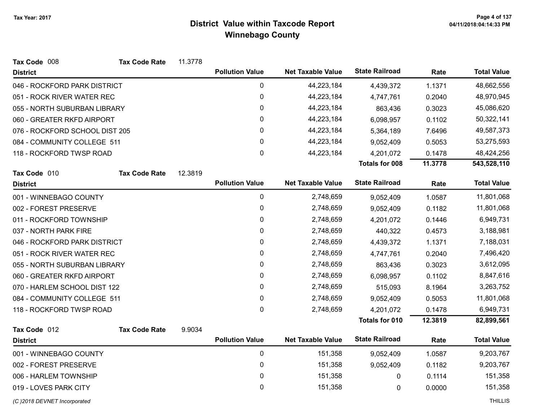| <b>State Railroad</b><br><b>Pollution Value</b><br><b>Net Taxable Value</b><br>Rate<br><b>District</b><br>0<br>44,223,184<br>046 - ROCKFORD PARK DISTRICT<br>1.1371<br>4,439,372<br>0<br>44,223,184<br>051 - ROCK RIVER WATER REC<br>0.2040<br>4,747,761<br>0<br>44,223,184<br>055 - NORTH SUBURBAN LIBRARY<br>863,436<br>0.3023<br>0<br>44,223,184<br>6,098,957<br>060 - GREATER RKFD AIRPORT<br>0.1102<br>0<br>076 - ROCKFORD SCHOOL DIST 205<br>44,223,184<br>5,364,189<br>7.6496<br>0<br>44,223,184<br>084 - COMMUNITY COLLEGE 511<br>0.5053<br>9,052,409<br>0<br>44,223,184<br>118 - ROCKFORD TWSP ROAD<br>4,201,072<br>0.1478<br><b>Totals for 008</b><br>11.3778<br>Tax Code 010<br><b>Tax Code Rate</b><br>12.3819<br><b>State Railroad</b><br><b>Pollution Value</b><br><b>Net Taxable Value</b><br>Rate<br><b>District</b><br>$\mathbf 0$<br>2,748,659<br>001 - WINNEBAGO COUNTY<br>1.0587<br>9,052,409<br>0<br>002 - FOREST PRESERVE<br>2,748,659<br>9,052,409<br>0.1182<br>0<br>011 - ROCKFORD TOWNSHIP<br>2,748,659<br>4,201,072<br>0.1446<br>0<br>2,748,659<br>037 - NORTH PARK FIRE<br>0.4573<br>440,322<br>0<br>2,748,659<br>1.1371<br>046 - ROCKFORD PARK DISTRICT<br>4,439,372<br>0<br>2,748,659<br>051 - ROCK RIVER WATER REC<br>4,747,761<br>0.2040<br>0<br>2,748,659<br>055 - NORTH SUBURBAN LIBRARY<br>863,436<br>0.3023<br>$\mathbf 0$<br>060 - GREATER RKFD AIRPORT<br>2,748,659<br>0.1102<br>6,098,957<br>0<br>2,748,659<br>070 - HARLEM SCHOOL DIST 122<br>515,093<br>8.1964<br>$\pmb{0}$<br>2,748,659<br>084 - COMMUNITY COLLEGE 511<br>9,052,409<br>0.5053<br>$\mathbf 0$<br>2,748,659<br>118 - ROCKFORD TWSP ROAD<br>4,201,072<br>0.1478<br><b>Totals for 010</b><br>12.3819<br>Tax Code 012<br><b>Tax Code Rate</b><br>9.9034<br><b>Pollution Value</b><br><b>Net Taxable Value</b><br><b>State Railroad</b><br>Rate<br><b>District</b><br>$\mathbf 0$<br>151,358<br>001 - WINNEBAGO COUNTY<br>9,052,409<br>1.0587<br>0<br>151,358<br>002 - FOREST PRESERVE<br>9,052,409<br>0.1182<br>0<br>006 - HARLEM TOWNSHIP<br>151,358<br>0<br>0.1114<br>$\mathbf{0}$<br>151,358<br>019 - LOVES PARK CITY<br>0.0000<br>0 | Tax Code 008 | <b>Tax Code Rate</b> | 11.3778 |  |  |                    |
|---------------------------------------------------------------------------------------------------------------------------------------------------------------------------------------------------------------------------------------------------------------------------------------------------------------------------------------------------------------------------------------------------------------------------------------------------------------------------------------------------------------------------------------------------------------------------------------------------------------------------------------------------------------------------------------------------------------------------------------------------------------------------------------------------------------------------------------------------------------------------------------------------------------------------------------------------------------------------------------------------------------------------------------------------------------------------------------------------------------------------------------------------------------------------------------------------------------------------------------------------------------------------------------------------------------------------------------------------------------------------------------------------------------------------------------------------------------------------------------------------------------------------------------------------------------------------------------------------------------------------------------------------------------------------------------------------------------------------------------------------------------------------------------------------------------------------------------------------------------------------------------------------------------------------------------------------------------------------------------------------------------------------------------------------------------------------------------------------------------------------------------------|--------------|----------------------|---------|--|--|--------------------|
|                                                                                                                                                                                                                                                                                                                                                                                                                                                                                                                                                                                                                                                                                                                                                                                                                                                                                                                                                                                                                                                                                                                                                                                                                                                                                                                                                                                                                                                                                                                                                                                                                                                                                                                                                                                                                                                                                                                                                                                                                                                                                                                                             |              |                      |         |  |  | <b>Total Value</b> |
|                                                                                                                                                                                                                                                                                                                                                                                                                                                                                                                                                                                                                                                                                                                                                                                                                                                                                                                                                                                                                                                                                                                                                                                                                                                                                                                                                                                                                                                                                                                                                                                                                                                                                                                                                                                                                                                                                                                                                                                                                                                                                                                                             |              |                      |         |  |  | 48,662,556         |
|                                                                                                                                                                                                                                                                                                                                                                                                                                                                                                                                                                                                                                                                                                                                                                                                                                                                                                                                                                                                                                                                                                                                                                                                                                                                                                                                                                                                                                                                                                                                                                                                                                                                                                                                                                                                                                                                                                                                                                                                                                                                                                                                             |              |                      |         |  |  | 48,970,945         |
|                                                                                                                                                                                                                                                                                                                                                                                                                                                                                                                                                                                                                                                                                                                                                                                                                                                                                                                                                                                                                                                                                                                                                                                                                                                                                                                                                                                                                                                                                                                                                                                                                                                                                                                                                                                                                                                                                                                                                                                                                                                                                                                                             |              |                      |         |  |  | 45,086,620         |
|                                                                                                                                                                                                                                                                                                                                                                                                                                                                                                                                                                                                                                                                                                                                                                                                                                                                                                                                                                                                                                                                                                                                                                                                                                                                                                                                                                                                                                                                                                                                                                                                                                                                                                                                                                                                                                                                                                                                                                                                                                                                                                                                             |              |                      |         |  |  | 50,322,141         |
|                                                                                                                                                                                                                                                                                                                                                                                                                                                                                                                                                                                                                                                                                                                                                                                                                                                                                                                                                                                                                                                                                                                                                                                                                                                                                                                                                                                                                                                                                                                                                                                                                                                                                                                                                                                                                                                                                                                                                                                                                                                                                                                                             |              |                      |         |  |  | 49,587,373         |
|                                                                                                                                                                                                                                                                                                                                                                                                                                                                                                                                                                                                                                                                                                                                                                                                                                                                                                                                                                                                                                                                                                                                                                                                                                                                                                                                                                                                                                                                                                                                                                                                                                                                                                                                                                                                                                                                                                                                                                                                                                                                                                                                             |              |                      |         |  |  | 53,275,593         |
|                                                                                                                                                                                                                                                                                                                                                                                                                                                                                                                                                                                                                                                                                                                                                                                                                                                                                                                                                                                                                                                                                                                                                                                                                                                                                                                                                                                                                                                                                                                                                                                                                                                                                                                                                                                                                                                                                                                                                                                                                                                                                                                                             |              |                      |         |  |  | 48,424,256         |
|                                                                                                                                                                                                                                                                                                                                                                                                                                                                                                                                                                                                                                                                                                                                                                                                                                                                                                                                                                                                                                                                                                                                                                                                                                                                                                                                                                                                                                                                                                                                                                                                                                                                                                                                                                                                                                                                                                                                                                                                                                                                                                                                             |              |                      |         |  |  | 543,528,110        |
|                                                                                                                                                                                                                                                                                                                                                                                                                                                                                                                                                                                                                                                                                                                                                                                                                                                                                                                                                                                                                                                                                                                                                                                                                                                                                                                                                                                                                                                                                                                                                                                                                                                                                                                                                                                                                                                                                                                                                                                                                                                                                                                                             |              |                      |         |  |  |                    |
|                                                                                                                                                                                                                                                                                                                                                                                                                                                                                                                                                                                                                                                                                                                                                                                                                                                                                                                                                                                                                                                                                                                                                                                                                                                                                                                                                                                                                                                                                                                                                                                                                                                                                                                                                                                                                                                                                                                                                                                                                                                                                                                                             |              |                      |         |  |  | <b>Total Value</b> |
|                                                                                                                                                                                                                                                                                                                                                                                                                                                                                                                                                                                                                                                                                                                                                                                                                                                                                                                                                                                                                                                                                                                                                                                                                                                                                                                                                                                                                                                                                                                                                                                                                                                                                                                                                                                                                                                                                                                                                                                                                                                                                                                                             |              |                      |         |  |  | 11,801,068         |
|                                                                                                                                                                                                                                                                                                                                                                                                                                                                                                                                                                                                                                                                                                                                                                                                                                                                                                                                                                                                                                                                                                                                                                                                                                                                                                                                                                                                                                                                                                                                                                                                                                                                                                                                                                                                                                                                                                                                                                                                                                                                                                                                             |              |                      |         |  |  | 11,801,068         |
|                                                                                                                                                                                                                                                                                                                                                                                                                                                                                                                                                                                                                                                                                                                                                                                                                                                                                                                                                                                                                                                                                                                                                                                                                                                                                                                                                                                                                                                                                                                                                                                                                                                                                                                                                                                                                                                                                                                                                                                                                                                                                                                                             |              |                      |         |  |  | 6,949,731          |
|                                                                                                                                                                                                                                                                                                                                                                                                                                                                                                                                                                                                                                                                                                                                                                                                                                                                                                                                                                                                                                                                                                                                                                                                                                                                                                                                                                                                                                                                                                                                                                                                                                                                                                                                                                                                                                                                                                                                                                                                                                                                                                                                             |              |                      |         |  |  | 3,188,981          |
|                                                                                                                                                                                                                                                                                                                                                                                                                                                                                                                                                                                                                                                                                                                                                                                                                                                                                                                                                                                                                                                                                                                                                                                                                                                                                                                                                                                                                                                                                                                                                                                                                                                                                                                                                                                                                                                                                                                                                                                                                                                                                                                                             |              |                      |         |  |  | 7,188,031          |
|                                                                                                                                                                                                                                                                                                                                                                                                                                                                                                                                                                                                                                                                                                                                                                                                                                                                                                                                                                                                                                                                                                                                                                                                                                                                                                                                                                                                                                                                                                                                                                                                                                                                                                                                                                                                                                                                                                                                                                                                                                                                                                                                             |              |                      |         |  |  | 7,496,420          |
|                                                                                                                                                                                                                                                                                                                                                                                                                                                                                                                                                                                                                                                                                                                                                                                                                                                                                                                                                                                                                                                                                                                                                                                                                                                                                                                                                                                                                                                                                                                                                                                                                                                                                                                                                                                                                                                                                                                                                                                                                                                                                                                                             |              |                      |         |  |  | 3,612,095          |
|                                                                                                                                                                                                                                                                                                                                                                                                                                                                                                                                                                                                                                                                                                                                                                                                                                                                                                                                                                                                                                                                                                                                                                                                                                                                                                                                                                                                                                                                                                                                                                                                                                                                                                                                                                                                                                                                                                                                                                                                                                                                                                                                             |              |                      |         |  |  | 8,847,616          |
|                                                                                                                                                                                                                                                                                                                                                                                                                                                                                                                                                                                                                                                                                                                                                                                                                                                                                                                                                                                                                                                                                                                                                                                                                                                                                                                                                                                                                                                                                                                                                                                                                                                                                                                                                                                                                                                                                                                                                                                                                                                                                                                                             |              |                      |         |  |  | 3,263,752          |
|                                                                                                                                                                                                                                                                                                                                                                                                                                                                                                                                                                                                                                                                                                                                                                                                                                                                                                                                                                                                                                                                                                                                                                                                                                                                                                                                                                                                                                                                                                                                                                                                                                                                                                                                                                                                                                                                                                                                                                                                                                                                                                                                             |              |                      |         |  |  | 11,801,068         |
|                                                                                                                                                                                                                                                                                                                                                                                                                                                                                                                                                                                                                                                                                                                                                                                                                                                                                                                                                                                                                                                                                                                                                                                                                                                                                                                                                                                                                                                                                                                                                                                                                                                                                                                                                                                                                                                                                                                                                                                                                                                                                                                                             |              |                      |         |  |  | 6,949,731          |
|                                                                                                                                                                                                                                                                                                                                                                                                                                                                                                                                                                                                                                                                                                                                                                                                                                                                                                                                                                                                                                                                                                                                                                                                                                                                                                                                                                                                                                                                                                                                                                                                                                                                                                                                                                                                                                                                                                                                                                                                                                                                                                                                             |              |                      |         |  |  | 82,899,561         |
|                                                                                                                                                                                                                                                                                                                                                                                                                                                                                                                                                                                                                                                                                                                                                                                                                                                                                                                                                                                                                                                                                                                                                                                                                                                                                                                                                                                                                                                                                                                                                                                                                                                                                                                                                                                                                                                                                                                                                                                                                                                                                                                                             |              |                      |         |  |  |                    |
|                                                                                                                                                                                                                                                                                                                                                                                                                                                                                                                                                                                                                                                                                                                                                                                                                                                                                                                                                                                                                                                                                                                                                                                                                                                                                                                                                                                                                                                                                                                                                                                                                                                                                                                                                                                                                                                                                                                                                                                                                                                                                                                                             |              |                      |         |  |  | <b>Total Value</b> |
|                                                                                                                                                                                                                                                                                                                                                                                                                                                                                                                                                                                                                                                                                                                                                                                                                                                                                                                                                                                                                                                                                                                                                                                                                                                                                                                                                                                                                                                                                                                                                                                                                                                                                                                                                                                                                                                                                                                                                                                                                                                                                                                                             |              |                      |         |  |  | 9,203,767          |
|                                                                                                                                                                                                                                                                                                                                                                                                                                                                                                                                                                                                                                                                                                                                                                                                                                                                                                                                                                                                                                                                                                                                                                                                                                                                                                                                                                                                                                                                                                                                                                                                                                                                                                                                                                                                                                                                                                                                                                                                                                                                                                                                             |              |                      |         |  |  | 9,203,767          |
|                                                                                                                                                                                                                                                                                                                                                                                                                                                                                                                                                                                                                                                                                                                                                                                                                                                                                                                                                                                                                                                                                                                                                                                                                                                                                                                                                                                                                                                                                                                                                                                                                                                                                                                                                                                                                                                                                                                                                                                                                                                                                                                                             |              |                      |         |  |  | 151,358            |
|                                                                                                                                                                                                                                                                                                                                                                                                                                                                                                                                                                                                                                                                                                                                                                                                                                                                                                                                                                                                                                                                                                                                                                                                                                                                                                                                                                                                                                                                                                                                                                                                                                                                                                                                                                                                                                                                                                                                                                                                                                                                                                                                             |              |                      |         |  |  | 151,358            |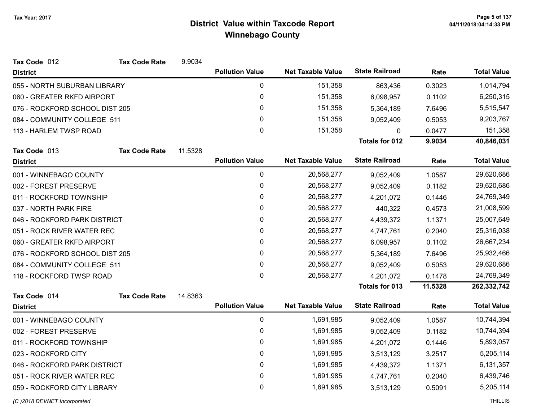| Tax Code 012                   | <b>Tax Code Rate</b> | 9.9034    |                        |                          |                       |           |                    |
|--------------------------------|----------------------|-----------|------------------------|--------------------------|-----------------------|-----------|--------------------|
| <b>District</b>                |                      |           | <b>Pollution Value</b> | <b>Net Taxable Value</b> | <b>State Railroad</b> | Rate      | <b>Total Value</b> |
| 055 - NORTH SUBURBAN LIBRARY   |                      |           | 0                      | 151,358                  | 863,436               | 0.3023    | 1,014,794          |
| 060 - GREATER RKFD AIRPORT     |                      |           | 0                      | 151,358                  | 6,098,957             | 0.1102    | 6,250,315          |
| 076 - ROCKFORD SCHOOL DIST 205 |                      |           | 0                      | 151,358                  | 5,364,189             | 7.6496    | 5,515,547          |
| 084 - COMMUNITY COLLEGE 511    |                      |           | 0                      | 151,358                  | 9,052,409             | 0.5053    | 9,203,767          |
| 113 - HARLEM TWSP ROAD         |                      |           | 0                      | 151,358                  | 0                     | 0.0477    | 151,358            |
|                                |                      |           |                        |                          | <b>Totals for 012</b> | 9.9034    | 40,846,031         |
| Tax Code 013                   | <b>Tax Code Rate</b> | 11.5328   |                        |                          |                       |           |                    |
| <b>District</b>                |                      |           | <b>Pollution Value</b> | <b>Net Taxable Value</b> | <b>State Railroad</b> | Rate      | <b>Total Value</b> |
| 001 - WINNEBAGO COUNTY         |                      |           | $\pmb{0}$              | 20,568,277               | 9,052,409             | 1.0587    | 29,620,686         |
| 002 - FOREST PRESERVE          |                      |           | 0                      | 20,568,277               | 9,052,409             | 0.1182    | 29,620,686         |
| 011 - ROCKFORD TOWNSHIP        |                      |           | 0                      | 20,568,277               | 4,201,072             | 0.1446    | 24,769,349         |
| 037 - NORTH PARK FIRE          |                      |           | 0                      | 20,568,277               | 440,322               | 0.4573    | 21,008,599         |
| 046 - ROCKFORD PARK DISTRICT   |                      |           | 0                      | 20,568,277               | 4,439,372             | 1.1371    | 25,007,649         |
| 051 - ROCK RIVER WATER REC     |                      |           | 0                      | 20,568,277               | 4,747,761             | 0.2040    | 25,316,038         |
| 060 - GREATER RKFD AIRPORT     |                      |           | 0                      | 20,568,277               | 6,098,957             | 0.1102    | 26,667,234         |
| 076 - ROCKFORD SCHOOL DIST 205 |                      |           | 0                      | 20,568,277               | 5,364,189             | 7.6496    | 25,932,466         |
| 084 - COMMUNITY COLLEGE 511    |                      |           | 0                      | 20,568,277               | 9,052,409             | 0.5053    | 29,620,686         |
| 118 - ROCKFORD TWSP ROAD       |                      |           | 0                      | 20,568,277               | 4,201,072             | 0.1478    | 24,769,349         |
|                                |                      |           |                        |                          | Totals for 013        | 11.5328   | 262,332,742        |
| Tax Code 014                   | <b>Tax Code Rate</b> | 14.8363   |                        |                          |                       |           |                    |
| <b>District</b>                |                      |           | <b>Pollution Value</b> | <b>Net Taxable Value</b> | <b>State Railroad</b> | Rate      | <b>Total Value</b> |
| 001 - WINNEBAGO COUNTY         |                      |           | $\pmb{0}$              | 1,691,985                | 9,052,409             | 1.0587    | 10,744,394         |
| 002 - FOREST PRESERVE          |                      |           | $\pmb{0}$              | 1,691,985                | 9,052,409             | 0.1182    | 10,744,394         |
| 011 - ROCKFORD TOWNSHIP        |                      |           | 0                      | 1,691,985                | 4,201,072             | 0.1446    | 5,893,057          |
| 023 - ROCKFORD CITY            |                      |           | 0                      | 1,691,985                | 3,513,129             | 3.2517    | 5,205,114          |
| 046 - ROCKFORD PARK DISTRICT   |                      | $\pmb{0}$ | 1,691,985              | 4,439,372                | 1.1371                | 6,131,357 |                    |
| 051 - ROCK RIVER WATER REC     |                      |           | 0                      | 1,691,985                | 4,747,761             | 0.2040    | 6,439,746          |
| 059 - ROCKFORD CITY LIBRARY    |                      |           | 0                      | 1,691,985                | 3,513,129             | 0.5091    | 5,205,114          |
|                                |                      |           |                        |                          |                       |           |                    |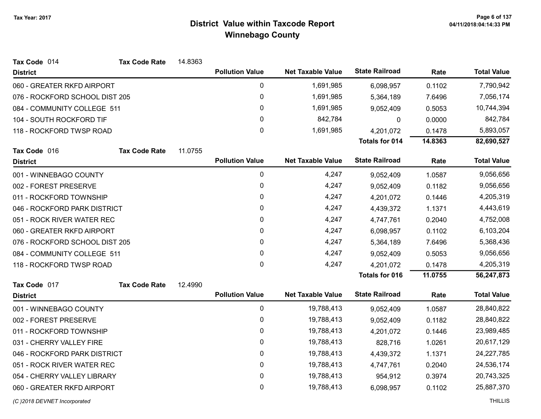| Tax Code 014                   | <b>Tax Code Rate</b> | 14.8363 |                        |                          |                       |            |                    |
|--------------------------------|----------------------|---------|------------------------|--------------------------|-----------------------|------------|--------------------|
| <b>District</b>                |                      |         | <b>Pollution Value</b> | <b>Net Taxable Value</b> | <b>State Railroad</b> | Rate       | <b>Total Value</b> |
| 060 - GREATER RKFD AIRPORT     |                      |         | $\pmb{0}$              | 1,691,985                | 6,098,957             | 0.1102     | 7,790,942          |
| 076 - ROCKFORD SCHOOL DIST 205 |                      |         | $\pmb{0}$              | 1,691,985                | 5,364,189             | 7.6496     | 7,056,174          |
| 084 - COMMUNITY COLLEGE 511    |                      |         | 0                      | 1,691,985                | 9,052,409             | 0.5053     | 10,744,394         |
| 104 - SOUTH ROCKFORD TIF       |                      |         | $\mathbf{0}$           | 842,784                  | $\mathbf{0}$          | 0.0000     | 842,784            |
| 118 - ROCKFORD TWSP ROAD       |                      |         | 0                      | 1,691,985                | 4,201,072             | 0.1478     | 5,893,057          |
|                                |                      |         |                        |                          | Totals for 014        | 14.8363    | 82,690,527         |
| Tax Code 016                   | <b>Tax Code Rate</b> | 11.0755 |                        |                          |                       |            |                    |
| <b>District</b>                |                      |         | <b>Pollution Value</b> | <b>Net Taxable Value</b> | <b>State Railroad</b> | Rate       | <b>Total Value</b> |
| 001 - WINNEBAGO COUNTY         |                      |         | $\pmb{0}$              | 4,247                    | 9,052,409             | 1.0587     | 9,056,656          |
| 002 - FOREST PRESERVE          |                      |         | 0                      | 4,247                    | 9,052,409             | 0.1182     | 9,056,656          |
| 011 - ROCKFORD TOWNSHIP        |                      |         | 0                      | 4,247                    | 4,201,072             | 0.1446     | 4,205,319          |
| 046 - ROCKFORD PARK DISTRICT   |                      |         | 0                      | 4,247                    | 4,439,372             | 1.1371     | 4,443,619          |
| 051 - ROCK RIVER WATER REC     |                      |         | 0                      | 4,247                    | 4,747,761             | 0.2040     | 4,752,008          |
| 060 - GREATER RKFD AIRPORT     |                      |         | 0                      | 4,247                    | 6,098,957             | 0.1102     | 6,103,204          |
| 076 - ROCKFORD SCHOOL DIST 205 |                      |         | 0                      | 4,247                    | 5,364,189             | 7.6496     | 5,368,436          |
| 084 - COMMUNITY COLLEGE 511    |                      |         | 0                      | 4,247                    | 9,052,409             | 0.5053     | 9,056,656          |
| 118 - ROCKFORD TWSP ROAD       |                      |         | 0                      | 4,247                    | 4,201,072             | 0.1478     | 4,205,319          |
|                                |                      |         |                        |                          | <b>Totals for 016</b> | 11.0755    | 56,247,873         |
| Tax Code 017                   | <b>Tax Code Rate</b> | 12.4990 |                        |                          |                       |            |                    |
| <b>District</b>                |                      |         | <b>Pollution Value</b> | <b>Net Taxable Value</b> | <b>State Railroad</b> | Rate       | <b>Total Value</b> |
| 001 - WINNEBAGO COUNTY         |                      |         | 0                      | 19,788,413               | 9,052,409             | 1.0587     | 28,840,822         |
| 002 - FOREST PRESERVE          |                      |         | 0                      | 19,788,413               | 9,052,409             | 0.1182     | 28,840,822         |
| 011 - ROCKFORD TOWNSHIP        |                      |         | $\pmb{0}$              | 19,788,413               | 4,201,072             | 0.1446     | 23,989,485         |
| 031 - CHERRY VALLEY FIRE       |                      |         | 0                      | 19,788,413               | 828,716               | 1.0261     | 20,617,129         |
| 046 - ROCKFORD PARK DISTRICT   |                      | 0       | 19,788,413             | 4,439,372                | 1.1371                | 24,227,785 |                    |
| 051 - ROCK RIVER WATER REC     |                      |         | 0                      | 19,788,413               | 4,747,761             | 0.2040     | 24,536,174         |
| 054 - CHERRY VALLEY LIBRARY    |                      |         | $\pmb{0}$              | 19,788,413               | 954,912               | 0.3974     | 20,743,325         |
| 060 - GREATER RKFD AIRPORT     |                      |         | $\mathbf 0$            | 19,788,413               | 6,098,957             | 0.1102     | 25,887,370         |
|                                |                      |         |                        |                          |                       |            |                    |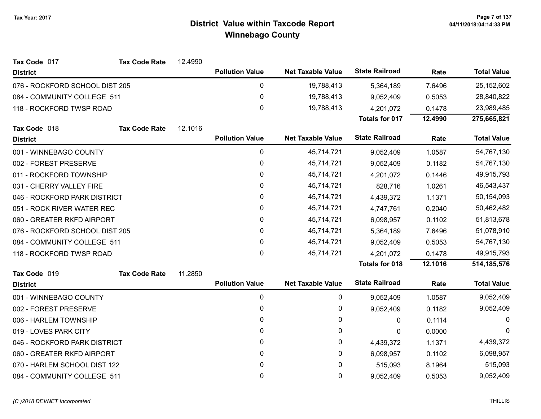| Tax Code 017                   | <b>Tax Code Rate</b> | 12.4990 |                        |                          |                       |         |                    |
|--------------------------------|----------------------|---------|------------------------|--------------------------|-----------------------|---------|--------------------|
| <b>District</b>                |                      |         | <b>Pollution Value</b> | <b>Net Taxable Value</b> | <b>State Railroad</b> | Rate    | <b>Total Value</b> |
| 076 - ROCKFORD SCHOOL DIST 205 |                      |         | 0                      | 19,788,413               | 5,364,189             | 7.6496  | 25,152,602         |
| 084 - COMMUNITY COLLEGE 511    |                      |         | $\pmb{0}$              | 19,788,413               | 9,052,409             | 0.5053  | 28,840,822         |
| 118 - ROCKFORD TWSP ROAD       |                      |         | 0                      | 19,788,413               | 4,201,072             | 0.1478  | 23,989,485         |
|                                |                      |         |                        |                          | <b>Totals for 017</b> | 12.4990 | 275,665,821        |
| Tax Code 018                   | <b>Tax Code Rate</b> | 12.1016 |                        |                          |                       |         |                    |
| <b>District</b>                |                      |         | <b>Pollution Value</b> | <b>Net Taxable Value</b> | <b>State Railroad</b> | Rate    | <b>Total Value</b> |
| 001 - WINNEBAGO COUNTY         |                      |         | $\pmb{0}$              | 45,714,721               | 9,052,409             | 1.0587  | 54,767,130         |
| 002 - FOREST PRESERVE          |                      |         | 0                      | 45,714,721               | 9,052,409             | 0.1182  | 54,767,130         |
| 011 - ROCKFORD TOWNSHIP        |                      |         | 0                      | 45,714,721               | 4,201,072             | 0.1446  | 49,915,793         |
| 031 - CHERRY VALLEY FIRE       |                      |         | 0                      | 45,714,721               | 828,716               | 1.0261  | 46,543,437         |
| 046 - ROCKFORD PARK DISTRICT   |                      |         | 0                      | 45,714,721               | 4,439,372             | 1.1371  | 50,154,093         |
| 051 - ROCK RIVER WATER REC     |                      |         | 0                      | 45,714,721               | 4,747,761             | 0.2040  | 50,462,482         |
| 060 - GREATER RKFD AIRPORT     |                      |         | 0                      | 45,714,721               | 6,098,957             | 0.1102  | 51,813,678         |
| 076 - ROCKFORD SCHOOL DIST 205 |                      |         | 0                      | 45,714,721               | 5,364,189             | 7.6496  | 51,078,910         |
| 084 - COMMUNITY COLLEGE 511    |                      |         | 0                      | 45,714,721               | 9,052,409             | 0.5053  | 54,767,130         |
| 118 - ROCKFORD TWSP ROAD       |                      |         | $\mathbf{0}$           | 45,714,721               | 4,201,072             | 0.1478  | 49,915,793         |
|                                |                      |         |                        |                          | <b>Totals for 018</b> | 12.1016 | 514, 185, 576      |
| Tax Code 019                   | <b>Tax Code Rate</b> | 11.2850 |                        |                          |                       |         |                    |
| <b>District</b>                |                      |         | <b>Pollution Value</b> | <b>Net Taxable Value</b> | <b>State Railroad</b> | Rate    | <b>Total Value</b> |
| 001 - WINNEBAGO COUNTY         |                      |         | 0                      | 0                        | 9,052,409             | 1.0587  | 9,052,409          |
| 002 - FOREST PRESERVE          |                      |         | 0                      | 0                        | 9,052,409             | 0.1182  | 9,052,409          |
| 006 - HARLEM TOWNSHIP          |                      |         | $\mathbf{0}$           | 0                        | 0                     | 0.1114  | $\Omega$           |
| 019 - LOVES PARK CITY          |                      |         | $\mathbf{0}$           | 0                        | $\mathbf{0}$          | 0.0000  | $\Omega$           |
| 046 - ROCKFORD PARK DISTRICT   |                      |         | 0                      | 0                        | 4,439,372             | 1.1371  | 4,439,372          |
| 060 - GREATER RKFD AIRPORT     |                      |         | $\mathbf{0}$           | 0                        | 6,098,957             | 0.1102  | 6,098,957          |
| 070 - HARLEM SCHOOL DIST 122   |                      |         | $\mathbf{0}$           | 0                        | 515,093               | 8.1964  | 515,093            |
| 084 - COMMUNITY COLLEGE 511    |                      |         | 0                      | 0                        | 9,052,409             | 0.5053  | 9,052,409          |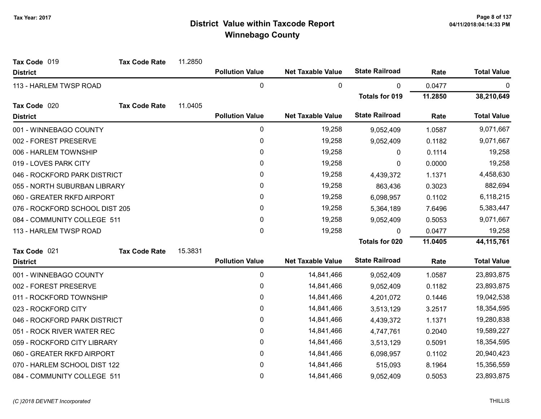| Tax Code 019                   | <b>Tax Code Rate</b> | 11.2850 |                        |                          |                       |         |                    |
|--------------------------------|----------------------|---------|------------------------|--------------------------|-----------------------|---------|--------------------|
| <b>District</b>                |                      |         | <b>Pollution Value</b> | <b>Net Taxable Value</b> | <b>State Railroad</b> | Rate    | <b>Total Value</b> |
| 113 - HARLEM TWSP ROAD         |                      |         | 0                      | 0                        | 0                     | 0.0477  | 0                  |
|                                |                      |         |                        |                          | <b>Totals for 019</b> | 11.2850 | 38,210,649         |
| Tax Code 020                   | <b>Tax Code Rate</b> | 11.0405 |                        |                          |                       |         |                    |
| <b>District</b>                |                      |         | <b>Pollution Value</b> | <b>Net Taxable Value</b> | <b>State Railroad</b> | Rate    | <b>Total Value</b> |
| 001 - WINNEBAGO COUNTY         |                      |         | 0                      | 19,258                   | 9,052,409             | 1.0587  | 9,071,667          |
| 002 - FOREST PRESERVE          |                      |         | 0                      | 19,258                   | 9,052,409             | 0.1182  | 9,071,667          |
| 006 - HARLEM TOWNSHIP          |                      |         | 0                      | 19,258                   | 0                     | 0.1114  | 19,258             |
| 019 - LOVES PARK CITY          |                      |         | 0                      | 19,258                   | 0                     | 0.0000  | 19,258             |
| 046 - ROCKFORD PARK DISTRICT   |                      |         | 0                      | 19,258                   | 4,439,372             | 1.1371  | 4,458,630          |
| 055 - NORTH SUBURBAN LIBRARY   |                      |         | 0                      | 19,258                   | 863,436               | 0.3023  | 882,694            |
| 060 - GREATER RKFD AIRPORT     |                      |         | 0                      | 19,258                   | 6,098,957             | 0.1102  | 6,118,215          |
| 076 - ROCKFORD SCHOOL DIST 205 |                      |         | 0                      | 19,258                   | 5,364,189             | 7.6496  | 5,383,447          |
| 084 - COMMUNITY COLLEGE 511    |                      |         | 0                      | 19,258                   | 9,052,409             | 0.5053  | 9,071,667          |
| 113 - HARLEM TWSP ROAD         |                      |         | 0                      | 19,258                   | 0                     | 0.0477  | 19,258             |
|                                |                      |         |                        |                          | <b>Totals for 020</b> | 11.0405 | 44, 115, 761       |
| Tax Code 021                   | <b>Tax Code Rate</b> | 15.3831 |                        |                          |                       |         |                    |
| <b>District</b>                |                      |         | <b>Pollution Value</b> | <b>Net Taxable Value</b> | <b>State Railroad</b> | Rate    | <b>Total Value</b> |
| 001 - WINNEBAGO COUNTY         |                      |         | 0                      | 14,841,466               | 9,052,409             | 1.0587  | 23,893,875         |
| 002 - FOREST PRESERVE          |                      |         | 0                      | 14,841,466               | 9,052,409             | 0.1182  | 23,893,875         |
| 011 - ROCKFORD TOWNSHIP        |                      |         | 0                      | 14,841,466               | 4,201,072             | 0.1446  | 19,042,538         |
| 023 - ROCKFORD CITY            |                      |         | 0                      | 14,841,466               | 3,513,129             | 3.2517  | 18,354,595         |
| 046 - ROCKFORD PARK DISTRICT   |                      |         | 0                      | 14,841,466               | 4,439,372             | 1.1371  | 19,280,838         |
| 051 - ROCK RIVER WATER REC     |                      |         | 0                      | 14,841,466               | 4,747,761             | 0.2040  | 19,589,227         |
| 059 - ROCKFORD CITY LIBRARY    |                      |         | 0                      | 14,841,466               | 3,513,129             | 0.5091  | 18,354,595         |
| 060 - GREATER RKFD AIRPORT     |                      |         | 0                      | 14,841,466               | 6,098,957             | 0.1102  | 20,940,423         |
| 070 - HARLEM SCHOOL DIST 122   |                      |         | 0                      | 14,841,466               | 515,093               | 8.1964  | 15,356,559         |
| 084 - COMMUNITY COLLEGE 511    |                      |         | 0                      | 14,841,466               | 9,052,409             | 0.5053  | 23,893,875         |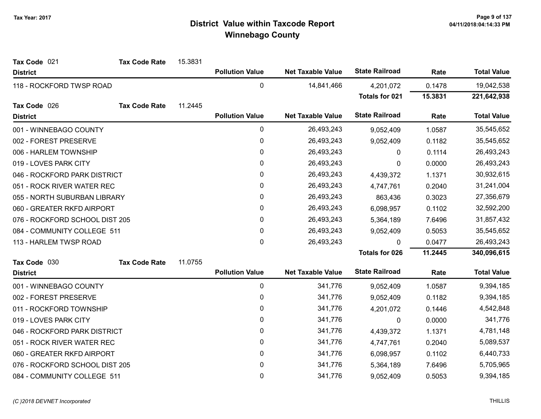| Tax Code 021                   | <b>Tax Code Rate</b> | 15.3831 |                        |                          |                       |         |                    |
|--------------------------------|----------------------|---------|------------------------|--------------------------|-----------------------|---------|--------------------|
| <b>District</b>                |                      |         | <b>Pollution Value</b> | <b>Net Taxable Value</b> | <b>State Railroad</b> | Rate    | <b>Total Value</b> |
| 118 - ROCKFORD TWSP ROAD       |                      |         | $\mathbf 0$            | 14,841,466               | 4,201,072             | 0.1478  | 19,042,538         |
|                                |                      |         |                        |                          | <b>Totals for 021</b> | 15.3831 | 221,642,938        |
| Tax Code 026                   | <b>Tax Code Rate</b> | 11.2445 |                        |                          |                       |         |                    |
| <b>District</b>                |                      |         | <b>Pollution Value</b> | <b>Net Taxable Value</b> | <b>State Railroad</b> | Rate    | <b>Total Value</b> |
| 001 - WINNEBAGO COUNTY         |                      |         | $\pmb{0}$              | 26,493,243               | 9,052,409             | 1.0587  | 35,545,652         |
| 002 - FOREST PRESERVE          |                      |         | $\pmb{0}$              | 26,493,243               | 9,052,409             | 0.1182  | 35,545,652         |
| 006 - HARLEM TOWNSHIP          |                      |         | $\pmb{0}$              | 26,493,243               | 0                     | 0.1114  | 26,493,243         |
| 019 - LOVES PARK CITY          |                      |         | 0                      | 26,493,243               | $\Omega$              | 0.0000  | 26,493,243         |
| 046 - ROCKFORD PARK DISTRICT   |                      |         | $\pmb{0}$              | 26,493,243               | 4,439,372             | 1.1371  | 30,932,615         |
| 051 - ROCK RIVER WATER REC     |                      |         | $\pmb{0}$              | 26,493,243               | 4,747,761             | 0.2040  | 31,241,004         |
| 055 - NORTH SUBURBAN LIBRARY   |                      |         | 0                      | 26,493,243               | 863,436               | 0.3023  | 27,356,679         |
| 060 - GREATER RKFD AIRPORT     |                      |         | 0                      | 26,493,243               | 6,098,957             | 0.1102  | 32,592,200         |
| 076 - ROCKFORD SCHOOL DIST 205 |                      |         | 0                      | 26,493,243               | 5,364,189             | 7.6496  | 31,857,432         |
| 084 - COMMUNITY COLLEGE 511    |                      |         | $\pmb{0}$              | 26,493,243               | 9,052,409             | 0.5053  | 35,545,652         |
| 113 - HARLEM TWSP ROAD         |                      |         | 0                      | 26,493,243               | $\mathbf{0}$          | 0.0477  | 26,493,243         |
|                                |                      |         |                        |                          | <b>Totals for 026</b> | 11.2445 | 340,096,615        |
| Tax Code 030                   | <b>Tax Code Rate</b> | 11.0755 |                        |                          |                       |         |                    |
| <b>District</b>                |                      |         | <b>Pollution Value</b> | <b>Net Taxable Value</b> | <b>State Railroad</b> | Rate    | <b>Total Value</b> |
| 001 - WINNEBAGO COUNTY         |                      |         | $\pmb{0}$              | 341,776                  | 9,052,409             | 1.0587  | 9,394,185          |
| 002 - FOREST PRESERVE          |                      |         | 0                      | 341,776                  | 9,052,409             | 0.1182  | 9,394,185          |
| 011 - ROCKFORD TOWNSHIP        |                      |         | 0                      | 341,776                  | 4,201,072             | 0.1446  | 4,542,848          |
| 019 - LOVES PARK CITY          |                      |         | $\mathbf{0}$           | 341,776                  | 0                     | 0.0000  | 341,776            |
| 046 - ROCKFORD PARK DISTRICT   |                      |         | 0                      | 341,776                  | 4,439,372             | 1.1371  | 4,781,148          |
| 051 - ROCK RIVER WATER REC     |                      |         | 0                      | 341,776                  | 4,747,761             | 0.2040  | 5,089,537          |
| 060 - GREATER RKFD AIRPORT     |                      |         | 0                      | 341,776                  | 6,098,957             | 0.1102  | 6,440,733          |
| 076 - ROCKFORD SCHOOL DIST 205 |                      |         | 0                      | 341,776                  | 5,364,189             | 7.6496  | 5,705,965          |
| 084 - COMMUNITY COLLEGE 511    |                      |         | $\mathbf 0$            | 341,776                  | 9,052,409             | 0.5053  | 9,394,185          |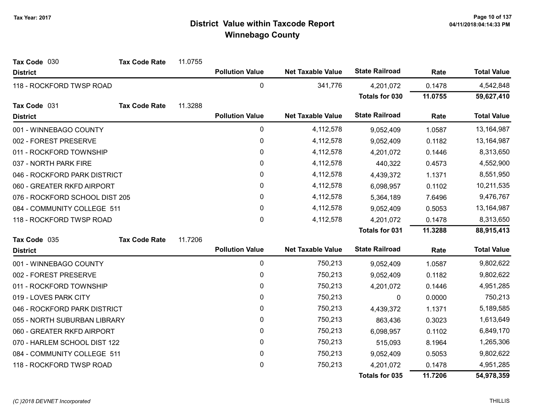| Tax Code 030                   | <b>Tax Code Rate</b> | 11.0755 |                        |                          |                       |         |                    |
|--------------------------------|----------------------|---------|------------------------|--------------------------|-----------------------|---------|--------------------|
| <b>District</b>                |                      |         | <b>Pollution Value</b> | <b>Net Taxable Value</b> | <b>State Railroad</b> | Rate    | <b>Total Value</b> |
| 118 - ROCKFORD TWSP ROAD       |                      |         | 0                      | 341,776                  | 4,201,072             | 0.1478  | 4,542,848          |
|                                |                      |         |                        |                          | Totals for 030        | 11.0755 | 59,627,410         |
| Tax Code 031                   | <b>Tax Code Rate</b> | 11.3288 |                        |                          |                       |         |                    |
| <b>District</b>                |                      |         | <b>Pollution Value</b> | <b>Net Taxable Value</b> | <b>State Railroad</b> | Rate    | <b>Total Value</b> |
| 001 - WINNEBAGO COUNTY         |                      |         | 0                      | 4,112,578                | 9,052,409             | 1.0587  | 13,164,987         |
| 002 - FOREST PRESERVE          |                      |         | 0                      | 4,112,578                | 9,052,409             | 0.1182  | 13,164,987         |
| 011 - ROCKFORD TOWNSHIP        |                      |         | 0                      | 4,112,578                | 4,201,072             | 0.1446  | 8,313,650          |
| 037 - NORTH PARK FIRE          |                      |         | 0                      | 4,112,578                | 440,322               | 0.4573  | 4,552,900          |
| 046 - ROCKFORD PARK DISTRICT   |                      |         | 0                      | 4,112,578                | 4,439,372             | 1.1371  | 8,551,950          |
| 060 - GREATER RKFD AIRPORT     |                      |         | 0                      | 4,112,578                | 6,098,957             | 0.1102  | 10,211,535         |
| 076 - ROCKFORD SCHOOL DIST 205 |                      |         | 0                      | 4,112,578                | 5,364,189             | 7.6496  | 9,476,767          |
| 084 - COMMUNITY COLLEGE 511    |                      |         | 0                      | 4,112,578                | 9,052,409             | 0.5053  | 13,164,987         |
| 118 - ROCKFORD TWSP ROAD       |                      |         | 0                      | 4,112,578                | 4,201,072             | 0.1478  | 8,313,650          |
|                                |                      |         |                        |                          | <b>Totals for 031</b> | 11.3288 | 88,915,413         |
| Tax Code 035                   | <b>Tax Code Rate</b> | 11.7206 |                        |                          |                       |         |                    |
| <b>District</b>                |                      |         | <b>Pollution Value</b> | <b>Net Taxable Value</b> | <b>State Railroad</b> | Rate    | <b>Total Value</b> |
| 001 - WINNEBAGO COUNTY         |                      |         | 0                      | 750,213                  | 9,052,409             | 1.0587  | 9,802,622          |
| 002 - FOREST PRESERVE          |                      |         | 0                      | 750,213                  | 9,052,409             | 0.1182  | 9,802,622          |
| 011 - ROCKFORD TOWNSHIP        |                      |         | 0                      | 750,213                  | 4,201,072             | 0.1446  | 4,951,285          |
| 019 - LOVES PARK CITY          |                      |         | 0                      | 750,213                  | $\mathbf 0$           | 0.0000  | 750,213            |
| 046 - ROCKFORD PARK DISTRICT   |                      |         | 0                      | 750,213                  | 4,439,372             | 1.1371  | 5,189,585          |
| 055 - NORTH SUBURBAN LIBRARY   |                      |         | 0                      | 750,213                  | 863,436               | 0.3023  | 1,613,649          |
| 060 - GREATER RKFD AIRPORT     |                      |         | 0                      | 750,213                  | 6,098,957             | 0.1102  | 6,849,170          |
| 070 - HARLEM SCHOOL DIST 122   |                      |         | 0                      | 750,213                  | 515,093               | 8.1964  | 1,265,306          |
| 084 - COMMUNITY COLLEGE 511    |                      |         | 0                      | 750,213                  | 9,052,409             | 0.5053  | 9,802,622          |
| 118 - ROCKFORD TWSP ROAD       |                      |         | 0                      | 750,213                  | 4,201,072             | 0.1478  | 4,951,285          |
|                                |                      |         |                        |                          | <b>Totals for 035</b> | 11.7206 | 54,978,359         |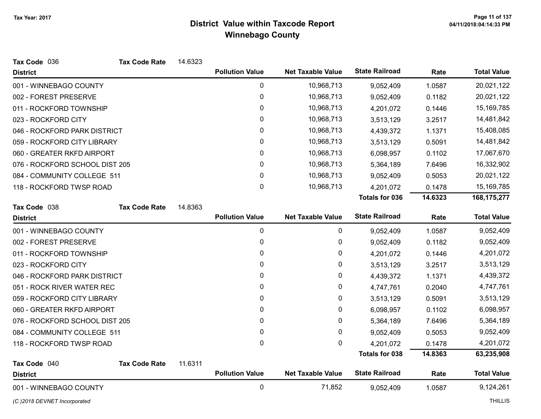| Tax Code 036                   | <b>Tax Code Rate</b> | 14.6323 |                        |                          |                       |         |                    |
|--------------------------------|----------------------|---------|------------------------|--------------------------|-----------------------|---------|--------------------|
| <b>District</b>                |                      |         | <b>Pollution Value</b> | <b>Net Taxable Value</b> | <b>State Railroad</b> | Rate    | <b>Total Value</b> |
| 001 - WINNEBAGO COUNTY         |                      |         | 0                      | 10,968,713               | 9,052,409             | 1.0587  | 20,021,122         |
| 002 - FOREST PRESERVE          |                      |         | 0                      | 10,968,713               | 9,052,409             | 0.1182  | 20,021,122         |
| 011 - ROCKFORD TOWNSHIP        |                      |         | 0                      | 10,968,713               | 4,201,072             | 0.1446  | 15,169,785         |
| 023 - ROCKFORD CITY            |                      |         | 0                      | 10,968,713               | 3,513,129             | 3.2517  | 14,481,842         |
| 046 - ROCKFORD PARK DISTRICT   |                      |         | 0                      | 10,968,713               | 4,439,372             | 1.1371  | 15,408,085         |
| 059 - ROCKFORD CITY LIBRARY    |                      |         | 0                      | 10,968,713               | 3,513,129             | 0.5091  | 14,481,842         |
| 060 - GREATER RKFD AIRPORT     |                      |         | 0                      | 10,968,713               | 6,098,957             | 0.1102  | 17,067,670         |
| 076 - ROCKFORD SCHOOL DIST 205 |                      |         | $\mathbf{0}$           | 10,968,713               | 5,364,189             | 7.6496  | 16,332,902         |
| 084 - COMMUNITY COLLEGE 511    |                      |         | $\mathbf 0$            | 10,968,713               | 9,052,409             | 0.5053  | 20,021,122         |
| 118 - ROCKFORD TWSP ROAD       |                      |         | 0                      | 10,968,713               | 4,201,072             | 0.1478  | 15,169,785         |
|                                |                      |         |                        |                          | <b>Totals for 036</b> | 14.6323 | 168, 175, 277      |
| Tax Code 038                   | <b>Tax Code Rate</b> | 14.8363 |                        |                          |                       |         |                    |
| <b>District</b>                |                      |         | <b>Pollution Value</b> | <b>Net Taxable Value</b> | <b>State Railroad</b> | Rate    | <b>Total Value</b> |
| 001 - WINNEBAGO COUNTY         |                      |         | $\mathbf 0$            | 0                        | 9,052,409             | 1.0587  | 9,052,409          |
| 002 - FOREST PRESERVE          |                      |         | 0                      | 0                        | 9,052,409             | 0.1182  | 9,052,409          |
| 011 - ROCKFORD TOWNSHIP        |                      |         | 0                      | 0                        | 4,201,072             | 0.1446  | 4,201,072          |
| 023 - ROCKFORD CITY            |                      |         | 0                      | 0                        | 3,513,129             | 3.2517  | 3,513,129          |
| 046 - ROCKFORD PARK DISTRICT   |                      |         | 0                      | 0                        | 4,439,372             | 1.1371  | 4,439,372          |
| 051 - ROCK RIVER WATER REC     |                      |         | 0                      | 0                        | 4,747,761             | 0.2040  | 4,747,761          |
| 059 - ROCKFORD CITY LIBRARY    |                      |         | 0                      | 0                        | 3,513,129             | 0.5091  | 3,513,129          |
| 060 - GREATER RKFD AIRPORT     |                      |         | 0                      | 0                        | 6,098,957             | 0.1102  | 6,098,957          |
| 076 - ROCKFORD SCHOOL DIST 205 |                      |         | 0                      | 0                        | 5,364,189             | 7.6496  | 5,364,189          |
| 084 - COMMUNITY COLLEGE 511    |                      |         | 0                      | 0                        | 9,052,409             | 0.5053  | 9,052,409          |
| 118 - ROCKFORD TWSP ROAD       |                      |         | 0                      | 0                        | 4,201,072             | 0.1478  | 4,201,072          |
|                                |                      |         |                        |                          | <b>Totals for 038</b> | 14.8363 | 63,235,908         |
| Tax Code 040                   | <b>Tax Code Rate</b> | 11.6311 |                        |                          |                       |         |                    |
| <b>District</b>                |                      |         | <b>Pollution Value</b> | <b>Net Taxable Value</b> | <b>State Railroad</b> | Rate    | <b>Total Value</b> |
| 001 - WINNEBAGO COUNTY         |                      |         |                        |                          |                       |         |                    |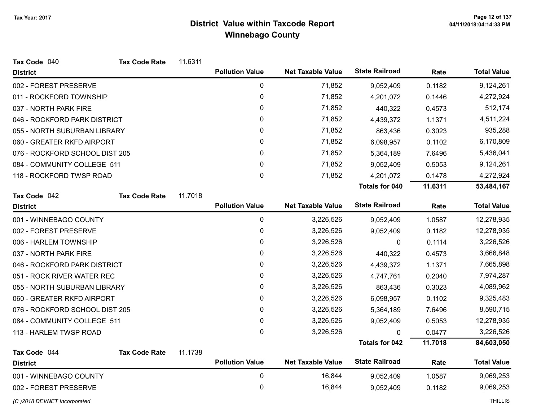| Tax Code 040                   | <b>Tax Code Rate</b> | 11.6311 |                        |                          |                       |         |                    |
|--------------------------------|----------------------|---------|------------------------|--------------------------|-----------------------|---------|--------------------|
| <b>District</b>                |                      |         | <b>Pollution Value</b> | <b>Net Taxable Value</b> | <b>State Railroad</b> | Rate    | <b>Total Value</b> |
| 002 - FOREST PRESERVE          |                      |         | $\mathbf 0$            | 71,852                   | 9,052,409             | 0.1182  | 9,124,261          |
| 011 - ROCKFORD TOWNSHIP        |                      |         | 0                      | 71,852                   | 4,201,072             | 0.1446  | 4,272,924          |
| 037 - NORTH PARK FIRE          |                      |         | 0                      | 71,852                   | 440,322               | 0.4573  | 512,174            |
| 046 - ROCKFORD PARK DISTRICT   |                      |         | 0                      | 71,852                   | 4,439,372             | 1.1371  | 4,511,224          |
| 055 - NORTH SUBURBAN LIBRARY   |                      |         | 0                      | 71,852                   | 863,436               | 0.3023  | 935,288            |
| 060 - GREATER RKFD AIRPORT     |                      |         | 0                      | 71,852                   | 6,098,957             | 0.1102  | 6,170,809          |
| 076 - ROCKFORD SCHOOL DIST 205 |                      |         | 0                      | 71,852                   | 5,364,189             | 7.6496  | 5,436,041          |
| 084 - COMMUNITY COLLEGE 511    |                      |         | 0                      | 71,852                   | 9,052,409             | 0.5053  | 9,124,261          |
| 118 - ROCKFORD TWSP ROAD       |                      |         | 0                      | 71,852                   | 4,201,072             | 0.1478  | 4,272,924          |
|                                |                      |         |                        |                          | <b>Totals for 040</b> | 11.6311 | 53,484,167         |
| Tax Code 042                   | <b>Tax Code Rate</b> | 11.7018 |                        |                          |                       |         |                    |
| <b>District</b>                |                      |         | <b>Pollution Value</b> | <b>Net Taxable Value</b> | <b>State Railroad</b> | Rate    | <b>Total Value</b> |
| 001 - WINNEBAGO COUNTY         |                      |         | 0                      | 3,226,526                | 9,052,409             | 1.0587  | 12,278,935         |
| 002 - FOREST PRESERVE          |                      |         | 0                      | 3,226,526                | 9,052,409             | 0.1182  | 12,278,935         |
| 006 - HARLEM TOWNSHIP          |                      |         | $\pmb{0}$              | 3,226,526                | 0                     | 0.1114  | 3,226,526          |
| 037 - NORTH PARK FIRE          |                      |         | 0                      | 3,226,526                | 440,322               | 0.4573  | 3,666,848          |
| 046 - ROCKFORD PARK DISTRICT   |                      |         | 0                      | 3,226,526                | 4,439,372             | 1.1371  | 7,665,898          |
| 051 - ROCK RIVER WATER REC     |                      |         | 0                      | 3,226,526                | 4,747,761             | 0.2040  | 7,974,287          |
| 055 - NORTH SUBURBAN LIBRARY   |                      |         | 0                      | 3,226,526                | 863,436               | 0.3023  | 4,089,962          |
| 060 - GREATER RKFD AIRPORT     |                      |         | $\pmb{0}$              | 3,226,526                | 6,098,957             | 0.1102  | 9,325,483          |
| 076 - ROCKFORD SCHOOL DIST 205 |                      |         | 0                      | 3,226,526                | 5,364,189             | 7.6496  | 8,590,715          |
| 084 - COMMUNITY COLLEGE 511    |                      |         | 0                      | 3,226,526                | 9,052,409             | 0.5053  | 12,278,935         |
| 113 - HARLEM TWSP ROAD         |                      |         | 0                      | 3,226,526                | 0                     | 0.0477  | 3,226,526          |
|                                |                      |         |                        |                          | <b>Totals for 042</b> | 11.7018 | 84,603,050         |
| Tax Code 044                   | <b>Tax Code Rate</b> | 11.1738 | <b>Pollution Value</b> | <b>Net Taxable Value</b> | <b>State Railroad</b> |         | <b>Total Value</b> |
| <b>District</b>                |                      |         |                        |                          |                       | Rate    |                    |
| 001 - WINNEBAGO COUNTY         |                      |         | $\mathbf 0$            | 16,844                   | 9,052,409             | 1.0587  | 9,069,253          |
| 002 - FOREST PRESERVE          |                      |         | 0                      | 16,844                   | 9,052,409             | 0.1182  | 9,069,253          |
| (C) 2018 DEVNET Incorporated   |                      |         |                        |                          |                       |         | <b>THILLIS</b>     |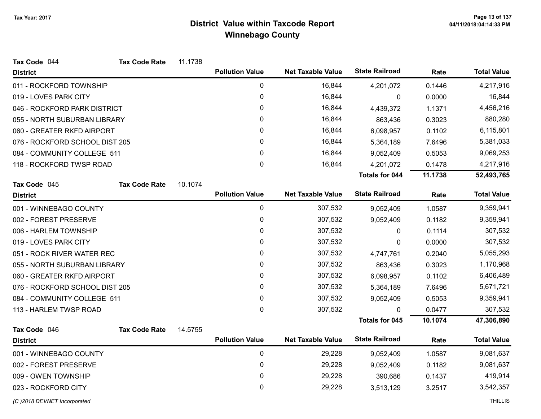| Tax Code 044                   | <b>Tax Code Rate</b> | 11.1738 |                        |                          |                       |         |                    |
|--------------------------------|----------------------|---------|------------------------|--------------------------|-----------------------|---------|--------------------|
| <b>District</b>                |                      |         | <b>Pollution Value</b> | <b>Net Taxable Value</b> | <b>State Railroad</b> | Rate    | <b>Total Value</b> |
| 011 - ROCKFORD TOWNSHIP        |                      |         | $\pmb{0}$              | 16,844                   | 4,201,072             | 0.1446  | 4,217,916          |
| 019 - LOVES PARK CITY          |                      |         | 0                      | 16,844                   | 0                     | 0.0000  | 16,844             |
| 046 - ROCKFORD PARK DISTRICT   |                      |         | 0                      | 16,844                   | 4,439,372             | 1.1371  | 4,456,216          |
| 055 - NORTH SUBURBAN LIBRARY   |                      |         | 0                      | 16,844                   | 863,436               | 0.3023  | 880,280            |
| 060 - GREATER RKFD AIRPORT     |                      |         | 0                      | 16,844                   | 6,098,957             | 0.1102  | 6,115,801          |
| 076 - ROCKFORD SCHOOL DIST 205 |                      |         | 0                      | 16,844                   | 5,364,189             | 7.6496  | 5,381,033          |
| 084 - COMMUNITY COLLEGE 511    |                      |         | 0                      | 16,844                   | 9,052,409             | 0.5053  | 9,069,253          |
| 118 - ROCKFORD TWSP ROAD       |                      |         | 0                      | 16,844                   | 4,201,072             | 0.1478  | 4,217,916          |
|                                |                      |         |                        |                          | <b>Totals for 044</b> | 11.1738 | 52,493,765         |
| Tax Code 045                   | <b>Tax Code Rate</b> | 10.1074 |                        |                          |                       |         |                    |
| <b>District</b>                |                      |         | <b>Pollution Value</b> | <b>Net Taxable Value</b> | <b>State Railroad</b> | Rate    | <b>Total Value</b> |
| 001 - WINNEBAGO COUNTY         |                      |         | 0                      | 307,532                  | 9,052,409             | 1.0587  | 9,359,941          |
| 002 - FOREST PRESERVE          |                      |         | 0                      | 307,532                  | 9,052,409             | 0.1182  | 9,359,941          |
| 006 - HARLEM TOWNSHIP          |                      |         | 0                      | 307,532                  | 0                     | 0.1114  | 307,532            |
| 019 - LOVES PARK CITY          |                      |         | 0                      | 307,532                  | 0                     | 0.0000  | 307,532            |
| 051 - ROCK RIVER WATER REC     |                      |         | 0                      | 307,532                  | 4,747,761             | 0.2040  | 5,055,293          |
| 055 - NORTH SUBURBAN LIBRARY   |                      |         | 0                      | 307,532                  | 863,436               | 0.3023  | 1,170,968          |
| 060 - GREATER RKFD AIRPORT     |                      |         | 0                      | 307,532                  | 6,098,957             | 0.1102  | 6,406,489          |
| 076 - ROCKFORD SCHOOL DIST 205 |                      |         | 0                      | 307,532                  | 5,364,189             | 7.6496  | 5,671,721          |
| 084 - COMMUNITY COLLEGE 511    |                      |         | 0                      | 307,532                  | 9,052,409             | 0.5053  | 9,359,941          |
| 113 - HARLEM TWSP ROAD         |                      |         | 0                      | 307,532                  | 0                     | 0.0477  | 307,532            |
|                                |                      |         |                        |                          | <b>Totals for 045</b> | 10.1074 | 47,306,890         |
| Tax Code 046                   | <b>Tax Code Rate</b> | 14.5755 |                        |                          |                       |         |                    |
| <b>District</b>                |                      |         | <b>Pollution Value</b> | <b>Net Taxable Value</b> | <b>State Railroad</b> | Rate    | <b>Total Value</b> |
| 001 - WINNEBAGO COUNTY         |                      |         | $\pmb{0}$              | 29,228                   | 9,052,409             | 1.0587  | 9,081,637          |
| 002 - FOREST PRESERVE          |                      |         | 0                      | 29,228                   | 9,052,409             | 0.1182  | 9,081,637          |
| 009 - OWEN TOWNSHIP            |                      |         | 0                      | 29,228                   | 390,686               | 0.1437  | 419,914            |
| 023 - ROCKFORD CITY            |                      |         | 0                      | 29,228                   | 3,513,129             | 3.2517  | 3,542,357          |
| (C) 2018 DEVNET Incorporated   |                      |         |                        |                          |                       |         | <b>THILLIS</b>     |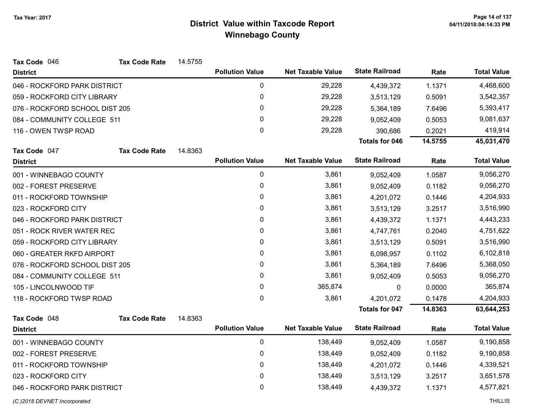| Tax Code 046                   | <b>Tax Code Rate</b> | 14.5755 |                        |                          |                       |         |                    |
|--------------------------------|----------------------|---------|------------------------|--------------------------|-----------------------|---------|--------------------|
| <b>District</b>                |                      |         | <b>Pollution Value</b> | <b>Net Taxable Value</b> | <b>State Railroad</b> | Rate    | <b>Total Value</b> |
| 046 - ROCKFORD PARK DISTRICT   |                      |         | 0                      | 29,228                   | 4,439,372             | 1.1371  | 4,468,600          |
| 059 - ROCKFORD CITY LIBRARY    |                      |         | $\pmb{0}$              | 29,228                   | 3,513,129             | 0.5091  | 3,542,357          |
| 076 - ROCKFORD SCHOOL DIST 205 |                      |         | 0                      | 29,228                   | 5,364,189             | 7.6496  | 5,393,417          |
| 084 - COMMUNITY COLLEGE 511    |                      |         | $\pmb{0}$              | 29,228                   | 9,052,409             | 0.5053  | 9,081,637          |
| 116 - OWEN TWSP ROAD           |                      |         | 0                      | 29,228                   | 390,686               | 0.2021  | 419,914            |
|                                |                      |         |                        |                          | <b>Totals for 046</b> | 14.5755 | 45,031,470         |
| Tax Code 047                   | <b>Tax Code Rate</b> | 14.8363 |                        |                          |                       |         |                    |
| <b>District</b>                |                      |         | <b>Pollution Value</b> | <b>Net Taxable Value</b> | <b>State Railroad</b> | Rate    | <b>Total Value</b> |
| 001 - WINNEBAGO COUNTY         |                      |         | 0                      | 3,861                    | 9,052,409             | 1.0587  | 9,056,270          |
| 002 - FOREST PRESERVE          |                      |         | $\pmb{0}$              | 3,861                    | 9,052,409             | 0.1182  | 9,056,270          |
| 011 - ROCKFORD TOWNSHIP        |                      |         | 0                      | 3,861                    | 4,201,072             | 0.1446  | 4,204,933          |
| 023 - ROCKFORD CITY            |                      |         | $\mathbf 0$            | 3,861                    | 3,513,129             | 3.2517  | 3,516,990          |
| 046 - ROCKFORD PARK DISTRICT   |                      |         | 0                      | 3,861                    | 4,439,372             | 1.1371  | 4,443,233          |
| 051 - ROCK RIVER WATER REC     |                      |         | 0                      | 3,861                    | 4,747,761             | 0.2040  | 4,751,622          |
| 059 - ROCKFORD CITY LIBRARY    |                      |         | 0                      | 3,861                    | 3,513,129             | 0.5091  | 3,516,990          |
| 060 - GREATER RKFD AIRPORT     |                      |         | $\pmb{0}$              | 3,861                    | 6,098,957             | 0.1102  | 6,102,818          |
| 076 - ROCKFORD SCHOOL DIST 205 |                      |         | 0                      | 3,861                    | 5,364,189             | 7.6496  | 5,368,050          |
| 084 - COMMUNITY COLLEGE 511    |                      |         | 0                      | 3,861                    | 9,052,409             | 0.5053  | 9,056,270          |
| 105 - LINCOLNWOOD TIF          |                      |         | $\mathbf{0}$           | 365,874                  | 0                     | 0.0000  | 365,874            |
| 118 - ROCKFORD TWSP ROAD       |                      |         | $\mathbf 0$            | 3,861                    | 4,201,072             | 0.1478  | 4,204,933          |
|                                |                      |         |                        |                          | <b>Totals for 047</b> | 14.8363 | 63,644,253         |
| Tax Code 048                   | <b>Tax Code Rate</b> | 14.8363 |                        |                          |                       |         |                    |
| <b>District</b>                |                      |         | <b>Pollution Value</b> | <b>Net Taxable Value</b> | <b>State Railroad</b> | Rate    | <b>Total Value</b> |
| 001 - WINNEBAGO COUNTY         |                      |         | $\pmb{0}$              | 138,449                  | 9,052,409             | 1.0587  | 9,190,858          |
| 002 - FOREST PRESERVE          |                      |         | $\pmb{0}$              | 138,449                  | 9,052,409             | 0.1182  | 9,190,858          |
| 011 - ROCKFORD TOWNSHIP        |                      |         | 0                      | 138,449                  | 4,201,072             | 0.1446  | 4,339,521          |
| 023 - ROCKFORD CITY            |                      |         | $\pmb{0}$              | 138,449                  | 3,513,129             | 3.2517  | 3,651,578          |
| 046 - ROCKFORD PARK DISTRICT   |                      |         | 0                      | 138,449                  | 4,439,372             | 1.1371  | 4,577,821          |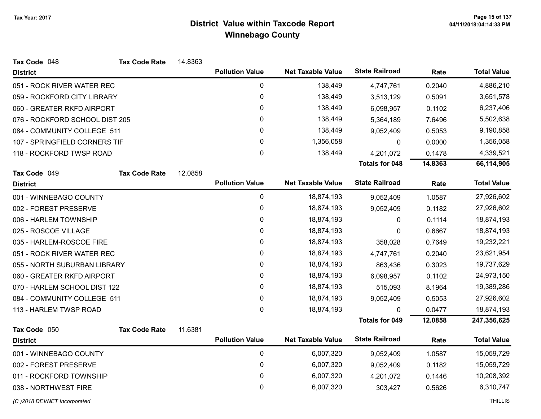| Tax Code 048                   | <b>Tax Code Rate</b> | 14.8363 |                        |                          |                       |         |                    |
|--------------------------------|----------------------|---------|------------------------|--------------------------|-----------------------|---------|--------------------|
| <b>District</b>                |                      |         | <b>Pollution Value</b> | <b>Net Taxable Value</b> | <b>State Railroad</b> | Rate    | <b>Total Value</b> |
| 051 - ROCK RIVER WATER REC     |                      |         | 0                      | 138,449                  | 4,747,761             | 0.2040  | 4,886,210          |
| 059 - ROCKFORD CITY LIBRARY    |                      |         | 0                      | 138,449                  | 3,513,129             | 0.5091  | 3,651,578          |
| 060 - GREATER RKFD AIRPORT     |                      |         | 0                      | 138,449                  | 6,098,957             | 0.1102  | 6,237,406          |
| 076 - ROCKFORD SCHOOL DIST 205 |                      |         | 0                      | 138,449                  | 5,364,189             | 7.6496  | 5,502,638          |
| 084 - COMMUNITY COLLEGE 511    |                      |         | 0                      | 138,449                  | 9,052,409             | 0.5053  | 9,190,858          |
| 107 - SPRINGFIELD CORNERS TIF  |                      |         | 0                      | 1,356,058                | 0                     | 0.0000  | 1,356,058          |
| 118 - ROCKFORD TWSP ROAD       |                      |         | 0                      | 138,449                  | 4,201,072             | 0.1478  | 4,339,521          |
|                                |                      |         |                        |                          | <b>Totals for 048</b> | 14.8363 | 66,114,905         |
| Tax Code 049                   | <b>Tax Code Rate</b> | 12.0858 |                        |                          |                       |         |                    |
| <b>District</b>                |                      |         | <b>Pollution Value</b> | <b>Net Taxable Value</b> | <b>State Railroad</b> | Rate    | <b>Total Value</b> |
| 001 - WINNEBAGO COUNTY         |                      |         | $\mathbf 0$            | 18,874,193               | 9,052,409             | 1.0587  | 27,926,602         |
| 002 - FOREST PRESERVE          |                      |         | 0                      | 18,874,193               | 9,052,409             | 0.1182  | 27,926,602         |
| 006 - HARLEM TOWNSHIP          |                      |         | $\pmb{0}$              | 18,874,193               | 0                     | 0.1114  | 18,874,193         |
| 025 - ROSCOE VILLAGE           |                      |         | 0                      | 18,874,193               | 0                     | 0.6667  | 18,874,193         |
| 035 - HARLEM-ROSCOE FIRE       |                      |         | $\pmb{0}$              | 18,874,193               | 358,028               | 0.7649  | 19,232,221         |
| 051 - ROCK RIVER WATER REC     |                      |         | 0                      | 18,874,193               | 4,747,761             | 0.2040  | 23,621,954         |
| 055 - NORTH SUBURBAN LIBRARY   |                      |         | 0                      | 18,874,193               | 863,436               | 0.3023  | 19,737,629         |
| 060 - GREATER RKFD AIRPORT     |                      |         | 0                      | 18,874,193               | 6,098,957             | 0.1102  | 24,973,150         |
| 070 - HARLEM SCHOOL DIST 122   |                      |         | 0                      | 18,874,193               | 515,093               | 8.1964  | 19,389,286         |
| 084 - COMMUNITY COLLEGE 511    |                      |         | $\pmb{0}$              | 18,874,193               | 9,052,409             | 0.5053  | 27,926,602         |
| 113 - HARLEM TWSP ROAD         |                      |         | $\mathbf 0$            | 18,874,193               | $\mathbf{0}$          | 0.0477  | 18,874,193         |
|                                |                      |         |                        |                          | <b>Totals for 049</b> | 12.0858 | 247,356,625        |
| Tax Code 050                   | <b>Tax Code Rate</b> | 11.6381 |                        |                          |                       |         |                    |
| <b>District</b>                |                      |         | <b>Pollution Value</b> | <b>Net Taxable Value</b> | <b>State Railroad</b> | Rate    | <b>Total Value</b> |
| 001 - WINNEBAGO COUNTY         |                      |         | $\mathbf 0$            | 6,007,320                | 9,052,409             | 1.0587  | 15,059,729         |
| 002 - FOREST PRESERVE          |                      |         | 0                      | 6,007,320                | 9,052,409             | 0.1182  | 15,059,729         |
| 011 - ROCKFORD TOWNSHIP        |                      |         | 0                      | 6,007,320                | 4,201,072             | 0.1446  | 10,208,392         |
| 038 - NORTHWEST FIRE           |                      |         | 0                      | 6,007,320                | 303,427               | 0.5626  | 6,310,747          |
| (C) 2018 DEVNET Incorporated   |                      |         |                        |                          |                       |         | <b>THILLIS</b>     |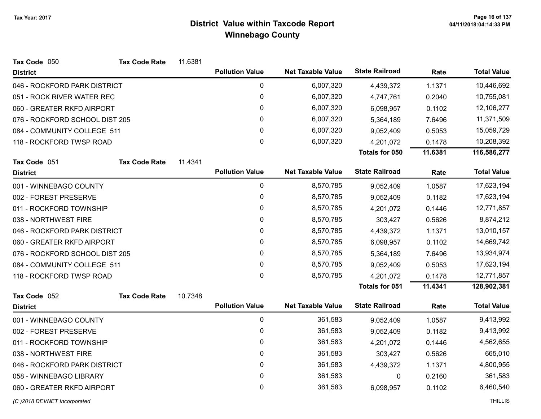| Tax Code 050                   | <b>Tax Code Rate</b> | 11.6381 |                        |                          |                       |           |                    |
|--------------------------------|----------------------|---------|------------------------|--------------------------|-----------------------|-----------|--------------------|
| <b>District</b>                |                      |         | <b>Pollution Value</b> | <b>Net Taxable Value</b> | <b>State Railroad</b> | Rate      | <b>Total Value</b> |
| 046 - ROCKFORD PARK DISTRICT   |                      |         | $\mathbf 0$            | 6,007,320                | 4,439,372             | 1.1371    | 10,446,692         |
| 051 - ROCK RIVER WATER REC     |                      |         | 0                      | 6,007,320                | 4,747,761             | 0.2040    | 10,755,081         |
| 060 - GREATER RKFD AIRPORT     |                      |         | 0                      | 6,007,320                | 6,098,957             | 0.1102    | 12,106,277         |
| 076 - ROCKFORD SCHOOL DIST 205 |                      |         | 0                      | 6,007,320                | 5,364,189             | 7.6496    | 11,371,509         |
| 084 - COMMUNITY COLLEGE 511    |                      |         | 0                      | 6,007,320                | 9,052,409             | 0.5053    | 15,059,729         |
| 118 - ROCKFORD TWSP ROAD       |                      |         | 0                      | 6,007,320                | 4,201,072             | 0.1478    | 10,208,392         |
|                                |                      |         |                        |                          | Totals for 050        | 11.6381   | 116,586,277        |
| Tax Code 051                   | <b>Tax Code Rate</b> | 11.4341 |                        |                          |                       |           |                    |
| <b>District</b>                |                      |         | <b>Pollution Value</b> | <b>Net Taxable Value</b> | <b>State Railroad</b> | Rate      | <b>Total Value</b> |
| 001 - WINNEBAGO COUNTY         |                      |         | $\mathbf 0$            | 8,570,785                | 9,052,409             | 1.0587    | 17,623,194         |
| 002 - FOREST PRESERVE          |                      |         | 0                      | 8,570,785                | 9,052,409             | 0.1182    | 17,623,194         |
| 011 - ROCKFORD TOWNSHIP        |                      |         | 0                      | 8,570,785                | 4,201,072             | 0.1446    | 12,771,857         |
| 038 - NORTHWEST FIRE           |                      |         | $\mathbf 0$            | 8,570,785                | 303,427               | 0.5626    | 8,874,212          |
| 046 - ROCKFORD PARK DISTRICT   |                      |         | 0                      | 8,570,785                | 4,439,372             | 1.1371    | 13,010,157         |
| 060 - GREATER RKFD AIRPORT     |                      |         | 0                      | 8,570,785                | 6,098,957             | 0.1102    | 14,669,742         |
| 076 - ROCKFORD SCHOOL DIST 205 |                      |         | 0                      | 8,570,785                | 5,364,189             | 7.6496    | 13,934,974         |
| 084 - COMMUNITY COLLEGE 511    |                      |         | $\pmb{0}$              | 8,570,785                | 9,052,409             | 0.5053    | 17,623,194         |
| 118 - ROCKFORD TWSP ROAD       |                      |         | $\mathbf 0$            | 8,570,785                | 4,201,072             | 0.1478    | 12,771,857         |
|                                |                      |         |                        |                          | Totals for 051        | 11.4341   | 128,902,381        |
| Tax Code 052                   | <b>Tax Code Rate</b> | 10.7348 |                        |                          |                       |           |                    |
| <b>District</b>                |                      |         | <b>Pollution Value</b> | <b>Net Taxable Value</b> | <b>State Railroad</b> | Rate      | <b>Total Value</b> |
| 001 - WINNEBAGO COUNTY         |                      |         | $\mathbf 0$            | 361,583                  | 9,052,409             | 1.0587    | 9,413,992          |
| 002 - FOREST PRESERVE          |                      |         | 0                      | 361,583                  | 9,052,409             | 0.1182    | 9,413,992          |
| 011 - ROCKFORD TOWNSHIP        |                      |         | $\mathbf{0}$           | 361,583                  | 4,201,072             | 0.1446    | 4,562,655          |
| 038 - NORTHWEST FIRE           |                      |         | 0                      | 361,583                  | 303,427               | 0.5626    | 665,010            |
| 046 - ROCKFORD PARK DISTRICT   |                      | 0       | 361,583                | 4,439,372                | 1.1371                | 4,800,955 |                    |
| 058 - WINNEBAGO LIBRARY        |                      |         | 0                      | 361,583                  | 0                     | 0.2160    | 361,583            |
| 060 - GREATER RKFD AIRPORT     |                      |         | 0                      | 361,583                  | 6,098,957             | 0.1102    | 6,460,540          |
|                                |                      |         |                        |                          |                       |           |                    |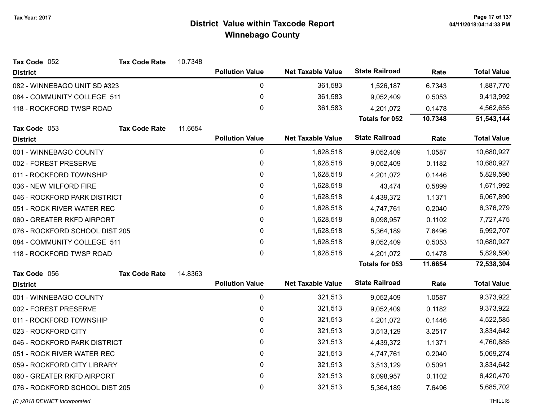| Tax Code 052                   | <b>Tax Code Rate</b> | 10.7348 |                        |                          |                       |         |                    |
|--------------------------------|----------------------|---------|------------------------|--------------------------|-----------------------|---------|--------------------|
| <b>District</b>                |                      |         | <b>Pollution Value</b> | <b>Net Taxable Value</b> | <b>State Railroad</b> | Rate    | <b>Total Value</b> |
| 082 - WINNEBAGO UNIT SD #323   |                      |         | 0                      | 361,583                  | 1,526,187             | 6.7343  | 1,887,770          |
| 084 - COMMUNITY COLLEGE 511    |                      |         | 0                      | 361,583                  | 9,052,409             | 0.5053  | 9,413,992          |
| 118 - ROCKFORD TWSP ROAD       |                      |         | $\pmb{0}$              | 361,583                  | 4,201,072             | 0.1478  | 4,562,655          |
|                                |                      |         |                        |                          | Totals for 052        | 10.7348 | 51,543,144         |
| Tax Code 053                   | <b>Tax Code Rate</b> | 11.6654 |                        |                          |                       |         |                    |
| <b>District</b>                |                      |         | <b>Pollution Value</b> | <b>Net Taxable Value</b> | <b>State Railroad</b> | Rate    | <b>Total Value</b> |
| 001 - WINNEBAGO COUNTY         |                      |         | $\pmb{0}$              | 1,628,518                | 9,052,409             | 1.0587  | 10,680,927         |
| 002 - FOREST PRESERVE          |                      |         | $\pmb{0}$              | 1,628,518                | 9,052,409             | 0.1182  | 10,680,927         |
| 011 - ROCKFORD TOWNSHIP        |                      |         | $\pmb{0}$              | 1,628,518                | 4,201,072             | 0.1446  | 5,829,590          |
| 036 - NEW MILFORD FIRE         |                      |         | $\pmb{0}$              | 1,628,518                | 43,474                | 0.5899  | 1,671,992          |
| 046 - ROCKFORD PARK DISTRICT   |                      |         | $\pmb{0}$              | 1,628,518                | 4,439,372             | 1.1371  | 6,067,890          |
| 051 - ROCK RIVER WATER REC     |                      |         | $\pmb{0}$              | 1,628,518                | 4,747,761             | 0.2040  | 6,376,279          |
| 060 - GREATER RKFD AIRPORT     |                      |         | $\pmb{0}$              | 1,628,518                | 6,098,957             | 0.1102  | 7,727,475          |
| 076 - ROCKFORD SCHOOL DIST 205 |                      |         | 0                      | 1,628,518                | 5,364,189             | 7.6496  | 6,992,707          |
| 084 - COMMUNITY COLLEGE 511    |                      |         | 0                      | 1,628,518                | 9,052,409             | 0.5053  | 10,680,927         |
| 118 - ROCKFORD TWSP ROAD       |                      |         | 0                      | 1,628,518                | 4,201,072             | 0.1478  | 5,829,590          |
|                                |                      |         |                        |                          | <b>Totals for 053</b> | 11.6654 | 72,538,304         |
| Tax Code 056                   | <b>Tax Code Rate</b> | 14.8363 |                        |                          |                       |         |                    |
| <b>District</b>                |                      |         | <b>Pollution Value</b> | <b>Net Taxable Value</b> | <b>State Railroad</b> | Rate    | <b>Total Value</b> |
| 001 - WINNEBAGO COUNTY         |                      |         | $\pmb{0}$              | 321,513                  | 9,052,409             | 1.0587  | 9,373,922          |
| 002 - FOREST PRESERVE          |                      |         | 0                      | 321,513                  | 9,052,409             | 0.1182  | 9,373,922          |
| 011 - ROCKFORD TOWNSHIP        |                      |         | $\mathbf 0$            | 321,513                  | 4,201,072             | 0.1446  | 4,522,585          |
| 023 - ROCKFORD CITY            |                      |         | $\pmb{0}$              | 321,513                  | 3,513,129             | 3.2517  | 3,834,642          |
| 046 - ROCKFORD PARK DISTRICT   |                      |         | $\pmb{0}$              | 321,513                  | 4,439,372             | 1.1371  | 4,760,885          |
| 051 - ROCK RIVER WATER REC     |                      |         | 0                      | 321,513                  | 4,747,761             | 0.2040  | 5,069,274          |
| 059 - ROCKFORD CITY LIBRARY    |                      |         | $\pmb{0}$              | 321,513                  | 3,513,129             | 0.5091  | 3,834,642          |
| 060 - GREATER RKFD AIRPORT     |                      |         | 0                      | 321,513                  | 6,098,957             | 0.1102  | 6,420,470          |
| 076 - ROCKFORD SCHOOL DIST 205 |                      |         | 0                      | 321,513                  | 5,364,189             | 7.6496  | 5,685,702          |
|                                |                      |         |                        |                          |                       |         |                    |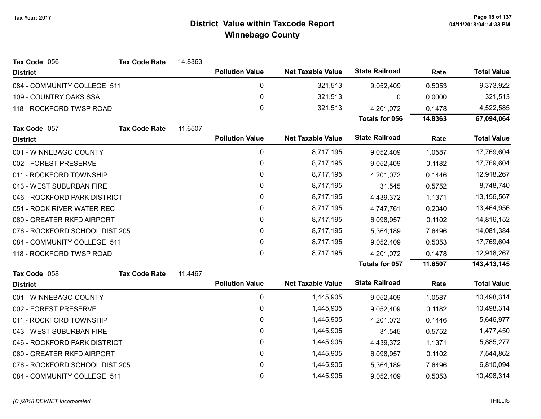| Tax Code 056                   | <b>Tax Code Rate</b> | 14.8363 |                        |                          |                       |         |                    |
|--------------------------------|----------------------|---------|------------------------|--------------------------|-----------------------|---------|--------------------|
| <b>District</b>                |                      |         | <b>Pollution Value</b> | <b>Net Taxable Value</b> | <b>State Railroad</b> | Rate    | <b>Total Value</b> |
| 084 - COMMUNITY COLLEGE 511    |                      |         | 0                      | 321,513                  | 9,052,409             | 0.5053  | 9,373,922          |
| 109 - COUNTRY OAKS SSA         |                      |         | $\pmb{0}$              | 321,513                  | 0                     | 0.0000  | 321,513            |
| 118 - ROCKFORD TWSP ROAD       |                      |         | 0                      | 321,513                  | 4,201,072             | 0.1478  | 4,522,585          |
|                                |                      |         |                        |                          | <b>Totals for 056</b> | 14.8363 | 67,094,064         |
| Tax Code 057                   | <b>Tax Code Rate</b> | 11.6507 |                        |                          |                       |         |                    |
| <b>District</b>                |                      |         | <b>Pollution Value</b> | <b>Net Taxable Value</b> | <b>State Railroad</b> | Rate    | <b>Total Value</b> |
| 001 - WINNEBAGO COUNTY         |                      |         | $\pmb{0}$              | 8,717,195                | 9,052,409             | 1.0587  | 17,769,604         |
| 002 - FOREST PRESERVE          |                      |         | 0                      | 8,717,195                | 9,052,409             | 0.1182  | 17,769,604         |
| 011 - ROCKFORD TOWNSHIP        |                      |         | $\pmb{0}$              | 8,717,195                | 4,201,072             | 0.1446  | 12,918,267         |
| 043 - WEST SUBURBAN FIRE       |                      |         | 0                      | 8,717,195                | 31,545                | 0.5752  | 8,748,740          |
| 046 - ROCKFORD PARK DISTRICT   |                      |         | 0                      | 8,717,195                | 4,439,372             | 1.1371  | 13,156,567         |
| 051 - ROCK RIVER WATER REC     |                      |         | 0                      | 8,717,195                | 4,747,761             | 0.2040  | 13,464,956         |
| 060 - GREATER RKFD AIRPORT     |                      |         | 0                      | 8,717,195                | 6,098,957             | 0.1102  | 14,816,152         |
| 076 - ROCKFORD SCHOOL DIST 205 |                      |         | $\pmb{0}$              | 8,717,195                | 5,364,189             | 7.6496  | 14,081,384         |
| 084 - COMMUNITY COLLEGE 511    |                      |         | 0                      | 8,717,195                | 9,052,409             | 0.5053  | 17,769,604         |
| 118 - ROCKFORD TWSP ROAD       |                      |         | 0                      | 8,717,195                | 4,201,072             | 0.1478  | 12,918,267         |
|                                |                      |         |                        |                          | Totals for 057        | 11.6507 | 143,413,145        |
| Tax Code 058                   | <b>Tax Code Rate</b> | 11.4467 |                        |                          |                       |         |                    |
| <b>District</b>                |                      |         | <b>Pollution Value</b> | <b>Net Taxable Value</b> | <b>State Railroad</b> | Rate    | <b>Total Value</b> |
| 001 - WINNEBAGO COUNTY         |                      |         | $\pmb{0}$              | 1,445,905                | 9,052,409             | 1.0587  | 10,498,314         |
| 002 - FOREST PRESERVE          |                      |         | 0                      | 1,445,905                | 9,052,409             | 0.1182  | 10,498,314         |
| 011 - ROCKFORD TOWNSHIP        |                      |         | 0                      | 1,445,905                | 4,201,072             | 0.1446  | 5,646,977          |
| 043 - WEST SUBURBAN FIRE       |                      |         | 0                      | 1,445,905                | 31,545                | 0.5752  | 1,477,450          |
| 046 - ROCKFORD PARK DISTRICT   |                      |         | $\pmb{0}$              | 1,445,905                | 4,439,372             | 1.1371  | 5,885,277          |
| 060 - GREATER RKFD AIRPORT     |                      |         | 0                      | 1,445,905                | 6,098,957             | 0.1102  | 7,544,862          |
| 076 - ROCKFORD SCHOOL DIST 205 |                      |         | 0                      | 1,445,905                | 5,364,189             | 7.6496  | 6,810,094          |
| 084 - COMMUNITY COLLEGE 511    |                      |         | $\mathbf 0$            | 1,445,905                | 9,052,409             | 0.5053  | 10,498,314         |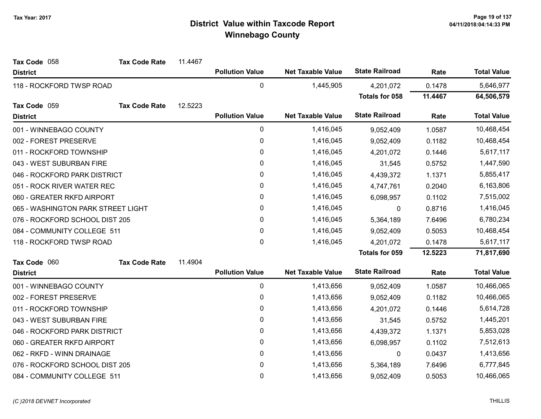| Tax Code 058                       | <b>Tax Code Rate</b> | 11.4467 |                        |                          |                       |         |                    |
|------------------------------------|----------------------|---------|------------------------|--------------------------|-----------------------|---------|--------------------|
| <b>District</b>                    |                      |         | <b>Pollution Value</b> | <b>Net Taxable Value</b> | <b>State Railroad</b> | Rate    | <b>Total Value</b> |
| 118 - ROCKFORD TWSP ROAD           |                      |         | $\pmb{0}$              | 1,445,905                | 4,201,072             | 0.1478  | 5,646,977          |
|                                    |                      |         |                        |                          | <b>Totals for 058</b> | 11.4467 | 64,506,579         |
| Tax Code 059                       | <b>Tax Code Rate</b> | 12.5223 |                        |                          |                       |         |                    |
| <b>District</b>                    |                      |         | <b>Pollution Value</b> | <b>Net Taxable Value</b> | <b>State Railroad</b> | Rate    | <b>Total Value</b> |
| 001 - WINNEBAGO COUNTY             |                      |         | $\pmb{0}$              | 1,416,045                | 9,052,409             | 1.0587  | 10,468,454         |
| 002 - FOREST PRESERVE              |                      |         | $\pmb{0}$              | 1,416,045                | 9,052,409             | 0.1182  | 10,468,454         |
| 011 - ROCKFORD TOWNSHIP            |                      |         | $\pmb{0}$              | 1,416,045                | 4,201,072             | 0.1446  | 5,617,117          |
| 043 - WEST SUBURBAN FIRE           |                      |         | 0                      | 1,416,045                | 31,545                | 0.5752  | 1,447,590          |
| 046 - ROCKFORD PARK DISTRICT       |                      |         | $\pmb{0}$              | 1,416,045                | 4,439,372             | 1.1371  | 5,855,417          |
| 051 - ROCK RIVER WATER REC         |                      |         | 0                      | 1,416,045                | 4,747,761             | 0.2040  | 6,163,806          |
| 060 - GREATER RKFD AIRPORT         |                      |         | $\pmb{0}$              | 1,416,045                | 6,098,957             | 0.1102  | 7,515,002          |
| 065 - WASHINGTON PARK STREET LIGHT |                      |         | 0                      | 1,416,045                | 0                     | 0.8716  | 1,416,045          |
| 076 - ROCKFORD SCHOOL DIST 205     |                      |         | 0                      | 1,416,045                | 5,364,189             | 7.6496  | 6,780,234          |
| 084 - COMMUNITY COLLEGE 511        |                      |         | $\pmb{0}$              | 1,416,045                | 9,052,409             | 0.5053  | 10,468,454         |
| 118 - ROCKFORD TWSP ROAD           |                      |         | $\mathbf{0}$           | 1,416,045                | 4,201,072             | 0.1478  | 5,617,117          |
|                                    |                      |         |                        |                          | <b>Totals for 059</b> | 12.5223 | 71,817,690         |
| Tax Code 060                       | <b>Tax Code Rate</b> | 11.4904 |                        |                          |                       |         |                    |
| <b>District</b>                    |                      |         | <b>Pollution Value</b> | <b>Net Taxable Value</b> | <b>State Railroad</b> | Rate    | <b>Total Value</b> |
| 001 - WINNEBAGO COUNTY             |                      |         | $\pmb{0}$              | 1,413,656                | 9,052,409             | 1.0587  | 10,466,065         |
| 002 - FOREST PRESERVE              |                      |         | 0                      | 1,413,656                | 9,052,409             | 0.1182  | 10,466,065         |
| 011 - ROCKFORD TOWNSHIP            |                      |         | $\pmb{0}$              | 1,413,656                | 4,201,072             | 0.1446  | 5,614,728          |
| 043 - WEST SUBURBAN FIRE           |                      |         | 0                      | 1,413,656                | 31,545                | 0.5752  | 1,445,201          |
| 046 - ROCKFORD PARK DISTRICT       |                      |         | 0                      | 1,413,656                | 4,439,372             | 1.1371  | 5,853,028          |
| 060 - GREATER RKFD AIRPORT         |                      |         | $\pmb{0}$              | 1,413,656                | 6,098,957             | 0.1102  | 7,512,613          |
| 062 - RKFD - WINN DRAINAGE         |                      |         | 0                      | 1,413,656                | 0                     | 0.0437  | 1,413,656          |
| 076 - ROCKFORD SCHOOL DIST 205     |                      |         | 0                      | 1,413,656                | 5,364,189             | 7.6496  | 6,777,845          |
| 084 - COMMUNITY COLLEGE 511        |                      |         | $\mathbf 0$            | 1,413,656                | 9,052,409             | 0.5053  | 10,466,065         |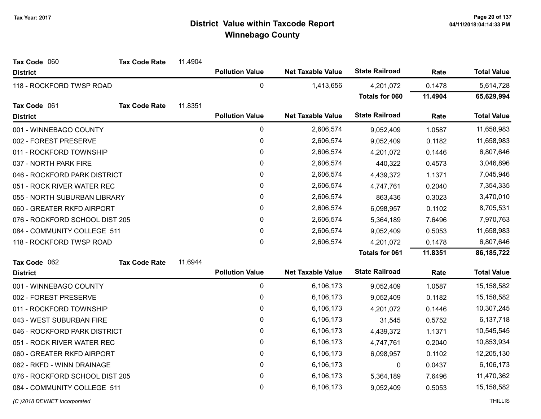| Tax Code 060<br><b>Tax Code Rate</b> | 11.4904 |                        |                          |                       |         |                    |
|--------------------------------------|---------|------------------------|--------------------------|-----------------------|---------|--------------------|
| <b>District</b>                      |         | <b>Pollution Value</b> | <b>Net Taxable Value</b> | <b>State Railroad</b> | Rate    | <b>Total Value</b> |
| 118 - ROCKFORD TWSP ROAD             |         | 0                      | 1,413,656                | 4,201,072             | 0.1478  | 5,614,728          |
|                                      |         |                        |                          | Totals for 060        | 11.4904 | 65,629,994         |
| <b>Tax Code Rate</b><br>Tax Code 061 | 11.8351 |                        |                          |                       |         |                    |
| <b>District</b>                      |         | <b>Pollution Value</b> | <b>Net Taxable Value</b> | <b>State Railroad</b> | Rate    | <b>Total Value</b> |
| 001 - WINNEBAGO COUNTY               |         | 0                      | 2,606,574                | 9,052,409             | 1.0587  | 11,658,983         |
| 002 - FOREST PRESERVE                |         | 0                      | 2,606,574                | 9,052,409             | 0.1182  | 11,658,983         |
| 011 - ROCKFORD TOWNSHIP              |         | 0                      | 2,606,574                | 4,201,072             | 0.1446  | 6,807,646          |
| 037 - NORTH PARK FIRE                |         | 0                      | 2,606,574                | 440,322               | 0.4573  | 3,046,896          |
| 046 - ROCKFORD PARK DISTRICT         |         | 0                      | 2,606,574                | 4,439,372             | 1.1371  | 7,045,946          |
| 051 - ROCK RIVER WATER REC           |         | $\mathbf 0$            | 2,606,574                | 4,747,761             | 0.2040  | 7,354,335          |
| 055 - NORTH SUBURBAN LIBRARY         |         | 0                      | 2,606,574                | 863,436               | 0.3023  | 3,470,010          |
| 060 - GREATER RKFD AIRPORT           |         | 0                      | 2,606,574                | 6,098,957             | 0.1102  | 8,705,531          |
| 076 - ROCKFORD SCHOOL DIST 205       |         | 0                      | 2,606,574                | 5,364,189             | 7.6496  | 7,970,763          |
| 084 - COMMUNITY COLLEGE 511          |         | 0                      | 2,606,574                | 9,052,409             | 0.5053  | 11,658,983         |
| 118 - ROCKFORD TWSP ROAD             |         | $\mathbf 0$            | 2,606,574                | 4,201,072             | 0.1478  | 6,807,646          |
|                                      |         |                        |                          | <b>Totals for 061</b> | 11.8351 | 86, 185, 722       |
| Tax Code 062<br><b>Tax Code Rate</b> | 11.6944 |                        |                          |                       |         |                    |
| <b>District</b>                      |         | <b>Pollution Value</b> | <b>Net Taxable Value</b> | <b>State Railroad</b> | Rate    | <b>Total Value</b> |
| 001 - WINNEBAGO COUNTY               |         | 0                      | 6,106,173                | 9,052,409             | 1.0587  | 15,158,582         |
| 002 - FOREST PRESERVE                |         | 0                      | 6,106,173                | 9,052,409             | 0.1182  | 15,158,582         |
| 011 - ROCKFORD TOWNSHIP              |         | 0                      | 6,106,173                | 4,201,072             | 0.1446  | 10,307,245         |
| 043 - WEST SUBURBAN FIRE             |         | 0                      | 6,106,173                | 31,545                | 0.5752  | 6,137,718          |
| 046 - ROCKFORD PARK DISTRICT         |         | $\mathbf 0$            | 6,106,173                | 4,439,372             | 1.1371  | 10,545,545         |
| 051 - ROCK RIVER WATER REC           |         | 0                      | 6,106,173                | 4,747,761             | 0.2040  | 10,853,934         |
| 060 - GREATER RKFD AIRPORT           |         | 0                      | 6,106,173                | 6,098,957             | 0.1102  | 12,205,130         |
| 062 - RKFD - WINN DRAINAGE           |         | $\pmb{0}$              | 6,106,173                | 0                     | 0.0437  | 6,106,173          |
| 076 - ROCKFORD SCHOOL DIST 205       |         | 0                      | 6,106,173                | 5,364,189             | 7.6496  | 11,470,362         |
| 084 - COMMUNITY COLLEGE 511          |         | $\mathbf 0$            | 6,106,173                | 9,052,409             | 0.5053  | 15,158,582         |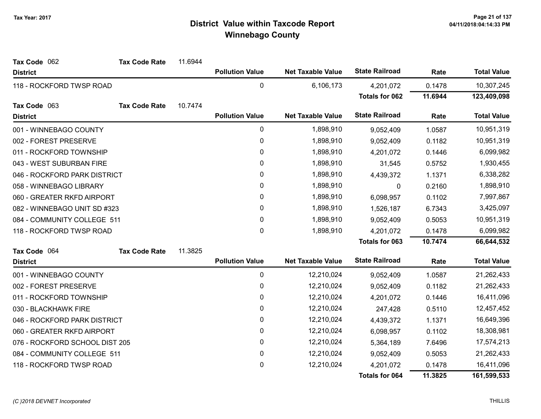| Tax Code 062                   | <b>Tax Code Rate</b> | 11.6944   |                        |                          |                       |           |                    |
|--------------------------------|----------------------|-----------|------------------------|--------------------------|-----------------------|-----------|--------------------|
| <b>District</b>                |                      |           | <b>Pollution Value</b> | <b>Net Taxable Value</b> | <b>State Railroad</b> | Rate      | <b>Total Value</b> |
| 118 - ROCKFORD TWSP ROAD       |                      |           | 0                      | 6,106,173                | 4,201,072             | 0.1478    | 10,307,245         |
|                                |                      |           |                        |                          | <b>Totals for 062</b> | 11.6944   | 123,409,098        |
| Tax Code 063                   | <b>Tax Code Rate</b> | 10.7474   |                        |                          |                       |           |                    |
| <b>District</b>                |                      |           | <b>Pollution Value</b> | <b>Net Taxable Value</b> | <b>State Railroad</b> | Rate      | <b>Total Value</b> |
| 001 - WINNEBAGO COUNTY         |                      |           | $\pmb{0}$              | 1,898,910                | 9,052,409             | 1.0587    | 10,951,319         |
| 002 - FOREST PRESERVE          |                      |           | $\pmb{0}$              | 1,898,910                | 9,052,409             | 0.1182    | 10,951,319         |
| 011 - ROCKFORD TOWNSHIP        |                      |           | $\pmb{0}$              | 1,898,910                | 4,201,072             | 0.1446    | 6,099,982          |
| 043 - WEST SUBURBAN FIRE       |                      |           | 0                      | 1,898,910                | 31,545                | 0.5752    | 1,930,455          |
| 046 - ROCKFORD PARK DISTRICT   |                      |           | $\pmb{0}$              | 1,898,910                | 4,439,372             | 1.1371    | 6,338,282          |
| 058 - WINNEBAGO LIBRARY        |                      |           | $\pmb{0}$              | 1,898,910                | 0                     | 0.2160    | 1,898,910          |
| 060 - GREATER RKFD AIRPORT     |                      |           | 0                      | 1,898,910                | 6,098,957             | 0.1102    | 7,997,867          |
| 082 - WINNEBAGO UNIT SD #323   |                      | $\pmb{0}$ | 1,898,910              | 1,526,187                | 6.7343                | 3,425,097 |                    |
| 084 - COMMUNITY COLLEGE 511    |                      |           | $\mathbf{0}$           | 1,898,910                | 9,052,409             | 0.5053    | 10,951,319         |
| 118 - ROCKFORD TWSP ROAD       |                      |           | $\mathbf 0$            | 1,898,910                | 4,201,072             | 0.1478    | 6,099,982          |
|                                |                      |           |                        |                          | Totals for 063        | 10.7474   | 66,644,532         |
| Tax Code 064                   | <b>Tax Code Rate</b> | 11.3825   |                        |                          |                       |           |                    |
| <b>District</b>                |                      |           | <b>Pollution Value</b> | <b>Net Taxable Value</b> | <b>State Railroad</b> | Rate      | <b>Total Value</b> |
| 001 - WINNEBAGO COUNTY         |                      |           | 0                      | 12,210,024               | 9,052,409             | 1.0587    | 21,262,433         |
| 002 - FOREST PRESERVE          |                      |           | 0                      | 12,210,024               | 9,052,409             | 0.1182    | 21,262,433         |
| 011 - ROCKFORD TOWNSHIP        |                      |           | 0                      | 12,210,024               | 4,201,072             | 0.1446    | 16,411,096         |
| 030 - BLACKHAWK FIRE           |                      |           | 0                      | 12,210,024               | 247,428               | 0.5110    | 12,457,452         |
| 046 - ROCKFORD PARK DISTRICT   |                      |           | $\pmb{0}$              | 12,210,024               | 4,439,372             | 1.1371    | 16,649,396         |
| 060 - GREATER RKFD AIRPORT     |                      |           | 0                      | 12,210,024               | 6,098,957             | 0.1102    | 18,308,981         |
| 076 - ROCKFORD SCHOOL DIST 205 |                      |           | $\pmb{0}$              | 12,210,024               | 5,364,189             | 7.6496    | 17,574,213         |
| 084 - COMMUNITY COLLEGE 511    |                      |           | $\pmb{0}$              | 12,210,024               | 9,052,409             | 0.5053    | 21,262,433         |
| 118 - ROCKFORD TWSP ROAD       |                      |           | 0                      | 12,210,024               | 4,201,072             | 0.1478    | 16,411,096         |
|                                |                      |           |                        |                          | <b>Totals for 064</b> | 11.3825   | 161,599,533        |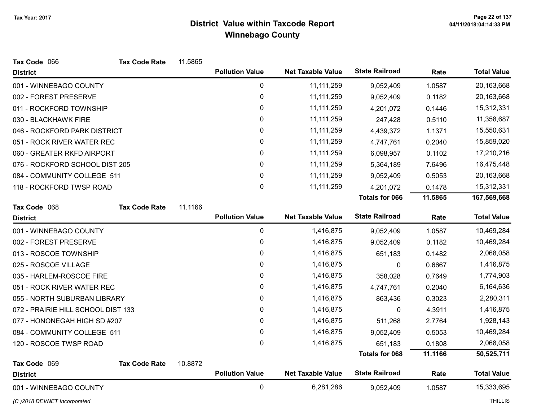| Tax Code 066                       | <b>Tax Code Rate</b> | 11.5865 |                        |                          |                       |         |                    |
|------------------------------------|----------------------|---------|------------------------|--------------------------|-----------------------|---------|--------------------|
| <b>District</b>                    |                      |         | <b>Pollution Value</b> | <b>Net Taxable Value</b> | <b>State Railroad</b> | Rate    | <b>Total Value</b> |
| 001 - WINNEBAGO COUNTY             |                      |         | 0                      | 11, 111, 259             | 9,052,409             | 1.0587  | 20,163,668         |
| 002 - FOREST PRESERVE              |                      |         | 0                      | 11, 111, 259             | 9,052,409             | 0.1182  | 20,163,668         |
| 011 - ROCKFORD TOWNSHIP            |                      |         | 0                      | 11, 111, 259             | 4,201,072             | 0.1446  | 15,312,331         |
| 030 - BLACKHAWK FIRE               |                      |         | 0                      | 11, 111, 259             | 247,428               | 0.5110  | 11,358,687         |
| 046 - ROCKFORD PARK DISTRICT       |                      |         | 0                      | 11, 111, 259             | 4,439,372             | 1.1371  | 15,550,631         |
| 051 - ROCK RIVER WATER REC         |                      |         | 0                      | 11, 111, 259             | 4,747,761             | 0.2040  | 15,859,020         |
| 060 - GREATER RKFD AIRPORT         |                      |         | 0                      | 11, 111, 259             | 6,098,957             | 0.1102  | 17,210,216         |
| 076 - ROCKFORD SCHOOL DIST 205     |                      |         | 0                      | 11, 111, 259             | 5,364,189             | 7.6496  | 16,475,448         |
| 084 - COMMUNITY COLLEGE 511        |                      |         | $\mathbf 0$            | 11, 111, 259             | 9,052,409             | 0.5053  | 20,163,668         |
| 118 - ROCKFORD TWSP ROAD           |                      |         | 0                      | 11, 111, 259             | 4,201,072             | 0.1478  | 15,312,331         |
|                                    |                      |         |                        |                          | <b>Totals for 066</b> | 11.5865 | 167,569,668        |
| Tax Code 068                       | <b>Tax Code Rate</b> | 11.1166 |                        |                          |                       |         |                    |
| <b>District</b>                    |                      |         | <b>Pollution Value</b> | <b>Net Taxable Value</b> | <b>State Railroad</b> | Rate    | <b>Total Value</b> |
| 001 - WINNEBAGO COUNTY             |                      |         | $\mathbf 0$            | 1,416,875                | 9,052,409             | 1.0587  | 10,469,284         |
| 002 - FOREST PRESERVE              |                      |         | 0                      | 1,416,875                | 9,052,409             | 0.1182  | 10,469,284         |
| 013 - ROSCOE TOWNSHIP              |                      |         | 0                      | 1,416,875                | 651,183               | 0.1482  | 2,068,058          |
| 025 - ROSCOE VILLAGE               |                      |         | 0                      | 1,416,875                | 0                     | 0.6667  | 1,416,875          |
| 035 - HARLEM-ROSCOE FIRE           |                      |         | 0                      | 1,416,875                | 358,028               | 0.7649  | 1,774,903          |
| 051 - ROCK RIVER WATER REC         |                      |         | 0                      | 1,416,875                | 4,747,761             | 0.2040  | 6,164,636          |
| 055 - NORTH SUBURBAN LIBRARY       |                      |         | 0                      | 1,416,875                | 863,436               | 0.3023  | 2,280,311          |
| 072 - PRAIRIE HILL SCHOOL DIST 133 |                      |         | 0                      | 1,416,875                | 0                     | 4.3911  | 1,416,875          |
| 077 - HONONEGAH HIGH SD #207       |                      |         | $\pmb{0}$              | 1,416,875                | 511,268               | 2.7764  | 1,928,143          |
| 084 - COMMUNITY COLLEGE 511        |                      |         | $\pmb{0}$              | 1,416,875                | 9,052,409             | 0.5053  | 10,469,284         |
| 120 - ROSCOE TWSP ROAD             |                      |         | 0                      | 1,416,875                | 651,183               | 0.1808  | 2,068,058          |
|                                    |                      |         |                        |                          | <b>Totals for 068</b> | 11.1166 | 50,525,711         |
| Tax Code 069                       | <b>Tax Code Rate</b> | 10.8872 |                        |                          |                       |         |                    |
| <b>District</b>                    |                      |         | <b>Pollution Value</b> | <b>Net Taxable Value</b> | <b>State Railroad</b> | Rate    | <b>Total Value</b> |
| 001 - WINNEBAGO COUNTY             |                      |         | $\mathbf 0$            | 6,281,286                | 9,052,409             | 1.0587  | 15,333,695         |

(C)2018 DEVNET Incorporated THILLIS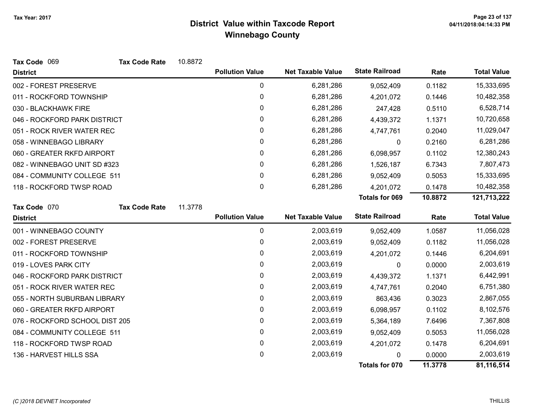| Tax Code 069                   | <b>Tax Code Rate</b> | 10.8872 |                        |                          |                       |         |                    |
|--------------------------------|----------------------|---------|------------------------|--------------------------|-----------------------|---------|--------------------|
| <b>District</b>                |                      |         | <b>Pollution Value</b> | <b>Net Taxable Value</b> | <b>State Railroad</b> | Rate    | <b>Total Value</b> |
| 002 - FOREST PRESERVE          |                      |         | $\mathbf 0$            | 6,281,286                | 9,052,409             | 0.1182  | 15,333,695         |
| 011 - ROCKFORD TOWNSHIP        |                      |         | 0                      | 6,281,286                | 4,201,072             | 0.1446  | 10,482,358         |
| 030 - BLACKHAWK FIRE           |                      |         | 0                      | 6,281,286                | 247,428               | 0.5110  | 6,528,714          |
| 046 - ROCKFORD PARK DISTRICT   |                      |         | 0                      | 6,281,286                | 4,439,372             | 1.1371  | 10,720,658         |
| 051 - ROCK RIVER WATER REC     |                      |         | 0                      | 6,281,286                | 4,747,761             | 0.2040  | 11,029,047         |
| 058 - WINNEBAGO LIBRARY        |                      |         | 0                      | 6,281,286                | 0                     | 0.2160  | 6,281,286          |
| 060 - GREATER RKFD AIRPORT     |                      |         | $\pmb{0}$              | 6,281,286                | 6,098,957             | 0.1102  | 12,380,243         |
| 082 - WINNEBAGO UNIT SD #323   |                      |         | 0                      | 6,281,286                | 1,526,187             | 6.7343  | 7,807,473          |
| 084 - COMMUNITY COLLEGE 511    |                      |         | 0                      | 6,281,286                | 9,052,409             | 0.5053  | 15,333,695         |
| 118 - ROCKFORD TWSP ROAD       |                      |         | 0                      | 6,281,286                | 4,201,072             | 0.1478  | 10,482,358         |
|                                |                      |         |                        |                          | <b>Totals for 069</b> | 10.8872 | 121,713,222        |
| Tax Code 070                   | <b>Tax Code Rate</b> | 11.3778 |                        |                          |                       |         |                    |
| <b>District</b>                |                      |         | <b>Pollution Value</b> | <b>Net Taxable Value</b> | <b>State Railroad</b> | Rate    | <b>Total Value</b> |
| 001 - WINNEBAGO COUNTY         |                      |         | 0                      | 2,003,619                | 9,052,409             | 1.0587  | 11,056,028         |
| 002 - FOREST PRESERVE          |                      |         | 0                      | 2,003,619                | 9,052,409             | 0.1182  | 11,056,028         |
| 011 - ROCKFORD TOWNSHIP        |                      |         | $\pmb{0}$              | 2,003,619                | 4,201,072             | 0.1446  | 6,204,691          |
| 019 - LOVES PARK CITY          |                      |         | 0                      | 2,003,619                | 0                     | 0.0000  | 2,003,619          |
| 046 - ROCKFORD PARK DISTRICT   |                      |         | 0                      | 2,003,619                | 4,439,372             | 1.1371  | 6,442,991          |
| 051 - ROCK RIVER WATER REC     |                      |         | 0                      | 2,003,619                | 4,747,761             | 0.2040  | 6,751,380          |
| 055 - NORTH SUBURBAN LIBRARY   |                      |         | 0                      | 2,003,619                | 863,436               | 0.3023  | 2,867,055          |
| 060 - GREATER RKFD AIRPORT     |                      |         | 0                      | 2,003,619                | 6,098,957             | 0.1102  | 8,102,576          |
| 076 - ROCKFORD SCHOOL DIST 205 |                      |         | 0                      | 2,003,619                | 5,364,189             | 7.6496  | 7,367,808          |
| 084 - COMMUNITY COLLEGE 511    |                      |         | 0                      | 2,003,619                | 9,052,409             | 0.5053  | 11,056,028         |
| 118 - ROCKFORD TWSP ROAD       |                      |         | 0                      | 2,003,619                | 4,201,072             | 0.1478  | 6,204,691          |
| 136 - HARVEST HILLS SSA        |                      |         | 0                      | 2,003,619                |                       | 0.0000  | 2,003,619          |
|                                |                      |         |                        |                          | Totals for 070        | 11.3778 | 81,116,514         |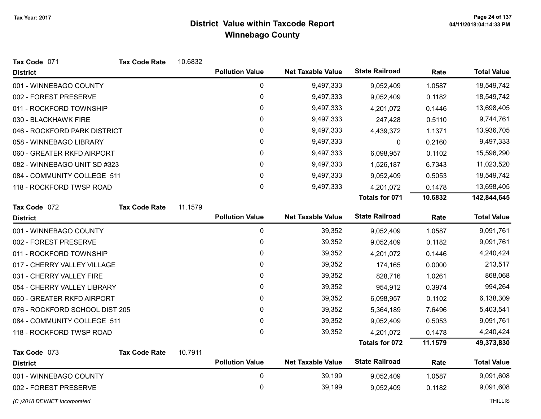| Tax Code 071                   | <b>Tax Code Rate</b> | 10.6832 |                        |                          |                       |         |                    |
|--------------------------------|----------------------|---------|------------------------|--------------------------|-----------------------|---------|--------------------|
| <b>District</b>                |                      |         | <b>Pollution Value</b> | <b>Net Taxable Value</b> | <b>State Railroad</b> | Rate    | <b>Total Value</b> |
| 001 - WINNEBAGO COUNTY         |                      |         | $\pmb{0}$              | 9,497,333                | 9,052,409             | 1.0587  | 18,549,742         |
| 002 - FOREST PRESERVE          |                      |         | $\pmb{0}$              | 9,497,333                | 9,052,409             | 0.1182  | 18,549,742         |
| 011 - ROCKFORD TOWNSHIP        |                      |         | 0                      | 9,497,333                | 4,201,072             | 0.1446  | 13,698,405         |
| 030 - BLACKHAWK FIRE           |                      |         | 0                      | 9,497,333                | 247,428               | 0.5110  | 9,744,761          |
| 046 - ROCKFORD PARK DISTRICT   |                      |         | 0                      | 9,497,333                | 4,439,372             | 1.1371  | 13,936,705         |
| 058 - WINNEBAGO LIBRARY        |                      |         | 0                      | 9,497,333                | 0                     | 0.2160  | 9,497,333          |
| 060 - GREATER RKFD AIRPORT     |                      |         | 0                      | 9,497,333                | 6,098,957             | 0.1102  | 15,596,290         |
| 082 - WINNEBAGO UNIT SD #323   |                      |         | 0                      | 9,497,333                | 1,526,187             | 6.7343  | 11,023,520         |
| 084 - COMMUNITY COLLEGE 511    |                      |         | 0                      | 9,497,333                | 9,052,409             | 0.5053  | 18,549,742         |
| 118 - ROCKFORD TWSP ROAD       |                      |         | 0                      | 9,497,333                | 4,201,072             | 0.1478  | 13,698,405         |
|                                |                      |         |                        |                          | <b>Totals for 071</b> | 10.6832 | 142,844,645        |
| Tax Code 072                   | <b>Tax Code Rate</b> | 11.1579 |                        |                          |                       |         |                    |
| <b>District</b>                |                      |         | <b>Pollution Value</b> | <b>Net Taxable Value</b> | <b>State Railroad</b> | Rate    | <b>Total Value</b> |
| 001 - WINNEBAGO COUNTY         |                      |         | $\pmb{0}$              | 39,352                   | 9,052,409             | 1.0587  | 9,091,761          |
| 002 - FOREST PRESERVE          |                      |         | 0                      | 39,352                   | 9,052,409             | 0.1182  | 9,091,761          |
| 011 - ROCKFORD TOWNSHIP        |                      |         | 0                      | 39,352                   | 4,201,072             | 0.1446  | 4,240,424          |
| 017 - CHERRY VALLEY VILLAGE    |                      |         | 0                      | 39,352                   | 174,165               | 0.0000  | 213,517            |
| 031 - CHERRY VALLEY FIRE       |                      |         | 0                      | 39,352                   | 828,716               | 1.0261  | 868,068            |
| 054 - CHERRY VALLEY LIBRARY    |                      |         | 0                      | 39,352                   | 954,912               | 0.3974  | 994,264            |
| 060 - GREATER RKFD AIRPORT     |                      |         | 0                      | 39,352                   | 6,098,957             | 0.1102  | 6,138,309          |
| 076 - ROCKFORD SCHOOL DIST 205 |                      |         | 0                      | 39,352                   | 5,364,189             | 7.6496  | 5,403,541          |
| 084 - COMMUNITY COLLEGE 511    |                      |         | 0                      | 39,352                   | 9,052,409             | 0.5053  | 9,091,761          |
| 118 - ROCKFORD TWSP ROAD       |                      |         | 0                      | 39,352                   | 4,201,072             | 0.1478  | 4,240,424          |
|                                |                      |         |                        |                          | <b>Totals for 072</b> | 11.1579 | 49,373,830         |
| Tax Code 073                   | <b>Tax Code Rate</b> | 10.7911 |                        |                          |                       |         |                    |
| <b>District</b>                |                      |         | <b>Pollution Value</b> | <b>Net Taxable Value</b> | <b>State Railroad</b> | Rate    | <b>Total Value</b> |
| 001 - WINNEBAGO COUNTY         |                      |         | $\pmb{0}$              | 39,199                   | 9,052,409             | 1.0587  | 9,091,608          |
| 002 - FOREST PRESERVE          |                      |         | 0                      | 39,199                   | 9,052,409             | 0.1182  | 9,091,608          |
| (C) 2018 DEVNET Incorporated   |                      |         |                        |                          |                       |         | <b>THILLIS</b>     |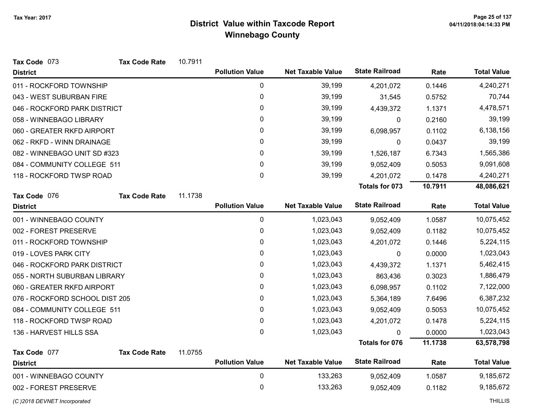| Tax Code 073                   | <b>Tax Code Rate</b> | 10.7911 |                        |                          |                       |         |                    |
|--------------------------------|----------------------|---------|------------------------|--------------------------|-----------------------|---------|--------------------|
| <b>District</b>                |                      |         | <b>Pollution Value</b> | <b>Net Taxable Value</b> | <b>State Railroad</b> | Rate    | <b>Total Value</b> |
| 011 - ROCKFORD TOWNSHIP        |                      |         | 0                      | 39,199                   | 4,201,072             | 0.1446  | 4,240,271          |
| 043 - WEST SUBURBAN FIRE       |                      |         | 0                      | 39,199                   | 31,545                | 0.5752  | 70,744             |
| 046 - ROCKFORD PARK DISTRICT   |                      |         | $\pmb{0}$              | 39,199                   | 4,439,372             | 1.1371  | 4,478,571          |
| 058 - WINNEBAGO LIBRARY        |                      |         | 0                      | 39,199                   | 0                     | 0.2160  | 39,199             |
| 060 - GREATER RKFD AIRPORT     |                      |         | $\pmb{0}$              | 39,199                   | 6,098,957             | 0.1102  | 6,138,156          |
| 062 - RKFD - WINN DRAINAGE     |                      |         | 0                      | 39,199                   | 0                     | 0.0437  | 39,199             |
| 082 - WINNEBAGO UNIT SD #323   |                      |         | 0                      | 39,199                   | 1,526,187             | 6.7343  | 1,565,386          |
| 084 - COMMUNITY COLLEGE 511    |                      |         | 0                      | 39,199                   | 9,052,409             | 0.5053  | 9,091,608          |
| 118 - ROCKFORD TWSP ROAD       |                      |         | $\mathbf 0$            | 39,199                   | 4,201,072             | 0.1478  | 4,240,271          |
|                                |                      |         |                        |                          | Totals for 073        | 10.7911 | 48,086,621         |
| Tax Code 076                   | <b>Tax Code Rate</b> | 11.1738 |                        |                          |                       |         |                    |
| <b>District</b>                |                      |         | <b>Pollution Value</b> | <b>Net Taxable Value</b> | <b>State Railroad</b> | Rate    | <b>Total Value</b> |
| 001 - WINNEBAGO COUNTY         |                      |         | 0                      | 1,023,043                | 9,052,409             | 1.0587  | 10,075,452         |
| 002 - FOREST PRESERVE          |                      |         | 0                      | 1,023,043                | 9,052,409             | 0.1182  | 10,075,452         |
| 011 - ROCKFORD TOWNSHIP        |                      |         | $\pmb{0}$              | 1,023,043                | 4,201,072             | 0.1446  | 5,224,115          |
| 019 - LOVES PARK CITY          |                      |         | 0                      | 1,023,043                | 0                     | 0.0000  | 1,023,043          |
| 046 - ROCKFORD PARK DISTRICT   |                      |         | $\pmb{0}$              | 1,023,043                | 4,439,372             | 1.1371  | 5,462,415          |
| 055 - NORTH SUBURBAN LIBRARY   |                      |         | 0                      | 1,023,043                | 863,436               | 0.3023  | 1,886,479          |
| 060 - GREATER RKFD AIRPORT     |                      |         | 0                      | 1,023,043                | 6,098,957             | 0.1102  | 7,122,000          |
| 076 - ROCKFORD SCHOOL DIST 205 |                      |         | $\pmb{0}$              | 1,023,043                | 5,364,189             | 7.6496  | 6,387,232          |
| 084 - COMMUNITY COLLEGE 511    |                      |         | 0                      | 1,023,043                | 9,052,409             | 0.5053  | 10,075,452         |
| 118 - ROCKFORD TWSP ROAD       |                      |         | $\pmb{0}$              | 1,023,043                | 4,201,072             | 0.1478  | 5,224,115          |
| 136 - HARVEST HILLS SSA        |                      |         | $\mathbf 0$            | 1,023,043                |                       | 0.0000  | 1,023,043          |
|                                |                      |         |                        |                          | Totals for 076        | 11.1738 | 63,578,798         |
| Tax Code 077                   | <b>Tax Code Rate</b> | 11.0755 |                        |                          |                       |         |                    |
| <b>District</b>                |                      |         | <b>Pollution Value</b> | <b>Net Taxable Value</b> | <b>State Railroad</b> | Rate    | <b>Total Value</b> |
| 001 - WINNEBAGO COUNTY         |                      |         | $\pmb{0}$              | 133,263                  | 9,052,409             | 1.0587  | 9,185,672          |
| 002 - FOREST PRESERVE          |                      |         | $\pmb{0}$              | 133,263                  | 9,052,409             | 0.1182  | 9,185,672          |
| (C) 2018 DEVNET Incorporated   |                      |         |                        |                          |                       |         | <b>THILLIS</b>     |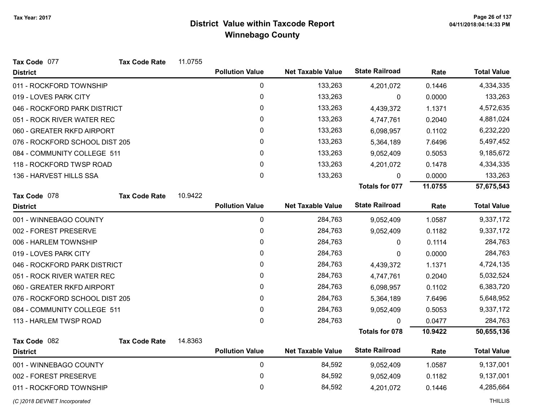| Tax Code 077                   | <b>Tax Code Rate</b>       | 11.0755 |                        |                          |                       |         |                    |
|--------------------------------|----------------------------|---------|------------------------|--------------------------|-----------------------|---------|--------------------|
| <b>District</b>                |                            |         | <b>Pollution Value</b> | <b>Net Taxable Value</b> | <b>State Railroad</b> | Rate    | <b>Total Value</b> |
| 011 - ROCKFORD TOWNSHIP        |                            |         | 0                      | 133,263                  | 4,201,072             | 0.1446  | 4,334,335          |
| 019 - LOVES PARK CITY          |                            |         | 0                      | 133,263                  | $\mathbf 0$           | 0.0000  | 133,263            |
| 046 - ROCKFORD PARK DISTRICT   |                            |         | 0                      | 133,263                  | 4,439,372             | 1.1371  | 4,572,635          |
| 051 - ROCK RIVER WATER REC     |                            |         | 0                      | 133,263                  | 4,747,761             | 0.2040  | 4,881,024          |
|                                | 060 - GREATER RKFD AIRPORT |         | 0                      | 133,263                  | 6,098,957             | 0.1102  | 6,232,220          |
| 076 - ROCKFORD SCHOOL DIST 205 |                            |         | 0                      | 133,263                  | 5,364,189             | 7.6496  | 5,497,452          |
| 084 - COMMUNITY COLLEGE 511    |                            |         | 0                      | 133,263                  | 9,052,409             | 0.5053  | 9,185,672          |
| 118 - ROCKFORD TWSP ROAD       |                            |         | 0                      | 133,263                  | 4,201,072             | 0.1478  | 4,334,335          |
| 136 - HARVEST HILLS SSA        |                            |         | 0                      | 133,263                  | 0                     | 0.0000  | 133,263            |
|                                |                            |         |                        |                          | Totals for 077        | 11.0755 | 57,675,543         |
| Tax Code 078                   | <b>Tax Code Rate</b>       | 10.9422 |                        |                          |                       |         |                    |
| <b>District</b>                |                            |         | <b>Pollution Value</b> | <b>Net Taxable Value</b> | <b>State Railroad</b> | Rate    | <b>Total Value</b> |
| 001 - WINNEBAGO COUNTY         |                            |         | $\mathbf 0$            | 284,763                  | 9,052,409             | 1.0587  | 9,337,172          |
| 002 - FOREST PRESERVE          |                            |         | 0                      | 284,763                  | 9,052,409             | 0.1182  | 9,337,172          |
| 006 - HARLEM TOWNSHIP          |                            |         | 0                      | 284,763                  | 0                     | 0.1114  | 284,763            |
| 019 - LOVES PARK CITY          |                            |         | 0                      | 284,763                  | 0                     | 0.0000  | 284,763            |
| 046 - ROCKFORD PARK DISTRICT   |                            |         | 0                      | 284,763                  | 4,439,372             | 1.1371  | 4,724,135          |
| 051 - ROCK RIVER WATER REC     |                            |         | 0                      | 284,763                  | 4,747,761             | 0.2040  | 5,032,524          |
| 060 - GREATER RKFD AIRPORT     |                            |         | 0                      | 284,763                  | 6,098,957             | 0.1102  | 6,383,720          |
| 076 - ROCKFORD SCHOOL DIST 205 |                            |         | 0                      | 284,763                  | 5,364,189             | 7.6496  | 5,648,952          |
| 084 - COMMUNITY COLLEGE 511    |                            |         | 0                      | 284,763                  | 9,052,409             | 0.5053  | 9,337,172          |
| 113 - HARLEM TWSP ROAD         |                            |         | $\Omega$               | 284,763                  | 0                     | 0.0477  | 284,763            |
|                                |                            |         |                        |                          | <b>Totals for 078</b> | 10.9422 | 50,655,136         |
| Tax Code 082                   | <b>Tax Code Rate</b>       | 14.8363 |                        |                          |                       |         |                    |
| <b>District</b>                |                            |         | <b>Pollution Value</b> | <b>Net Taxable Value</b> | <b>State Railroad</b> | Rate    | <b>Total Value</b> |
| 001 - WINNEBAGO COUNTY         |                            |         | $\pmb{0}$              | 84,592                   | 9,052,409             | 1.0587  | 9,137,001          |
| 002 - FOREST PRESERVE          |                            |         | 0                      | 84,592                   | 9,052,409             | 0.1182  | 9,137,001          |
| 011 - ROCKFORD TOWNSHIP        |                            |         | 0                      | 84,592                   | 4,201,072             | 0.1446  | 4,285,664          |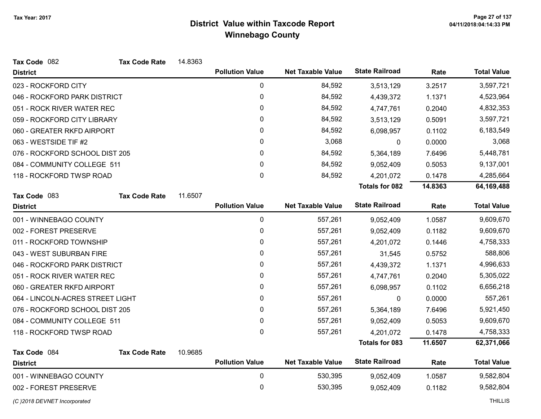| Tax Code 082                     | <b>Tax Code Rate</b> | 14.8363 |                        |                          |                       |         |                    |
|----------------------------------|----------------------|---------|------------------------|--------------------------|-----------------------|---------|--------------------|
| <b>District</b>                  |                      |         | <b>Pollution Value</b> | <b>Net Taxable Value</b> | <b>State Railroad</b> | Rate    | <b>Total Value</b> |
| 023 - ROCKFORD CITY              |                      |         | 0                      | 84,592                   | 3,513,129             | 3.2517  | 3,597,721          |
| 046 - ROCKFORD PARK DISTRICT     |                      |         | $\mathbf 0$            | 84,592                   | 4,439,372             | 1.1371  | 4,523,964          |
| 051 - ROCK RIVER WATER REC       |                      |         | 0                      | 84,592                   | 4,747,761             | 0.2040  | 4,832,353          |
| 059 - ROCKFORD CITY LIBRARY      |                      |         | 0                      | 84,592                   | 3,513,129             | 0.5091  | 3,597,721          |
| 060 - GREATER RKFD AIRPORT       |                      |         | 0                      | 84,592                   | 6,098,957             | 0.1102  | 6,183,549          |
| 063 - WESTSIDE TIF #2            |                      |         | 0                      | 3,068                    | 0                     | 0.0000  | 3,068              |
| 076 - ROCKFORD SCHOOL DIST 205   |                      |         | 0                      | 84,592                   | 5,364,189             | 7.6496  | 5,448,781          |
| 084 - COMMUNITY COLLEGE 511      |                      |         | 0                      | 84,592                   | 9,052,409             | 0.5053  | 9,137,001          |
| 118 - ROCKFORD TWSP ROAD         |                      |         | $\pmb{0}$              | 84,592                   | 4,201,072             | 0.1478  | 4,285,664          |
|                                  |                      |         |                        |                          | Totals for 082        | 14.8363 | 64,169,488         |
| Tax Code 083                     | <b>Tax Code Rate</b> | 11.6507 |                        |                          |                       |         |                    |
| <b>District</b>                  |                      |         | <b>Pollution Value</b> | <b>Net Taxable Value</b> | <b>State Railroad</b> | Rate    | <b>Total Value</b> |
| 001 - WINNEBAGO COUNTY           |                      |         | $\pmb{0}$              | 557,261                  | 9,052,409             | 1.0587  | 9,609,670          |
| 002 - FOREST PRESERVE            |                      |         | 0                      | 557,261                  | 9,052,409             | 0.1182  | 9,609,670          |
| 011 - ROCKFORD TOWNSHIP          |                      |         | 0                      | 557,261                  | 4,201,072             | 0.1446  | 4,758,333          |
| 043 - WEST SUBURBAN FIRE         |                      |         | 0                      | 557,261                  | 31,545                | 0.5752  | 588,806            |
| 046 - ROCKFORD PARK DISTRICT     |                      |         | 0                      | 557,261                  | 4,439,372             | 1.1371  | 4,996,633          |
| 051 - ROCK RIVER WATER REC       |                      |         | $\mathbf 0$            | 557,261                  | 4,747,761             | 0.2040  | 5,305,022          |
| 060 - GREATER RKFD AIRPORT       |                      |         | 0                      | 557,261                  | 6,098,957             | 0.1102  | 6,656,218          |
| 064 - LINCOLN-ACRES STREET LIGHT |                      |         | 0                      | 557,261                  | 0                     | 0.0000  | 557,261            |
| 076 - ROCKFORD SCHOOL DIST 205   |                      |         | 0                      | 557,261                  | 5,364,189             | 7.6496  | 5,921,450          |
| 084 - COMMUNITY COLLEGE 511      |                      |         | $\mathbf 0$            | 557,261                  | 9,052,409             | 0.5053  | 9,609,670          |
| 118 - ROCKFORD TWSP ROAD         |                      |         | 0                      | 557,261                  | 4,201,072             | 0.1478  | 4,758,333          |
|                                  |                      |         |                        |                          | Totals for 083        | 11.6507 | 62,371,066         |
| Tax Code 084                     | <b>Tax Code Rate</b> | 10.9685 |                        |                          |                       |         |                    |
| <b>District</b>                  |                      |         | <b>Pollution Value</b> | <b>Net Taxable Value</b> | <b>State Railroad</b> | Rate    | <b>Total Value</b> |
| 001 - WINNEBAGO COUNTY           |                      |         | 0                      | 530,395                  | 9,052,409             | 1.0587  | 9,582,804          |
| 002 - FOREST PRESERVE            |                      |         | $\pmb{0}$              | 530,395                  | 9,052,409             | 0.1182  | 9,582,804          |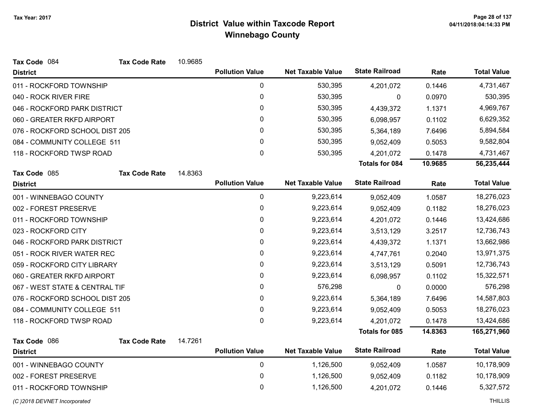| Tax Code 084                   | <b>Tax Code Rate</b> | 10.9685 |                        |                          |                       |         |                    |
|--------------------------------|----------------------|---------|------------------------|--------------------------|-----------------------|---------|--------------------|
| <b>District</b>                |                      |         | <b>Pollution Value</b> | <b>Net Taxable Value</b> | <b>State Railroad</b> | Rate    | <b>Total Value</b> |
| 011 - ROCKFORD TOWNSHIP        |                      |         | 0                      | 530,395                  | 4,201,072             | 0.1446  | 4,731,467          |
| 040 - ROCK RIVER FIRE          |                      |         | 0                      | 530,395                  | 0                     | 0.0970  | 530,395            |
| 046 - ROCKFORD PARK DISTRICT   |                      |         | 0                      | 530,395                  | 4,439,372             | 1.1371  | 4,969,767          |
| 060 - GREATER RKFD AIRPORT     |                      |         | $\mathbf{0}$           | 530,395                  | 6,098,957             | 0.1102  | 6,629,352          |
| 076 - ROCKFORD SCHOOL DIST 205 |                      |         | 0                      | 530,395                  | 5,364,189             | 7.6496  | 5,894,584          |
| 084 - COMMUNITY COLLEGE 511    |                      |         | 0                      | 530,395                  | 9,052,409             | 0.5053  | 9,582,804          |
| 118 - ROCKFORD TWSP ROAD       |                      |         | $\pmb{0}$              | 530,395                  | 4,201,072             | 0.1478  | 4,731,467          |
|                                |                      |         |                        |                          | <b>Totals for 084</b> | 10.9685 | 56,235,444         |
| Tax Code 085                   | <b>Tax Code Rate</b> | 14.8363 |                        |                          |                       |         |                    |
| <b>District</b>                |                      |         | <b>Pollution Value</b> | <b>Net Taxable Value</b> | <b>State Railroad</b> | Rate    | <b>Total Value</b> |
| 001 - WINNEBAGO COUNTY         |                      |         | $\mathbf 0$            | 9,223,614                | 9,052,409             | 1.0587  | 18,276,023         |
| 002 - FOREST PRESERVE          |                      |         | 0                      | 9,223,614                | 9,052,409             | 0.1182  | 18,276,023         |
| 011 - ROCKFORD TOWNSHIP        |                      |         | 0                      | 9,223,614                | 4,201,072             | 0.1446  | 13,424,686         |
| 023 - ROCKFORD CITY            |                      |         | 0                      | 9,223,614                | 3,513,129             | 3.2517  | 12,736,743         |
| 046 - ROCKFORD PARK DISTRICT   |                      |         | 0                      | 9,223,614                | 4,439,372             | 1.1371  | 13,662,986         |
| 051 - ROCK RIVER WATER REC     |                      |         | 0                      | 9,223,614                | 4,747,761             | 0.2040  | 13,971,375         |
| 059 - ROCKFORD CITY LIBRARY    |                      |         | 0                      | 9,223,614                | 3,513,129             | 0.5091  | 12,736,743         |
| 060 - GREATER RKFD AIRPORT     |                      |         | 0                      | 9,223,614                | 6,098,957             | 0.1102  | 15,322,571         |
| 067 - WEST STATE & CENTRAL TIF |                      |         | 0                      | 576,298                  | 0                     | 0.0000  | 576,298            |
| 076 - ROCKFORD SCHOOL DIST 205 |                      |         | 0                      | 9,223,614                | 5,364,189             | 7.6496  | 14,587,803         |
| 084 - COMMUNITY COLLEGE 511    |                      |         | $\mathbf 0$            | 9,223,614                | 9,052,409             | 0.5053  | 18,276,023         |
| 118 - ROCKFORD TWSP ROAD       |                      |         | $\mathbf{0}$           | 9,223,614                | 4,201,072             | 0.1478  | 13,424,686         |
|                                |                      |         |                        |                          | <b>Totals for 085</b> | 14.8363 | 165,271,960        |
| Tax Code 086                   | <b>Tax Code Rate</b> | 14.7261 |                        |                          |                       |         |                    |
| <b>District</b>                |                      |         | <b>Pollution Value</b> | <b>Net Taxable Value</b> | <b>State Railroad</b> | Rate    | <b>Total Value</b> |
| 001 - WINNEBAGO COUNTY         |                      |         | $\mathbf 0$            | 1,126,500                | 9,052,409             | 1.0587  | 10,178,909         |
| 002 - FOREST PRESERVE          |                      |         | $\mathbf 0$            | 1,126,500                | 9,052,409             | 0.1182  | 10,178,909         |
| 011 - ROCKFORD TOWNSHIP        |                      |         | 0                      | 1,126,500                | 4,201,072             | 0.1446  | 5,327,572          |
|                                |                      |         |                        |                          |                       |         |                    |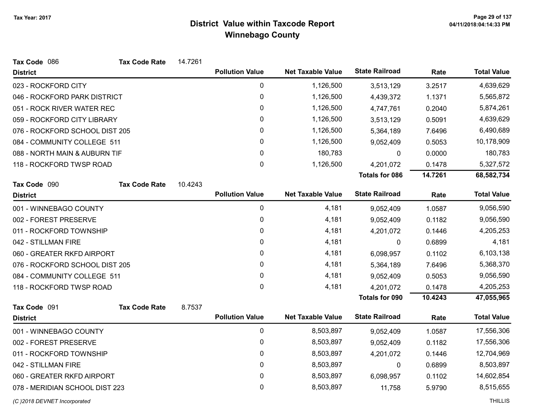| Tax Code 086                   | <b>Tax Code Rate</b> | 14.7261 |                        |                          |                       |         |                    |
|--------------------------------|----------------------|---------|------------------------|--------------------------|-----------------------|---------|--------------------|
| <b>District</b>                |                      |         | <b>Pollution Value</b> | <b>Net Taxable Value</b> | <b>State Railroad</b> | Rate    | <b>Total Value</b> |
| 023 - ROCKFORD CITY            |                      |         | 0                      | 1,126,500                | 3,513,129             | 3.2517  | 4,639,629          |
| 046 - ROCKFORD PARK DISTRICT   |                      |         | $\pmb{0}$              | 1,126,500                | 4,439,372             | 1.1371  | 5,565,872          |
| 051 - ROCK RIVER WATER REC     |                      |         | $\pmb{0}$              | 1,126,500                | 4,747,761             | 0.2040  | 5,874,261          |
| 059 - ROCKFORD CITY LIBRARY    |                      |         | 0                      | 1,126,500                | 3,513,129             | 0.5091  | 4,639,629          |
| 076 - ROCKFORD SCHOOL DIST 205 |                      |         | 0                      | 1,126,500                | 5,364,189             | 7.6496  | 6,490,689          |
| 084 - COMMUNITY COLLEGE 511    |                      |         | $\pmb{0}$              | 1,126,500                | 9,052,409             | 0.5053  | 10,178,909         |
| 088 - NORTH MAIN & AUBURN TIF  |                      |         | 0                      | 180,783                  | 0                     | 0.0000  | 180,783            |
| 118 - ROCKFORD TWSP ROAD       |                      |         | 0                      | 1,126,500                | 4,201,072             | 0.1478  | 5,327,572          |
|                                |                      |         |                        |                          | <b>Totals for 086</b> | 14.7261 | 68,582,734         |
| Tax Code 090                   | <b>Tax Code Rate</b> | 10.4243 |                        |                          |                       |         |                    |
| <b>District</b>                |                      |         | <b>Pollution Value</b> | <b>Net Taxable Value</b> | <b>State Railroad</b> | Rate    | <b>Total Value</b> |
| 001 - WINNEBAGO COUNTY         |                      |         | 0                      | 4,181                    | 9,052,409             | 1.0587  | 9,056,590          |
| 002 - FOREST PRESERVE          |                      |         | $\pmb{0}$              | 4,181                    | 9,052,409             | 0.1182  | 9,056,590          |
| 011 - ROCKFORD TOWNSHIP        |                      |         | 0                      | 4,181                    | 4,201,072             | 0.1446  | 4,205,253          |
| 042 - STILLMAN FIRE            |                      |         | $\mathbf{0}$           | 4,181                    | 0                     | 0.6899  | 4,181              |
| 060 - GREATER RKFD AIRPORT     |                      |         | 0                      | 4,181                    | 6,098,957             | 0.1102  | 6,103,138          |
| 076 - ROCKFORD SCHOOL DIST 205 |                      |         | 0                      | 4,181                    | 5,364,189             | 7.6496  | 5,368,370          |
| 084 - COMMUNITY COLLEGE 511    |                      |         | 0                      | 4,181                    | 9,052,409             | 0.5053  | 9,056,590          |
| 118 - ROCKFORD TWSP ROAD       |                      |         | 0                      | 4,181                    | 4,201,072             | 0.1478  | 4,205,253          |
|                                |                      |         |                        |                          | <b>Totals for 090</b> | 10.4243 | 47,055,965         |
| Tax Code 091                   | <b>Tax Code Rate</b> | 8.7537  |                        |                          |                       |         |                    |
| <b>District</b>                |                      |         | <b>Pollution Value</b> | <b>Net Taxable Value</b> | <b>State Railroad</b> | Rate    | <b>Total Value</b> |
| 001 - WINNEBAGO COUNTY         |                      |         | $\mathbf 0$            | 8,503,897                | 9,052,409             | 1.0587  | 17,556,306         |
| 002 - FOREST PRESERVE          |                      |         | 0                      | 8,503,897                | 9,052,409             | 0.1182  | 17,556,306         |
| 011 - ROCKFORD TOWNSHIP        |                      |         | $\pmb{0}$              | 8,503,897                | 4,201,072             | 0.1446  | 12,704,969         |
| 042 - STILLMAN FIRE            |                      |         | 0                      | 8,503,897                | 0                     | 0.6899  | 8,503,897          |
| 060 - GREATER RKFD AIRPORT     |                      |         | $\pmb{0}$              | 8,503,897                | 6,098,957             | 0.1102  | 14,602,854         |
| 078 - MERIDIAN SCHOOL DIST 223 |                      |         | 0                      | 8,503,897                | 11,758                | 5.9790  | 8,515,655          |
| (C) 2018 DEVNET Incorporated   |                      |         |                        |                          |                       |         | <b>THILLIS</b>     |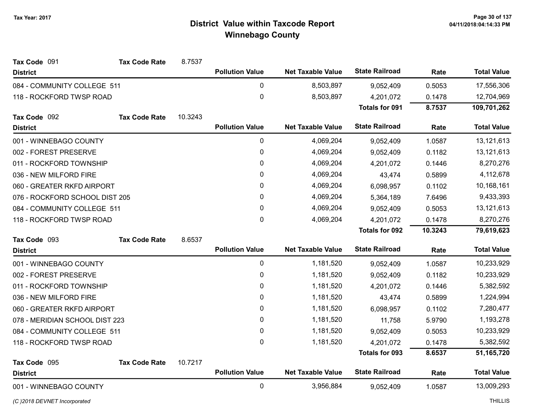| Tax Code 091                   | <b>Tax Code Rate</b> | 8.7537  |                        |                          |                       |         |                    |
|--------------------------------|----------------------|---------|------------------------|--------------------------|-----------------------|---------|--------------------|
| <b>District</b>                |                      |         | <b>Pollution Value</b> | <b>Net Taxable Value</b> | <b>State Railroad</b> | Rate    | <b>Total Value</b> |
| 084 - COMMUNITY COLLEGE 511    |                      |         | 0                      | 8,503,897                | 9,052,409             | 0.5053  | 17,556,306         |
| 118 - ROCKFORD TWSP ROAD       |                      |         | 0                      | 8,503,897                | 4,201,072             | 0.1478  | 12,704,969         |
|                                |                      |         |                        |                          | <b>Totals for 091</b> | 8.7537  | 109,701,262        |
| Tax Code 092                   | <b>Tax Code Rate</b> | 10.3243 |                        |                          |                       |         |                    |
| <b>District</b>                |                      |         | <b>Pollution Value</b> | <b>Net Taxable Value</b> | <b>State Railroad</b> | Rate    | <b>Total Value</b> |
| 001 - WINNEBAGO COUNTY         |                      |         | $\mathbf 0$            | 4,069,204                | 9,052,409             | 1.0587  | 13,121,613         |
| 002 - FOREST PRESERVE          |                      |         | 0                      | 4,069,204                | 9,052,409             | 0.1182  | 13,121,613         |
| 011 - ROCKFORD TOWNSHIP        |                      |         | 0                      | 4,069,204                | 4,201,072             | 0.1446  | 8,270,276          |
| 036 - NEW MILFORD FIRE         |                      |         | 0                      | 4,069,204                | 43,474                | 0.5899  | 4,112,678          |
| 060 - GREATER RKFD AIRPORT     |                      |         | 0                      | 4,069,204                | 6,098,957             | 0.1102  | 10,168,161         |
| 076 - ROCKFORD SCHOOL DIST 205 |                      |         | 0                      | 4,069,204                | 5,364,189             | 7.6496  | 9,433,393          |
| 084 - COMMUNITY COLLEGE 511    |                      |         | 0                      | 4,069,204                | 9,052,409             | 0.5053  | 13, 121, 613       |
| 118 - ROCKFORD TWSP ROAD       |                      |         | 0                      | 4,069,204                | 4,201,072             | 0.1478  | 8,270,276          |
|                                |                      |         |                        |                          |                       |         |                    |
|                                |                      |         |                        |                          | <b>Totals for 092</b> | 10.3243 | 79,619,623         |
| Tax Code 093                   | <b>Tax Code Rate</b> | 8.6537  |                        |                          |                       |         |                    |
| <b>District</b>                |                      |         | <b>Pollution Value</b> | <b>Net Taxable Value</b> | <b>State Railroad</b> | Rate    | <b>Total Value</b> |
| 001 - WINNEBAGO COUNTY         |                      |         | $\mathbf 0$            | 1,181,520                | 9,052,409             | 1.0587  | 10,233,929         |
| 002 - FOREST PRESERVE          |                      |         | 0                      | 1,181,520                | 9,052,409             | 0.1182  | 10,233,929         |
| 011 - ROCKFORD TOWNSHIP        |                      |         | 0                      | 1,181,520                | 4,201,072             | 0.1446  | 5,382,592          |
| 036 - NEW MILFORD FIRE         |                      |         | 0                      | 1,181,520                | 43,474                | 0.5899  | 1,224,994          |
| 060 - GREATER RKFD AIRPORT     |                      |         | 0                      | 1,181,520                | 6,098,957             | 0.1102  | 7,280,477          |
| 078 - MERIDIAN SCHOOL DIST 223 |                      |         | 0                      | 1,181,520                | 11,758                | 5.9790  | 1,193,278          |
| 084 - COMMUNITY COLLEGE 511    |                      |         | 0                      | 1,181,520                | 9,052,409             | 0.5053  | 10,233,929         |
| 118 - ROCKFORD TWSP ROAD       |                      |         | 0                      | 1,181,520                | 4,201,072             | 0.1478  | 5,382,592          |
|                                |                      |         |                        |                          | <b>Totals for 093</b> | 8.6537  | 51,165,720         |
| Tax Code 095                   | <b>Tax Code Rate</b> | 10.7217 |                        |                          |                       |         |                    |
| <b>District</b>                |                      |         | <b>Pollution Value</b> | <b>Net Taxable Value</b> | <b>State Railroad</b> | Rate    | <b>Total Value</b> |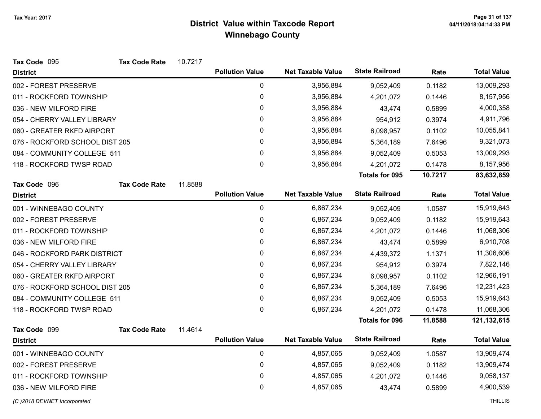| Tax Code 095                   | <b>Tax Code Rate</b> | 10.7217 |                        |                          |                       |         |                    |
|--------------------------------|----------------------|---------|------------------------|--------------------------|-----------------------|---------|--------------------|
| <b>District</b>                |                      |         | <b>Pollution Value</b> | <b>Net Taxable Value</b> | <b>State Railroad</b> | Rate    | <b>Total Value</b> |
| 002 - FOREST PRESERVE          |                      |         | 0                      | 3,956,884                | 9,052,409             | 0.1182  | 13,009,293         |
| 011 - ROCKFORD TOWNSHIP        |                      |         | 0                      | 3,956,884                | 4,201,072             | 0.1446  | 8,157,956          |
| 036 - NEW MILFORD FIRE         |                      |         | 0                      | 3,956,884                | 43,474                | 0.5899  | 4,000,358          |
| 054 - CHERRY VALLEY LIBRARY    |                      |         | 0                      | 3,956,884                | 954,912               | 0.3974  | 4,911,796          |
| 060 - GREATER RKFD AIRPORT     |                      |         | $\pmb{0}$              | 3,956,884                | 6,098,957             | 0.1102  | 10,055,841         |
| 076 - ROCKFORD SCHOOL DIST 205 |                      |         | 0                      | 3,956,884                | 5,364,189             | 7.6496  | 9,321,073          |
| 084 - COMMUNITY COLLEGE 511    |                      |         | 0                      | 3,956,884                | 9,052,409             | 0.5053  | 13,009,293         |
| 118 - ROCKFORD TWSP ROAD       |                      |         | 0                      | 3,956,884                | 4,201,072             | 0.1478  | 8,157,956          |
|                                |                      |         |                        |                          | Totals for 095        | 10.7217 | 83,632,859         |
| Tax Code 096                   | <b>Tax Code Rate</b> | 11.8588 |                        |                          |                       |         |                    |
| <b>District</b>                |                      |         | <b>Pollution Value</b> | <b>Net Taxable Value</b> | <b>State Railroad</b> | Rate    | <b>Total Value</b> |
| 001 - WINNEBAGO COUNTY         |                      |         | 0                      | 6,867,234                | 9,052,409             | 1.0587  | 15,919,643         |
| 002 - FOREST PRESERVE          |                      |         | 0                      | 6,867,234                | 9,052,409             | 0.1182  | 15,919,643         |
| 011 - ROCKFORD TOWNSHIP        |                      |         | 0                      | 6,867,234                | 4,201,072             | 0.1446  | 11,068,306         |
| 036 - NEW MILFORD FIRE         |                      |         | $\pmb{0}$              | 6,867,234                | 43,474                | 0.5899  | 6,910,708          |
| 046 - ROCKFORD PARK DISTRICT   |                      |         | 0                      | 6,867,234                | 4,439,372             | 1.1371  | 11,306,606         |
| 054 - CHERRY VALLEY LIBRARY    |                      |         | 0                      | 6,867,234                | 954,912               | 0.3974  | 7,822,146          |
| 060 - GREATER RKFD AIRPORT     |                      |         | 0                      | 6,867,234                | 6,098,957             | 0.1102  | 12,966,191         |
| 076 - ROCKFORD SCHOOL DIST 205 |                      |         | 0                      | 6,867,234                | 5,364,189             | 7.6496  | 12,231,423         |
| 084 - COMMUNITY COLLEGE 511    |                      |         | 0                      | 6,867,234                | 9,052,409             | 0.5053  | 15,919,643         |
| 118 - ROCKFORD TWSP ROAD       |                      |         | $\mathbf 0$            | 6,867,234                | 4,201,072             | 0.1478  | 11,068,306         |
|                                |                      |         |                        |                          | <b>Totals for 096</b> | 11.8588 | 121,132,615        |
| Tax Code 099                   | <b>Tax Code Rate</b> | 11.4614 |                        |                          |                       |         |                    |
| <b>District</b>                |                      |         | <b>Pollution Value</b> | <b>Net Taxable Value</b> | <b>State Railroad</b> | Rate    | <b>Total Value</b> |
| 001 - WINNEBAGO COUNTY         |                      |         | $\pmb{0}$              | 4,857,065                | 9,052,409             | 1.0587  | 13,909,474         |
| 002 - FOREST PRESERVE          |                      |         | $\mathbf 0$            | 4,857,065                | 9,052,409             | 0.1182  | 13,909,474         |
| 011 - ROCKFORD TOWNSHIP        |                      |         | 0                      | 4,857,065                | 4,201,072             | 0.1446  | 9,058,137          |
| 036 - NEW MILFORD FIRE         |                      |         | $\mathbf 0$            | 4,857,065                | 43,474                | 0.5899  | 4,900,539          |
| (C) 2018 DEVNET Incorporated   |                      |         |                        |                          |                       |         | <b>THILLIS</b>     |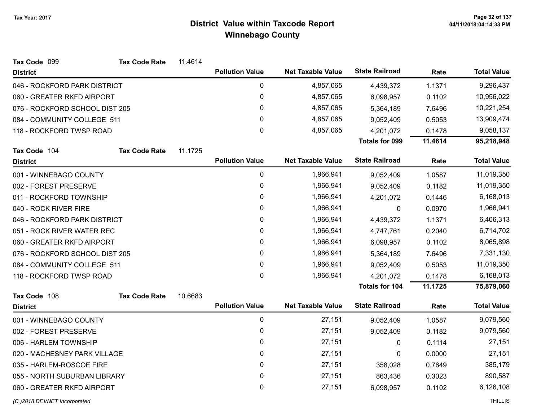| Tax Code 099                   | <b>Tax Code Rate</b> | 11.4614 |                        |                          |                       |         |                    |
|--------------------------------|----------------------|---------|------------------------|--------------------------|-----------------------|---------|--------------------|
| <b>District</b>                |                      |         | <b>Pollution Value</b> | <b>Net Taxable Value</b> | <b>State Railroad</b> | Rate    | <b>Total Value</b> |
| 046 - ROCKFORD PARK DISTRICT   |                      |         | 0                      | 4,857,065                | 4,439,372             | 1.1371  | 9,296,437          |
| 060 - GREATER RKFD AIRPORT     |                      |         | $\boldsymbol{0}$       | 4,857,065                | 6,098,957             | 0.1102  | 10,956,022         |
| 076 - ROCKFORD SCHOOL DIST 205 |                      |         | 0                      | 4,857,065                | 5,364,189             | 7.6496  | 10,221,254         |
| 084 - COMMUNITY COLLEGE 511    |                      |         | 0                      | 4,857,065                | 9,052,409             | 0.5053  | 13,909,474         |
| 118 - ROCKFORD TWSP ROAD       |                      |         | 0                      | 4,857,065                | 4,201,072             | 0.1478  | 9,058,137          |
|                                |                      |         |                        |                          | Totals for 099        | 11.4614 | 95,218,948         |
| Tax Code 104                   | <b>Tax Code Rate</b> | 11.1725 |                        |                          |                       |         |                    |
| <b>District</b>                |                      |         | <b>Pollution Value</b> | <b>Net Taxable Value</b> | <b>State Railroad</b> | Rate    | <b>Total Value</b> |
| 001 - WINNEBAGO COUNTY         |                      |         | $\pmb{0}$              | 1,966,941                | 9,052,409             | 1.0587  | 11,019,350         |
| 002 - FOREST PRESERVE          |                      |         | 0                      | 1,966,941                | 9,052,409             | 0.1182  | 11,019,350         |
| 011 - ROCKFORD TOWNSHIP        |                      |         | 0                      | 1,966,941                | 4,201,072             | 0.1446  | 6,168,013          |
| 040 - ROCK RIVER FIRE          |                      |         | 0                      | 1,966,941                | 0                     | 0.0970  | 1,966,941          |
| 046 - ROCKFORD PARK DISTRICT   |                      |         | $\pmb{0}$              | 1,966,941                | 4,439,372             | 1.1371  | 6,406,313          |
| 051 - ROCK RIVER WATER REC     |                      |         | 0                      | 1,966,941                | 4,747,761             | 0.2040  | 6,714,702          |
| 060 - GREATER RKFD AIRPORT     |                      |         | 0                      | 1,966,941                | 6,098,957             | 0.1102  | 8,065,898          |
| 076 - ROCKFORD SCHOOL DIST 205 |                      |         | 0                      | 1,966,941                | 5,364,189             | 7.6496  | 7,331,130          |
| 084 - COMMUNITY COLLEGE 511    |                      |         | $\pmb{0}$              | 1,966,941                | 9,052,409             | 0.5053  | 11,019,350         |
| 118 - ROCKFORD TWSP ROAD       |                      |         | 0                      | 1,966,941                | 4,201,072             | 0.1478  | 6,168,013          |
|                                |                      |         |                        |                          | Totals for 104        | 11.1725 | 75,879,060         |
| Tax Code 108                   | <b>Tax Code Rate</b> | 10.6683 |                        |                          |                       |         |                    |
| <b>District</b>                |                      |         | <b>Pollution Value</b> | <b>Net Taxable Value</b> | <b>State Railroad</b> | Rate    | <b>Total Value</b> |
| 001 - WINNEBAGO COUNTY         |                      |         | $\pmb{0}$              | 27,151                   | 9,052,409             | 1.0587  | 9,079,560          |
| 002 - FOREST PRESERVE          |                      |         | 0                      | 27,151                   | 9,052,409             | 0.1182  | 9,079,560          |
| 006 - HARLEM TOWNSHIP          |                      |         | 0                      | 27,151                   | 0                     | 0.1114  | 27,151             |
| 020 - MACHESNEY PARK VILLAGE   |                      |         | $\mathbf{0}$           | 27,151                   | 0                     | 0.0000  | 27,151             |
| 035 - HARLEM-ROSCOE FIRE       |                      |         | $\pmb{0}$              | 27,151                   | 358,028               | 0.7649  | 385,179            |
| 055 - NORTH SUBURBAN LIBRARY   |                      |         | 0                      | 27,151                   | 863,436               | 0.3023  | 890,587            |
| 060 - GREATER RKFD AIRPORT     |                      |         | 0                      | 27,151                   | 6,098,957             | 0.1102  | 6,126,108          |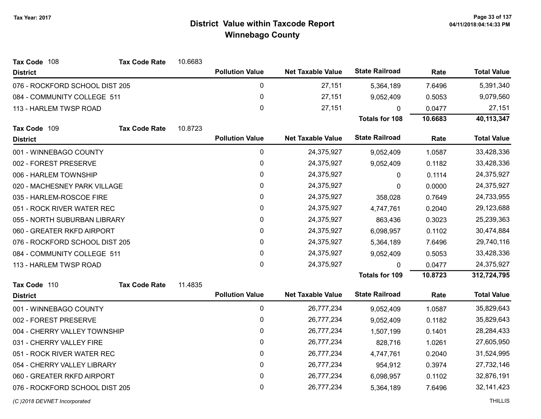| Tax Code 108                   | <b>Tax Code Rate</b> | 10.6683 |                        |                          |                       |         |                    |
|--------------------------------|----------------------|---------|------------------------|--------------------------|-----------------------|---------|--------------------|
| <b>District</b>                |                      |         | <b>Pollution Value</b> | <b>Net Taxable Value</b> | <b>State Railroad</b> | Rate    | <b>Total Value</b> |
| 076 - ROCKFORD SCHOOL DIST 205 |                      |         | 0                      | 27,151                   | 5,364,189             | 7.6496  | 5,391,340          |
| 084 - COMMUNITY COLLEGE 511    |                      |         | 0                      | 27,151                   | 9,052,409             | 0.5053  | 9,079,560          |
| 113 - HARLEM TWSP ROAD         |                      |         | $\mathbf 0$            | 27,151                   | 0                     | 0.0477  | 27,151             |
|                                |                      |         |                        |                          | Totals for 108        | 10.6683 | 40,113,347         |
| Tax Code 109                   | <b>Tax Code Rate</b> | 10.8723 |                        |                          |                       |         |                    |
| <b>District</b>                |                      |         | <b>Pollution Value</b> | <b>Net Taxable Value</b> | <b>State Railroad</b> | Rate    | <b>Total Value</b> |
| 001 - WINNEBAGO COUNTY         |                      |         | 0                      | 24,375,927               | 9,052,409             | 1.0587  | 33,428,336         |
| 002 - FOREST PRESERVE          |                      |         | $\pmb{0}$              | 24,375,927               | 9,052,409             | 0.1182  | 33,428,336         |
| 006 - HARLEM TOWNSHIP          |                      |         | 0                      | 24,375,927               | 0                     | 0.1114  | 24,375,927         |
| 020 - MACHESNEY PARK VILLAGE   |                      |         | 0                      | 24,375,927               | $\Omega$              | 0.0000  | 24,375,927         |
| 035 - HARLEM-ROSCOE FIRE       |                      |         | $\pmb{0}$              | 24,375,927               | 358,028               | 0.7649  | 24,733,955         |
| 051 - ROCK RIVER WATER REC     |                      |         | 0                      | 24,375,927               | 4,747,761             | 0.2040  | 29,123,688         |
| 055 - NORTH SUBURBAN LIBRARY   |                      |         | 0                      | 24,375,927               | 863,436               | 0.3023  | 25,239,363         |
| 060 - GREATER RKFD AIRPORT     |                      |         | 0                      | 24,375,927               | 6,098,957             | 0.1102  | 30,474,884         |
| 076 - ROCKFORD SCHOOL DIST 205 |                      |         | 0                      | 24,375,927               | 5,364,189             | 7.6496  | 29,740,116         |
| 084 - COMMUNITY COLLEGE 511    |                      |         | 0                      | 24,375,927               | 9,052,409             | 0.5053  | 33,428,336         |
| 113 - HARLEM TWSP ROAD         |                      |         | $\mathbf{0}$           | 24,375,927               | $\mathbf{0}$          | 0.0477  | 24,375,927         |
|                                |                      |         |                        |                          | <b>Totals for 109</b> | 10.8723 | 312,724,795        |
| Tax Code 110                   | <b>Tax Code Rate</b> | 11.4835 |                        |                          |                       |         |                    |
| <b>District</b>                |                      |         | <b>Pollution Value</b> | <b>Net Taxable Value</b> | <b>State Railroad</b> | Rate    | <b>Total Value</b> |
| 001 - WINNEBAGO COUNTY         |                      |         | 0                      | 26,777,234               | 9,052,409             | 1.0587  | 35,829,643         |
| 002 - FOREST PRESERVE          |                      |         | 0                      | 26,777,234               | 9,052,409             | 0.1182  | 35,829,643         |
| 004 - CHERRY VALLEY TOWNSHIP   |                      |         | 0                      | 26,777,234               | 1,507,199             | 0.1401  | 28,284,433         |
| 031 - CHERRY VALLEY FIRE       |                      |         | 0                      | 26,777,234               | 828,716               | 1.0261  | 27,605,950         |
| 051 - ROCK RIVER WATER REC     |                      |         | $\pmb{0}$              | 26,777,234               | 4,747,761             | 0.2040  | 31,524,995         |
| 054 - CHERRY VALLEY LIBRARY    |                      |         | 0                      | 26,777,234               | 954,912               | 0.3974  | 27,732,146         |
| 060 - GREATER RKFD AIRPORT     |                      |         | $\pmb{0}$              | 26,777,234               | 6,098,957             | 0.1102  | 32,876,191         |
| 076 - ROCKFORD SCHOOL DIST 205 |                      |         | 0                      | 26,777,234               | 5,364,189             | 7.6496  | 32, 141, 423       |
| (C) 2018 DEVNET Incorporated   |                      |         |                        |                          |                       |         | <b>THILLIS</b>     |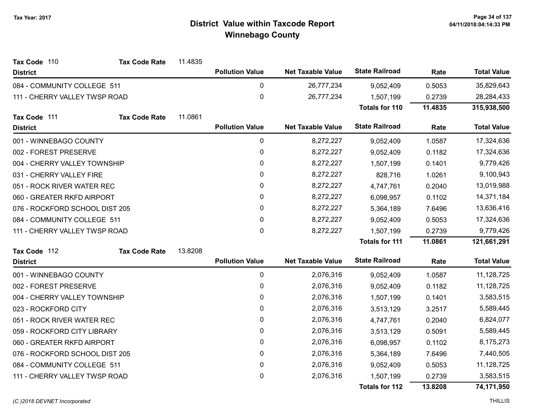| Tax Code 110                   | <b>Tax Code Rate</b>       | 11.4835 |                        |                          |                       |         |                    |
|--------------------------------|----------------------------|---------|------------------------|--------------------------|-----------------------|---------|--------------------|
| <b>District</b>                |                            |         | <b>Pollution Value</b> | <b>Net Taxable Value</b> | <b>State Railroad</b> | Rate    | <b>Total Value</b> |
| 084 - COMMUNITY COLLEGE 511    |                            |         | 0                      | 26,777,234               | 9,052,409             | 0.5053  | 35,829,643         |
| 111 - CHERRY VALLEY TWSP ROAD  |                            |         | $\mathbf 0$            | 26,777,234               | 1,507,199             | 0.2739  | 28,284,433         |
|                                |                            |         |                        |                          | <b>Totals for 110</b> | 11.4835 | 315,938,500        |
| Tax Code 111                   | <b>Tax Code Rate</b>       | 11.0861 |                        |                          |                       |         |                    |
| <b>District</b>                |                            |         | <b>Pollution Value</b> | <b>Net Taxable Value</b> | <b>State Railroad</b> | Rate    | <b>Total Value</b> |
| 001 - WINNEBAGO COUNTY         |                            |         | $\mathbf 0$            | 8,272,227                | 9,052,409             | 1.0587  | 17,324,636         |
| 002 - FOREST PRESERVE          |                            |         | 0                      | 8,272,227                | 9,052,409             | 0.1182  | 17,324,636         |
| 004 - CHERRY VALLEY TOWNSHIP   |                            |         | $\pmb{0}$              | 8,272,227                | 1,507,199             | 0.1401  | 9,779,426          |
| 031 - CHERRY VALLEY FIRE       |                            |         | $\pmb{0}$              | 8,272,227                | 828,716               | 1.0261  | 9,100,943          |
| 051 - ROCK RIVER WATER REC     |                            |         | 0                      | 8,272,227                | 4,747,761             | 0.2040  | 13,019,988         |
|                                | 060 - GREATER RKFD AIRPORT |         | 0                      | 8,272,227                | 6,098,957             | 0.1102  | 14,371,184         |
| 076 - ROCKFORD SCHOOL DIST 205 |                            |         | 0                      | 8,272,227                | 5,364,189             | 7.6496  | 13,636,416         |
| 084 - COMMUNITY COLLEGE 511    |                            |         | 0                      | 8,272,227                | 9,052,409             | 0.5053  | 17,324,636         |
| 111 - CHERRY VALLEY TWSP ROAD  |                            |         | 0                      | 8,272,227                | 1,507,199             | 0.2739  | 9,779,426          |
|                                |                            |         |                        |                          | <b>Totals for 111</b> | 11.0861 | 121,661,291        |
| Tax Code 112                   | <b>Tax Code Rate</b>       | 13.8208 |                        |                          |                       |         |                    |
| <b>District</b>                |                            |         | <b>Pollution Value</b> | <b>Net Taxable Value</b> | <b>State Railroad</b> | Rate    | <b>Total Value</b> |
| 001 - WINNEBAGO COUNTY         |                            |         | 0                      | 2,076,316                | 9,052,409             | 1.0587  | 11,128,725         |
| 002 - FOREST PRESERVE          |                            |         | 0                      | 2,076,316                | 9,052,409             | 0.1182  | 11,128,725         |
| 004 - CHERRY VALLEY TOWNSHIP   |                            |         | 0                      | 2,076,316                | 1,507,199             | 0.1401  | 3,583,515          |
| 023 - ROCKFORD CITY            |                            |         | 0                      | 2,076,316                | 3,513,129             | 3.2517  | 5,589,445          |
| 051 - ROCK RIVER WATER REC     |                            |         | 0                      | 2,076,316                | 4,747,761             | 0.2040  | 6,824,077          |
| 059 - ROCKFORD CITY LIBRARY    |                            |         | $\mathbf{0}$           | 2,076,316                | 3,513,129             | 0.5091  | 5,589,445          |
| 060 - GREATER RKFD AIRPORT     |                            |         | $\pmb{0}$              | 2,076,316                | 6,098,957             | 0.1102  | 8,175,273          |
| 076 - ROCKFORD SCHOOL DIST 205 |                            |         | 0                      | 2,076,316                | 5,364,189             | 7.6496  | 7,440,505          |
| 084 - COMMUNITY COLLEGE 511    |                            |         | 0                      | 2,076,316                | 9,052,409             | 0.5053  | 11,128,725         |
| 111 - CHERRY VALLEY TWSP ROAD  |                            |         | 0                      | 2,076,316                | 1,507,199             | 0.2739  | 3,583,515          |
|                                |                            |         |                        |                          | <b>Totals for 112</b> | 13.8208 | 74,171,950         |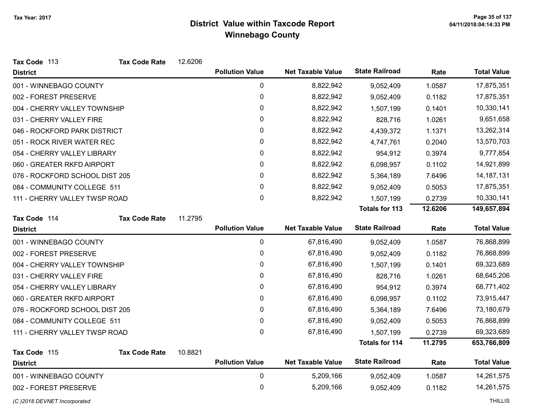| Tax Code 113                   | <b>Tax Code Rate</b> | 12.6206 |                        |                          |                       |         |                    |
|--------------------------------|----------------------|---------|------------------------|--------------------------|-----------------------|---------|--------------------|
| <b>District</b>                |                      |         | <b>Pollution Value</b> | <b>Net Taxable Value</b> | <b>State Railroad</b> | Rate    | <b>Total Value</b> |
| 001 - WINNEBAGO COUNTY         |                      |         | 0                      | 8,822,942                | 9,052,409             | 1.0587  | 17,875,351         |
| 002 - FOREST PRESERVE          |                      |         | 0                      | 8,822,942                | 9,052,409             | 0.1182  | 17,875,351         |
| 004 - CHERRY VALLEY TOWNSHIP   |                      |         | 0                      | 8,822,942                | 1,507,199             | 0.1401  | 10,330,141         |
| 031 - CHERRY VALLEY FIRE       |                      |         | 0                      | 8,822,942                | 828,716               | 1.0261  | 9,651,658          |
| 046 - ROCKFORD PARK DISTRICT   |                      |         | 0                      | 8,822,942                | 4,439,372             | 1.1371  | 13,262,314         |
| 051 - ROCK RIVER WATER REC     |                      |         | 0                      | 8,822,942                | 4,747,761             | 0.2040  | 13,570,703         |
| 054 - CHERRY VALLEY LIBRARY    |                      |         | 0                      | 8,822,942                | 954,912               | 0.3974  | 9,777,854          |
| 060 - GREATER RKFD AIRPORT     |                      |         | 0                      | 8,822,942                | 6,098,957             | 0.1102  | 14,921,899         |
| 076 - ROCKFORD SCHOOL DIST 205 |                      |         | 0                      | 8,822,942                | 5,364,189             | 7.6496  | 14, 187, 131       |
| 084 - COMMUNITY COLLEGE 511    |                      |         | 0                      | 8,822,942                | 9,052,409             | 0.5053  | 17,875,351         |
| 111 - CHERRY VALLEY TWSP ROAD  |                      |         | 0                      | 8,822,942                | 1,507,199             | 0.2739  | 10,330,141         |
|                                |                      |         |                        |                          | <b>Totals for 113</b> | 12.6206 | 149,657,894        |
| Tax Code 114                   | <b>Tax Code Rate</b> | 11.2795 |                        |                          |                       |         |                    |
| <b>District</b>                |                      |         | <b>Pollution Value</b> | <b>Net Taxable Value</b> | <b>State Railroad</b> | Rate    | <b>Total Value</b> |
| 001 - WINNEBAGO COUNTY         |                      |         | $\pmb{0}$              | 67,816,490               | 9,052,409             | 1.0587  | 76,868,899         |
| 002 - FOREST PRESERVE          |                      |         | $\pmb{0}$              | 67,816,490               | 9,052,409             | 0.1182  | 76,868,899         |
| 004 - CHERRY VALLEY TOWNSHIP   |                      |         | 0                      | 67,816,490               | 1,507,199             | 0.1401  | 69,323,689         |
| 031 - CHERRY VALLEY FIRE       |                      |         | 0                      | 67,816,490               | 828,716               | 1.0261  | 68,645,206         |
| 054 - CHERRY VALLEY LIBRARY    |                      |         | 0                      | 67,816,490               | 954,912               | 0.3974  | 68,771,402         |
| 060 - GREATER RKFD AIRPORT     |                      |         | 0                      | 67,816,490               | 6,098,957             | 0.1102  | 73,915,447         |
| 076 - ROCKFORD SCHOOL DIST 205 |                      |         | 0                      | 67,816,490               | 5,364,189             | 7.6496  | 73,180,679         |
| 084 - COMMUNITY COLLEGE 511    |                      |         | $\pmb{0}$              | 67,816,490               | 9,052,409             | 0.5053  | 76,868,899         |
| 111 - CHERRY VALLEY TWSP ROAD  |                      |         | 0                      | 67,816,490               | 1,507,199             | 0.2739  | 69,323,689         |
|                                |                      |         |                        |                          | <b>Totals for 114</b> | 11.2795 | 653,766,809        |
| Tax Code 115                   | <b>Tax Code Rate</b> | 10.8821 |                        |                          |                       |         |                    |
| <b>District</b>                |                      |         | <b>Pollution Value</b> | <b>Net Taxable Value</b> | <b>State Railroad</b> | Rate    | <b>Total Value</b> |
| 001 - WINNEBAGO COUNTY         |                      |         | $\pmb{0}$              | 5,209,166                | 9,052,409             | 1.0587  | 14,261,575         |
| 002 - FOREST PRESERVE          |                      |         | $\mathbf 0$            | 5,209,166                | 9,052,409             | 0.1182  | 14,261,575         |
| (C) 2018 DEVNET Incorporated   |                      |         |                        |                          |                       |         | <b>THILLIS</b>     |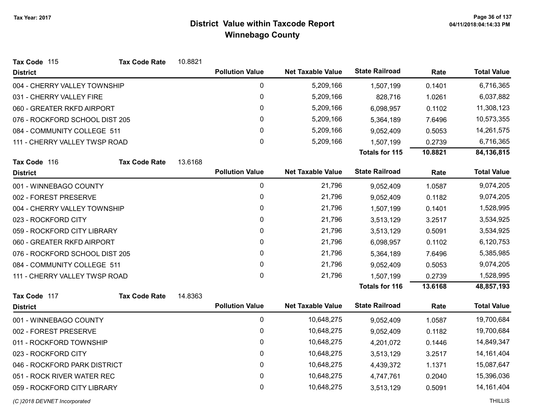| Tax Code 115                   | <b>Tax Code Rate</b> | 10.8821 |                        |                          |                       |         |                    |
|--------------------------------|----------------------|---------|------------------------|--------------------------|-----------------------|---------|--------------------|
| <b>District</b>                |                      |         | <b>Pollution Value</b> | <b>Net Taxable Value</b> | <b>State Railroad</b> | Rate    | <b>Total Value</b> |
| 004 - CHERRY VALLEY TOWNSHIP   |                      |         | 0                      | 5,209,166                | 1,507,199             | 0.1401  | 6,716,365          |
| 031 - CHERRY VALLEY FIRE       |                      |         | $\mathbf 0$            | 5,209,166                | 828,716               | 1.0261  | 6,037,882          |
| 060 - GREATER RKFD AIRPORT     |                      |         | 0                      | 5,209,166                | 6,098,957             | 0.1102  | 11,308,123         |
| 076 - ROCKFORD SCHOOL DIST 205 |                      |         | 0                      | 5,209,166                | 5,364,189             | 7.6496  | 10,573,355         |
| 084 - COMMUNITY COLLEGE 511    |                      |         | 0                      | 5,209,166                | 9,052,409             | 0.5053  | 14,261,575         |
| 111 - CHERRY VALLEY TWSP ROAD  |                      |         | 0                      | 5,209,166                | 1,507,199             | 0.2739  | 6,716,365          |
|                                |                      |         |                        |                          | <b>Totals for 115</b> | 10.8821 | 84,136,815         |
| Tax Code 116                   | <b>Tax Code Rate</b> | 13.6168 |                        |                          |                       |         |                    |
| <b>District</b>                |                      |         | <b>Pollution Value</b> | <b>Net Taxable Value</b> | <b>State Railroad</b> | Rate    | <b>Total Value</b> |
| 001 - WINNEBAGO COUNTY         |                      |         | $\mathbf 0$            | 21,796                   | 9,052,409             | 1.0587  | 9,074,205          |
| 002 - FOREST PRESERVE          |                      |         | $\pmb{0}$              | 21,796                   | 9,052,409             | 0.1182  | 9,074,205          |
| 004 - CHERRY VALLEY TOWNSHIP   |                      |         | 0                      | 21,796                   | 1,507,199             | 0.1401  | 1,528,995          |
| 023 - ROCKFORD CITY            |                      |         | $\pmb{0}$              | 21,796                   | 3,513,129             | 3.2517  | 3,534,925          |
| 059 - ROCKFORD CITY LIBRARY    |                      |         | 0                      | 21,796                   | 3,513,129             | 0.5091  | 3,534,925          |
| 060 - GREATER RKFD AIRPORT     |                      |         | 0                      | 21,796                   | 6,098,957             | 0.1102  | 6,120,753          |
| 076 - ROCKFORD SCHOOL DIST 205 |                      |         | 0                      | 21,796                   | 5,364,189             | 7.6496  | 5,385,985          |
| 084 - COMMUNITY COLLEGE 511    |                      |         | 0                      | 21,796                   | 9,052,409             | 0.5053  | 9,074,205          |
| 111 - CHERRY VALLEY TWSP ROAD  |                      |         | 0                      | 21,796                   | 1,507,199             | 0.2739  | 1,528,995          |
|                                |                      |         |                        |                          | Totals for 116        | 13.6168 | 48,857,193         |
| Tax Code 117                   | <b>Tax Code Rate</b> | 14.8363 |                        |                          |                       |         |                    |
| <b>District</b>                |                      |         | <b>Pollution Value</b> | <b>Net Taxable Value</b> | <b>State Railroad</b> | Rate    | <b>Total Value</b> |
| 001 - WINNEBAGO COUNTY         |                      |         | $\pmb{0}$              | 10,648,275               | 9,052,409             | 1.0587  | 19,700,684         |
| 002 - FOREST PRESERVE          |                      |         | 0                      | 10,648,275               | 9,052,409             | 0.1182  | 19,700,684         |
| 011 - ROCKFORD TOWNSHIP        |                      |         | $\pmb{0}$              | 10,648,275               | 4,201,072             | 0.1446  | 14,849,347         |
| 023 - ROCKFORD CITY            |                      |         | 0                      | 10,648,275               | 3,513,129             | 3.2517  | 14, 161, 404       |
| 046 - ROCKFORD PARK DISTRICT   |                      |         | $\mathbf 0$            | 10,648,275               | 4,439,372             | 1.1371  | 15,087,647         |
| 051 - ROCK RIVER WATER REC     |                      |         | 0                      | 10,648,275               | 4,747,761             | 0.2040  | 15,396,036         |
| 059 - ROCKFORD CITY LIBRARY    |                      |         | 0                      | 10,648,275               | 3,513,129             | 0.5091  | 14, 161, 404       |
|                                |                      |         |                        |                          |                       |         |                    |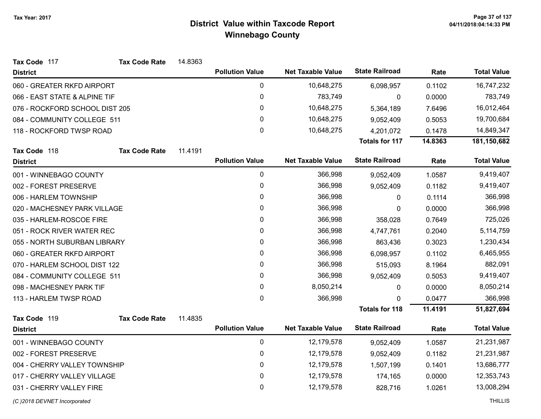| Tax Code 117                   | <b>Tax Code Rate</b> | 14.8363 |                        |                          |                       |         |                    |
|--------------------------------|----------------------|---------|------------------------|--------------------------|-----------------------|---------|--------------------|
| <b>District</b>                |                      |         | <b>Pollution Value</b> | <b>Net Taxable Value</b> | <b>State Railroad</b> | Rate    | <b>Total Value</b> |
| 060 - GREATER RKFD AIRPORT     |                      |         | 0                      | 10,648,275               | 6,098,957             | 0.1102  | 16,747,232         |
| 066 - EAST STATE & ALPINE TIF  |                      |         | $\pmb{0}$              | 783,749                  | 0                     | 0.0000  | 783,749            |
| 076 - ROCKFORD SCHOOL DIST 205 |                      |         | 0                      | 10,648,275               | 5,364,189             | 7.6496  | 16,012,464         |
| 084 - COMMUNITY COLLEGE 511    |                      |         | $\pmb{0}$              | 10,648,275               | 9,052,409             | 0.5053  | 19,700,684         |
| 118 - ROCKFORD TWSP ROAD       |                      |         | $\mathbf 0$            | 10,648,275               | 4,201,072             | 0.1478  | 14,849,347         |
|                                |                      |         |                        |                          | <b>Totals for 117</b> | 14.8363 | 181,150,682        |
| Tax Code 118                   | <b>Tax Code Rate</b> | 11.4191 |                        |                          |                       |         |                    |
| <b>District</b>                |                      |         | <b>Pollution Value</b> | <b>Net Taxable Value</b> | <b>State Railroad</b> | Rate    | <b>Total Value</b> |
| 001 - WINNEBAGO COUNTY         |                      |         | $\pmb{0}$              | 366,998                  | 9,052,409             | 1.0587  | 9,419,407          |
| 002 - FOREST PRESERVE          |                      |         | 0                      | 366,998                  | 9,052,409             | 0.1182  | 9,419,407          |
| 006 - HARLEM TOWNSHIP          |                      |         | $\mathbf 0$            | 366,998                  | 0                     | 0.1114  | 366,998            |
| 020 - MACHESNEY PARK VILLAGE   |                      |         | 0                      | 366,998                  | 0                     | 0.0000  | 366,998            |
| 035 - HARLEM-ROSCOE FIRE       |                      |         | $\pmb{0}$              | 366,998                  | 358,028               | 0.7649  | 725,026            |
| 051 - ROCK RIVER WATER REC     |                      |         | 0                      | 366,998                  | 4,747,761             | 0.2040  | 5,114,759          |
| 055 - NORTH SUBURBAN LIBRARY   |                      |         | $\pmb{0}$              | 366,998                  | 863,436               | 0.3023  | 1,230,434          |
| 060 - GREATER RKFD AIRPORT     |                      |         | 0                      | 366,998                  | 6,098,957             | 0.1102  | 6,465,955          |
| 070 - HARLEM SCHOOL DIST 122   |                      |         | $\pmb{0}$              | 366,998                  | 515,093               | 8.1964  | 882,091            |
| 084 - COMMUNITY COLLEGE 511    |                      |         | 0                      | 366,998                  | 9,052,409             | 0.5053  | 9,419,407          |
| 098 - MACHESNEY PARK TIF       |                      |         | $\pmb{0}$              | 8,050,214                | 0                     | 0.0000  | 8,050,214          |
| 113 - HARLEM TWSP ROAD         |                      |         | $\mathbf 0$            | 366,998                  | $\Omega$              | 0.0477  | 366,998            |
|                                |                      |         |                        |                          | <b>Totals for 118</b> | 11.4191 | 51,827,694         |
| Tax Code 119                   | <b>Tax Code Rate</b> | 11.4835 |                        |                          |                       |         |                    |
| <b>District</b>                |                      |         | <b>Pollution Value</b> | <b>Net Taxable Value</b> | <b>State Railroad</b> | Rate    | <b>Total Value</b> |
| 001 - WINNEBAGO COUNTY         |                      |         | $\pmb{0}$              | 12,179,578               | 9,052,409             | 1.0587  | 21,231,987         |
| 002 - FOREST PRESERVE          |                      |         | $\pmb{0}$              | 12,179,578               | 9,052,409             | 0.1182  | 21,231,987         |
| 004 - CHERRY VALLEY TOWNSHIP   |                      |         | $\pmb{0}$              | 12,179,578               | 1,507,199             | 0.1401  | 13,686,777         |
| 017 - CHERRY VALLEY VILLAGE    |                      |         | $\pmb{0}$              | 12,179,578               | 174,165               | 0.0000  | 12,353,743         |
| 031 - CHERRY VALLEY FIRE       |                      |         | $\pmb{0}$              | 12,179,578               | 828,716               | 1.0261  | 13,008,294         |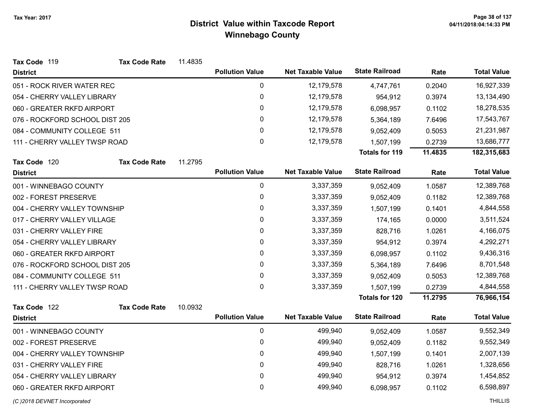| Tax Code 119                   | <b>Tax Code Rate</b> | 11.4835 |                        |                          |                       |         |                    |
|--------------------------------|----------------------|---------|------------------------|--------------------------|-----------------------|---------|--------------------|
| <b>District</b>                |                      |         | <b>Pollution Value</b> | <b>Net Taxable Value</b> | <b>State Railroad</b> | Rate    | <b>Total Value</b> |
| 051 - ROCK RIVER WATER REC     |                      |         | 0                      | 12,179,578               | 4,747,761             | 0.2040  | 16,927,339         |
| 054 - CHERRY VALLEY LIBRARY    |                      |         | $\mathbf 0$            | 12,179,578               | 954,912               | 0.3974  | 13,134,490         |
| 060 - GREATER RKFD AIRPORT     |                      |         | 0                      | 12,179,578               | 6,098,957             | 0.1102  | 18,278,535         |
| 076 - ROCKFORD SCHOOL DIST 205 |                      |         | 0                      | 12,179,578               | 5,364,189             | 7.6496  | 17,543,767         |
| 084 - COMMUNITY COLLEGE 511    |                      |         | 0                      | 12,179,578               | 9,052,409             | 0.5053  | 21,231,987         |
| 111 - CHERRY VALLEY TWSP ROAD  |                      |         | $\mathbf{0}$           | 12,179,578               | 1,507,199             | 0.2739  | 13,686,777         |
|                                |                      |         |                        |                          | <b>Totals for 119</b> | 11.4835 | 182,315,683        |
| Tax Code 120                   | <b>Tax Code Rate</b> | 11.2795 |                        |                          |                       |         |                    |
| <b>District</b>                |                      |         | <b>Pollution Value</b> | <b>Net Taxable Value</b> | <b>State Railroad</b> | Rate    | <b>Total Value</b> |
| 001 - WINNEBAGO COUNTY         |                      |         | $\mathbf 0$            | 3,337,359                | 9,052,409             | 1.0587  | 12,389,768         |
| 002 - FOREST PRESERVE          |                      |         | $\mathbf 0$            | 3,337,359                | 9,052,409             | 0.1182  | 12,389,768         |
| 004 - CHERRY VALLEY TOWNSHIP   |                      |         | 0                      | 3,337,359                | 1,507,199             | 0.1401  | 4,844,558          |
| 017 - CHERRY VALLEY VILLAGE    |                      |         | 0                      | 3,337,359                | 174,165               | 0.0000  | 3,511,524          |
| 031 - CHERRY VALLEY FIRE       |                      |         | 0                      | 3,337,359                | 828,716               | 1.0261  | 4,166,075          |
| 054 - CHERRY VALLEY LIBRARY    |                      |         | 0                      | 3,337,359                | 954,912               | 0.3974  | 4,292,271          |
| 060 - GREATER RKFD AIRPORT     |                      |         | 0                      | 3,337,359                | 6,098,957             | 0.1102  | 9,436,316          |
| 076 - ROCKFORD SCHOOL DIST 205 |                      |         | 0                      | 3,337,359                | 5,364,189             | 7.6496  | 8,701,548          |
| 084 - COMMUNITY COLLEGE 511    |                      |         | 0                      | 3,337,359                | 9,052,409             | 0.5053  | 12,389,768         |
| 111 - CHERRY VALLEY TWSP ROAD  |                      |         | $\mathbf{0}$           | 3,337,359                | 1,507,199             | 0.2739  | 4,844,558          |
|                                |                      |         |                        |                          | Totals for 120        | 11.2795 | 76,966,154         |
| Tax Code 122                   | <b>Tax Code Rate</b> | 10.0932 |                        |                          |                       |         |                    |
| <b>District</b>                |                      |         | <b>Pollution Value</b> | <b>Net Taxable Value</b> | <b>State Railroad</b> | Rate    | <b>Total Value</b> |
| 001 - WINNEBAGO COUNTY         |                      |         | 0                      | 499,940                  | 9,052,409             | 1.0587  | 9,552,349          |
| 002 - FOREST PRESERVE          |                      |         | $\mathbf 0$            | 499,940                  | 9,052,409             | 0.1182  | 9,552,349          |
| 004 - CHERRY VALLEY TOWNSHIP   |                      |         | 0                      | 499,940                  | 1,507,199             | 0.1401  | 2,007,139          |
| 031 - CHERRY VALLEY FIRE       |                      |         | $\mathbf 0$            | 499,940                  | 828,716               | 1.0261  | 1,328,656          |
| 054 - CHERRY VALLEY LIBRARY    |                      |         | 0                      | 499,940                  | 954,912               | 0.3974  | 1,454,852          |
| 060 - GREATER RKFD AIRPORT     |                      |         | 0                      | 499,940                  | 6,098,957             | 0.1102  | 6,598,897          |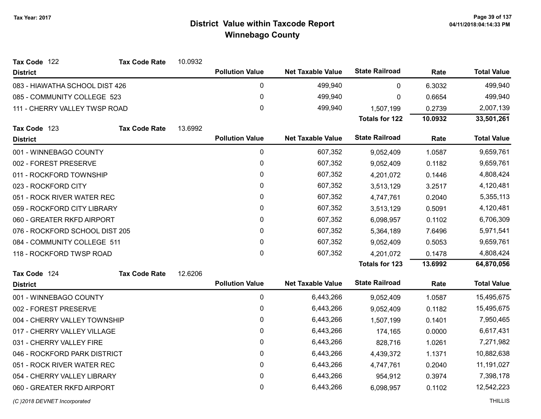| Tax Code 122                   | <b>Tax Code Rate</b> | 10.0932 |                        |                          |                       |         |                    |
|--------------------------------|----------------------|---------|------------------------|--------------------------|-----------------------|---------|--------------------|
| <b>District</b>                |                      |         | <b>Pollution Value</b> | <b>Net Taxable Value</b> | <b>State Railroad</b> | Rate    | <b>Total Value</b> |
| 083 - HIAWATHA SCHOOL DIST 426 |                      |         | $\pmb{0}$              | 499,940                  | 0                     | 6.3032  | 499,940            |
| 085 - COMMUNITY COLLEGE 523    |                      |         | $\pmb{0}$              | 499,940                  | 0                     | 0.6654  | 499,940            |
| 111 - CHERRY VALLEY TWSP ROAD  |                      |         | 0                      | 499,940                  | 1,507,199             | 0.2739  | 2,007,139          |
|                                |                      |         |                        |                          | <b>Totals for 122</b> | 10.0932 | 33,501,261         |
| Tax Code 123                   | <b>Tax Code Rate</b> | 13.6992 |                        |                          |                       |         |                    |
| <b>District</b>                |                      |         | <b>Pollution Value</b> | <b>Net Taxable Value</b> | <b>State Railroad</b> | Rate    | <b>Total Value</b> |
| 001 - WINNEBAGO COUNTY         |                      |         | $\pmb{0}$              | 607,352                  | 9,052,409             | 1.0587  | 9,659,761          |
| 002 - FOREST PRESERVE          |                      |         | 0                      | 607,352                  | 9,052,409             | 0.1182  | 9,659,761          |
| 011 - ROCKFORD TOWNSHIP        |                      |         | 0                      | 607,352                  | 4,201,072             | 0.1446  | 4,808,424          |
| 023 - ROCKFORD CITY            |                      |         | 0                      | 607,352                  | 3,513,129             | 3.2517  | 4,120,481          |
| 051 - ROCK RIVER WATER REC     |                      |         | 0                      | 607,352                  | 4,747,761             | 0.2040  | 5,355,113          |
| 059 - ROCKFORD CITY LIBRARY    |                      |         | 0                      | 607,352                  | 3,513,129             | 0.5091  | 4,120,481          |
| 060 - GREATER RKFD AIRPORT     |                      |         | 0                      | 607,352                  | 6,098,957             | 0.1102  | 6,706,309          |
| 076 - ROCKFORD SCHOOL DIST 205 |                      |         | 0                      | 607,352                  | 5,364,189             | 7.6496  | 5,971,541          |
| 084 - COMMUNITY COLLEGE 511    |                      |         | 0                      | 607,352                  | 9,052,409             | 0.5053  | 9,659,761          |
| 118 - ROCKFORD TWSP ROAD       |                      |         | 0                      | 607,352                  | 4,201,072             | 0.1478  | 4,808,424          |
|                                |                      |         |                        |                          | <b>Totals for 123</b> | 13.6992 | 64,870,056         |
| Tax Code 124                   | <b>Tax Code Rate</b> | 12.6206 |                        |                          |                       |         |                    |
| <b>District</b>                |                      |         | <b>Pollution Value</b> | <b>Net Taxable Value</b> | <b>State Railroad</b> | Rate    | <b>Total Value</b> |
| 001 - WINNEBAGO COUNTY         |                      |         | $\mathbf 0$            | 6,443,266                | 9,052,409             | 1.0587  | 15,495,675         |
| 002 - FOREST PRESERVE          |                      |         | 0                      | 6,443,266                | 9,052,409             | 0.1182  | 15,495,675         |
| 004 - CHERRY VALLEY TOWNSHIP   |                      |         | 0                      | 6,443,266                | 1,507,199             | 0.1401  | 7,950,465          |
| 017 - CHERRY VALLEY VILLAGE    |                      |         | 0                      | 6,443,266                | 174,165               | 0.0000  | 6,617,431          |
| 031 - CHERRY VALLEY FIRE       |                      |         | 0                      | 6,443,266                | 828,716               | 1.0261  | 7,271,982          |
| 046 - ROCKFORD PARK DISTRICT   |                      |         | 0                      | 6,443,266                | 4,439,372             | 1.1371  | 10,882,638         |
| 051 - ROCK RIVER WATER REC     |                      |         | $\pmb{0}$              | 6,443,266                | 4,747,761             | 0.2040  | 11,191,027         |
| 054 - CHERRY VALLEY LIBRARY    |                      |         | $\pmb{0}$              | 6,443,266                | 954,912               | 0.3974  | 7,398,178          |
| 060 - GREATER RKFD AIRPORT     |                      |         | 0                      | 6,443,266                | 6,098,957             | 0.1102  | 12,542,223         |
|                                |                      |         |                        |                          |                       |         |                    |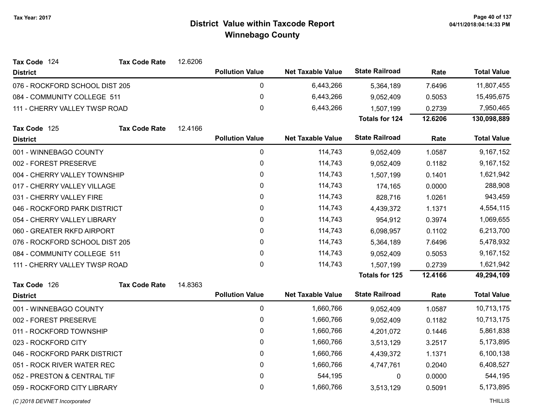| Tax Code 124                   | <b>Tax Code Rate</b> | 12.6206 |                        |                          |                       |         |                    |
|--------------------------------|----------------------|---------|------------------------|--------------------------|-----------------------|---------|--------------------|
| <b>District</b>                |                      |         | <b>Pollution Value</b> | <b>Net Taxable Value</b> | <b>State Railroad</b> | Rate    | <b>Total Value</b> |
| 076 - ROCKFORD SCHOOL DIST 205 |                      |         | $\pmb{0}$              | 6,443,266                | 5,364,189             | 7.6496  | 11,807,455         |
| 084 - COMMUNITY COLLEGE 511    |                      |         | 0                      | 6,443,266                | 9,052,409             | 0.5053  | 15,495,675         |
| 111 - CHERRY VALLEY TWSP ROAD  |                      |         | $\mathbf 0$            | 6,443,266                | 1,507,199             | 0.2739  | 7,950,465          |
|                                |                      |         |                        |                          | <b>Totals for 124</b> | 12.6206 | 130,098,889        |
| Tax Code 125                   | <b>Tax Code Rate</b> | 12.4166 |                        |                          |                       |         |                    |
| <b>District</b>                |                      |         | <b>Pollution Value</b> | <b>Net Taxable Value</b> | <b>State Railroad</b> | Rate    | <b>Total Value</b> |
| 001 - WINNEBAGO COUNTY         |                      |         | 0                      | 114,743                  | 9,052,409             | 1.0587  | 9,167,152          |
| 002 - FOREST PRESERVE          |                      |         | 0                      | 114,743                  | 9,052,409             | 0.1182  | 9,167,152          |
| 004 - CHERRY VALLEY TOWNSHIP   |                      |         | 0                      | 114,743                  | 1,507,199             | 0.1401  | 1,621,942          |
| 017 - CHERRY VALLEY VILLAGE    |                      |         | 0                      | 114,743                  | 174,165               | 0.0000  | 288,908            |
| 031 - CHERRY VALLEY FIRE       |                      |         | $\pmb{0}$              | 114,743                  | 828,716               | 1.0261  | 943,459            |
| 046 - ROCKFORD PARK DISTRICT   |                      |         | 0                      | 114,743                  | 4,439,372             | 1.1371  | 4,554,115          |
| 054 - CHERRY VALLEY LIBRARY    |                      |         | $\mathbf 0$            | 114,743                  | 954,912               | 0.3974  | 1,069,655          |
| 060 - GREATER RKFD AIRPORT     |                      |         | $\mathbf{0}$           | 114,743                  | 6,098,957             | 0.1102  | 6,213,700          |
| 076 - ROCKFORD SCHOOL DIST 205 |                      |         | 0                      | 114,743                  | 5,364,189             | 7.6496  | 5,478,932          |
| 084 - COMMUNITY COLLEGE 511    |                      |         | 0                      | 114,743                  | 9,052,409             | 0.5053  | 9,167,152          |
| 111 - CHERRY VALLEY TWSP ROAD  |                      |         | $\mathbf{0}$           | 114,743                  | 1,507,199             | 0.2739  | 1,621,942          |
|                                |                      |         |                        |                          | Totals for 125        | 12.4166 | 49,294,109         |
| Tax Code 126                   | <b>Tax Code Rate</b> | 14.8363 |                        |                          |                       |         |                    |
| <b>District</b>                |                      |         | <b>Pollution Value</b> | <b>Net Taxable Value</b> | <b>State Railroad</b> | Rate    | <b>Total Value</b> |
| 001 - WINNEBAGO COUNTY         |                      |         | 0                      | 1,660,766                | 9,052,409             | 1.0587  | 10,713,175         |
| 002 - FOREST PRESERVE          |                      |         | 0                      | 1,660,766                | 9,052,409             | 0.1182  | 10,713,175         |
| 011 - ROCKFORD TOWNSHIP        |                      |         | $\pmb{0}$              | 1,660,766                | 4,201,072             | 0.1446  | 5,861,838          |
| 023 - ROCKFORD CITY            |                      |         | 0                      | 1,660,766                | 3,513,129             | 3.2517  | 5,173,895          |
| 046 - ROCKFORD PARK DISTRICT   |                      |         | $\pmb{0}$              | 1,660,766                | 4,439,372             | 1.1371  | 6,100,138          |
| 051 - ROCK RIVER WATER REC     |                      |         | $\pmb{0}$              | 1,660,766                | 4,747,761             | 0.2040  | 6,408,527          |
| 052 - PRESTON & CENTRAL TIF    |                      |         | 0                      | 544,195                  | 0                     | 0.0000  | 544,195            |
| 059 - ROCKFORD CITY LIBRARY    |                      |         | 0                      | 1,660,766                | 3,513,129             | 0.5091  | 5,173,895          |
| (C) 2018 DEVNET Incorporated   |                      |         |                        |                          |                       |         | <b>THILLIS</b>     |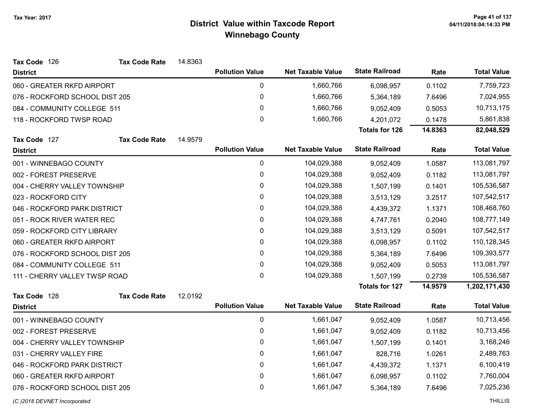| Tax Code 126                   | <b>Tax Code Rate</b> | 14.8363 |                        |                          |                       |         |                    |
|--------------------------------|----------------------|---------|------------------------|--------------------------|-----------------------|---------|--------------------|
| <b>District</b>                |                      |         | <b>Pollution Value</b> | <b>Net Taxable Value</b> | <b>State Railroad</b> | Rate    | <b>Total Value</b> |
| 060 - GREATER RKFD AIRPORT     |                      |         | 0                      | 1,660,766                | 6,098,957             | 0.1102  | 7,759,723          |
| 076 - ROCKFORD SCHOOL DIST 205 |                      |         | 0                      | 1,660,766                | 5,364,189             | 7.6496  | 7,024,955          |
| 084 - COMMUNITY COLLEGE 511    |                      |         | 0                      | 1,660,766                | 9,052,409             | 0.5053  | 10,713,175         |
| 118 - ROCKFORD TWSP ROAD       |                      |         | $\mathbf{0}$           | 1,660,766                | 4,201,072             | 0.1478  | 5,861,838          |
|                                |                      |         |                        |                          | <b>Totals for 126</b> | 14.8363 | 82,048,529         |
| Tax Code 127                   | <b>Tax Code Rate</b> | 14.9579 |                        |                          |                       |         |                    |
| <b>District</b>                |                      |         | <b>Pollution Value</b> | <b>Net Taxable Value</b> | <b>State Railroad</b> | Rate    | <b>Total Value</b> |
| 001 - WINNEBAGO COUNTY         |                      |         | 0                      | 104,029,388              | 9,052,409             | 1.0587  | 113,081,797        |
| 002 - FOREST PRESERVE          |                      |         | 0                      | 104,029,388              | 9,052,409             | 0.1182  | 113,081,797        |
| 004 - CHERRY VALLEY TOWNSHIP   |                      |         | 0                      | 104,029,388              | 1,507,199             | 0.1401  | 105,536,587        |
| 023 - ROCKFORD CITY            |                      |         | 0                      | 104,029,388              | 3,513,129             | 3.2517  | 107,542,517        |
| 046 - ROCKFORD PARK DISTRICT   |                      |         | 0                      | 104,029,388              | 4,439,372             | 1.1371  | 108,468,760        |
| 051 - ROCK RIVER WATER REC     |                      |         | 0                      | 104,029,388              | 4,747,761             | 0.2040  | 108,777,149        |
| 059 - ROCKFORD CITY LIBRARY    |                      |         | 0                      | 104,029,388              | 3,513,129             | 0.5091  | 107,542,517        |
| 060 - GREATER RKFD AIRPORT     |                      |         | 0                      | 104,029,388              | 6,098,957             | 0.1102  | 110,128,345        |
| 076 - ROCKFORD SCHOOL DIST 205 |                      |         | 0                      | 104,029,388              | 5,364,189             | 7.6496  | 109,393,577        |
| 084 - COMMUNITY COLLEGE 511    |                      |         | 0                      | 104,029,388              | 9,052,409             | 0.5053  | 113,081,797        |
| 111 - CHERRY VALLEY TWSP ROAD  |                      |         | $\mathbf 0$            | 104,029,388              | 1,507,199             | 0.2739  | 105,536,587        |
|                                |                      |         |                        |                          | <b>Totals for 127</b> | 14.9579 | 1,202,171,430      |
| Tax Code 128                   | <b>Tax Code Rate</b> | 12.0192 |                        |                          |                       |         |                    |
| <b>District</b>                |                      |         | <b>Pollution Value</b> | <b>Net Taxable Value</b> | <b>State Railroad</b> | Rate    | <b>Total Value</b> |
| 001 - WINNEBAGO COUNTY         |                      |         | 0                      | 1,661,047                | 9,052,409             | 1.0587  | 10,713,456         |
| 002 - FOREST PRESERVE          |                      |         | $\pmb{0}$              | 1,661,047                | 9,052,409             | 0.1182  | 10,713,456         |
| 004 - CHERRY VALLEY TOWNSHIP   |                      |         | 0                      | 1,661,047                | 1,507,199             | 0.1401  | 3,168,246          |
| 031 - CHERRY VALLEY FIRE       |                      |         | 0                      | 1,661,047                | 828,716               | 1.0261  | 2,489,763          |
| 046 - ROCKFORD PARK DISTRICT   |                      |         | 0                      | 1,661,047                | 4,439,372             | 1.1371  | 6,100,419          |
| 060 - GREATER RKFD AIRPORT     |                      |         | 0                      | 1,661,047                | 6,098,957             | 0.1102  | 7,760,004          |
| 076 - ROCKFORD SCHOOL DIST 205 |                      |         | 0                      | 1,661,047                | 5,364,189             | 7.6496  | 7,025,236          |
| (C) 2018 DEVNET Incorporated   |                      |         |                        |                          |                       |         | <b>THILLIS</b>     |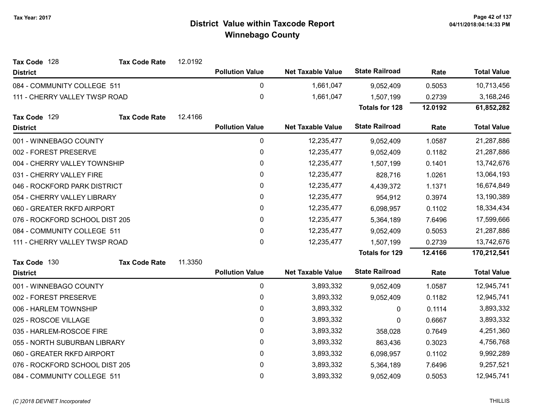| Tax Code 128                   | <b>Tax Code Rate</b> | 12.0192 |                        |                          |                       |         |                    |
|--------------------------------|----------------------|---------|------------------------|--------------------------|-----------------------|---------|--------------------|
| <b>District</b>                |                      |         | <b>Pollution Value</b> | <b>Net Taxable Value</b> | <b>State Railroad</b> | Rate    | <b>Total Value</b> |
| 084 - COMMUNITY COLLEGE 511    |                      |         | 0                      | 1,661,047                | 9,052,409             | 0.5053  | 10,713,456         |
| 111 - CHERRY VALLEY TWSP ROAD  |                      |         | $\mathbf 0$            | 1,661,047                | 1,507,199             | 0.2739  | 3,168,246          |
|                                |                      |         |                        |                          | <b>Totals for 128</b> | 12.0192 | 61,852,282         |
| Tax Code 129                   | <b>Tax Code Rate</b> | 12.4166 |                        |                          |                       |         |                    |
| <b>District</b>                |                      |         | <b>Pollution Value</b> | <b>Net Taxable Value</b> | <b>State Railroad</b> | Rate    | <b>Total Value</b> |
| 001 - WINNEBAGO COUNTY         |                      |         | 0                      | 12,235,477               | 9,052,409             | 1.0587  | 21,287,886         |
| 002 - FOREST PRESERVE          |                      |         | 0                      | 12,235,477               | 9,052,409             | 0.1182  | 21,287,886         |
| 004 - CHERRY VALLEY TOWNSHIP   |                      |         | 0                      | 12,235,477               | 1,507,199             | 0.1401  | 13,742,676         |
| 031 - CHERRY VALLEY FIRE       |                      |         | 0                      | 12,235,477               | 828,716               | 1.0261  | 13,064,193         |
| 046 - ROCKFORD PARK DISTRICT   |                      |         | 0                      | 12,235,477               | 4,439,372             | 1.1371  | 16,674,849         |
| 054 - CHERRY VALLEY LIBRARY    |                      |         | 0                      | 12,235,477               | 954,912               | 0.3974  | 13,190,389         |
| 060 - GREATER RKFD AIRPORT     |                      |         | $\mathbf 0$            | 12,235,477               | 6,098,957             | 0.1102  | 18,334,434         |
| 076 - ROCKFORD SCHOOL DIST 205 |                      |         | $\mathbf 0$            | 12,235,477               | 5,364,189             | 7.6496  | 17,599,666         |
| 084 - COMMUNITY COLLEGE 511    |                      |         | 0                      | 12,235,477               | 9,052,409             | 0.5053  | 21,287,886         |
| 111 - CHERRY VALLEY TWSP ROAD  |                      |         | 0                      | 12,235,477               | 1,507,199             | 0.2739  | 13,742,676         |
|                                |                      |         |                        |                          | Totals for 129        | 12.4166 | 170,212,541        |
| Tax Code 130                   | <b>Tax Code Rate</b> | 11.3350 |                        |                          |                       |         |                    |
| <b>District</b>                |                      |         | <b>Pollution Value</b> | <b>Net Taxable Value</b> | <b>State Railroad</b> | Rate    | <b>Total Value</b> |
| 001 - WINNEBAGO COUNTY         |                      |         | 0                      | 3,893,332                | 9,052,409             | 1.0587  | 12,945,741         |
| 002 - FOREST PRESERVE          |                      |         | 0                      | 3,893,332                | 9,052,409             | 0.1182  | 12,945,741         |
| 006 - HARLEM TOWNSHIP          |                      |         | 0                      | 3,893,332                | 0                     | 0.1114  | 3,893,332          |
| 025 - ROSCOE VILLAGE           |                      |         | 0                      | 3,893,332                | 0                     | 0.6667  | 3,893,332          |
| 035 - HARLEM-ROSCOE FIRE       |                      |         | $\mathbf 0$            | 3,893,332                | 358,028               | 0.7649  | 4,251,360          |
| 055 - NORTH SUBURBAN LIBRARY   |                      |         | 0                      | 3,893,332                | 863,436               | 0.3023  | 4,756,768          |
| 060 - GREATER RKFD AIRPORT     |                      |         | 0                      | 3,893,332                | 6,098,957             | 0.1102  | 9,992,289          |
| 076 - ROCKFORD SCHOOL DIST 205 |                      |         | 0                      | 3,893,332                | 5,364,189             | 7.6496  | 9,257,521          |
| 084 - COMMUNITY COLLEGE 511    |                      |         | $\mathbf 0$            | 3,893,332                | 9,052,409             | 0.5053  | 12,945,741         |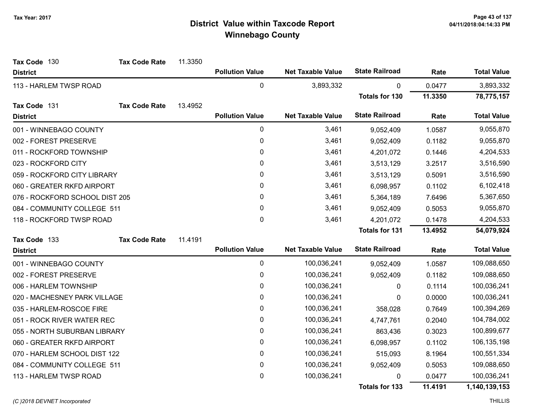| Tax Code 130                   | <b>Tax Code Rate</b> | 11.3350 |                        |                          |                       |         |                    |
|--------------------------------|----------------------|---------|------------------------|--------------------------|-----------------------|---------|--------------------|
| <b>District</b>                |                      |         | <b>Pollution Value</b> | <b>Net Taxable Value</b> | <b>State Railroad</b> | Rate    | <b>Total Value</b> |
| 113 - HARLEM TWSP ROAD         |                      |         | 0                      | 3,893,332                | 0                     | 0.0477  | 3,893,332          |
|                                |                      |         |                        |                          | <b>Totals for 130</b> | 11.3350 | 78,775,157         |
| Tax Code 131                   | <b>Tax Code Rate</b> | 13.4952 |                        |                          |                       |         |                    |
| <b>District</b>                |                      |         | <b>Pollution Value</b> | <b>Net Taxable Value</b> | <b>State Railroad</b> | Rate    | <b>Total Value</b> |
| 001 - WINNEBAGO COUNTY         |                      |         | 0                      | 3,461                    | 9,052,409             | 1.0587  | 9,055,870          |
| 002 - FOREST PRESERVE          |                      |         | $\pmb{0}$              | 3,461                    | 9,052,409             | 0.1182  | 9,055,870          |
| 011 - ROCKFORD TOWNSHIP        |                      |         | 0                      | 3,461                    | 4,201,072             | 0.1446  | 4,204,533          |
| 023 - ROCKFORD CITY            |                      |         | 0                      | 3,461                    | 3,513,129             | 3.2517  | 3,516,590          |
| 059 - ROCKFORD CITY LIBRARY    |                      |         | 0                      | 3,461                    | 3,513,129             | 0.5091  | 3,516,590          |
| 060 - GREATER RKFD AIRPORT     |                      |         | 0                      | 3,461                    | 6,098,957             | 0.1102  | 6,102,418          |
| 076 - ROCKFORD SCHOOL DIST 205 |                      |         | $\mathbf{0}$           | 3,461                    | 5,364,189             | 7.6496  | 5,367,650          |
| 084 - COMMUNITY COLLEGE 511    |                      |         | $\pmb{0}$              | 3,461                    | 9,052,409             | 0.5053  | 9,055,870          |
| 118 - ROCKFORD TWSP ROAD       |                      |         | $\mathbf 0$            | 3,461                    | 4,201,072             | 0.1478  | 4,204,533          |
|                                |                      |         |                        |                          | <b>Totals for 131</b> | 13.4952 | 54,079,924         |
| Tax Code 133                   | <b>Tax Code Rate</b> | 11.4191 |                        |                          |                       |         |                    |
| <b>District</b>                |                      |         | <b>Pollution Value</b> | <b>Net Taxable Value</b> | <b>State Railroad</b> | Rate    | <b>Total Value</b> |
| 001 - WINNEBAGO COUNTY         |                      |         | 0                      | 100,036,241              | 9,052,409             | 1.0587  | 109,088,650        |
| 002 - FOREST PRESERVE          |                      |         | $\pmb{0}$              | 100,036,241              | 9,052,409             | 0.1182  | 109,088,650        |
| 006 - HARLEM TOWNSHIP          |                      |         | 0                      | 100,036,241              | $\mathbf{0}$          | 0.1114  | 100,036,241        |
| 020 - MACHESNEY PARK VILLAGE   |                      |         | $\pmb{0}$              | 100,036,241              | 0                     | 0.0000  | 100,036,241        |
| 035 - HARLEM-ROSCOE FIRE       |                      |         | $\mathbf{0}$           | 100,036,241              | 358,028               | 0.7649  | 100,394,269        |
| 051 - ROCK RIVER WATER REC     |                      |         | $\pmb{0}$              | 100,036,241              | 4,747,761             | 0.2040  | 104,784,002        |
| 055 - NORTH SUBURBAN LIBRARY   |                      |         | 0                      | 100,036,241              | 863,436               | 0.3023  | 100,899,677        |
| 060 - GREATER RKFD AIRPORT     |                      |         | 0                      | 100,036,241              | 6,098,957             | 0.1102  | 106,135,198        |
| 070 - HARLEM SCHOOL DIST 122   |                      |         | 0                      | 100,036,241              | 515,093               | 8.1964  | 100,551,334        |
| 084 - COMMUNITY COLLEGE 511    |                      |         | 0                      | 100,036,241              | 9,052,409             | 0.5053  | 109,088,650        |
| 113 - HARLEM TWSP ROAD         |                      |         | $\mathbf 0$            | 100,036,241              | 0                     | 0.0477  | 100,036,241        |
|                                |                      |         |                        |                          | <b>Totals for 133</b> | 11.4191 | 1,140,139,153      |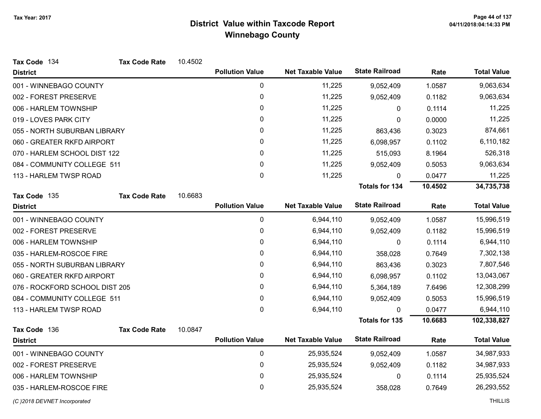| Tax Code 134                   | <b>Tax Code Rate</b> | 10.4502 |                        |                          |                       |         |                    |
|--------------------------------|----------------------|---------|------------------------|--------------------------|-----------------------|---------|--------------------|
| <b>District</b>                |                      |         | <b>Pollution Value</b> | <b>Net Taxable Value</b> | <b>State Railroad</b> | Rate    | <b>Total Value</b> |
| 001 - WINNEBAGO COUNTY         |                      |         | 0                      | 11,225                   | 9,052,409             | 1.0587  | 9,063,634          |
| 002 - FOREST PRESERVE          |                      |         | 0                      | 11,225                   | 9,052,409             | 0.1182  | 9,063,634          |
| 006 - HARLEM TOWNSHIP          |                      |         | 0                      | 11,225                   | $\mathbf{0}$          | 0.1114  | 11,225             |
| 019 - LOVES PARK CITY          |                      |         | 0                      | 11,225                   | 0                     | 0.0000  | 11,225             |
| 055 - NORTH SUBURBAN LIBRARY   |                      |         | 0                      | 11,225                   | 863,436               | 0.3023  | 874,661            |
| 060 - GREATER RKFD AIRPORT     |                      |         | $\mathbf{0}$           | 11,225                   | 6,098,957             | 0.1102  | 6,110,182          |
| 070 - HARLEM SCHOOL DIST 122   |                      |         | 0                      | 11,225                   | 515,093               | 8.1964  | 526,318            |
| 084 - COMMUNITY COLLEGE 511    |                      |         | $\mathbf{0}$           | 11,225                   | 9,052,409             | 0.5053  | 9,063,634          |
| 113 - HARLEM TWSP ROAD         |                      |         | $\mathbf 0$            | 11,225                   | $\mathbf{0}$          | 0.0477  | 11,225             |
|                                |                      |         |                        |                          | <b>Totals for 134</b> | 10.4502 | 34,735,738         |
| Tax Code 135                   | <b>Tax Code Rate</b> | 10.6683 |                        |                          |                       |         |                    |
| <b>District</b>                |                      |         | <b>Pollution Value</b> | <b>Net Taxable Value</b> | <b>State Railroad</b> | Rate    | <b>Total Value</b> |
| 001 - WINNEBAGO COUNTY         |                      |         | 0                      | 6,944,110                | 9,052,409             | 1.0587  | 15,996,519         |
| 002 - FOREST PRESERVE          |                      |         | 0                      | 6,944,110                | 9,052,409             | 0.1182  | 15,996,519         |
| 006 - HARLEM TOWNSHIP          |                      |         | $\mathbf 0$            | 6,944,110                | 0                     | 0.1114  | 6,944,110          |
| 035 - HARLEM-ROSCOE FIRE       |                      |         | 0                      | 6,944,110                | 358,028               | 0.7649  | 7,302,138          |
| 055 - NORTH SUBURBAN LIBRARY   |                      |         | 0                      | 6,944,110                | 863,436               | 0.3023  | 7,807,546          |
| 060 - GREATER RKFD AIRPORT     |                      |         | 0                      | 6,944,110                | 6,098,957             | 0.1102  | 13,043,067         |
| 076 - ROCKFORD SCHOOL DIST 205 |                      |         | 0                      | 6,944,110                | 5,364,189             | 7.6496  | 12,308,299         |
| 084 - COMMUNITY COLLEGE 511    |                      |         | 0                      | 6,944,110                | 9,052,409             | 0.5053  | 15,996,519         |
| 113 - HARLEM TWSP ROAD         |                      |         | $\mathbf{0}$           | 6,944,110                | $\mathbf{0}$          | 0.0477  | 6,944,110          |
|                                |                      |         |                        |                          | <b>Totals for 135</b> | 10.6683 | 102,338,827        |
| Tax Code 136                   | <b>Tax Code Rate</b> | 10.0847 |                        |                          |                       |         |                    |
| <b>District</b>                |                      |         | <b>Pollution Value</b> | <b>Net Taxable Value</b> | <b>State Railroad</b> | Rate    | <b>Total Value</b> |
| 001 - WINNEBAGO COUNTY         |                      |         | $\mathbf 0$            | 25,935,524               | 9,052,409             | 1.0587  | 34,987,933         |
| 002 - FOREST PRESERVE          |                      |         | $\mathbf 0$            | 25,935,524               | 9,052,409             | 0.1182  | 34,987,933         |
| 006 - HARLEM TOWNSHIP          |                      |         | 0                      | 25,935,524               | 0                     | 0.1114  | 25,935,524         |
| 035 - HARLEM-ROSCOE FIRE       |                      |         | 0                      | 25,935,524               | 358,028               | 0.7649  | 26,293,552         |
| (C) 2018 DEVNET Incorporated   |                      |         |                        |                          |                       |         | <b>THILLIS</b>     |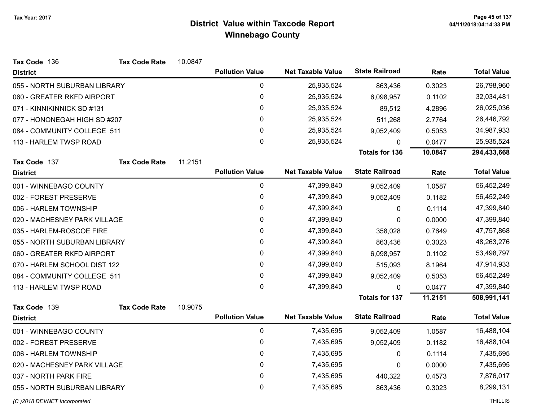| Tax Code 136                 | <b>Tax Code Rate</b> | 10.0847 |                        |                          |                       |         |                    |
|------------------------------|----------------------|---------|------------------------|--------------------------|-----------------------|---------|--------------------|
| <b>District</b>              |                      |         | <b>Pollution Value</b> | <b>Net Taxable Value</b> | <b>State Railroad</b> | Rate    | <b>Total Value</b> |
| 055 - NORTH SUBURBAN LIBRARY |                      |         | $\mathbf 0$            | 25,935,524               | 863,436               | 0.3023  | 26,798,960         |
| 060 - GREATER RKFD AIRPORT   |                      |         | 0                      | 25,935,524               | 6,098,957             | 0.1102  | 32,034,481         |
| 071 - KINNIKINNICK SD #131   |                      |         | 0                      | 25,935,524               | 89,512                | 4.2896  | 26,025,036         |
| 077 - HONONEGAH HIGH SD #207 |                      |         | 0                      | 25,935,524               | 511,268               | 2.7764  | 26,446,792         |
| 084 - COMMUNITY COLLEGE 511  |                      |         | 0                      | 25,935,524               | 9,052,409             | 0.5053  | 34,987,933         |
| 113 - HARLEM TWSP ROAD       |                      |         | 0                      | 25,935,524               | $\mathbf{0}$          | 0.0477  | 25,935,524         |
|                              |                      |         |                        |                          | <b>Totals for 136</b> | 10.0847 | 294,433,668        |
| Tax Code 137                 | <b>Tax Code Rate</b> | 11.2151 |                        |                          |                       |         |                    |
| <b>District</b>              |                      |         | <b>Pollution Value</b> | <b>Net Taxable Value</b> | <b>State Railroad</b> | Rate    | <b>Total Value</b> |
| 001 - WINNEBAGO COUNTY       |                      |         | $\mathbf 0$            | 47,399,840               | 9,052,409             | 1.0587  | 56,452,249         |
| 002 - FOREST PRESERVE        |                      |         | $\mathbf 0$            | 47,399,840               | 9,052,409             | 0.1182  | 56,452,249         |
| 006 - HARLEM TOWNSHIP        |                      |         | 0                      | 47,399,840               | 0                     | 0.1114  | 47,399,840         |
| 020 - MACHESNEY PARK VILLAGE |                      |         | $\pmb{0}$              | 47,399,840               | 0                     | 0.0000  | 47,399,840         |
| 035 - HARLEM-ROSCOE FIRE     |                      |         | 0                      | 47,399,840               | 358,028               | 0.7649  | 47,757,868         |
| 055 - NORTH SUBURBAN LIBRARY |                      |         | 0                      | 47,399,840               | 863,436               | 0.3023  | 48,263,276         |
| 060 - GREATER RKFD AIRPORT   |                      |         | 0                      | 47,399,840               | 6,098,957             | 0.1102  | 53,498,797         |
| 070 - HARLEM SCHOOL DIST 122 |                      |         | $\mathbf 0$            | 47,399,840               | 515,093               | 8.1964  | 47,914,933         |
| 084 - COMMUNITY COLLEGE 511  |                      |         | 0                      | 47,399,840               | 9,052,409             | 0.5053  | 56,452,249         |
| 113 - HARLEM TWSP ROAD       |                      |         | $\mathbf 0$            | 47,399,840               | $\Omega$              | 0.0477  | 47,399,840         |
|                              |                      |         |                        |                          | <b>Totals for 137</b> | 11.2151 | 508,991,141        |
| Tax Code 139                 | <b>Tax Code Rate</b> | 10.9075 |                        |                          |                       |         |                    |
| <b>District</b>              |                      |         | <b>Pollution Value</b> | <b>Net Taxable Value</b> | <b>State Railroad</b> | Rate    | <b>Total Value</b> |
| 001 - WINNEBAGO COUNTY       |                      |         | $\mathbf 0$            | 7,435,695                | 9,052,409             | 1.0587  | 16,488,104         |
| 002 - FOREST PRESERVE        |                      |         | 0                      | 7,435,695                | 9,052,409             | 0.1182  | 16,488,104         |
| 006 - HARLEM TOWNSHIP        |                      |         | 0                      | 7,435,695                | $\mathbf{0}$          | 0.1114  | 7,435,695          |
| 020 - MACHESNEY PARK VILLAGE |                      |         | $\mathbf 0$            | 7,435,695                | 0                     | 0.0000  | 7,435,695          |
| 037 - NORTH PARK FIRE        |                      |         | $\mathbf 0$            | 7,435,695                | 440,322               | 0.4573  | 7,876,017          |
| 055 - NORTH SUBURBAN LIBRARY |                      |         | 0                      | 7,435,695                | 863,436               | 0.3023  | 8,299,131          |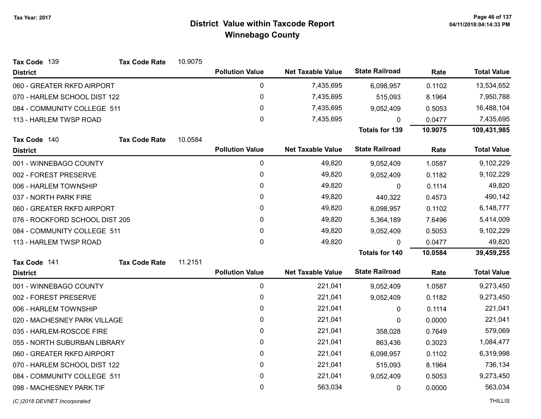| Tax Code 139                   | <b>Tax Code Rate</b> | 10.9075 |                        |                          |                       |         |                    |
|--------------------------------|----------------------|---------|------------------------|--------------------------|-----------------------|---------|--------------------|
| <b>District</b>                |                      |         | <b>Pollution Value</b> | <b>Net Taxable Value</b> | <b>State Railroad</b> | Rate    | <b>Total Value</b> |
| 060 - GREATER RKFD AIRPORT     |                      |         | 0                      | 7,435,695                | 6,098,957             | 0.1102  | 13,534,652         |
| 070 - HARLEM SCHOOL DIST 122   |                      |         | $\pmb{0}$              | 7,435,695                | 515,093               | 8.1964  | 7,950,788          |
| 084 - COMMUNITY COLLEGE 511    |                      |         | 0                      | 7,435,695                | 9,052,409             | 0.5053  | 16,488,104         |
| 113 - HARLEM TWSP ROAD         |                      |         | $\mathbf 0$            | 7,435,695                | $\Omega$              | 0.0477  | 7,435,695          |
|                                |                      |         |                        |                          | <b>Totals for 139</b> | 10.9075 | 109,431,985        |
| Tax Code 140                   | <b>Tax Code Rate</b> | 10.0584 |                        |                          |                       |         |                    |
| <b>District</b>                |                      |         | <b>Pollution Value</b> | <b>Net Taxable Value</b> | <b>State Railroad</b> | Rate    | <b>Total Value</b> |
| 001 - WINNEBAGO COUNTY         |                      |         | 0                      | 49,820                   | 9,052,409             | 1.0587  | 9,102,229          |
| 002 - FOREST PRESERVE          |                      |         | 0                      | 49,820                   | 9,052,409             | 0.1182  | 9,102,229          |
| 006 - HARLEM TOWNSHIP          |                      |         | $\mathbf{0}$           | 49,820                   | $\mathbf{0}$          | 0.1114  | 49,820             |
| 037 - NORTH PARK FIRE          |                      |         | 0                      | 49,820                   | 440,322               | 0.4573  | 490,142            |
| 060 - GREATER RKFD AIRPORT     |                      |         | $\mathbf{0}$           | 49,820                   | 6,098,957             | 0.1102  | 6,148,777          |
| 076 - ROCKFORD SCHOOL DIST 205 |                      |         | 0                      | 49,820                   | 5,364,189             | 7.6496  | 5,414,009          |
| 084 - COMMUNITY COLLEGE 511    |                      |         | $\mathbf{0}$           | 49,820                   | 9,052,409             | 0.5053  | 9,102,229          |
| 113 - HARLEM TWSP ROAD         |                      |         | $\mathbf{0}$           | 49,820                   | $\mathbf{0}$          | 0.0477  | 49,820             |
|                                |                      |         |                        |                          | <b>Totals for 140</b> | 10.0584 | 39,459,255         |
| Tax Code 141                   | <b>Tax Code Rate</b> | 11.2151 |                        |                          |                       |         |                    |
| <b>District</b>                |                      |         | <b>Pollution Value</b> | <b>Net Taxable Value</b> | <b>State Railroad</b> | Rate    | <b>Total Value</b> |
| 001 - WINNEBAGO COUNTY         |                      |         | 0                      | 221,041                  | 9,052,409             | 1.0587  | 9,273,450          |
| 002 - FOREST PRESERVE          |                      |         | $\pmb{0}$              | 221,041                  | 9,052,409             | 0.1182  | 9,273,450          |
| 006 - HARLEM TOWNSHIP          |                      |         | 0                      | 221,041                  | 0                     | 0.1114  | 221,041            |
| 020 - MACHESNEY PARK VILLAGE   |                      |         | $\pmb{0}$              | 221,041                  | 0                     | 0.0000  | 221,041            |
| 035 - HARLEM-ROSCOE FIRE       |                      |         | 0                      | 221,041                  | 358,028               | 0.7649  | 579,069            |
| 055 - NORTH SUBURBAN LIBRARY   |                      |         | 0                      | 221,041                  | 863,436               | 0.3023  | 1,084,477          |
| 060 - GREATER RKFD AIRPORT     |                      |         | 0                      | 221,041                  | 6,098,957             | 0.1102  | 6,319,998          |
| 070 - HARLEM SCHOOL DIST 122   |                      |         | $\pmb{0}$              | 221,041                  | 515,093               | 8.1964  | 736,134            |
| 084 - COMMUNITY COLLEGE 511    |                      |         | 0                      | 221,041                  | 9,052,409             | 0.5053  | 9,273,450          |
| 098 - MACHESNEY PARK TIF       |                      |         | 0                      | 563,034                  | 0                     | 0.0000  | 563,034            |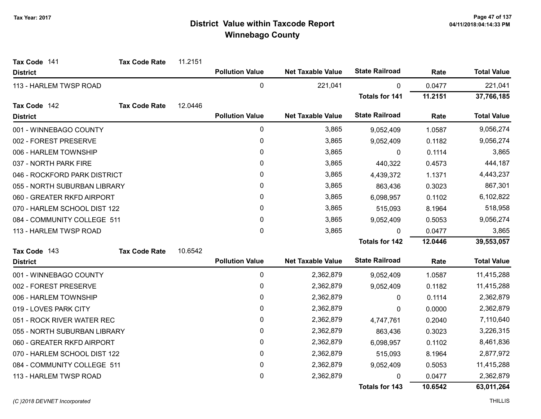| Tax Code 141                 | <b>Tax Code Rate</b> | 11.2151 |                        |                          |                       |         |                    |
|------------------------------|----------------------|---------|------------------------|--------------------------|-----------------------|---------|--------------------|
| <b>District</b>              |                      |         | <b>Pollution Value</b> | <b>Net Taxable Value</b> | <b>State Railroad</b> | Rate    | <b>Total Value</b> |
| 113 - HARLEM TWSP ROAD       |                      |         | $\mathbf 0$            | 221,041                  | 0                     | 0.0477  | 221,041            |
|                              |                      |         |                        |                          | <b>Totals for 141</b> | 11.2151 | 37,766,185         |
| Tax Code 142                 | <b>Tax Code Rate</b> | 12.0446 |                        |                          |                       |         |                    |
| <b>District</b>              |                      |         | <b>Pollution Value</b> | <b>Net Taxable Value</b> | <b>State Railroad</b> | Rate    | <b>Total Value</b> |
| 001 - WINNEBAGO COUNTY       |                      |         | 0                      | 3,865                    | 9,052,409             | 1.0587  | 9,056,274          |
| 002 - FOREST PRESERVE        |                      |         | $\pmb{0}$              | 3,865                    | 9,052,409             | 0.1182  | 9,056,274          |
| 006 - HARLEM TOWNSHIP        |                      |         | 0                      | 3,865                    | 0                     | 0.1114  | 3,865              |
| 037 - NORTH PARK FIRE        |                      |         | 0                      | 3,865                    | 440,322               | 0.4573  | 444,187            |
| 046 - ROCKFORD PARK DISTRICT |                      |         | 0                      | 3,865                    | 4,439,372             | 1.1371  | 4,443,237          |
| 055 - NORTH SUBURBAN LIBRARY |                      |         | 0                      | 3,865                    | 863,436               | 0.3023  | 867,301            |
| 060 - GREATER RKFD AIRPORT   |                      |         | 0                      | 3,865                    | 6,098,957             | 0.1102  | 6,102,822          |
| 070 - HARLEM SCHOOL DIST 122 |                      |         | $\pmb{0}$              | 3,865                    | 515,093               | 8.1964  | 518,958            |
| 084 - COMMUNITY COLLEGE 511  |                      |         | 0                      | 3,865                    | 9,052,409             | 0.5053  | 9,056,274          |
| 113 - HARLEM TWSP ROAD       |                      |         | 0                      | 3,865                    | $\Omega$              | 0.0477  | 3,865              |
|                              |                      |         |                        |                          | <b>Totals for 142</b> | 12.0446 | 39,553,057         |
| Tax Code 143                 | <b>Tax Code Rate</b> | 10.6542 |                        |                          |                       |         |                    |
| <b>District</b>              |                      |         | <b>Pollution Value</b> | <b>Net Taxable Value</b> | <b>State Railroad</b> | Rate    | <b>Total Value</b> |
| 001 - WINNEBAGO COUNTY       |                      |         | $\pmb{0}$              | 2,362,879                | 9,052,409             | 1.0587  | 11,415,288         |
| 002 - FOREST PRESERVE        |                      |         | 0                      | 2,362,879                | 9,052,409             | 0.1182  | 11,415,288         |
| 006 - HARLEM TOWNSHIP        |                      |         | $\pmb{0}$              | 2,362,879                | 0                     | 0.1114  | 2,362,879          |
| 019 - LOVES PARK CITY        |                      |         | 0                      | 2,362,879                | 0                     | 0.0000  | 2,362,879          |
| 051 - ROCK RIVER WATER REC   |                      |         | 0                      | 2,362,879                | 4,747,761             | 0.2040  | 7,110,640          |
| 055 - NORTH SUBURBAN LIBRARY |                      |         | 0                      | 2,362,879                | 863,436               | 0.3023  | 3,226,315          |
| 060 - GREATER RKFD AIRPORT   |                      |         | 0                      | 2,362,879                | 6,098,957             | 0.1102  | 8,461,836          |
| 070 - HARLEM SCHOOL DIST 122 |                      |         | 0                      | 2,362,879                | 515,093               | 8.1964  | 2,877,972          |
| 084 - COMMUNITY COLLEGE 511  |                      |         | $\pmb{0}$              | 2,362,879                | 9,052,409             | 0.5053  | 11,415,288         |
| 113 - HARLEM TWSP ROAD       |                      |         | 0                      | 2,362,879                | 0                     | 0.0477  | 2,362,879          |
|                              |                      |         |                        |                          | <b>Totals for 143</b> | 10.6542 | 63,011,264         |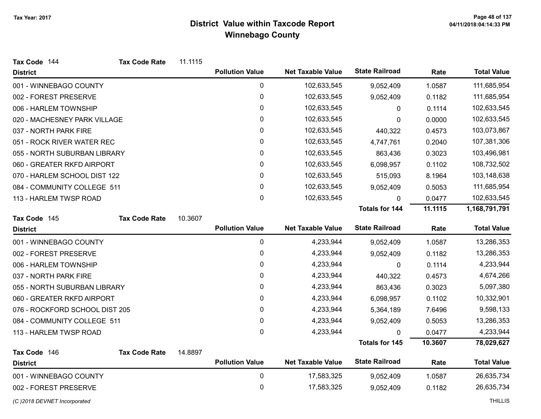| Tax Code 144                   | <b>Tax Code Rate</b> | 11.1115 |                        |                          |                       |         |                    |
|--------------------------------|----------------------|---------|------------------------|--------------------------|-----------------------|---------|--------------------|
| <b>District</b>                |                      |         | <b>Pollution Value</b> | <b>Net Taxable Value</b> | <b>State Railroad</b> | Rate    | <b>Total Value</b> |
| 001 - WINNEBAGO COUNTY         |                      |         | 0                      | 102,633,545              | 9,052,409             | 1.0587  | 111,685,954        |
| 002 - FOREST PRESERVE          |                      |         | 0                      | 102,633,545              | 9,052,409             | 0.1182  | 111,685,954        |
| 006 - HARLEM TOWNSHIP          |                      |         | 0                      | 102,633,545              | 0                     | 0.1114  | 102,633,545        |
| 020 - MACHESNEY PARK VILLAGE   |                      |         | 0                      | 102,633,545              | 0                     | 0.0000  | 102,633,545        |
| 037 - NORTH PARK FIRE          |                      |         | 0                      | 102,633,545              | 440,322               | 0.4573  | 103,073,867        |
| 051 - ROCK RIVER WATER REC     |                      |         | 0                      | 102,633,545              | 4,747,761             | 0.2040  | 107,381,306        |
| 055 - NORTH SUBURBAN LIBRARY   |                      |         | 0                      | 102,633,545              | 863,436               | 0.3023  | 103,496,981        |
| 060 - GREATER RKFD AIRPORT     |                      |         | 0                      | 102,633,545              | 6,098,957             | 0.1102  | 108,732,502        |
| 070 - HARLEM SCHOOL DIST 122   |                      |         | 0                      | 102,633,545              | 515,093               | 8.1964  | 103,148,638        |
| 084 - COMMUNITY COLLEGE 511    |                      |         | 0                      | 102,633,545              | 9,052,409             | 0.5053  | 111,685,954        |
| 113 - HARLEM TWSP ROAD         |                      |         | 0                      | 102,633,545              | 0                     | 0.0477  | 102,633,545        |
|                                |                      |         |                        |                          | <b>Totals for 144</b> | 11.1115 | 1,168,791,791      |
| Tax Code 145                   | <b>Tax Code Rate</b> | 10.3607 |                        |                          |                       |         |                    |
| <b>District</b>                |                      |         | <b>Pollution Value</b> | <b>Net Taxable Value</b> | <b>State Railroad</b> | Rate    | <b>Total Value</b> |
| 001 - WINNEBAGO COUNTY         |                      |         | $\pmb{0}$              | 4,233,944                | 9,052,409             | 1.0587  | 13,286,353         |
| 002 - FOREST PRESERVE          |                      |         | $\mathbf 0$            | 4,233,944                | 9,052,409             | 0.1182  | 13,286,353         |
| 006 - HARLEM TOWNSHIP          |                      |         | 0                      | 4,233,944                | 0                     | 0.1114  | 4,233,944          |
| 037 - NORTH PARK FIRE          |                      |         | 0                      | 4,233,944                | 440,322               | 0.4573  | 4,674,266          |
| 055 - NORTH SUBURBAN LIBRARY   |                      |         | 0                      | 4,233,944                | 863,436               | 0.3023  | 5,097,380          |
| 060 - GREATER RKFD AIRPORT     |                      |         | 0                      | 4,233,944                | 6,098,957             | 0.1102  | 10,332,901         |
| 076 - ROCKFORD SCHOOL DIST 205 |                      |         | 0                      | 4,233,944                | 5,364,189             | 7.6496  | 9,598,133          |
| 084 - COMMUNITY COLLEGE 511    |                      |         | 0                      | 4,233,944                | 9,052,409             | 0.5053  | 13,286,353         |
| 113 - HARLEM TWSP ROAD         |                      |         | 0                      | 4,233,944                | 0                     | 0.0477  | 4,233,944          |
|                                |                      |         |                        |                          | <b>Totals for 145</b> | 10.3607 | 78,029,627         |
| Tax Code 146                   | <b>Tax Code Rate</b> | 14.8897 |                        |                          |                       |         |                    |
| <b>District</b>                |                      |         | <b>Pollution Value</b> | <b>Net Taxable Value</b> | <b>State Railroad</b> | Rate    | <b>Total Value</b> |
| 001 - WINNEBAGO COUNTY         |                      |         | $\pmb{0}$              | 17,583,325               | 9,052,409             | 1.0587  | 26,635,734         |
| 002 - FOREST PRESERVE          |                      |         | 0                      | 17,583,325               | 9,052,409             | 0.1182  | 26,635,734         |
| (C) 2018 DEVNET Incorporated   |                      |         |                        |                          |                       |         | <b>THILLIS</b>     |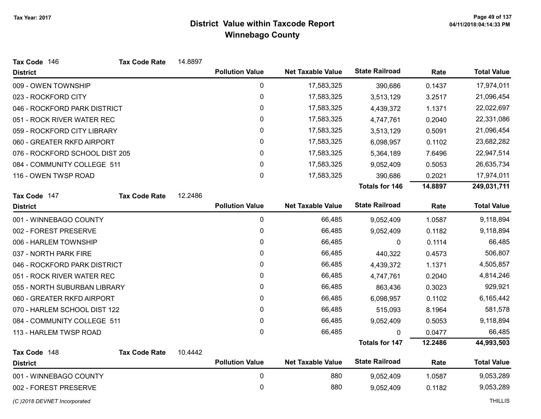| Tax Code 146                   | <b>Tax Code Rate</b> | 14.8897 |                        |                          |                       |         |                    |
|--------------------------------|----------------------|---------|------------------------|--------------------------|-----------------------|---------|--------------------|
| <b>District</b>                |                      |         | <b>Pollution Value</b> | <b>Net Taxable Value</b> | <b>State Railroad</b> | Rate    | <b>Total Value</b> |
| 009 - OWEN TOWNSHIP            |                      |         | 0                      | 17,583,325               | 390,686               | 0.1437  | 17,974,011         |
| 023 - ROCKFORD CITY            |                      |         | $\mathbf 0$            | 17,583,325               | 3,513,129             | 3.2517  | 21,096,454         |
| 046 - ROCKFORD PARK DISTRICT   |                      |         | 0                      | 17,583,325               | 4,439,372             | 1.1371  | 22,022,697         |
| 051 - ROCK RIVER WATER REC     |                      |         | 0                      | 17,583,325               | 4,747,761             | 0.2040  | 22,331,086         |
| 059 - ROCKFORD CITY LIBRARY    |                      |         | 0                      | 17,583,325               | 3,513,129             | 0.5091  | 21,096,454         |
| 060 - GREATER RKFD AIRPORT     |                      |         | 0                      | 17,583,325               | 6,098,957             | 0.1102  | 23,682,282         |
| 076 - ROCKFORD SCHOOL DIST 205 |                      |         | 0                      | 17,583,325               | 5,364,189             | 7.6496  | 22,947,514         |
| 084 - COMMUNITY COLLEGE 511    |                      |         | 0                      | 17,583,325               | 9,052,409             | 0.5053  | 26,635,734         |
| 116 - OWEN TWSP ROAD           |                      |         | 0                      | 17,583,325               | 390,686               | 0.2021  | 17,974,011         |
|                                |                      |         |                        |                          | <b>Totals for 146</b> | 14.8897 | 249,031,711        |
| Tax Code 147                   | <b>Tax Code Rate</b> | 12.2486 |                        |                          |                       |         |                    |
| <b>District</b>                |                      |         | <b>Pollution Value</b> | <b>Net Taxable Value</b> | <b>State Railroad</b> | Rate    | <b>Total Value</b> |
| 001 - WINNEBAGO COUNTY         |                      |         | $\pmb{0}$              | 66,485                   | 9,052,409             | 1.0587  | 9,118,894          |
| 002 - FOREST PRESERVE          |                      |         | 0                      | 66,485                   | 9,052,409             | 0.1182  | 9,118,894          |
| 006 - HARLEM TOWNSHIP          |                      |         | 0                      | 66,485                   | 0                     | 0.1114  | 66,485             |
| 037 - NORTH PARK FIRE          |                      |         | 0                      | 66,485                   | 440,322               | 0.4573  | 506,807            |
| 046 - ROCKFORD PARK DISTRICT   |                      |         | 0                      | 66,485                   | 4,439,372             | 1.1371  | 4,505,857          |
| 051 - ROCK RIVER WATER REC     |                      |         | 0                      | 66,485                   | 4,747,761             | 0.2040  | 4,814,246          |
| 055 - NORTH SUBURBAN LIBRARY   |                      |         | 0                      | 66,485                   | 863,436               | 0.3023  | 929,921            |
| 060 - GREATER RKFD AIRPORT     |                      |         | 0                      | 66,485                   | 6,098,957             | 0.1102  | 6,165,442          |
| 070 - HARLEM SCHOOL DIST 122   |                      |         | 0                      | 66,485                   | 515,093               | 8.1964  | 581,578            |
| 084 - COMMUNITY COLLEGE 511    |                      |         | 0                      | 66,485                   | 9,052,409             | 0.5053  | 9,118,894          |
| 113 - HARLEM TWSP ROAD         |                      |         | 0                      | 66,485                   | 0                     | 0.0477  | 66,485             |
|                                |                      |         |                        |                          | <b>Totals for 147</b> | 12.2486 | 44,993,503         |
| Tax Code 148                   | <b>Tax Code Rate</b> | 10.4442 |                        |                          |                       |         |                    |
| <b>District</b>                |                      |         | <b>Pollution Value</b> | <b>Net Taxable Value</b> | <b>State Railroad</b> | Rate    | <b>Total Value</b> |
| 001 - WINNEBAGO COUNTY         |                      |         | $\pmb{0}$              | 880                      | 9,052,409             | 1.0587  | 9,053,289          |
| 002 - FOREST PRESERVE          |                      |         | 0                      | 880                      | 9,052,409             | 0.1182  | 9,053,289          |

(C)2018 DEVNET Incorporated THILLIS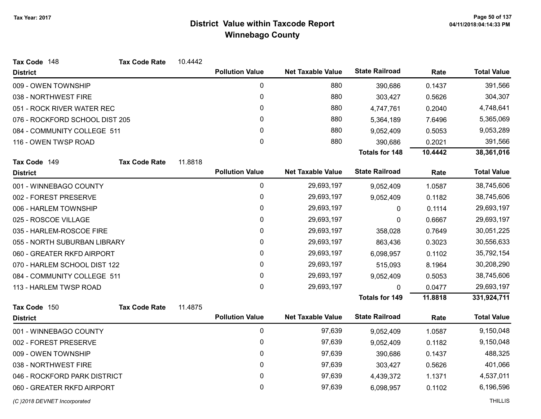| <b>State Railroad</b><br><b>Pollution Value</b><br><b>Net Taxable Value</b><br><b>Total Value</b><br>Rate<br><b>District</b><br>0<br>880<br>391,566<br>009 - OWEN TOWNSHIP<br>0.1437<br>390,686<br>0<br>880<br>304,307<br>038 - NORTHWEST FIRE<br>303,427<br>0.5626<br>0<br>880<br>4,748,641<br>051 - ROCK RIVER WATER REC<br>4,747,761<br>0.2040<br>880<br>076 - ROCKFORD SCHOOL DIST 205<br>0<br>5,365,069<br>7.6496<br>5,364,189<br>0<br>880<br>084 - COMMUNITY COLLEGE 511<br>9,053,289<br>9,052,409<br>0.5053<br>0<br>880<br>391,566<br>116 - OWEN TWSP ROAD<br>0.2021<br>390,686<br>10.4442<br><b>Totals for 148</b><br>38,361,016<br>11.8818<br>Tax Code 149<br><b>Tax Code Rate</b><br><b>State Railroad</b><br><b>Pollution Value</b><br><b>Net Taxable Value</b><br><b>Total Value</b><br>Rate<br><b>District</b><br>0<br>29,693,197<br>38,745,606<br>001 - WINNEBAGO COUNTY<br>1.0587<br>9,052,409<br>0<br>29,693,197<br>38,745,606<br>0.1182<br>9,052,409<br>0<br>29,693,197<br>29,693,197<br>0.1114<br>006 - HARLEM TOWNSHIP<br>0<br>0<br>29,693,197<br>29,693,197<br>0.6667<br>0<br>0<br>29,693,197<br>30,051,225<br>035 - HARLEM-ROSCOE FIRE<br>358,028<br>0.7649<br>0<br>29,693,197<br>30,556,633<br>055 - NORTH SUBURBAN LIBRARY<br>0.3023<br>863,436<br>0<br>35,792,154<br>060 - GREATER RKFD AIRPORT<br>29,693,197<br>0.1102<br>6,098,957<br>0<br>070 - HARLEM SCHOOL DIST 122<br>30,208,290<br>29,693,197<br>515,093<br>8.1964<br>0<br>084 - COMMUNITY COLLEGE 511<br>38,745,606<br>29,693,197<br>9,052,409<br>0.5053<br>0<br>29,693,197<br>113 - HARLEM TWSP ROAD<br>29,693,197<br>0<br>0.0477<br><b>Totals for 149</b><br>11.8818<br>331,924,711<br>11.4875<br>Tax Code 150<br><b>Tax Code Rate</b><br><b>State Railroad</b><br><b>Total Value</b><br><b>Pollution Value</b><br><b>Net Taxable Value</b><br>Rate<br><b>District</b><br>0<br>001 - WINNEBAGO COUNTY<br>97,639<br>9,150,048<br>9,052,409<br>1.0587<br>0<br>97,639<br>9,150,048<br>9,052,409<br>0.1182<br>0<br>488,325<br>009 - OWEN TOWNSHIP<br>97,639<br>390,686<br>0.1437<br>038 - NORTHWEST FIRE<br>0<br>97,639<br>401,066<br>303,427<br>0.5626 | Tax Code 148                 | <b>Tax Code Rate</b> | 10.4442 |   |        |           |        |           |
|----------------------------------------------------------------------------------------------------------------------------------------------------------------------------------------------------------------------------------------------------------------------------------------------------------------------------------------------------------------------------------------------------------------------------------------------------------------------------------------------------------------------------------------------------------------------------------------------------------------------------------------------------------------------------------------------------------------------------------------------------------------------------------------------------------------------------------------------------------------------------------------------------------------------------------------------------------------------------------------------------------------------------------------------------------------------------------------------------------------------------------------------------------------------------------------------------------------------------------------------------------------------------------------------------------------------------------------------------------------------------------------------------------------------------------------------------------------------------------------------------------------------------------------------------------------------------------------------------------------------------------------------------------------------------------------------------------------------------------------------------------------------------------------------------------------------------------------------------------------------------------------------------------------------------------------------------------------------------------------------------------------------------------------------------------------------------------------------------------------------------------------|------------------------------|----------------------|---------|---|--------|-----------|--------|-----------|
|                                                                                                                                                                                                                                                                                                                                                                                                                                                                                                                                                                                                                                                                                                                                                                                                                                                                                                                                                                                                                                                                                                                                                                                                                                                                                                                                                                                                                                                                                                                                                                                                                                                                                                                                                                                                                                                                                                                                                                                                                                                                                                                                        |                              |                      |         |   |        |           |        |           |
|                                                                                                                                                                                                                                                                                                                                                                                                                                                                                                                                                                                                                                                                                                                                                                                                                                                                                                                                                                                                                                                                                                                                                                                                                                                                                                                                                                                                                                                                                                                                                                                                                                                                                                                                                                                                                                                                                                                                                                                                                                                                                                                                        |                              |                      |         |   |        |           |        |           |
|                                                                                                                                                                                                                                                                                                                                                                                                                                                                                                                                                                                                                                                                                                                                                                                                                                                                                                                                                                                                                                                                                                                                                                                                                                                                                                                                                                                                                                                                                                                                                                                                                                                                                                                                                                                                                                                                                                                                                                                                                                                                                                                                        |                              |                      |         |   |        |           |        |           |
|                                                                                                                                                                                                                                                                                                                                                                                                                                                                                                                                                                                                                                                                                                                                                                                                                                                                                                                                                                                                                                                                                                                                                                                                                                                                                                                                                                                                                                                                                                                                                                                                                                                                                                                                                                                                                                                                                                                                                                                                                                                                                                                                        |                              |                      |         |   |        |           |        |           |
|                                                                                                                                                                                                                                                                                                                                                                                                                                                                                                                                                                                                                                                                                                                                                                                                                                                                                                                                                                                                                                                                                                                                                                                                                                                                                                                                                                                                                                                                                                                                                                                                                                                                                                                                                                                                                                                                                                                                                                                                                                                                                                                                        |                              |                      |         |   |        |           |        |           |
|                                                                                                                                                                                                                                                                                                                                                                                                                                                                                                                                                                                                                                                                                                                                                                                                                                                                                                                                                                                                                                                                                                                                                                                                                                                                                                                                                                                                                                                                                                                                                                                                                                                                                                                                                                                                                                                                                                                                                                                                                                                                                                                                        |                              |                      |         |   |        |           |        |           |
|                                                                                                                                                                                                                                                                                                                                                                                                                                                                                                                                                                                                                                                                                                                                                                                                                                                                                                                                                                                                                                                                                                                                                                                                                                                                                                                                                                                                                                                                                                                                                                                                                                                                                                                                                                                                                                                                                                                                                                                                                                                                                                                                        |                              |                      |         |   |        |           |        |           |
|                                                                                                                                                                                                                                                                                                                                                                                                                                                                                                                                                                                                                                                                                                                                                                                                                                                                                                                                                                                                                                                                                                                                                                                                                                                                                                                                                                                                                                                                                                                                                                                                                                                                                                                                                                                                                                                                                                                                                                                                                                                                                                                                        |                              |                      |         |   |        |           |        |           |
|                                                                                                                                                                                                                                                                                                                                                                                                                                                                                                                                                                                                                                                                                                                                                                                                                                                                                                                                                                                                                                                                                                                                                                                                                                                                                                                                                                                                                                                                                                                                                                                                                                                                                                                                                                                                                                                                                                                                                                                                                                                                                                                                        |                              |                      |         |   |        |           |        |           |
|                                                                                                                                                                                                                                                                                                                                                                                                                                                                                                                                                                                                                                                                                                                                                                                                                                                                                                                                                                                                                                                                                                                                                                                                                                                                                                                                                                                                                                                                                                                                                                                                                                                                                                                                                                                                                                                                                                                                                                                                                                                                                                                                        |                              |                      |         |   |        |           |        |           |
|                                                                                                                                                                                                                                                                                                                                                                                                                                                                                                                                                                                                                                                                                                                                                                                                                                                                                                                                                                                                                                                                                                                                                                                                                                                                                                                                                                                                                                                                                                                                                                                                                                                                                                                                                                                                                                                                                                                                                                                                                                                                                                                                        |                              |                      |         |   |        |           |        |           |
|                                                                                                                                                                                                                                                                                                                                                                                                                                                                                                                                                                                                                                                                                                                                                                                                                                                                                                                                                                                                                                                                                                                                                                                                                                                                                                                                                                                                                                                                                                                                                                                                                                                                                                                                                                                                                                                                                                                                                                                                                                                                                                                                        | 002 - FOREST PRESERVE        |                      |         |   |        |           |        |           |
|                                                                                                                                                                                                                                                                                                                                                                                                                                                                                                                                                                                                                                                                                                                                                                                                                                                                                                                                                                                                                                                                                                                                                                                                                                                                                                                                                                                                                                                                                                                                                                                                                                                                                                                                                                                                                                                                                                                                                                                                                                                                                                                                        |                              |                      |         |   |        |           |        |           |
|                                                                                                                                                                                                                                                                                                                                                                                                                                                                                                                                                                                                                                                                                                                                                                                                                                                                                                                                                                                                                                                                                                                                                                                                                                                                                                                                                                                                                                                                                                                                                                                                                                                                                                                                                                                                                                                                                                                                                                                                                                                                                                                                        | 025 - ROSCOE VILLAGE         |                      |         |   |        |           |        |           |
|                                                                                                                                                                                                                                                                                                                                                                                                                                                                                                                                                                                                                                                                                                                                                                                                                                                                                                                                                                                                                                                                                                                                                                                                                                                                                                                                                                                                                                                                                                                                                                                                                                                                                                                                                                                                                                                                                                                                                                                                                                                                                                                                        |                              |                      |         |   |        |           |        |           |
|                                                                                                                                                                                                                                                                                                                                                                                                                                                                                                                                                                                                                                                                                                                                                                                                                                                                                                                                                                                                                                                                                                                                                                                                                                                                                                                                                                                                                                                                                                                                                                                                                                                                                                                                                                                                                                                                                                                                                                                                                                                                                                                                        |                              |                      |         |   |        |           |        |           |
|                                                                                                                                                                                                                                                                                                                                                                                                                                                                                                                                                                                                                                                                                                                                                                                                                                                                                                                                                                                                                                                                                                                                                                                                                                                                                                                                                                                                                                                                                                                                                                                                                                                                                                                                                                                                                                                                                                                                                                                                                                                                                                                                        |                              |                      |         |   |        |           |        |           |
|                                                                                                                                                                                                                                                                                                                                                                                                                                                                                                                                                                                                                                                                                                                                                                                                                                                                                                                                                                                                                                                                                                                                                                                                                                                                                                                                                                                                                                                                                                                                                                                                                                                                                                                                                                                                                                                                                                                                                                                                                                                                                                                                        |                              |                      |         |   |        |           |        |           |
|                                                                                                                                                                                                                                                                                                                                                                                                                                                                                                                                                                                                                                                                                                                                                                                                                                                                                                                                                                                                                                                                                                                                                                                                                                                                                                                                                                                                                                                                                                                                                                                                                                                                                                                                                                                                                                                                                                                                                                                                                                                                                                                                        |                              |                      |         |   |        |           |        |           |
|                                                                                                                                                                                                                                                                                                                                                                                                                                                                                                                                                                                                                                                                                                                                                                                                                                                                                                                                                                                                                                                                                                                                                                                                                                                                                                                                                                                                                                                                                                                                                                                                                                                                                                                                                                                                                                                                                                                                                                                                                                                                                                                                        |                              |                      |         |   |        |           |        |           |
|                                                                                                                                                                                                                                                                                                                                                                                                                                                                                                                                                                                                                                                                                                                                                                                                                                                                                                                                                                                                                                                                                                                                                                                                                                                                                                                                                                                                                                                                                                                                                                                                                                                                                                                                                                                                                                                                                                                                                                                                                                                                                                                                        |                              |                      |         |   |        |           |        |           |
|                                                                                                                                                                                                                                                                                                                                                                                                                                                                                                                                                                                                                                                                                                                                                                                                                                                                                                                                                                                                                                                                                                                                                                                                                                                                                                                                                                                                                                                                                                                                                                                                                                                                                                                                                                                                                                                                                                                                                                                                                                                                                                                                        |                              |                      |         |   |        |           |        |           |
|                                                                                                                                                                                                                                                                                                                                                                                                                                                                                                                                                                                                                                                                                                                                                                                                                                                                                                                                                                                                                                                                                                                                                                                                                                                                                                                                                                                                                                                                                                                                                                                                                                                                                                                                                                                                                                                                                                                                                                                                                                                                                                                                        |                              |                      |         |   |        |           |        |           |
|                                                                                                                                                                                                                                                                                                                                                                                                                                                                                                                                                                                                                                                                                                                                                                                                                                                                                                                                                                                                                                                                                                                                                                                                                                                                                                                                                                                                                                                                                                                                                                                                                                                                                                                                                                                                                                                                                                                                                                                                                                                                                                                                        |                              |                      |         |   |        |           |        |           |
|                                                                                                                                                                                                                                                                                                                                                                                                                                                                                                                                                                                                                                                                                                                                                                                                                                                                                                                                                                                                                                                                                                                                                                                                                                                                                                                                                                                                                                                                                                                                                                                                                                                                                                                                                                                                                                                                                                                                                                                                                                                                                                                                        | 002 - FOREST PRESERVE        |                      |         |   |        |           |        |           |
|                                                                                                                                                                                                                                                                                                                                                                                                                                                                                                                                                                                                                                                                                                                                                                                                                                                                                                                                                                                                                                                                                                                                                                                                                                                                                                                                                                                                                                                                                                                                                                                                                                                                                                                                                                                                                                                                                                                                                                                                                                                                                                                                        |                              |                      |         |   |        |           |        |           |
|                                                                                                                                                                                                                                                                                                                                                                                                                                                                                                                                                                                                                                                                                                                                                                                                                                                                                                                                                                                                                                                                                                                                                                                                                                                                                                                                                                                                                                                                                                                                                                                                                                                                                                                                                                                                                                                                                                                                                                                                                                                                                                                                        |                              |                      |         |   |        |           |        |           |
|                                                                                                                                                                                                                                                                                                                                                                                                                                                                                                                                                                                                                                                                                                                                                                                                                                                                                                                                                                                                                                                                                                                                                                                                                                                                                                                                                                                                                                                                                                                                                                                                                                                                                                                                                                                                                                                                                                                                                                                                                                                                                                                                        | 046 - ROCKFORD PARK DISTRICT |                      |         | 0 | 97,639 | 4,439,372 | 1.1371 | 4,537,011 |
| 0<br>97,639<br>6,196,596<br>060 - GREATER RKFD AIRPORT<br>0.1102<br>6,098,957                                                                                                                                                                                                                                                                                                                                                                                                                                                                                                                                                                                                                                                                                                                                                                                                                                                                                                                                                                                                                                                                                                                                                                                                                                                                                                                                                                                                                                                                                                                                                                                                                                                                                                                                                                                                                                                                                                                                                                                                                                                          |                              |                      |         |   |        |           |        |           |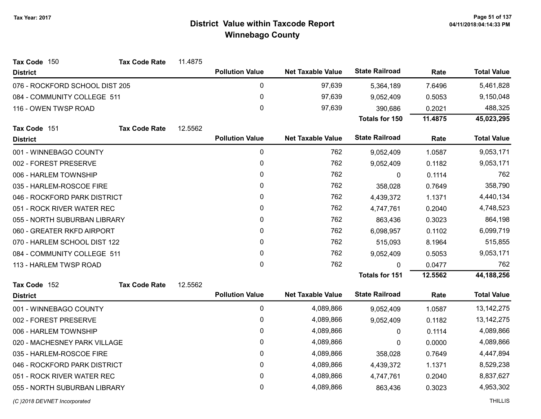| Tax Code 150                   | <b>Tax Code Rate</b> | 11.4875 |                        |                          |                       |         |                    |
|--------------------------------|----------------------|---------|------------------------|--------------------------|-----------------------|---------|--------------------|
| <b>District</b>                |                      |         | <b>Pollution Value</b> | <b>Net Taxable Value</b> | <b>State Railroad</b> | Rate    | <b>Total Value</b> |
| 076 - ROCKFORD SCHOOL DIST 205 |                      |         | $\pmb{0}$              | 97,639                   | 5,364,189             | 7.6496  | 5,461,828          |
| 084 - COMMUNITY COLLEGE 511    |                      |         | $\pmb{0}$              | 97,639                   | 9,052,409             | 0.5053  | 9,150,048          |
| 116 - OWEN TWSP ROAD           |                      |         | $\mathbf 0$            | 97,639                   | 390,686               | 0.2021  | 488,325            |
|                                |                      |         |                        |                          | <b>Totals for 150</b> | 11.4875 | 45,023,295         |
| Tax Code 151                   | <b>Tax Code Rate</b> | 12.5562 |                        |                          |                       |         |                    |
| <b>District</b>                |                      |         | <b>Pollution Value</b> | <b>Net Taxable Value</b> | <b>State Railroad</b> | Rate    | <b>Total Value</b> |
| 001 - WINNEBAGO COUNTY         |                      |         | 0                      | 762                      | 9,052,409             | 1.0587  | 9,053,171          |
| 002 - FOREST PRESERVE          |                      |         | $\pmb{0}$              | 762                      | 9,052,409             | 0.1182  | 9,053,171          |
| 006 - HARLEM TOWNSHIP          |                      |         | $\mathbf{0}$           | 762                      | 0                     | 0.1114  | 762                |
| 035 - HARLEM-ROSCOE FIRE       |                      |         | $\mathbf{0}$           | 762                      | 358,028               | 0.7649  | 358,790            |
| 046 - ROCKFORD PARK DISTRICT   |                      |         | 0                      | 762                      | 4,439,372             | 1.1371  | 4,440,134          |
| 051 - ROCK RIVER WATER REC     |                      |         | $\mathbf{0}$           | 762                      | 4,747,761             | 0.2040  | 4,748,523          |
| 055 - NORTH SUBURBAN LIBRARY   |                      |         | $\Omega$               | 762                      | 863,436               | 0.3023  | 864,198            |
| 060 - GREATER RKFD AIRPORT     |                      |         | $\mathbf{0}$           | 762                      | 6,098,957             | 0.1102  | 6,099,719          |
| 070 - HARLEM SCHOOL DIST 122   |                      |         | 0                      | 762                      | 515,093               | 8.1964  | 515,855            |
| 084 - COMMUNITY COLLEGE 511    |                      |         | 0                      | 762                      | 9,052,409             | 0.5053  | 9,053,171          |
| 113 - HARLEM TWSP ROAD         |                      |         | $\Omega$               | 762                      | 0                     | 0.0477  | 762                |
|                                |                      |         |                        |                          | <b>Totals for 151</b> | 12.5562 | 44,188,256         |
| Tax Code 152                   | <b>Tax Code Rate</b> | 12.5562 |                        |                          |                       |         |                    |
| <b>District</b>                |                      |         | <b>Pollution Value</b> | <b>Net Taxable Value</b> | <b>State Railroad</b> | Rate    | <b>Total Value</b> |
| 001 - WINNEBAGO COUNTY         |                      |         | 0                      | 4,089,866                | 9,052,409             | 1.0587  | 13, 142, 275       |
| 002 - FOREST PRESERVE          |                      |         | $\pmb{0}$              | 4,089,866                | 9,052,409             | 0.1182  | 13, 142, 275       |
| 006 - HARLEM TOWNSHIP          |                      |         | $\pmb{0}$              | 4,089,866                | $\mathbf{0}$          | 0.1114  | 4,089,866          |
| 020 - MACHESNEY PARK VILLAGE   |                      |         | $\mathbf{0}$           | 4,089,866                | 0                     | 0.0000  | 4,089,866          |
| 035 - HARLEM-ROSCOE FIRE       |                      |         | $\mathbf 0$            | 4,089,866                | 358,028               | 0.7649  | 4,447,894          |
| 046 - ROCKFORD PARK DISTRICT   |                      |         | 0                      | 4,089,866                | 4,439,372             | 1.1371  | 8,529,238          |
| 051 - ROCK RIVER WATER REC     |                      |         | $\pmb{0}$              | 4,089,866                | 4,747,761             | 0.2040  | 8,837,627          |
| 055 - NORTH SUBURBAN LIBRARY   |                      |         | 0                      | 4,089,866                | 863,436               | 0.3023  | 4,953,302          |
| (C) 2018 DEVNET Incorporated   |                      |         |                        |                          |                       |         | <b>THILLIS</b>     |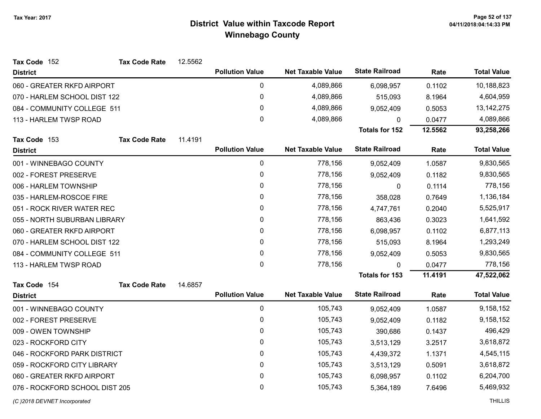| Tax Code 152                   | <b>Tax Code Rate</b> | 12.5562 |                        |                          |                       |         |                    |
|--------------------------------|----------------------|---------|------------------------|--------------------------|-----------------------|---------|--------------------|
| <b>District</b>                |                      |         | <b>Pollution Value</b> | <b>Net Taxable Value</b> | <b>State Railroad</b> | Rate    | <b>Total Value</b> |
| 060 - GREATER RKFD AIRPORT     |                      |         | $\pmb{0}$              | 4,089,866                | 6,098,957             | 0.1102  | 10,188,823         |
| 070 - HARLEM SCHOOL DIST 122   |                      |         | 0                      | 4,089,866                | 515,093               | 8.1964  | 4,604,959          |
| 084 - COMMUNITY COLLEGE 511    |                      |         | $\pmb{0}$              | 4,089,866                | 9,052,409             | 0.5053  | 13, 142, 275       |
| 113 - HARLEM TWSP ROAD         |                      |         | $\mathbf 0$            | 4,089,866                | $\Omega$              | 0.0477  | 4,089,866          |
|                                |                      |         |                        |                          | <b>Totals for 152</b> | 12.5562 | 93,258,266         |
| Tax Code 153                   | <b>Tax Code Rate</b> | 11.4191 |                        |                          |                       |         |                    |
| <b>District</b>                |                      |         | <b>Pollution Value</b> | <b>Net Taxable Value</b> | <b>State Railroad</b> | Rate    | <b>Total Value</b> |
| 001 - WINNEBAGO COUNTY         |                      |         | $\pmb{0}$              | 778,156                  | 9,052,409             | 1.0587  | 9,830,565          |
| 002 - FOREST PRESERVE          |                      |         | $\pmb{0}$              | 778,156                  | 9,052,409             | 0.1182  | 9,830,565          |
| 006 - HARLEM TOWNSHIP          |                      |         | $\pmb{0}$              | 778,156                  | 0                     | 0.1114  | 778,156            |
| 035 - HARLEM-ROSCOE FIRE       |                      |         | $\pmb{0}$              | 778,156                  | 358,028               | 0.7649  | 1,136,184          |
| 051 - ROCK RIVER WATER REC     |                      |         | 0                      | 778,156                  | 4,747,761             | 0.2040  | 5,525,917          |
| 055 - NORTH SUBURBAN LIBRARY   |                      |         | $\pmb{0}$              | 778,156                  | 863,436               | 0.3023  | 1,641,592          |
| 060 - GREATER RKFD AIRPORT     |                      |         | $\mathbf{0}$           | 778,156                  | 6,098,957             | 0.1102  | 6,877,113          |
| 070 - HARLEM SCHOOL DIST 122   |                      |         | $\mathbf 0$            | 778,156                  | 515,093               | 8.1964  | 1,293,249          |
| 084 - COMMUNITY COLLEGE 511    |                      |         | 0                      | 778,156                  | 9,052,409             | 0.5053  | 9,830,565          |
| 113 - HARLEM TWSP ROAD         |                      |         | $\mathbf 0$            | 778,156                  | $\mathbf{0}$          | 0.0477  | 778,156            |
|                                |                      |         |                        |                          | <b>Totals for 153</b> | 11.4191 | 47,522,062         |
| Tax Code 154                   | <b>Tax Code Rate</b> | 14.6857 |                        |                          |                       |         |                    |
| <b>District</b>                |                      |         | <b>Pollution Value</b> | <b>Net Taxable Value</b> | <b>State Railroad</b> | Rate    | <b>Total Value</b> |
| 001 - WINNEBAGO COUNTY         |                      |         | $\pmb{0}$              | 105,743                  | 9,052,409             | 1.0587  | 9,158,152          |
| 002 - FOREST PRESERVE          |                      |         | $\pmb{0}$              | 105,743                  | 9,052,409             | 0.1182  | 9,158,152          |
| 009 - OWEN TOWNSHIP            |                      |         | $\mathbf 0$            | 105,743                  | 390,686               | 0.1437  | 496,429            |
| 023 - ROCKFORD CITY            |                      |         | $\mathbf{0}$           | 105,743                  | 3,513,129             | 3.2517  | 3,618,872          |
| 046 - ROCKFORD PARK DISTRICT   |                      |         | $\mathbf 0$            | 105,743                  | 4,439,372             | 1.1371  | 4,545,115          |
| 059 - ROCKFORD CITY LIBRARY    |                      |         | 0                      | 105,743                  | 3,513,129             | 0.5091  | 3,618,872          |
| 060 - GREATER RKFD AIRPORT     |                      |         | $\pmb{0}$              | 105,743                  | 6,098,957             | 0.1102  | 6,204,700          |
| 076 - ROCKFORD SCHOOL DIST 205 |                      |         | $\pmb{0}$              | 105,743                  | 5,364,189             | 7.6496  | 5,469,932          |
| (C) 2018 DEVNET Incorporated   |                      |         |                        |                          |                       |         | <b>THILLIS</b>     |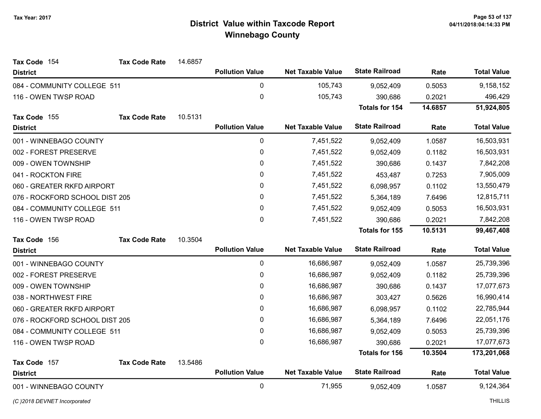| Tax Code 154                   | <b>Tax Code Rate</b> | 14.6857 |                        |                          |                       |         |                    |
|--------------------------------|----------------------|---------|------------------------|--------------------------|-----------------------|---------|--------------------|
| <b>District</b>                |                      |         | <b>Pollution Value</b> | <b>Net Taxable Value</b> | <b>State Railroad</b> | Rate    | <b>Total Value</b> |
| 084 - COMMUNITY COLLEGE 511    |                      |         | $\pmb{0}$              | 105,743                  | 9,052,409             | 0.5053  | 9,158,152          |
| 116 - OWEN TWSP ROAD           |                      |         | $\boldsymbol{0}$       | 105,743                  | 390,686               | 0.2021  | 496,429            |
|                                |                      |         |                        |                          | <b>Totals for 154</b> | 14.6857 | 51,924,805         |
| Tax Code 155                   | <b>Tax Code Rate</b> | 10.5131 |                        |                          |                       |         |                    |
| <b>District</b>                |                      |         | <b>Pollution Value</b> | <b>Net Taxable Value</b> | <b>State Railroad</b> | Rate    | <b>Total Value</b> |
| 001 - WINNEBAGO COUNTY         |                      |         | $\mathbf 0$            | 7,451,522                | 9,052,409             | 1.0587  | 16,503,931         |
| 002 - FOREST PRESERVE          |                      |         | $\pmb{0}$              | 7,451,522                | 9,052,409             | 0.1182  | 16,503,931         |
| 009 - OWEN TOWNSHIP            |                      |         | 0                      | 7,451,522                | 390,686               | 0.1437  | 7,842,208          |
| 041 - ROCKTON FIRE             |                      |         | $\pmb{0}$              | 7,451,522                | 453,487               | 0.7253  | 7,905,009          |
| 060 - GREATER RKFD AIRPORT     |                      |         | 0                      | 7,451,522                | 6,098,957             | 0.1102  | 13,550,479         |
| 076 - ROCKFORD SCHOOL DIST 205 |                      |         | 0                      | 7,451,522                | 5,364,189             | 7.6496  | 12,815,711         |
| 084 - COMMUNITY COLLEGE 511    |                      |         | 0                      | 7,451,522                | 9,052,409             | 0.5053  | 16,503,931         |
| 116 - OWEN TWSP ROAD           |                      |         | 0                      | 7,451,522                | 390,686               | 0.2021  | 7,842,208          |
|                                |                      |         |                        |                          | Totals for 155        | 10.5131 | 99,467,408         |
| Tax Code 156                   | <b>Tax Code Rate</b> | 10.3504 |                        |                          |                       |         |                    |
| <b>District</b>                |                      |         | <b>Pollution Value</b> | <b>Net Taxable Value</b> | <b>State Railroad</b> | Rate    | <b>Total Value</b> |
| 001 - WINNEBAGO COUNTY         |                      |         | $\mathbf 0$            | 16,686,987               | 9,052,409             | 1.0587  | 25,739,396         |
| 002 - FOREST PRESERVE          |                      |         | 0                      | 16,686,987               | 9,052,409             | 0.1182  | 25,739,396         |
| 009 - OWEN TOWNSHIP            |                      |         | 0                      | 16,686,987               | 390,686               | 0.1437  | 17,077,673         |
| 038 - NORTHWEST FIRE           |                      |         | 0                      | 16,686,987               | 303,427               | 0.5626  | 16,990,414         |
| 060 - GREATER RKFD AIRPORT     |                      |         | 0                      | 16,686,987               | 6,098,957             | 0.1102  | 22,785,944         |
| 076 - ROCKFORD SCHOOL DIST 205 |                      |         | 0                      | 16,686,987               | 5,364,189             | 7.6496  | 22,051,176         |
| 084 - COMMUNITY COLLEGE 511    |                      |         | 0                      | 16,686,987               | 9,052,409             | 0.5053  | 25,739,396         |
| 116 - OWEN TWSP ROAD           |                      |         | 0                      | 16,686,987               | 390,686               | 0.2021  | 17,077,673         |
|                                |                      |         |                        |                          | <b>Totals for 156</b> | 10.3504 | 173,201,068        |
| Tax Code 157                   | <b>Tax Code Rate</b> | 13.5486 |                        |                          |                       |         |                    |
| <b>District</b>                |                      |         | <b>Pollution Value</b> | <b>Net Taxable Value</b> | <b>State Railroad</b> | Rate    | <b>Total Value</b> |
|                                |                      |         |                        |                          |                       |         |                    |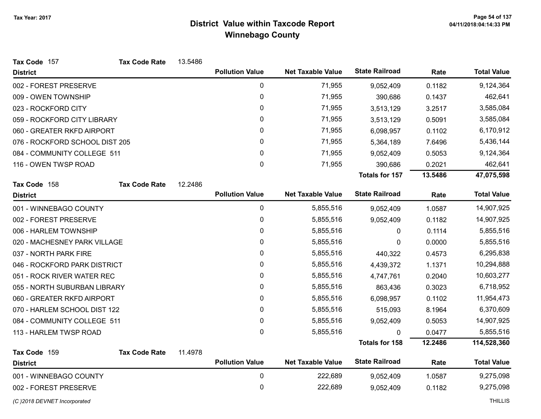| Tax Code 157                   | <b>Tax Code Rate</b> | 13.5486 |                        |                          |                       |         |                    |
|--------------------------------|----------------------|---------|------------------------|--------------------------|-----------------------|---------|--------------------|
| <b>District</b>                |                      |         | <b>Pollution Value</b> | <b>Net Taxable Value</b> | <b>State Railroad</b> | Rate    | <b>Total Value</b> |
| 002 - FOREST PRESERVE          |                      |         | 0                      | 71,955                   | 9,052,409             | 0.1182  | 9,124,364          |
| 009 - OWEN TOWNSHIP            |                      |         | 0                      | 71,955                   | 390,686               | 0.1437  | 462,641            |
| 023 - ROCKFORD CITY            |                      |         | 0                      | 71,955                   | 3,513,129             | 3.2517  | 3,585,084          |
| 059 - ROCKFORD CITY LIBRARY    |                      |         | 0                      | 71,955                   | 3,513,129             | 0.5091  | 3,585,084          |
| 060 - GREATER RKFD AIRPORT     |                      |         | 0                      | 71,955                   | 6,098,957             | 0.1102  | 6,170,912          |
| 076 - ROCKFORD SCHOOL DIST 205 |                      |         | 0                      | 71,955                   | 5,364,189             | 7.6496  | 5,436,144          |
| 084 - COMMUNITY COLLEGE 511    |                      |         | 0                      | 71,955                   | 9,052,409             | 0.5053  | 9,124,364          |
| 116 - OWEN TWSP ROAD           |                      |         | 0                      | 71,955                   | 390,686               | 0.2021  | 462,641            |
|                                |                      |         |                        |                          | <b>Totals for 157</b> | 13.5486 | 47,075,598         |
| Tax Code 158                   | <b>Tax Code Rate</b> | 12.2486 |                        |                          |                       |         |                    |
| <b>District</b>                |                      |         | <b>Pollution Value</b> | <b>Net Taxable Value</b> | <b>State Railroad</b> | Rate    | <b>Total Value</b> |
| 001 - WINNEBAGO COUNTY         |                      |         | 0                      | 5,855,516                | 9,052,409             | 1.0587  | 14,907,925         |
| 002 - FOREST PRESERVE          |                      |         | 0                      | 5,855,516                | 9,052,409             | 0.1182  | 14,907,925         |
| 006 - HARLEM TOWNSHIP          |                      |         | 0                      | 5,855,516                | 0                     | 0.1114  | 5,855,516          |
| 020 - MACHESNEY PARK VILLAGE   |                      |         | 0                      | 5,855,516                | 0                     | 0.0000  | 5,855,516          |
| 037 - NORTH PARK FIRE          |                      |         | 0                      | 5,855,516                | 440,322               | 0.4573  | 6,295,838          |
| 046 - ROCKFORD PARK DISTRICT   |                      |         | 0                      | 5,855,516                | 4,439,372             | 1.1371  | 10,294,888         |
| 051 - ROCK RIVER WATER REC     |                      |         | 0                      | 5,855,516                | 4,747,761             | 0.2040  | 10,603,277         |
| 055 - NORTH SUBURBAN LIBRARY   |                      |         | 0                      | 5,855,516                | 863,436               | 0.3023  | 6,718,952          |
| 060 - GREATER RKFD AIRPORT     |                      |         | 0                      | 5,855,516                | 6,098,957             | 0.1102  | 11,954,473         |
| 070 - HARLEM SCHOOL DIST 122   |                      |         | 0                      | 5,855,516                | 515,093               | 8.1964  | 6,370,609          |
| 084 - COMMUNITY COLLEGE 511    |                      |         | $\pmb{0}$              | 5,855,516                | 9,052,409             | 0.5053  | 14,907,925         |
| 113 - HARLEM TWSP ROAD         |                      |         | 0                      | 5,855,516                | 0                     | 0.0477  | 5,855,516          |
|                                |                      |         |                        |                          | <b>Totals for 158</b> | 12.2486 | 114,528,360        |
| Tax Code 159                   | <b>Tax Code Rate</b> | 11.4978 |                        |                          |                       |         |                    |
| <b>District</b>                |                      |         | <b>Pollution Value</b> | <b>Net Taxable Value</b> | <b>State Railroad</b> | Rate    | <b>Total Value</b> |
| 001 - WINNEBAGO COUNTY         |                      |         | $\mathbf 0$            | 222,689                  | 9,052,409             | 1.0587  | 9,275,098          |
| 002 - FOREST PRESERVE          |                      |         | 0                      | 222,689                  | 9,052,409             | 0.1182  | 9,275,098          |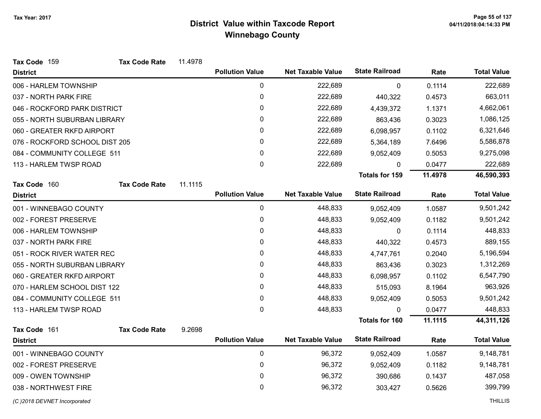| Tax Code 159                   | <b>Tax Code Rate</b> | 11.4978 |                        |                          |                       |         |                    |
|--------------------------------|----------------------|---------|------------------------|--------------------------|-----------------------|---------|--------------------|
| <b>District</b>                |                      |         | <b>Pollution Value</b> | <b>Net Taxable Value</b> | <b>State Railroad</b> | Rate    | <b>Total Value</b> |
| 006 - HARLEM TOWNSHIP          |                      |         | $\mathbf 0$            | 222,689                  | 0                     | 0.1114  | 222,689            |
| 037 - NORTH PARK FIRE          |                      |         | 0                      | 222,689                  | 440,322               | 0.4573  | 663,011            |
| 046 - ROCKFORD PARK DISTRICT   |                      |         | 0                      | 222,689                  | 4,439,372             | 1.1371  | 4,662,061          |
| 055 - NORTH SUBURBAN LIBRARY   |                      |         | $\mathbf{0}$           | 222,689                  | 863,436               | 0.3023  | 1,086,125          |
| 060 - GREATER RKFD AIRPORT     |                      |         | 0                      | 222,689                  | 6,098,957             | 0.1102  | 6,321,646          |
| 076 - ROCKFORD SCHOOL DIST 205 |                      |         | 0                      | 222,689                  | 5,364,189             | 7.6496  | 5,586,878          |
| 084 - COMMUNITY COLLEGE 511    |                      |         | $\mathbf{0}$           | 222,689                  | 9,052,409             | 0.5053  | 9,275,098          |
| 113 - HARLEM TWSP ROAD         |                      |         | 0                      | 222,689                  | 0                     | 0.0477  | 222,689            |
|                                |                      |         |                        |                          | <b>Totals for 159</b> | 11.4978 | 46,590,393         |
| Tax Code 160                   | <b>Tax Code Rate</b> | 11.1115 |                        |                          |                       |         |                    |
| <b>District</b>                |                      |         | <b>Pollution Value</b> | <b>Net Taxable Value</b> | <b>State Railroad</b> | Rate    | <b>Total Value</b> |
| 001 - WINNEBAGO COUNTY         |                      |         | 0                      | 448,833                  | 9,052,409             | 1.0587  | 9,501,242          |
| 002 - FOREST PRESERVE          |                      |         | $\mathbf 0$            | 448,833                  | 9,052,409             | 0.1182  | 9,501,242          |
| 006 - HARLEM TOWNSHIP          |                      |         | 0                      | 448,833                  | 0                     | 0.1114  | 448,833            |
| 037 - NORTH PARK FIRE          |                      |         | 0                      | 448,833                  | 440,322               | 0.4573  | 889,155            |
| 051 - ROCK RIVER WATER REC     |                      |         | 0                      | 448,833                  | 4,747,761             | 0.2040  | 5,196,594          |
| 055 - NORTH SUBURBAN LIBRARY   |                      |         | 0                      | 448,833                  | 863,436               | 0.3023  | 1,312,269          |
| 060 - GREATER RKFD AIRPORT     |                      |         | 0                      | 448,833                  | 6,098,957             | 0.1102  | 6,547,790          |
| 070 - HARLEM SCHOOL DIST 122   |                      |         | 0                      | 448,833                  | 515,093               | 8.1964  | 963,926            |
| 084 - COMMUNITY COLLEGE 511    |                      |         | 0                      | 448,833                  | 9,052,409             | 0.5053  | 9,501,242          |
| 113 - HARLEM TWSP ROAD         |                      |         | $\mathbf{0}$           | 448,833                  | 0                     | 0.0477  | 448,833            |
|                                |                      |         |                        |                          | <b>Totals for 160</b> | 11.1115 | 44,311,126         |
| Tax Code 161                   | <b>Tax Code Rate</b> | 9.2698  |                        |                          |                       |         |                    |
| <b>District</b>                |                      |         | <b>Pollution Value</b> | <b>Net Taxable Value</b> | <b>State Railroad</b> | Rate    | <b>Total Value</b> |
| 001 - WINNEBAGO COUNTY         |                      |         | $\mathbf 0$            | 96,372                   | 9,052,409             | 1.0587  | 9,148,781          |
| 002 - FOREST PRESERVE          |                      |         | 0                      | 96,372                   | 9,052,409             | 0.1182  | 9,148,781          |
| 009 - OWEN TOWNSHIP            |                      |         | 0                      | 96,372                   | 390,686               | 0.1437  | 487,058            |
| 038 - NORTHWEST FIRE           |                      |         | 0                      | 96,372                   | 303,427               | 0.5626  | 399,799            |
| (C) 2018 DEVNET Incorporated   |                      |         |                        |                          |                       |         | <b>THILLIS</b>     |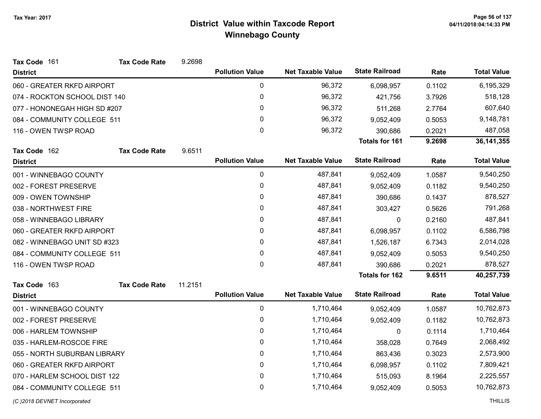| Tax Code 161                  | <b>Tax Code Rate</b> | 9.2698  |                        |                          |                       |        |                    |
|-------------------------------|----------------------|---------|------------------------|--------------------------|-----------------------|--------|--------------------|
| <b>District</b>               |                      |         | <b>Pollution Value</b> | <b>Net Taxable Value</b> | <b>State Railroad</b> | Rate   | <b>Total Value</b> |
| 060 - GREATER RKFD AIRPORT    |                      |         | $\pmb{0}$              | 96,372                   | 6,098,957             | 0.1102 | 6,195,329          |
| 074 - ROCKTON SCHOOL DIST 140 |                      |         | 0                      | 96,372                   | 421,756               | 3.7926 | 518,128            |
| 077 - HONONEGAH HIGH SD #207  |                      |         | 0                      | 96,372                   | 511,268               | 2.7764 | 607,640            |
| 084 - COMMUNITY COLLEGE 511   |                      |         | 0                      | 96,372                   | 9,052,409             | 0.5053 | 9,148,781          |
| 116 - OWEN TWSP ROAD          |                      |         | 0                      | 96,372                   | 390,686               | 0.2021 | 487,058            |
|                               |                      |         |                        |                          | <b>Totals for 161</b> | 9.2698 | 36, 141, 355       |
| Tax Code 162                  | <b>Tax Code Rate</b> | 9.6511  |                        |                          |                       |        |                    |
| <b>District</b>               |                      |         | <b>Pollution Value</b> | <b>Net Taxable Value</b> | <b>State Railroad</b> | Rate   | <b>Total Value</b> |
| 001 - WINNEBAGO COUNTY        |                      |         | 0                      | 487,841                  | 9,052,409             | 1.0587 | 9,540,250          |
| 002 - FOREST PRESERVE         |                      |         | 0                      | 487,841                  | 9,052,409             | 0.1182 | 9,540,250          |
| 009 - OWEN TOWNSHIP           |                      |         | 0                      | 487,841                  | 390,686               | 0.1437 | 878,527            |
| 038 - NORTHWEST FIRE          |                      |         | 0                      | 487,841                  | 303,427               | 0.5626 | 791,268            |
| 058 - WINNEBAGO LIBRARY       |                      |         | 0                      | 487,841                  | 0                     | 0.2160 | 487,841            |
| 060 - GREATER RKFD AIRPORT    |                      |         | 0                      | 487,841                  | 6,098,957             | 0.1102 | 6,586,798          |
| 082 - WINNEBAGO UNIT SD #323  |                      |         | 0                      | 487,841                  | 1,526,187             | 6.7343 | 2,014,028          |
| 084 - COMMUNITY COLLEGE 511   |                      |         | 0                      | 487,841                  | 9,052,409             | 0.5053 | 9,540,250          |
| 116 - OWEN TWSP ROAD          |                      |         | 0                      | 487,841                  | 390,686               | 0.2021 | 878,527            |
|                               |                      |         |                        |                          | Totals for 162        | 9.6511 | 40,257,739         |
| Tax Code 163                  | <b>Tax Code Rate</b> | 11.2151 |                        |                          |                       |        |                    |
| <b>District</b>               |                      |         | <b>Pollution Value</b> | <b>Net Taxable Value</b> | <b>State Railroad</b> | Rate   | <b>Total Value</b> |
| 001 - WINNEBAGO COUNTY        |                      |         | 0                      | 1,710,464                | 9,052,409             | 1.0587 | 10,762,873         |
| 002 - FOREST PRESERVE         |                      |         | 0                      | 1,710,464                | 9,052,409             | 0.1182 | 10,762,873         |
| 006 - HARLEM TOWNSHIP         |                      |         | 0                      | 1,710,464                | 0                     | 0.1114 | 1,710,464          |
| 035 - HARLEM-ROSCOE FIRE      |                      |         | 0                      | 1,710,464                | 358,028               | 0.7649 | 2,068,492          |
| 055 - NORTH SUBURBAN LIBRARY  |                      |         | 0                      | 1,710,464                | 863,436               | 0.3023 | 2,573,900          |
| 060 - GREATER RKFD AIRPORT    |                      |         | 0                      | 1,710,464                | 6,098,957             | 0.1102 | 7,809,421          |
| 070 - HARLEM SCHOOL DIST 122  |                      |         | 0                      | 1,710,464                | 515,093               | 8.1964 | 2,225,557          |
| 084 - COMMUNITY COLLEGE 511   |                      |         | 0                      | 1,710,464                | 9,052,409             | 0.5053 | 10,762,873         |
| (C) 2018 DEVNET Incorporated  |                      |         |                        |                          |                       |        | <b>THILLIS</b>     |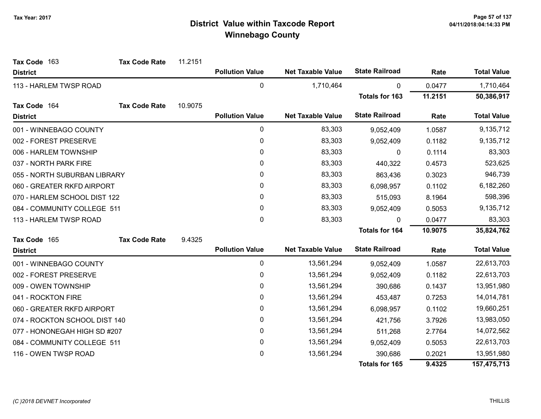| Tax Code 163                  | <b>Tax Code Rate</b> | 11.2151 |                        |                          |                       |         |                    |
|-------------------------------|----------------------|---------|------------------------|--------------------------|-----------------------|---------|--------------------|
| <b>District</b>               |                      |         | <b>Pollution Value</b> | <b>Net Taxable Value</b> | <b>State Railroad</b> | Rate    | <b>Total Value</b> |
| 113 - HARLEM TWSP ROAD        |                      |         | $\pmb{0}$              | 1,710,464                | 0                     | 0.0477  | 1,710,464          |
|                               |                      |         |                        |                          | <b>Totals for 163</b> | 11.2151 | 50,386,917         |
| Tax Code 164                  | <b>Tax Code Rate</b> | 10.9075 |                        |                          |                       |         |                    |
| <b>District</b>               |                      |         | <b>Pollution Value</b> | <b>Net Taxable Value</b> | <b>State Railroad</b> | Rate    | <b>Total Value</b> |
| 001 - WINNEBAGO COUNTY        |                      |         | $\pmb{0}$              | 83,303                   | 9,052,409             | 1.0587  | 9,135,712          |
| 002 - FOREST PRESERVE         |                      |         | $\pmb{0}$              | 83,303                   | 9,052,409             | 0.1182  | 9,135,712          |
| 006 - HARLEM TOWNSHIP         |                      |         | 0                      | 83,303                   | 0                     | 0.1114  | 83,303             |
| 037 - NORTH PARK FIRE         |                      |         | 0                      | 83,303                   | 440,322               | 0.4573  | 523,625            |
| 055 - NORTH SUBURBAN LIBRARY  |                      |         | 0                      | 83,303                   | 863,436               | 0.3023  | 946,739            |
| 060 - GREATER RKFD AIRPORT    |                      |         | 0                      | 83,303                   | 6,098,957             | 0.1102  | 6,182,260          |
| 070 - HARLEM SCHOOL DIST 122  |                      |         | 0                      | 83,303                   | 515,093               | 8.1964  | 598,396            |
| 084 - COMMUNITY COLLEGE 511   |                      |         | 0                      | 83,303                   | 9,052,409             | 0.5053  | 9,135,712          |
| 113 - HARLEM TWSP ROAD        |                      |         | $\mathbf 0$            | 83,303                   | $\Omega$              | 0.0477  | 83,303             |
|                               |                      |         |                        |                          | <b>Totals for 164</b> | 10.9075 | 35,824,762         |
| Tax Code 165                  | <b>Tax Code Rate</b> | 9.4325  |                        |                          |                       |         |                    |
| <b>District</b>               |                      |         | <b>Pollution Value</b> | <b>Net Taxable Value</b> | <b>State Railroad</b> | Rate    | <b>Total Value</b> |
| 001 - WINNEBAGO COUNTY        |                      |         | $\pmb{0}$              | 13,561,294               | 9,052,409             | 1.0587  | 22,613,703         |
| 002 - FOREST PRESERVE         |                      |         | $\pmb{0}$              | 13,561,294               | 9,052,409             | 0.1182  | 22,613,703         |
| 009 - OWEN TOWNSHIP           |                      |         | $\pmb{0}$              | 13,561,294               | 390,686               | 0.1437  | 13,951,980         |
| 041 - ROCKTON FIRE            |                      |         | $\pmb{0}$              | 13,561,294               | 453,487               | 0.7253  | 14,014,781         |
| 060 - GREATER RKFD AIRPORT    |                      |         | 0                      | 13,561,294               | 6,098,957             | 0.1102  | 19,660,251         |
| 074 - ROCKTON SCHOOL DIST 140 |                      |         | $\pmb{0}$              | 13,561,294               | 421,756               | 3.7926  | 13,983,050         |
| 077 - HONONEGAH HIGH SD #207  |                      |         | $\pmb{0}$              | 13,561,294               | 511,268               | 2.7764  | 14,072,562         |
| 084 - COMMUNITY COLLEGE 511   |                      |         | 0                      | 13,561,294               | 9,052,409             | 0.5053  | 22,613,703         |
| 116 - OWEN TWSP ROAD          |                      |         | 0                      | 13,561,294               | 390,686               | 0.2021  | 13,951,980         |
|                               |                      |         |                        |                          | <b>Totals for 165</b> | 9.4325  | 157,475,713        |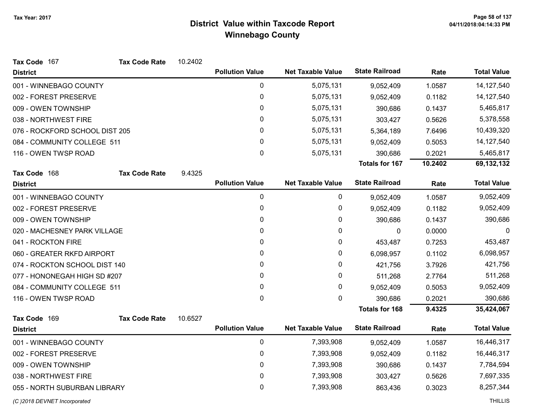| Tax Code 167                   | <b>Tax Code Rate</b> | 10.2402 |                        |                          |                       |         |                    |
|--------------------------------|----------------------|---------|------------------------|--------------------------|-----------------------|---------|--------------------|
| <b>District</b>                |                      |         | <b>Pollution Value</b> | <b>Net Taxable Value</b> | <b>State Railroad</b> | Rate    | <b>Total Value</b> |
| 001 - WINNEBAGO COUNTY         |                      |         | 0                      | 5,075,131                | 9,052,409             | 1.0587  | 14,127,540         |
| 002 - FOREST PRESERVE          |                      |         | 0                      | 5,075,131                | 9,052,409             | 0.1182  | 14, 127, 540       |
| 009 - OWEN TOWNSHIP            |                      |         | 0                      | 5,075,131                | 390,686               | 0.1437  | 5,465,817          |
| 038 - NORTHWEST FIRE           |                      |         | 0                      | 5,075,131                | 303,427               | 0.5626  | 5,378,558          |
| 076 - ROCKFORD SCHOOL DIST 205 |                      |         | 0                      | 5,075,131                | 5,364,189             | 7.6496  | 10,439,320         |
| 084 - COMMUNITY COLLEGE 511    |                      |         | 0                      | 5,075,131                | 9,052,409             | 0.5053  | 14, 127, 540       |
| 116 - OWEN TWSP ROAD           |                      |         | 0                      | 5,075,131                | 390,686               | 0.2021  | 5,465,817          |
|                                |                      |         |                        |                          | <b>Totals for 167</b> | 10.2402 | 69,132,132         |
| Tax Code 168                   | <b>Tax Code Rate</b> | 9.4325  |                        |                          |                       |         |                    |
| <b>District</b>                |                      |         | <b>Pollution Value</b> | <b>Net Taxable Value</b> | <b>State Railroad</b> | Rate    | <b>Total Value</b> |
| 001 - WINNEBAGO COUNTY         |                      |         | 0                      | 0                        | 9,052,409             | 1.0587  | 9,052,409          |
| 002 - FOREST PRESERVE          |                      |         | 0                      | 0                        | 9,052,409             | 0.1182  | 9,052,409          |
| 009 - OWEN TOWNSHIP            |                      |         | 0                      | 0                        | 390,686               | 0.1437  | 390,686            |
| 020 - MACHESNEY PARK VILLAGE   |                      |         | 0                      | 0                        | $\mathbf 0$           | 0.0000  | 0                  |
| 041 - ROCKTON FIRE             |                      |         | 0                      | 0                        | 453,487               | 0.7253  | 453,487            |
| 060 - GREATER RKFD AIRPORT     |                      |         | 0                      | 0                        | 6,098,957             | 0.1102  | 6,098,957          |
| 074 - ROCKTON SCHOOL DIST 140  |                      |         | 0                      | 0                        | 421,756               | 3.7926  | 421,756            |
| 077 - HONONEGAH HIGH SD #207   |                      |         | 0                      | 0                        | 511,268               | 2.7764  | 511,268            |
| 084 - COMMUNITY COLLEGE 511    |                      |         | 0                      | 0                        | 9,052,409             | 0.5053  | 9,052,409          |
| 116 - OWEN TWSP ROAD           |                      |         | 0                      | 0                        | 390,686               | 0.2021  | 390,686            |
|                                |                      |         |                        |                          | <b>Totals for 168</b> | 9.4325  | 35,424,067         |
| Tax Code 169                   | <b>Tax Code Rate</b> | 10.6527 |                        |                          |                       |         |                    |
| <b>District</b>                |                      |         | <b>Pollution Value</b> | <b>Net Taxable Value</b> | <b>State Railroad</b> | Rate    | <b>Total Value</b> |
| 001 - WINNEBAGO COUNTY         |                      |         | 0                      | 7,393,908                | 9,052,409             | 1.0587  | 16,446,317         |
| 002 - FOREST PRESERVE          |                      |         | 0                      | 7,393,908                | 9,052,409             | 0.1182  | 16,446,317         |
| 009 - OWEN TOWNSHIP            |                      |         | 0                      | 7,393,908                | 390,686               | 0.1437  | 7,784,594          |
| 038 - NORTHWEST FIRE           |                      |         | 0                      | 7,393,908                | 303,427               | 0.5626  | 7,697,335          |
| 055 - NORTH SUBURBAN LIBRARY   |                      |         | 0                      | 7,393,908                | 863,436               | 0.3023  | 8,257,344          |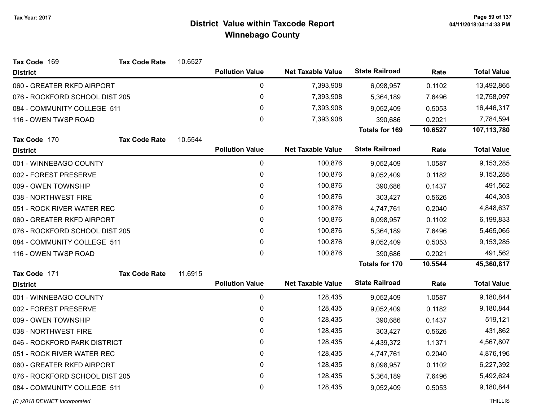| Tax Code 169                   | <b>Tax Code Rate</b> | 10.6527 |                        |                          |                       |         |                    |
|--------------------------------|----------------------|---------|------------------------|--------------------------|-----------------------|---------|--------------------|
| <b>District</b>                |                      |         | <b>Pollution Value</b> | <b>Net Taxable Value</b> | <b>State Railroad</b> | Rate    | <b>Total Value</b> |
| 060 - GREATER RKFD AIRPORT     |                      |         | 0                      | 7,393,908                | 6,098,957             | 0.1102  | 13,492,865         |
| 076 - ROCKFORD SCHOOL DIST 205 |                      |         | 0                      | 7,393,908                | 5,364,189             | 7.6496  | 12,758,097         |
| 084 - COMMUNITY COLLEGE 511    |                      |         | $\pmb{0}$              | 7,393,908                | 9,052,409             | 0.5053  | 16,446,317         |
| 116 - OWEN TWSP ROAD           |                      |         | 0                      | 7,393,908                | 390,686               | 0.2021  | 7,784,594          |
|                                |                      |         |                        |                          | <b>Totals for 169</b> | 10.6527 | 107,113,780        |
| Tax Code 170                   | <b>Tax Code Rate</b> | 10.5544 |                        |                          |                       |         |                    |
| <b>District</b>                |                      |         | <b>Pollution Value</b> | <b>Net Taxable Value</b> | <b>State Railroad</b> | Rate    | <b>Total Value</b> |
| 001 - WINNEBAGO COUNTY         |                      |         | 0                      | 100,876                  | 9,052,409             | 1.0587  | 9,153,285          |
| 002 - FOREST PRESERVE          |                      |         | $\pmb{0}$              | 100,876                  | 9,052,409             | 0.1182  | 9,153,285          |
| 009 - OWEN TOWNSHIP            |                      |         | $\pmb{0}$              | 100,876                  | 390,686               | 0.1437  | 491,562            |
| 038 - NORTHWEST FIRE           |                      |         | 0                      | 100,876                  | 303,427               | 0.5626  | 404,303            |
| 051 - ROCK RIVER WATER REC     |                      |         | 0                      | 100,876                  | 4,747,761             | 0.2040  | 4,848,637          |
| 060 - GREATER RKFD AIRPORT     |                      |         | 0                      | 100,876                  | 6,098,957             | 0.1102  | 6,199,833          |
| 076 - ROCKFORD SCHOOL DIST 205 |                      |         | 0                      | 100,876                  | 5,364,189             | 7.6496  | 5,465,065          |
| 084 - COMMUNITY COLLEGE 511    |                      |         | 0                      | 100,876                  | 9,052,409             | 0.5053  | 9,153,285          |
| 116 - OWEN TWSP ROAD           |                      |         | 0                      | 100,876                  | 390,686               | 0.2021  | 491,562            |
|                                |                      |         |                        |                          | <b>Totals for 170</b> | 10.5544 | 45,360,817         |
| Tax Code 171                   | <b>Tax Code Rate</b> | 11.6915 |                        |                          |                       |         |                    |
| <b>District</b>                |                      |         | <b>Pollution Value</b> | <b>Net Taxable Value</b> | <b>State Railroad</b> | Rate    | <b>Total Value</b> |
| 001 - WINNEBAGO COUNTY         |                      |         | $\pmb{0}$              | 128,435                  | 9,052,409             | 1.0587  | 9,180,844          |
| 002 - FOREST PRESERVE          |                      |         | 0                      | 128,435                  | 9,052,409             | 0.1182  | 9,180,844          |
| 009 - OWEN TOWNSHIP            |                      |         | $\mathbf 0$            | 128,435                  | 390,686               | 0.1437  | 519,121            |
| 038 - NORTHWEST FIRE           |                      |         | $\pmb{0}$              | 128,435                  | 303,427               | 0.5626  | 431,862            |
| 046 - ROCKFORD PARK DISTRICT   |                      |         | 0                      | 128,435                  | 4,439,372             | 1.1371  | 4,567,807          |
| 051 - ROCK RIVER WATER REC     |                      |         | 0                      | 128,435                  | 4,747,761             | 0.2040  | 4,876,196          |
| 060 - GREATER RKFD AIRPORT     |                      |         | $\mathbf 0$            | 128,435                  | 6,098,957             | 0.1102  | 6,227,392          |
| 076 - ROCKFORD SCHOOL DIST 205 |                      |         | $\pmb{0}$              | 128,435                  | 5,364,189             | 7.6496  | 5,492,624          |
| 084 - COMMUNITY COLLEGE 511    |                      |         | 0                      | 128,435                  | 9,052,409             | 0.5053  | 9,180,844          |
|                                |                      |         |                        |                          |                       |         |                    |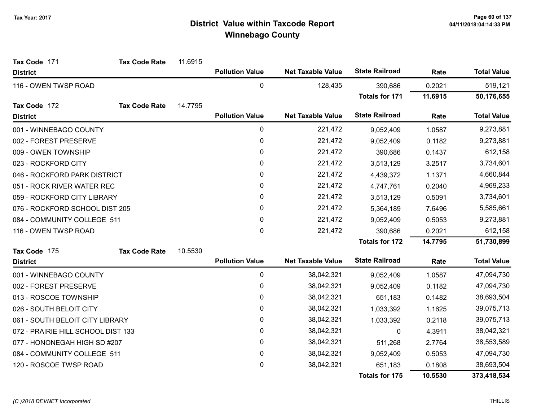| Tax Code 171                       | <b>Tax Code Rate</b> | 11.6915 |                        |                          |                       |         |                    |
|------------------------------------|----------------------|---------|------------------------|--------------------------|-----------------------|---------|--------------------|
| <b>District</b>                    |                      |         | <b>Pollution Value</b> | <b>Net Taxable Value</b> | <b>State Railroad</b> | Rate    | <b>Total Value</b> |
| 116 - OWEN TWSP ROAD               |                      |         | $\mathbf 0$            | 128,435                  | 390,686               | 0.2021  | 519,121            |
|                                    |                      |         |                        |                          | <b>Totals for 171</b> | 11.6915 | 50,176,655         |
| Tax Code 172                       | <b>Tax Code Rate</b> | 14.7795 |                        |                          |                       |         |                    |
| <b>District</b>                    |                      |         | <b>Pollution Value</b> | <b>Net Taxable Value</b> | <b>State Railroad</b> | Rate    | <b>Total Value</b> |
| 001 - WINNEBAGO COUNTY             |                      |         | $\pmb{0}$              | 221,472                  | 9,052,409             | 1.0587  | 9,273,881          |
| 002 - FOREST PRESERVE              |                      |         | 0                      | 221,472                  | 9,052,409             | 0.1182  | 9,273,881          |
| 009 - OWEN TOWNSHIP                |                      |         | $\pmb{0}$              | 221,472                  | 390,686               | 0.1437  | 612,158            |
| 023 - ROCKFORD CITY                |                      |         | 0                      | 221,472                  | 3,513,129             | 3.2517  | 3,734,601          |
| 046 - ROCKFORD PARK DISTRICT       |                      |         | 0                      | 221,472                  | 4,439,372             | 1.1371  | 4,660,844          |
| 051 - ROCK RIVER WATER REC         |                      |         | $\pmb{0}$              | 221,472                  | 4,747,761             | 0.2040  | 4,969,233          |
| 059 - ROCKFORD CITY LIBRARY        |                      |         | 0                      | 221,472                  | 3,513,129             | 0.5091  | 3,734,601          |
| 076 - ROCKFORD SCHOOL DIST 205     |                      |         | $\pmb{0}$              | 221,472                  | 5,364,189             | 7.6496  | 5,585,661          |
| 084 - COMMUNITY COLLEGE 511        |                      |         | $\pmb{0}$              | 221,472                  | 9,052,409             | 0.5053  | 9,273,881          |
| 116 - OWEN TWSP ROAD               |                      |         | 0                      | 221,472                  | 390,686               | 0.2021  | 612,158            |
|                                    |                      |         |                        |                          | Totals for 172        | 14.7795 | 51,730,899         |
| Tax Code 175                       | <b>Tax Code Rate</b> | 10.5530 |                        |                          |                       |         |                    |
| <b>District</b>                    |                      |         | <b>Pollution Value</b> | <b>Net Taxable Value</b> | <b>State Railroad</b> | Rate    | <b>Total Value</b> |
| 001 - WINNEBAGO COUNTY             |                      |         | $\pmb{0}$              | 38,042,321               | 9,052,409             | 1.0587  | 47,094,730         |
| 002 - FOREST PRESERVE              |                      |         | $\pmb{0}$              | 38,042,321               | 9,052,409             | 0.1182  | 47,094,730         |
| 013 - ROSCOE TOWNSHIP              |                      |         | $\pmb{0}$              | 38,042,321               | 651,183               | 0.1482  | 38,693,504         |
| 026 - SOUTH BELOIT CITY            |                      |         | 0                      | 38,042,321               | 1,033,392             | 1.1625  | 39,075,713         |
| 061 - SOUTH BELOIT CITY LIBRARY    |                      |         | $\pmb{0}$              | 38,042,321               | 1,033,392             | 0.2118  | 39,075,713         |
| 072 - PRAIRIE HILL SCHOOL DIST 133 |                      |         | $\pmb{0}$              | 38,042,321               | 0                     | 4.3911  | 38,042,321         |
| 077 - HONONEGAH HIGH SD #207       |                      |         | $\pmb{0}$              | 38,042,321               | 511,268               | 2.7764  | 38,553,589         |
| 084 - COMMUNITY COLLEGE 511        |                      |         | $\pmb{0}$              | 38,042,321               | 9,052,409             | 0.5053  | 47,094,730         |
| 120 - ROSCOE TWSP ROAD             |                      |         | 0                      | 38,042,321               | 651,183               | 0.1808  | 38,693,504         |
|                                    |                      |         |                        |                          | <b>Totals for 175</b> | 10.5530 | 373,418,534        |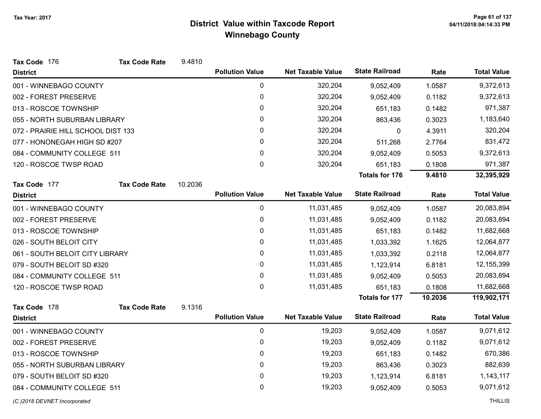| Tax Code 176                       | <b>Tax Code Rate</b> | 9.4810  |                        |                          |                       |           |                    |
|------------------------------------|----------------------|---------|------------------------|--------------------------|-----------------------|-----------|--------------------|
| <b>District</b>                    |                      |         | <b>Pollution Value</b> | <b>Net Taxable Value</b> | <b>State Railroad</b> | Rate      | <b>Total Value</b> |
| 001 - WINNEBAGO COUNTY             |                      |         | $\pmb{0}$              | 320,204                  | 9,052,409             | 1.0587    | 9,372,613          |
| 002 - FOREST PRESERVE              |                      |         | $\pmb{0}$              | 320,204                  | 9,052,409             | 0.1182    | 9,372,613          |
| 013 - ROSCOE TOWNSHIP              |                      |         | 0                      | 320,204                  | 651,183               | 0.1482    | 971,387            |
| 055 - NORTH SUBURBAN LIBRARY       |                      | 0       | 320,204                | 863,436                  | 0.3023                | 1,183,640 |                    |
| 072 - PRAIRIE HILL SCHOOL DIST 133 |                      |         | 0                      | 320,204                  | 0                     | 4.3911    | 320,204            |
| 077 - HONONEGAH HIGH SD #207       |                      |         | 0                      | 320,204                  | 511,268               | 2.7764    | 831,472            |
| 084 - COMMUNITY COLLEGE 511        |                      |         | 0                      | 320,204                  | 9,052,409             | 0.5053    | 9,372,613          |
| 120 - ROSCOE TWSP ROAD             |                      |         | 0                      | 320,204                  | 651,183               | 0.1808    | 971,387            |
|                                    |                      |         |                        |                          | <b>Totals for 176</b> | 9.4810    | 32,395,929         |
| Tax Code 177                       | <b>Tax Code Rate</b> | 10.2036 |                        |                          |                       |           |                    |
| <b>District</b>                    |                      |         | <b>Pollution Value</b> | <b>Net Taxable Value</b> | <b>State Railroad</b> | Rate      | <b>Total Value</b> |
| 001 - WINNEBAGO COUNTY             |                      |         | $\pmb{0}$              | 11,031,485               | 9,052,409             | 1.0587    | 20,083,894         |
| 002 - FOREST PRESERVE              |                      |         | 0                      | 11,031,485               | 9,052,409             | 0.1182    | 20,083,894         |
| 013 - ROSCOE TOWNSHIP              |                      |         | $\mathbf{0}$           | 11,031,485               | 651,183               | 0.1482    | 11,682,668         |
| 026 - SOUTH BELOIT CITY            |                      |         | 0                      | 11,031,485               | 1,033,392             | 1.1625    | 12,064,877         |
| 061 - SOUTH BELOIT CITY LIBRARY    |                      |         | 0                      | 11,031,485               | 1,033,392             | 0.2118    | 12,064,877         |
| 079 - SOUTH BELOIT SD #320         |                      |         | 0                      | 11,031,485               | 1,123,914             | 6.8181    | 12,155,399         |
| 084 - COMMUNITY COLLEGE 511        |                      |         | 0                      | 11,031,485               | 9,052,409             | 0.5053    | 20,083,894         |
| 120 - ROSCOE TWSP ROAD             |                      |         | 0                      | 11,031,485               | 651,183               | 0.1808    | 11,682,668         |
|                                    |                      |         |                        |                          | <b>Totals for 177</b> | 10.2036   | 119,902,171        |
| Tax Code 178                       | <b>Tax Code Rate</b> | 9.1316  |                        |                          |                       |           |                    |
| <b>District</b>                    |                      |         | <b>Pollution Value</b> | <b>Net Taxable Value</b> | <b>State Railroad</b> | Rate      | <b>Total Value</b> |
| 001 - WINNEBAGO COUNTY             |                      |         | $\mathbf 0$            | 19,203                   | 9,052,409             | 1.0587    | 9,071,612          |
| 002 - FOREST PRESERVE              |                      |         | 0                      | 19,203                   | 9,052,409             | 0.1182    | 9,071,612          |
| 013 - ROSCOE TOWNSHIP              |                      |         | 0                      | 19,203                   | 651,183               | 0.1482    | 670,386            |
| 055 - NORTH SUBURBAN LIBRARY       |                      |         | 0                      | 19,203                   | 863,436               | 0.3023    | 882,639            |
| 079 - SOUTH BELOIT SD #320         |                      |         | 0                      | 19,203                   | 1,123,914             | 6.8181    | 1, 143, 117        |
| 084 - COMMUNITY COLLEGE 511        |                      |         | 0                      | 19,203                   | 9,052,409             | 0.5053    | 9,071,612          |
| (C) 2018 DEVNET Incorporated       |                      |         |                        |                          |                       |           | <b>THILLIS</b>     |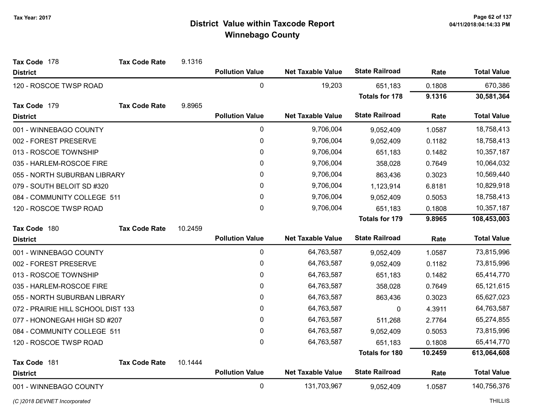| Tax Code 178                       | <b>Tax Code Rate</b> | 9.1316  |                        |                          |                       |         |                    |
|------------------------------------|----------------------|---------|------------------------|--------------------------|-----------------------|---------|--------------------|
| <b>District</b>                    |                      |         | <b>Pollution Value</b> | <b>Net Taxable Value</b> | <b>State Railroad</b> | Rate    | <b>Total Value</b> |
| 120 - ROSCOE TWSP ROAD             |                      |         | 0                      | 19,203                   | 651,183               | 0.1808  | 670,386            |
|                                    |                      |         |                        |                          | <b>Totals for 178</b> | 9.1316  | 30,581,364         |
| Tax Code 179                       | <b>Tax Code Rate</b> | 9.8965  |                        |                          |                       |         |                    |
| <b>District</b>                    |                      |         | <b>Pollution Value</b> | <b>Net Taxable Value</b> | <b>State Railroad</b> | Rate    | <b>Total Value</b> |
| 001 - WINNEBAGO COUNTY             |                      |         | 0                      | 9,706,004                | 9,052,409             | 1.0587  | 18,758,413         |
| 002 - FOREST PRESERVE              |                      |         | $\pmb{0}$              | 9,706,004                | 9,052,409             | 0.1182  | 18,758,413         |
| 013 - ROSCOE TOWNSHIP              |                      |         | 0                      | 9,706,004                | 651,183               | 0.1482  | 10,357,187         |
| 035 - HARLEM-ROSCOE FIRE           |                      |         | $\pmb{0}$              | 9,706,004                | 358,028               | 0.7649  | 10,064,032         |
| 055 - NORTH SUBURBAN LIBRARY       |                      |         | $\pmb{0}$              | 9,706,004                | 863,436               | 0.3023  | 10,569,440         |
| 079 - SOUTH BELOIT SD #320         |                      |         | $\pmb{0}$              | 9,706,004                | 1,123,914             | 6.8181  | 10,829,918         |
| 084 - COMMUNITY COLLEGE 511        |                      |         | 0                      | 9,706,004                | 9,052,409             | 0.5053  | 18,758,413         |
| 120 - ROSCOE TWSP ROAD             |                      |         | $\mathbf 0$            | 9,706,004                | 651,183               | 0.1808  | 10,357,187         |
|                                    |                      |         |                        |                          | <b>Totals for 179</b> | 9.8965  | 108,453,003        |
| Tax Code 180                       | <b>Tax Code Rate</b> | 10.2459 |                        |                          |                       |         |                    |
| <b>District</b>                    |                      |         | <b>Pollution Value</b> | <b>Net Taxable Value</b> | <b>State Railroad</b> | Rate    | <b>Total Value</b> |
| 001 - WINNEBAGO COUNTY             |                      |         | $\pmb{0}$              | 64,763,587               | 9,052,409             | 1.0587  | 73,815,996         |
| 002 - FOREST PRESERVE              |                      |         | $\pmb{0}$              | 64,763,587               | 9,052,409             | 0.1182  | 73,815,996         |
| 013 - ROSCOE TOWNSHIP              |                      |         | $\pmb{0}$              | 64,763,587               | 651,183               | 0.1482  | 65,414,770         |
| 035 - HARLEM-ROSCOE FIRE           |                      |         | $\pmb{0}$              | 64,763,587               | 358,028               | 0.7649  | 65,121,615         |
| 055 - NORTH SUBURBAN LIBRARY       |                      |         | 0                      | 64,763,587               | 863,436               | 0.3023  | 65,627,023         |
| 072 - PRAIRIE HILL SCHOOL DIST 133 |                      |         | 0                      | 64,763,587               | 0                     | 4.3911  | 64,763,587         |
| 077 - HONONEGAH HIGH SD #207       |                      |         | 0                      | 64,763,587               | 511,268               | 2.7764  | 65,274,855         |
| 084 - COMMUNITY COLLEGE 511        |                      |         | $\pmb{0}$              | 64,763,587               | 9,052,409             | 0.5053  | 73,815,996         |
| 120 - ROSCOE TWSP ROAD             |                      |         | $\mathbf 0$            | 64,763,587               | 651,183               | 0.1808  | 65,414,770         |
|                                    |                      |         |                        |                          | Totals for 180        | 10.2459 | 613,064,608        |
| Tax Code 181                       | <b>Tax Code Rate</b> | 10.1444 |                        |                          |                       |         |                    |
| <b>District</b>                    |                      |         | <b>Pollution Value</b> | <b>Net Taxable Value</b> | <b>State Railroad</b> | Rate    | <b>Total Value</b> |
| 001 - WINNEBAGO COUNTY             |                      |         | $\pmb{0}$              | 131,703,967              | 9,052,409             | 1.0587  | 140,756,376        |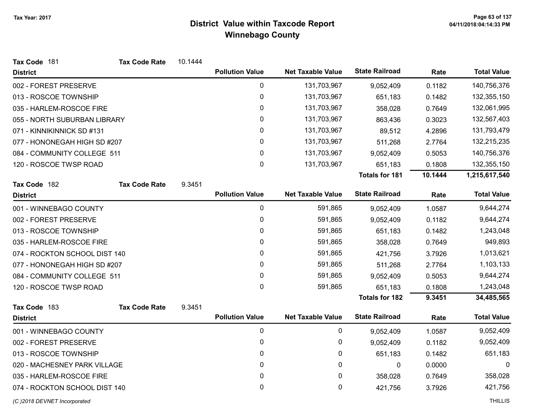| Tax Code 181                  | <b>Tax Code Rate</b> | 10.1444 |                        |                          |                       |         |                    |
|-------------------------------|----------------------|---------|------------------------|--------------------------|-----------------------|---------|--------------------|
| <b>District</b>               |                      |         | <b>Pollution Value</b> | <b>Net Taxable Value</b> | <b>State Railroad</b> | Rate    | <b>Total Value</b> |
| 002 - FOREST PRESERVE         |                      |         | 0                      | 131,703,967              | 9,052,409             | 0.1182  | 140,756,376        |
| 013 - ROSCOE TOWNSHIP         |                      |         | 0                      | 131,703,967              | 651,183               | 0.1482  | 132,355,150        |
| 035 - HARLEM-ROSCOE FIRE      |                      |         | 0                      | 131,703,967              | 358,028               | 0.7649  | 132,061,995        |
| 055 - NORTH SUBURBAN LIBRARY  |                      |         | 0                      | 131,703,967              | 863,436               | 0.3023  | 132,567,403        |
| 071 - KINNIKINNICK SD #131    |                      |         | 0                      | 131,703,967              | 89,512                | 4.2896  | 131,793,479        |
| 077 - HONONEGAH HIGH SD #207  |                      |         | 0                      | 131,703,967              | 511,268               | 2.7764  | 132,215,235        |
| 084 - COMMUNITY COLLEGE 511   |                      |         | 0                      | 131,703,967              | 9,052,409             | 0.5053  | 140,756,376        |
| 120 - ROSCOE TWSP ROAD        |                      |         | $\pmb{0}$              | 131,703,967              | 651,183               | 0.1808  | 132,355,150        |
|                               |                      |         |                        |                          | <b>Totals for 181</b> | 10.1444 | 1,215,617,540      |
| Tax Code 182                  | <b>Tax Code Rate</b> | 9.3451  |                        |                          |                       |         |                    |
| <b>District</b>               |                      |         | <b>Pollution Value</b> | <b>Net Taxable Value</b> | <b>State Railroad</b> | Rate    | <b>Total Value</b> |
| 001 - WINNEBAGO COUNTY        |                      |         | 0                      | 591,865                  | 9,052,409             | 1.0587  | 9,644,274          |
| 002 - FOREST PRESERVE         |                      |         | 0                      | 591,865                  | 9,052,409             | 0.1182  | 9,644,274          |
| 013 - ROSCOE TOWNSHIP         |                      |         | 0                      | 591,865                  | 651,183               | 0.1482  | 1,243,048          |
| 035 - HARLEM-ROSCOE FIRE      |                      |         | 0                      | 591,865                  | 358,028               | 0.7649  | 949,893            |
| 074 - ROCKTON SCHOOL DIST 140 |                      |         | 0                      | 591,865                  | 421,756               | 3.7926  | 1,013,621          |
| 077 - HONONEGAH HIGH SD #207  |                      |         | 0                      | 591,865                  | 511,268               | 2.7764  | 1,103,133          |
| 084 - COMMUNITY COLLEGE 511   |                      |         | 0                      | 591,865                  | 9,052,409             | 0.5053  | 9,644,274          |
| 120 - ROSCOE TWSP ROAD        |                      |         | 0                      | 591,865                  | 651,183               | 0.1808  | 1,243,048          |
|                               |                      |         |                        |                          | <b>Totals for 182</b> | 9.3451  | 34,485,565         |
| Tax Code 183                  | <b>Tax Code Rate</b> | 9.3451  |                        |                          |                       |         |                    |
| <b>District</b>               |                      |         | <b>Pollution Value</b> | <b>Net Taxable Value</b> | <b>State Railroad</b> | Rate    | <b>Total Value</b> |
| 001 - WINNEBAGO COUNTY        |                      |         | $\mathbf 0$            | 0                        | 9,052,409             | 1.0587  | 9,052,409          |
| 002 - FOREST PRESERVE         |                      |         | 0                      | 0                        | 9,052,409             | 0.1182  | 9,052,409          |
| 013 - ROSCOE TOWNSHIP         |                      |         | 0                      | 0                        | 651,183               | 0.1482  | 651,183            |
| 020 - MACHESNEY PARK VILLAGE  |                      |         | 0                      | 0                        | 0                     | 0.0000  | $\mathbf 0$        |
| 035 - HARLEM-ROSCOE FIRE      |                      |         | 0                      | 0                        | 358,028               | 0.7649  | 358,028            |
| 074 - ROCKTON SCHOOL DIST 140 |                      |         | 0                      | 0                        | 421,756               | 3.7926  | 421,756            |
| (C) 2018 DEVNET Incorporated  |                      |         |                        |                          |                       |         | <b>THILLIS</b>     |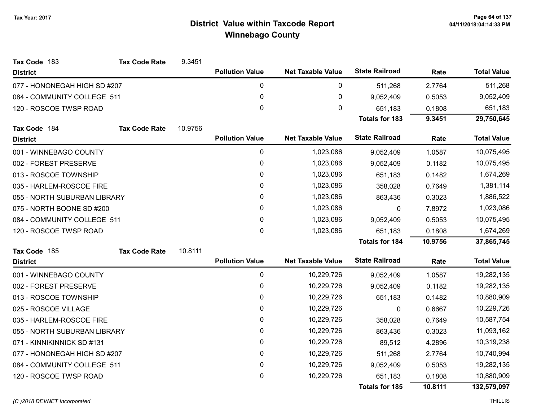| Tax Code 183                 | <b>Tax Code Rate</b>        | 9.3451  |                        |                          |                       |         |                    |
|------------------------------|-----------------------------|---------|------------------------|--------------------------|-----------------------|---------|--------------------|
| <b>District</b>              |                             |         | <b>Pollution Value</b> | <b>Net Taxable Value</b> | <b>State Railroad</b> | Rate    | <b>Total Value</b> |
| 077 - HONONEGAH HIGH SD #207 |                             |         | 0                      | 0                        | 511,268               | 2.7764  | 511,268            |
| 084 - COMMUNITY COLLEGE 511  |                             |         | 0                      | $\pmb{0}$                | 9,052,409             | 0.5053  | 9,052,409          |
| 120 - ROSCOE TWSP ROAD       |                             |         | 0                      | 0                        | 651,183               | 0.1808  | 651,183            |
|                              |                             |         |                        |                          | <b>Totals for 183</b> | 9.3451  | 29,750,645         |
| Tax Code 184                 | <b>Tax Code Rate</b>        | 10.9756 |                        |                          |                       |         |                    |
| <b>District</b>              |                             |         | <b>Pollution Value</b> | <b>Net Taxable Value</b> | <b>State Railroad</b> | Rate    | <b>Total Value</b> |
| 001 - WINNEBAGO COUNTY       |                             |         | 0                      | 1,023,086                | 9,052,409             | 1.0587  | 10,075,495         |
| 002 - FOREST PRESERVE        |                             |         | 0                      | 1,023,086                | 9,052,409             | 0.1182  | 10,075,495         |
| 013 - ROSCOE TOWNSHIP        |                             |         | 0                      | 1,023,086                | 651,183               | 0.1482  | 1,674,269          |
| 035 - HARLEM-ROSCOE FIRE     |                             |         | 0                      | 1,023,086                | 358,028               | 0.7649  | 1,381,114          |
| 055 - NORTH SUBURBAN LIBRARY |                             |         | 0                      | 1,023,086                | 863,436               | 0.3023  | 1,886,522          |
| 075 - NORTH BOONE SD #200    |                             |         | 0                      | 1,023,086                | 0                     | 7.8972  | 1,023,086          |
|                              | 084 - COMMUNITY COLLEGE 511 |         | 0                      | 1,023,086                | 9,052,409             | 0.5053  | 10,075,495         |
| 120 - ROSCOE TWSP ROAD       |                             |         | 0                      | 1,023,086                | 651,183               | 0.1808  | 1,674,269          |
|                              |                             |         |                        |                          | Totals for 184        | 10.9756 | 37,865,745         |
| Tax Code 185                 | <b>Tax Code Rate</b>        | 10.8111 |                        |                          |                       |         |                    |
| <b>District</b>              |                             |         | <b>Pollution Value</b> | <b>Net Taxable Value</b> | <b>State Railroad</b> | Rate    | <b>Total Value</b> |
| 001 - WINNEBAGO COUNTY       |                             |         | 0                      | 10,229,726               | 9,052,409             | 1.0587  | 19,282,135         |
| 002 - FOREST PRESERVE        |                             |         | $\pmb{0}$              | 10,229,726               | 9,052,409             | 0.1182  | 19,282,135         |
| 013 - ROSCOE TOWNSHIP        |                             |         | 0                      | 10,229,726               | 651,183               | 0.1482  | 10,880,909         |
| 025 - ROSCOE VILLAGE         |                             |         | 0                      | 10,229,726               | 0                     | 0.6667  | 10,229,726         |
| 035 - HARLEM-ROSCOE FIRE     |                             |         | 0                      | 10,229,726               | 358,028               | 0.7649  | 10,587,754         |
| 055 - NORTH SUBURBAN LIBRARY |                             |         | 0                      | 10,229,726               | 863,436               | 0.3023  | 11,093,162         |
| 071 - KINNIKINNICK SD #131   |                             |         | 0                      | 10,229,726               | 89,512                | 4.2896  | 10,319,238         |
| 077 - HONONEGAH HIGH SD #207 |                             |         | 0                      | 10,229,726               | 511,268               | 2.7764  | 10,740,994         |
| 084 - COMMUNITY COLLEGE 511  |                             |         | 0                      | 10,229,726               | 9,052,409             | 0.5053  | 19,282,135         |
| 120 - ROSCOE TWSP ROAD       |                             |         | 0                      | 10,229,726               | 651,183               | 0.1808  | 10,880,909         |
|                              |                             |         |                        |                          | <b>Totals for 185</b> | 10.8111 | 132,579,097        |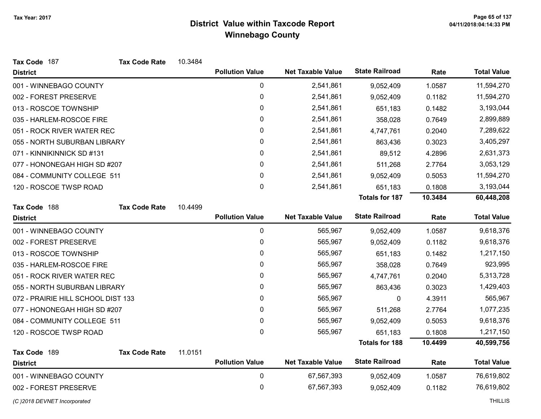| Tax Code 187                       | <b>Tax Code Rate</b>       | 10.3484 |                        |                          |                       |         |                    |
|------------------------------------|----------------------------|---------|------------------------|--------------------------|-----------------------|---------|--------------------|
| <b>District</b>                    |                            |         | <b>Pollution Value</b> | <b>Net Taxable Value</b> | <b>State Railroad</b> | Rate    | <b>Total Value</b> |
| 001 - WINNEBAGO COUNTY             |                            |         | 0                      | 2,541,861                | 9,052,409             | 1.0587  | 11,594,270         |
| 002 - FOREST PRESERVE              |                            |         | 0                      | 2,541,861                | 9,052,409             | 0.1182  | 11,594,270         |
| 013 - ROSCOE TOWNSHIP              |                            |         | 0                      | 2,541,861                | 651,183               | 0.1482  | 3,193,044          |
| 035 - HARLEM-ROSCOE FIRE           |                            |         | $\mathbf 0$            | 2,541,861                | 358,028               | 0.7649  | 2,899,889          |
|                                    | 051 - ROCK RIVER WATER REC |         | 0                      | 2,541,861                | 4,747,761             | 0.2040  | 7,289,622          |
| 055 - NORTH SUBURBAN LIBRARY       |                            |         | 0                      | 2,541,861                | 863,436               | 0.3023  | 3,405,297          |
| 071 - KINNIKINNICK SD #131         |                            |         | 0                      | 2,541,861                | 89,512                | 4.2896  | 2,631,373          |
| 077 - HONONEGAH HIGH SD #207       |                            |         | 0                      | 2,541,861                | 511,268               | 2.7764  | 3,053,129          |
| 084 - COMMUNITY COLLEGE 511        |                            |         | 0                      | 2,541,861                | 9,052,409             | 0.5053  | 11,594,270         |
| 120 - ROSCOE TWSP ROAD             |                            |         | $\mathbf 0$            | 2,541,861                | 651,183               | 0.1808  | 3,193,044          |
|                                    |                            |         |                        |                          | <b>Totals for 187</b> | 10.3484 | 60,448,208         |
| Tax Code 188                       | <b>Tax Code Rate</b>       | 10.4499 |                        |                          |                       |         |                    |
| <b>District</b>                    |                            |         | <b>Pollution Value</b> | <b>Net Taxable Value</b> | <b>State Railroad</b> | Rate    | <b>Total Value</b> |
| 001 - WINNEBAGO COUNTY             |                            |         | 0                      | 565,967                  | 9,052,409             | 1.0587  | 9,618,376          |
| 002 - FOREST PRESERVE              |                            |         | $\pmb{0}$              | 565,967                  | 9,052,409             | 0.1182  | 9,618,376          |
| 013 - ROSCOE TOWNSHIP              |                            |         | 0                      | 565,967                  | 651,183               | 0.1482  | 1,217,150          |
| 035 - HARLEM-ROSCOE FIRE           |                            |         | 0                      | 565,967                  | 358,028               | 0.7649  | 923,995            |
| 051 - ROCK RIVER WATER REC         |                            |         | 0                      | 565,967                  | 4,747,761             | 0.2040  | 5,313,728          |
| 055 - NORTH SUBURBAN LIBRARY       |                            |         | 0                      | 565,967                  | 863,436               | 0.3023  | 1,429,403          |
| 072 - PRAIRIE HILL SCHOOL DIST 133 |                            |         | 0                      | 565,967                  | 0                     | 4.3911  | 565,967            |
| 077 - HONONEGAH HIGH SD #207       |                            |         | $\mathbf{0}$           | 565,967                  | 511,268               | 2.7764  | 1,077,235          |
| 084 - COMMUNITY COLLEGE 511        |                            |         | 0                      | 565,967                  | 9,052,409             | 0.5053  | 9,618,376          |
| 120 - ROSCOE TWSP ROAD             |                            |         | 0                      | 565,967                  | 651,183               | 0.1808  | 1,217,150          |
|                                    |                            |         |                        |                          | <b>Totals for 188</b> | 10.4499 | 40,599,756         |
| Tax Code 189                       | <b>Tax Code Rate</b>       | 11.0151 |                        |                          |                       |         |                    |
| <b>District</b>                    |                            |         | <b>Pollution Value</b> | <b>Net Taxable Value</b> | <b>State Railroad</b> | Rate    | <b>Total Value</b> |
| 001 - WINNEBAGO COUNTY             |                            |         | $\pmb{0}$              | 67,567,393               | 9,052,409             | 1.0587  | 76,619,802         |
| 002 - FOREST PRESERVE              |                            |         | $\mathbf 0$            | 67,567,393               | 9,052,409             | 0.1182  | 76,619,802         |
| (C) 2018 DEVNET Incorporated       |                            |         |                        |                          |                       |         | <b>THILLIS</b>     |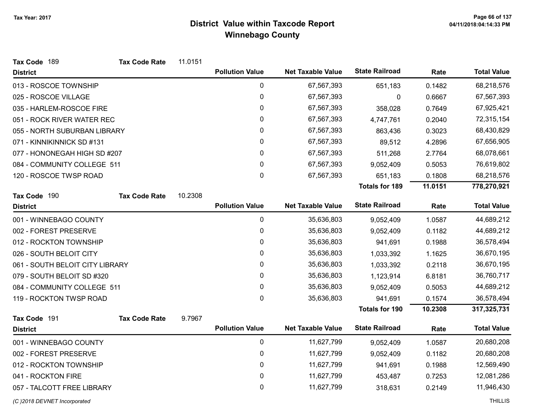| Tax Code 189                    | <b>Tax Code Rate</b> | 11.0151 |                        |                          |                       |         |                    |
|---------------------------------|----------------------|---------|------------------------|--------------------------|-----------------------|---------|--------------------|
| <b>District</b>                 |                      |         | <b>Pollution Value</b> | <b>Net Taxable Value</b> | <b>State Railroad</b> | Rate    | <b>Total Value</b> |
| 013 - ROSCOE TOWNSHIP           |                      |         | $\mathbf 0$            | 67,567,393               | 651,183               | 0.1482  | 68,218,576         |
| 025 - ROSCOE VILLAGE            |                      |         | $\pmb{0}$              | 67,567,393               | 0                     | 0.6667  | 67,567,393         |
| 035 - HARLEM-ROSCOE FIRE        |                      |         | 0                      | 67,567,393               | 358,028               | 0.7649  | 67,925,421         |
| 051 - ROCK RIVER WATER REC      |                      |         | 0                      | 67,567,393               | 4,747,761             | 0.2040  | 72,315,154         |
| 055 - NORTH SUBURBAN LIBRARY    |                      |         | 0                      | 67,567,393               | 863,436               | 0.3023  | 68,430,829         |
| 071 - KINNIKINNICK SD #131      |                      |         | $\pmb{0}$              | 67,567,393               | 89,512                | 4.2896  | 67,656,905         |
| 077 - HONONEGAH HIGH SD #207    |                      |         | 0                      | 67,567,393               | 511,268               | 2.7764  | 68,078,661         |
| 084 - COMMUNITY COLLEGE 511     |                      |         | $\mathbf 0$            | 67,567,393               | 9,052,409             | 0.5053  | 76,619,802         |
| 120 - ROSCOE TWSP ROAD          |                      |         | 0                      | 67,567,393               | 651,183               | 0.1808  | 68,218,576         |
|                                 |                      |         |                        |                          | <b>Totals for 189</b> | 11.0151 | 778,270,921        |
| Tax Code 190                    | <b>Tax Code Rate</b> | 10.2308 |                        |                          |                       |         |                    |
| <b>District</b>                 |                      |         | <b>Pollution Value</b> | <b>Net Taxable Value</b> | <b>State Railroad</b> | Rate    | <b>Total Value</b> |
| 001 - WINNEBAGO COUNTY          |                      |         | $\mathbf 0$            | 35,636,803               | 9,052,409             | 1.0587  | 44,689,212         |
| 002 - FOREST PRESERVE           |                      |         | $\mathbf 0$            | 35,636,803               | 9,052,409             | 0.1182  | 44,689,212         |
| 012 - ROCKTON TOWNSHIP          |                      |         | 0                      | 35,636,803               | 941,691               | 0.1988  | 36,578,494         |
| 026 - SOUTH BELOIT CITY         |                      |         | 0                      | 35,636,803               | 1,033,392             | 1.1625  | 36,670,195         |
| 061 - SOUTH BELOIT CITY LIBRARY |                      |         | $\pmb{0}$              | 35,636,803               | 1,033,392             | 0.2118  | 36,670,195         |
| 079 - SOUTH BELOIT SD #320      |                      |         | 0                      | 35,636,803               | 1,123,914             | 6.8181  | 36,760,717         |
| 084 - COMMUNITY COLLEGE 511     |                      |         | $\mathbf 0$            | 35,636,803               | 9,052,409             | 0.5053  | 44,689,212         |
| 119 - ROCKTON TWSP ROAD         |                      |         | 0                      | 35,636,803               | 941,691               | 0.1574  | 36,578,494         |
|                                 |                      |         |                        |                          | <b>Totals for 190</b> | 10.2308 | 317,325,731        |
| Tax Code 191                    | <b>Tax Code Rate</b> | 9.7967  |                        |                          |                       |         |                    |
| <b>District</b>                 |                      |         | <b>Pollution Value</b> | <b>Net Taxable Value</b> | <b>State Railroad</b> | Rate    | <b>Total Value</b> |
| 001 - WINNEBAGO COUNTY          |                      |         | $\mathbf 0$            | 11,627,799               | 9,052,409             | 1.0587  | 20,680,208         |
| 002 - FOREST PRESERVE           |                      |         | 0                      | 11,627,799               | 9,052,409             | 0.1182  | 20,680,208         |
| 012 - ROCKTON TOWNSHIP          |                      |         | 0                      | 11,627,799               | 941,691               | 0.1988  | 12,569,490         |
| 041 - ROCKTON FIRE              |                      |         | 0                      | 11,627,799               | 453,487               | 0.7253  | 12,081,286         |
| 057 - TALCOTT FREE LIBRARY      |                      |         | $\mathbf 0$            | 11,627,799               | 318,631               | 0.2149  | 11,946,430         |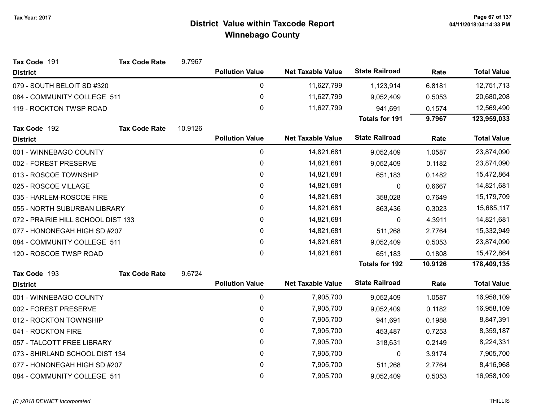| Tax Code 191                       | <b>Tax Code Rate</b> | 9.7967  |                        |                          |                       |         |                    |
|------------------------------------|----------------------|---------|------------------------|--------------------------|-----------------------|---------|--------------------|
| <b>District</b>                    |                      |         | <b>Pollution Value</b> | <b>Net Taxable Value</b> | <b>State Railroad</b> | Rate    | <b>Total Value</b> |
| 079 - SOUTH BELOIT SD #320         |                      |         | 0                      | 11,627,799               | 1,123,914             | 6.8181  | 12,751,713         |
| 084 - COMMUNITY COLLEGE 511        |                      |         | $\pmb{0}$              | 11,627,799               | 9,052,409             | 0.5053  | 20,680,208         |
| 119 - ROCKTON TWSP ROAD            |                      |         | 0                      | 11,627,799               | 941,691               | 0.1574  | 12,569,490         |
|                                    |                      |         |                        |                          | <b>Totals for 191</b> | 9.7967  | 123,959,033        |
| Tax Code 192                       | <b>Tax Code Rate</b> | 10.9126 |                        |                          |                       |         |                    |
| <b>District</b>                    |                      |         | <b>Pollution Value</b> | <b>Net Taxable Value</b> | <b>State Railroad</b> | Rate    | <b>Total Value</b> |
| 001 - WINNEBAGO COUNTY             |                      |         | $\pmb{0}$              | 14,821,681               | 9,052,409             | 1.0587  | 23,874,090         |
| 002 - FOREST PRESERVE              |                      |         | 0                      | 14,821,681               | 9,052,409             | 0.1182  | 23,874,090         |
| 013 - ROSCOE TOWNSHIP              |                      |         | 0                      | 14,821,681               | 651,183               | 0.1482  | 15,472,864         |
| 025 - ROSCOE VILLAGE               |                      |         | 0                      | 14,821,681               | 0                     | 0.6667  | 14,821,681         |
| 035 - HARLEM-ROSCOE FIRE           |                      |         | 0                      | 14,821,681               | 358,028               | 0.7649  | 15,179,709         |
| 055 - NORTH SUBURBAN LIBRARY       |                      |         | 0                      | 14,821,681               | 863,436               | 0.3023  | 15,685,117         |
| 072 - PRAIRIE HILL SCHOOL DIST 133 |                      |         | 0                      | 14,821,681               | 0                     | 4.3911  | 14,821,681         |
| 077 - HONONEGAH HIGH SD #207       |                      |         | $\pmb{0}$              | 14,821,681               | 511,268               | 2.7764  | 15,332,949         |
| 084 - COMMUNITY COLLEGE 511        |                      |         | 0                      | 14,821,681               | 9,052,409             | 0.5053  | 23,874,090         |
| 120 - ROSCOE TWSP ROAD             |                      |         | 0                      | 14,821,681               | 651,183               | 0.1808  | 15,472,864         |
|                                    |                      |         |                        |                          | <b>Totals for 192</b> | 10.9126 | 178,409,135        |
| Tax Code 193                       | <b>Tax Code Rate</b> | 9.6724  |                        |                          |                       |         |                    |
| <b>District</b>                    |                      |         | <b>Pollution Value</b> | <b>Net Taxable Value</b> | <b>State Railroad</b> | Rate    | <b>Total Value</b> |
| 001 - WINNEBAGO COUNTY             |                      |         | $\pmb{0}$              | 7,905,700                | 9,052,409             | 1.0587  | 16,958,109         |
| 002 - FOREST PRESERVE              |                      |         | 0                      | 7,905,700                | 9,052,409             | 0.1182  | 16,958,109         |
| 012 - ROCKTON TOWNSHIP             |                      |         | 0                      | 7,905,700                | 941,691               | 0.1988  | 8,847,391          |
| 041 - ROCKTON FIRE                 |                      |         | 0                      | 7,905,700                | 453,487               | 0.7253  | 8,359,187          |
| 057 - TALCOTT FREE LIBRARY         |                      |         | $\pmb{0}$              | 7,905,700                | 318,631               | 0.2149  | 8,224,331          |
| 073 - SHIRLAND SCHOOL DIST 134     |                      |         | 0                      | 7,905,700                | 0                     | 3.9174  | 7,905,700          |
| 077 - HONONEGAH HIGH SD #207       |                      |         | 0                      | 7,905,700                | 511,268               | 2.7764  | 8,416,968          |
| 084 - COMMUNITY COLLEGE 511        |                      |         | 0                      | 7,905,700                | 9,052,409             | 0.5053  | 16,958,109         |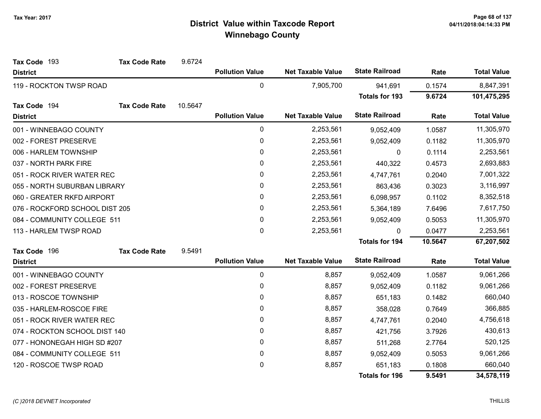| Tax Code 193                   | <b>Tax Code Rate</b> | 9.6724  |                        |                          |                       |           |                    |
|--------------------------------|----------------------|---------|------------------------|--------------------------|-----------------------|-----------|--------------------|
| <b>District</b>                |                      |         | <b>Pollution Value</b> | <b>Net Taxable Value</b> | <b>State Railroad</b> | Rate      | <b>Total Value</b> |
| 119 - ROCKTON TWSP ROAD        |                      |         | 0                      | 7,905,700                | 941,691               | 0.1574    | 8,847,391          |
|                                |                      |         |                        |                          | <b>Totals for 193</b> | 9.6724    | 101,475,295        |
| Tax Code 194                   | <b>Tax Code Rate</b> | 10.5647 |                        |                          |                       |           |                    |
| <b>District</b>                |                      |         | <b>Pollution Value</b> | <b>Net Taxable Value</b> | <b>State Railroad</b> | Rate      | <b>Total Value</b> |
| 001 - WINNEBAGO COUNTY         |                      |         | 0                      | 2,253,561                | 9,052,409             | 1.0587    | 11,305,970         |
| 002 - FOREST PRESERVE          |                      |         | 0                      | 2,253,561                | 9,052,409             | 0.1182    | 11,305,970         |
| 006 - HARLEM TOWNSHIP          |                      |         | $\mathbf 0$            | 2,253,561                | 0                     | 0.1114    | 2,253,561          |
| 037 - NORTH PARK FIRE          |                      |         | $\mathbf{0}$           | 2,253,561                | 440,322               | 0.4573    | 2,693,883          |
| 051 - ROCK RIVER WATER REC     |                      |         | 0                      | 2,253,561                | 4,747,761             | 0.2040    | 7,001,322          |
| 055 - NORTH SUBURBAN LIBRARY   |                      | 0       | 2,253,561              | 863,436                  | 0.3023                | 3,116,997 |                    |
| 060 - GREATER RKFD AIRPORT     |                      | 0       | 2,253,561              | 6,098,957                | 0.1102                | 8,352,518 |                    |
| 076 - ROCKFORD SCHOOL DIST 205 |                      | 0       | 2,253,561              | 5,364,189                | 7.6496                | 7,617,750 |                    |
| 084 - COMMUNITY COLLEGE 511    |                      |         | $\mathbf{0}$           | 2,253,561                | 9,052,409             | 0.5053    | 11,305,970         |
| 113 - HARLEM TWSP ROAD         |                      |         | 0                      | 2,253,561                | $\Omega$              | 0.0477    | 2,253,561          |
|                                |                      |         |                        |                          | <b>Totals for 194</b> | 10.5647   | 67,207,502         |
| Tax Code 196                   | <b>Tax Code Rate</b> | 9.5491  |                        |                          |                       |           |                    |
| <b>District</b>                |                      |         | <b>Pollution Value</b> | <b>Net Taxable Value</b> | <b>State Railroad</b> | Rate      | <b>Total Value</b> |
| 001 - WINNEBAGO COUNTY         |                      |         | 0                      | 8,857                    | 9,052,409             | 1.0587    | 9,061,266          |
| 002 - FOREST PRESERVE          |                      |         | $\pmb{0}$              | 8,857                    | 9,052,409             | 0.1182    | 9,061,266          |
| 013 - ROSCOE TOWNSHIP          |                      |         | 0                      | 8,857                    | 651,183               | 0.1482    | 660,040            |
| 035 - HARLEM-ROSCOE FIRE       |                      |         | 0                      | 8,857                    | 358,028               | 0.7649    | 366,885            |
| 051 - ROCK RIVER WATER REC     |                      |         | $\mathbf{0}$           | 8,857                    | 4,747,761             | 0.2040    | 4,756,618          |
| 074 - ROCKTON SCHOOL DIST 140  |                      |         | 0                      | 8,857                    | 421,756               | 3.7926    | 430,613            |
| 077 - HONONEGAH HIGH SD #207   |                      |         | 0                      | 8,857                    | 511,268               | 2.7764    | 520,125            |
| 084 - COMMUNITY COLLEGE 511    |                      |         | 0                      | 8,857                    | 9,052,409             | 0.5053    | 9,061,266          |
| 120 - ROSCOE TWSP ROAD         |                      |         | 0                      | 8,857                    | 651,183               | 0.1808    | 660,040            |
|                                |                      |         |                        |                          | <b>Totals for 196</b> | 9.5491    | 34,578,119         |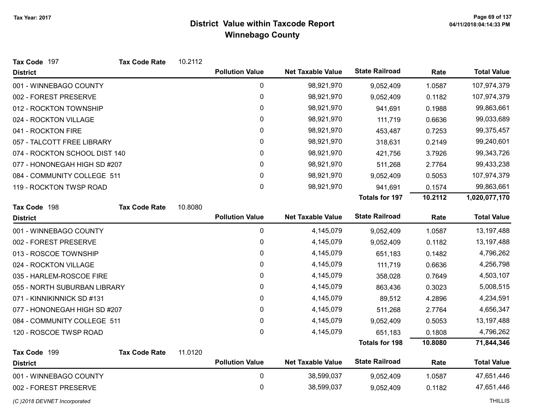| Tax Code 197                  | <b>Tax Code Rate</b> | 10.2112 |                        |                          |                       |         |                    |
|-------------------------------|----------------------|---------|------------------------|--------------------------|-----------------------|---------|--------------------|
| <b>District</b>               |                      |         | <b>Pollution Value</b> | <b>Net Taxable Value</b> | <b>State Railroad</b> | Rate    | <b>Total Value</b> |
| 001 - WINNEBAGO COUNTY        |                      |         | 0                      | 98,921,970               | 9,052,409             | 1.0587  | 107,974,379        |
| 002 - FOREST PRESERVE         |                      |         | 0                      | 98,921,970               | 9,052,409             | 0.1182  | 107,974,379        |
| 012 - ROCKTON TOWNSHIP        |                      |         | 0                      | 98,921,970               | 941,691               | 0.1988  | 99,863,661         |
| 024 - ROCKTON VILLAGE         |                      |         | 0                      | 98,921,970               | 111,719               | 0.6636  | 99,033,689         |
| 041 - ROCKTON FIRE            |                      |         | 0                      | 98,921,970               | 453,487               | 0.7253  | 99,375,457         |
| 057 - TALCOTT FREE LIBRARY    |                      |         | 0                      | 98,921,970               | 318,631               | 0.2149  | 99,240,601         |
| 074 - ROCKTON SCHOOL DIST 140 |                      |         | 0                      | 98,921,970               | 421,756               | 3.7926  | 99,343,726         |
| 077 - HONONEGAH HIGH SD #207  |                      |         | 0                      | 98,921,970               | 511,268               | 2.7764  | 99,433,238         |
| 084 - COMMUNITY COLLEGE 511   |                      |         | $\pmb{0}$              | 98,921,970               | 9,052,409             | 0.5053  | 107,974,379        |
| 119 - ROCKTON TWSP ROAD       |                      |         | 0                      | 98,921,970               | 941,691               | 0.1574  | 99,863,661         |
|                               |                      |         |                        |                          | <b>Totals for 197</b> | 10.2112 | 1,020,077,170      |
| Tax Code 198                  | <b>Tax Code Rate</b> | 10.8080 |                        |                          |                       |         |                    |
| <b>District</b>               |                      |         | <b>Pollution Value</b> | <b>Net Taxable Value</b> | <b>State Railroad</b> | Rate    | <b>Total Value</b> |
| 001 - WINNEBAGO COUNTY        |                      |         | $\pmb{0}$              | 4,145,079                | 9,052,409             | 1.0587  | 13,197,488         |
| 002 - FOREST PRESERVE         |                      |         | 0                      | 4,145,079                | 9,052,409             | 0.1182  | 13,197,488         |
| 013 - ROSCOE TOWNSHIP         |                      |         | 0                      | 4,145,079                | 651,183               | 0.1482  | 4,796,262          |
| 024 - ROCKTON VILLAGE         |                      |         | 0                      | 4,145,079                | 111,719               | 0.6636  | 4,256,798          |
| 035 - HARLEM-ROSCOE FIRE      |                      |         | 0                      | 4,145,079                | 358,028               | 0.7649  | 4,503,107          |
| 055 - NORTH SUBURBAN LIBRARY  |                      |         | 0                      | 4,145,079                | 863,436               | 0.3023  | 5,008,515          |
| 071 - KINNIKINNICK SD #131    |                      |         | 0                      | 4,145,079                | 89,512                | 4.2896  | 4,234,591          |
| 077 - HONONEGAH HIGH SD #207  |                      |         | 0                      | 4,145,079                | 511,268               | 2.7764  | 4,656,347          |
| 084 - COMMUNITY COLLEGE 511   |                      |         | 0                      | 4,145,079                | 9,052,409             | 0.5053  | 13, 197, 488       |
| 120 - ROSCOE TWSP ROAD        |                      |         | 0                      | 4,145,079                | 651,183               | 0.1808  | 4,796,262          |
|                               |                      |         |                        |                          | <b>Totals for 198</b> | 10.8080 | 71,844,346         |
| Tax Code 199                  | <b>Tax Code Rate</b> | 11.0120 |                        |                          |                       |         |                    |
| <b>District</b>               |                      |         | <b>Pollution Value</b> | <b>Net Taxable Value</b> | <b>State Railroad</b> | Rate    | <b>Total Value</b> |
| 001 - WINNEBAGO COUNTY        |                      |         | $\pmb{0}$              | 38,599,037               | 9,052,409             | 1.0587  | 47,651,446         |
| 002 - FOREST PRESERVE         |                      |         | 0                      | 38,599,037               | 9,052,409             | 0.1182  | 47,651,446         |
| (C) 2018 DEVNET Incorporated  |                      |         |                        |                          |                       |         | <b>THILLIS</b>     |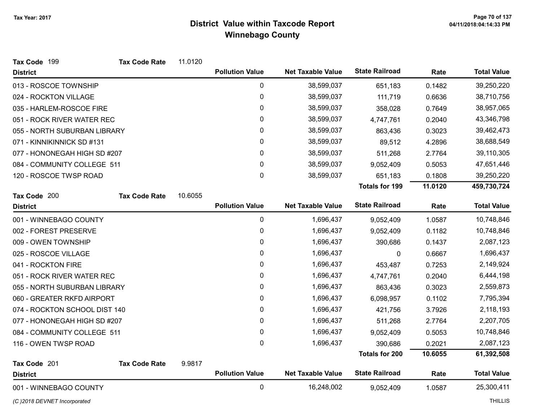| Tax Code 199                  | <b>Tax Code Rate</b> | 11.0120 |                        |                          |                       |         |                    |
|-------------------------------|----------------------|---------|------------------------|--------------------------|-----------------------|---------|--------------------|
| <b>District</b>               |                      |         | <b>Pollution Value</b> | <b>Net Taxable Value</b> | <b>State Railroad</b> | Rate    | <b>Total Value</b> |
| 013 - ROSCOE TOWNSHIP         |                      |         | $\mathbf 0$            | 38,599,037               | 651,183               | 0.1482  | 39,250,220         |
| 024 - ROCKTON VILLAGE         |                      |         | $\pmb{0}$              | 38,599,037               | 111,719               | 0.6636  | 38,710,756         |
| 035 - HARLEM-ROSCOE FIRE      |                      |         | $\pmb{0}$              | 38,599,037               | 358,028               | 0.7649  | 38,957,065         |
| 051 - ROCK RIVER WATER REC    |                      |         | 0                      | 38,599,037               | 4,747,761             | 0.2040  | 43,346,798         |
| 055 - NORTH SUBURBAN LIBRARY  |                      |         | 0                      | 38,599,037               | 863,436               | 0.3023  | 39,462,473         |
| 071 - KINNIKINNICK SD #131    |                      |         | $\mathbf 0$            | 38,599,037               | 89,512                | 4.2896  | 38,688,549         |
| 077 - HONONEGAH HIGH SD #207  |                      |         | 0                      | 38,599,037               | 511,268               | 2.7764  | 39,110,305         |
| 084 - COMMUNITY COLLEGE 511   |                      |         | 0                      | 38,599,037               | 9,052,409             | 0.5053  | 47,651,446         |
| 120 - ROSCOE TWSP ROAD        |                      |         | 0                      | 38,599,037               | 651,183               | 0.1808  | 39,250,220         |
|                               |                      |         |                        |                          | <b>Totals for 199</b> | 11.0120 | 459,730,724        |
| Tax Code 200                  | <b>Tax Code Rate</b> | 10.6055 |                        |                          |                       |         |                    |
| <b>District</b>               |                      |         | <b>Pollution Value</b> | <b>Net Taxable Value</b> | <b>State Railroad</b> | Rate    | <b>Total Value</b> |
| 001 - WINNEBAGO COUNTY        |                      |         | $\mathbf 0$            | 1,696,437                | 9,052,409             | 1.0587  | 10,748,846         |
| 002 - FOREST PRESERVE         |                      |         | 0                      | 1,696,437                | 9,052,409             | 0.1182  | 10,748,846         |
| 009 - OWEN TOWNSHIP           |                      |         | $\pmb{0}$              | 1,696,437                | 390,686               | 0.1437  | 2,087,123          |
| 025 - ROSCOE VILLAGE          |                      |         | 0                      | 1,696,437                | 0                     | 0.6667  | 1,696,437          |
| 041 - ROCKTON FIRE            |                      |         | $\mathbf 0$            | 1,696,437                | 453,487               | 0.7253  | 2,149,924          |
| 051 - ROCK RIVER WATER REC    |                      |         | 0                      | 1,696,437                | 4,747,761             | 0.2040  | 6,444,198          |
| 055 - NORTH SUBURBAN LIBRARY  |                      |         | 0                      | 1,696,437                | 863,436               | 0.3023  | 2,559,873          |
| 060 - GREATER RKFD AIRPORT    |                      |         | 0                      | 1,696,437                | 6,098,957             | 0.1102  | 7,795,394          |
| 074 - ROCKTON SCHOOL DIST 140 |                      |         | 0                      | 1,696,437                | 421,756               | 3.7926  | 2,118,193          |
| 077 - HONONEGAH HIGH SD #207  |                      |         | $\pmb{0}$              | 1,696,437                | 511,268               | 2.7764  | 2,207,705          |
| 084 - COMMUNITY COLLEGE 511   |                      |         | 0                      | 1,696,437                | 9,052,409             | 0.5053  | 10,748,846         |
| 116 - OWEN TWSP ROAD          |                      |         | 0                      | 1,696,437                | 390,686               | 0.2021  | 2,087,123          |
|                               |                      |         |                        |                          | <b>Totals for 200</b> | 10.6055 | 61,392,508         |
| Tax Code 201                  | <b>Tax Code Rate</b> | 9.9817  |                        |                          |                       |         |                    |
| <b>District</b>               |                      |         | <b>Pollution Value</b> | <b>Net Taxable Value</b> | <b>State Railroad</b> | Rate    | <b>Total Value</b> |
| 001 - WINNEBAGO COUNTY        |                      |         | $\mathbf 0$            | 16,248,002               | 9,052,409             | 1.0587  | 25,300,411         |

(C)2018 DEVNET Incorporated THILLIS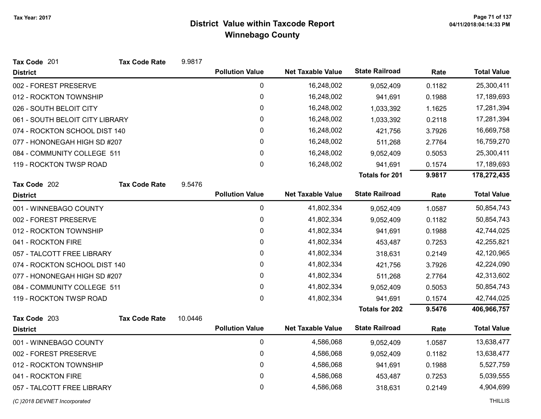| Tax Code 201                    | <b>Tax Code Rate</b> | 9.9817  |                        |                          |                       |        |                    |
|---------------------------------|----------------------|---------|------------------------|--------------------------|-----------------------|--------|--------------------|
| <b>District</b>                 |                      |         | <b>Pollution Value</b> | <b>Net Taxable Value</b> | <b>State Railroad</b> | Rate   | <b>Total Value</b> |
| 002 - FOREST PRESERVE           |                      |         | $\mathbf 0$            | 16,248,002               | 9,052,409             | 0.1182 | 25,300,411         |
| 012 - ROCKTON TOWNSHIP          |                      |         | $\pmb{0}$              | 16,248,002               | 941,691               | 0.1988 | 17,189,693         |
| 026 - SOUTH BELOIT CITY         |                      |         | 0                      | 16,248,002               | 1,033,392             | 1.1625 | 17,281,394         |
| 061 - SOUTH BELOIT CITY LIBRARY |                      |         | $\pmb{0}$              | 16,248,002               | 1,033,392             | 0.2118 | 17,281,394         |
| 074 - ROCKTON SCHOOL DIST 140   |                      |         | 0                      | 16,248,002               | 421,756               | 3.7926 | 16,669,758         |
| 077 - HONONEGAH HIGH SD #207    |                      |         | $\mathbf 0$            | 16,248,002               | 511,268               | 2.7764 | 16,759,270         |
| 084 - COMMUNITY COLLEGE 511     |                      |         | 0                      | 16,248,002               | 9,052,409             | 0.5053 | 25,300,411         |
| 119 - ROCKTON TWSP ROAD         |                      |         | $\mathbf 0$            | 16,248,002               | 941,691               | 0.1574 | 17,189,693         |
|                                 |                      |         |                        |                          | <b>Totals for 201</b> | 9.9817 | 178,272,435        |
| Tax Code 202                    | <b>Tax Code Rate</b> | 9.5476  |                        |                          |                       |        |                    |
| <b>District</b>                 |                      |         | <b>Pollution Value</b> | <b>Net Taxable Value</b> | <b>State Railroad</b> | Rate   | <b>Total Value</b> |
| 001 - WINNEBAGO COUNTY          |                      |         | $\mathbf 0$            | 41,802,334               | 9,052,409             | 1.0587 | 50,854,743         |
| 002 - FOREST PRESERVE           |                      |         | $\pmb{0}$              | 41,802,334               | 9,052,409             | 0.1182 | 50,854,743         |
| 012 - ROCKTON TOWNSHIP          |                      |         | 0                      | 41,802,334               | 941,691               | 0.1988 | 42,744,025         |
| 041 - ROCKTON FIRE              |                      |         | 0                      | 41,802,334               | 453,487               | 0.7253 | 42,255,821         |
| 057 - TALCOTT FREE LIBRARY      |                      |         | $\mathbf 0$            | 41,802,334               | 318,631               | 0.2149 | 42,120,965         |
| 074 - ROCKTON SCHOOL DIST 140   |                      |         | 0                      | 41,802,334               | 421,756               | 3.7926 | 42,224,090         |
| 077 - HONONEGAH HIGH SD #207    |                      |         | 0                      | 41,802,334               | 511,268               | 2.7764 | 42,313,602         |
| 084 - COMMUNITY COLLEGE 511     |                      |         | 0                      | 41,802,334               | 9,052,409             | 0.5053 | 50,854,743         |
| 119 - ROCKTON TWSP ROAD         |                      |         | 0                      | 41,802,334               | 941,691               | 0.1574 | 42,744,025         |
|                                 |                      |         |                        |                          | <b>Totals for 202</b> | 9.5476 | 406,966,757        |
| Tax Code 203                    | <b>Tax Code Rate</b> | 10.0446 |                        |                          |                       |        |                    |
| <b>District</b>                 |                      |         | <b>Pollution Value</b> | <b>Net Taxable Value</b> | <b>State Railroad</b> | Rate   | <b>Total Value</b> |
| 001 - WINNEBAGO COUNTY          |                      |         | $\mathbf 0$            | 4,586,068                | 9,052,409             | 1.0587 | 13,638,477         |
| 002 - FOREST PRESERVE           |                      |         | 0                      | 4,586,068                | 9,052,409             | 0.1182 | 13,638,477         |
| 012 - ROCKTON TOWNSHIP          |                      |         | 0                      | 4,586,068                | 941,691               | 0.1988 | 5,527,759          |
| 041 - ROCKTON FIRE              |                      |         | 0                      | 4,586,068                | 453,487               | 0.7253 | 5,039,555          |
| 057 - TALCOTT FREE LIBRARY      |                      |         | 0                      | 4,586,068                | 318,631               | 0.2149 | 4,904,699          |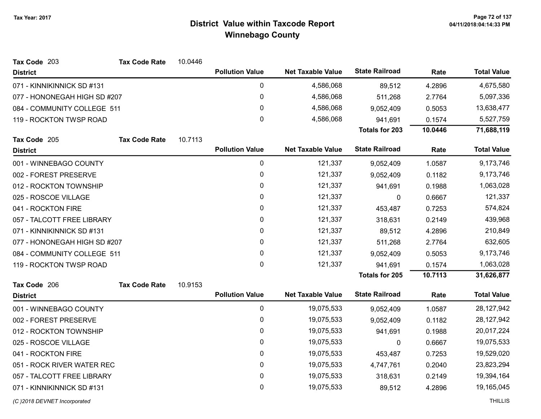| Tax Code 203                 | <b>Tax Code Rate</b> | 10.0446 |                        |                          |                       |         |                    |
|------------------------------|----------------------|---------|------------------------|--------------------------|-----------------------|---------|--------------------|
| <b>District</b>              |                      |         | <b>Pollution Value</b> | <b>Net Taxable Value</b> | <b>State Railroad</b> | Rate    | <b>Total Value</b> |
| 071 - KINNIKINNICK SD #131   |                      |         | 0                      | 4,586,068                | 89,512                | 4.2896  | 4,675,580          |
| 077 - HONONEGAH HIGH SD #207 |                      |         | 0                      | 4,586,068                | 511,268               | 2.7764  | 5,097,336          |
| 084 - COMMUNITY COLLEGE 511  |                      |         | 0                      | 4,586,068                | 9,052,409             | 0.5053  | 13,638,477         |
| 119 - ROCKTON TWSP ROAD      |                      |         | $\Omega$               | 4,586,068                | 941,691               | 0.1574  | 5,527,759          |
|                              |                      |         |                        |                          | <b>Totals for 203</b> | 10.0446 | 71,688,119         |
| Tax Code 205                 | <b>Tax Code Rate</b> | 10.7113 |                        |                          |                       |         |                    |
| <b>District</b>              |                      |         | <b>Pollution Value</b> | <b>Net Taxable Value</b> | <b>State Railroad</b> | Rate    | <b>Total Value</b> |
| 001 - WINNEBAGO COUNTY       |                      |         | 0                      | 121,337                  | 9,052,409             | 1.0587  | 9,173,746          |
| 002 - FOREST PRESERVE        |                      |         | 0                      | 121,337                  | 9,052,409             | 0.1182  | 9,173,746          |
| 012 - ROCKTON TOWNSHIP       |                      |         | 0                      | 121,337                  | 941,691               | 0.1988  | 1,063,028          |
| 025 - ROSCOE VILLAGE         |                      |         | 0                      | 121,337                  | 0                     | 0.6667  | 121,337            |
| 041 - ROCKTON FIRE           |                      |         | 0                      | 121,337                  | 453,487               | 0.7253  | 574,824            |
| 057 - TALCOTT FREE LIBRARY   |                      |         | 0                      | 121,337                  | 318,631               | 0.2149  | 439,968            |
| 071 - KINNIKINNICK SD #131   |                      | 0       | 121,337                | 89,512                   | 4.2896                | 210,849 |                    |
| 077 - HONONEGAH HIGH SD #207 |                      |         | 0                      | 121,337                  | 511,268               | 2.7764  | 632,605            |
| 084 - COMMUNITY COLLEGE 511  |                      |         | 0                      | 121,337                  | 9,052,409             | 0.5053  | 9,173,746          |
| 119 - ROCKTON TWSP ROAD      |                      |         | 0                      | 121,337                  | 941,691               | 0.1574  | 1,063,028          |
|                              |                      |         |                        |                          | <b>Totals for 205</b> | 10.7113 | 31,626,877         |
| Tax Code 206                 | <b>Tax Code Rate</b> | 10.9153 |                        |                          |                       |         |                    |
| <b>District</b>              |                      |         | <b>Pollution Value</b> | <b>Net Taxable Value</b> | <b>State Railroad</b> | Rate    | <b>Total Value</b> |
| 001 - WINNEBAGO COUNTY       |                      |         | 0                      | 19,075,533               | 9,052,409             | 1.0587  | 28,127,942         |
| 002 - FOREST PRESERVE        |                      |         | 0                      | 19,075,533               | 9,052,409             | 0.1182  | 28, 127, 942       |
| 012 - ROCKTON TOWNSHIP       |                      |         | 0                      | 19,075,533               | 941,691               | 0.1988  | 20,017,224         |
| 025 - ROSCOE VILLAGE         |                      |         | 0                      | 19,075,533               | 0                     | 0.6667  | 19,075,533         |
| 041 - ROCKTON FIRE           |                      |         | 0                      | 19,075,533               | 453,487               | 0.7253  | 19,529,020         |
| 051 - ROCK RIVER WATER REC   |                      |         | 0                      | 19,075,533               | 4,747,761             | 0.2040  | 23,823,294         |
| 057 - TALCOTT FREE LIBRARY   |                      |         | 0                      | 19,075,533               | 318,631               | 0.2149  | 19,394,164         |
| 071 - KINNIKINNICK SD #131   |                      |         | 0                      | 19,075,533               | 89,512                | 4.2896  | 19,165,045         |
|                              |                      |         |                        |                          |                       |         |                    |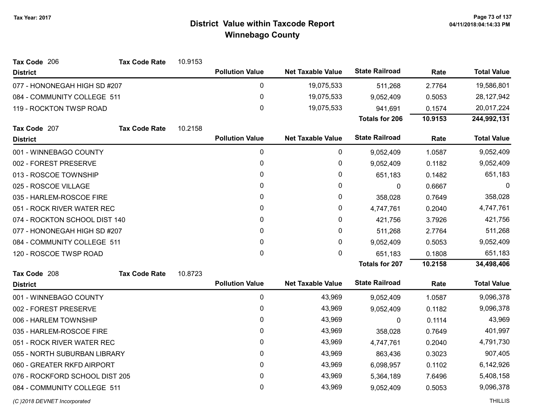| Tax Code 206                   | <b>Tax Code Rate</b> | 10.9153 |                        |                          |                       |         |                    |
|--------------------------------|----------------------|---------|------------------------|--------------------------|-----------------------|---------|--------------------|
| <b>District</b>                |                      |         | <b>Pollution Value</b> | <b>Net Taxable Value</b> | <b>State Railroad</b> | Rate    | <b>Total Value</b> |
| 077 - HONONEGAH HIGH SD #207   |                      |         | 0                      | 19,075,533               | 511,268               | 2.7764  | 19,586,801         |
| 084 - COMMUNITY COLLEGE 511    |                      |         | 0                      | 19,075,533               | 9,052,409             | 0.5053  | 28,127,942         |
| 119 - ROCKTON TWSP ROAD        |                      |         | 0                      | 19,075,533               | 941,691               | 0.1574  | 20,017,224         |
|                                |                      |         |                        |                          | <b>Totals for 206</b> | 10.9153 | 244,992,131        |
| Tax Code 207                   | <b>Tax Code Rate</b> | 10.2158 |                        |                          |                       |         |                    |
| <b>District</b>                |                      |         | <b>Pollution Value</b> | <b>Net Taxable Value</b> | <b>State Railroad</b> | Rate    | <b>Total Value</b> |
| 001 - WINNEBAGO COUNTY         |                      |         | 0                      | $\mathbf 0$              | 9,052,409             | 1.0587  | 9,052,409          |
| 002 - FOREST PRESERVE          |                      |         | 0                      | 0                        | 9,052,409             | 0.1182  | 9,052,409          |
| 013 - ROSCOE TOWNSHIP          |                      |         | 0                      | 0                        | 651,183               | 0.1482  | 651,183            |
| 025 - ROSCOE VILLAGE           |                      |         | 0                      | 0                        | $\mathbf 0$           | 0.6667  | 0                  |
| 035 - HARLEM-ROSCOE FIRE       |                      |         | 0                      | 0                        | 358,028               | 0.7649  | 358,028            |
| 051 - ROCK RIVER WATER REC     |                      |         | 0                      | 0                        | 4,747,761             | 0.2040  | 4,747,761          |
| 074 - ROCKTON SCHOOL DIST 140  |                      |         | 0                      | 0                        | 421,756               | 3.7926  | 421,756            |
| 077 - HONONEGAH HIGH SD #207   |                      |         | 0                      | 0                        | 511,268               | 2.7764  | 511,268            |
| 084 - COMMUNITY COLLEGE 511    |                      |         | 0                      | 0                        | 9,052,409             | 0.5053  | 9,052,409          |
| 120 - ROSCOE TWSP ROAD         |                      |         | $\mathbf 0$            | 0                        | 651,183               | 0.1808  | 651,183            |
|                                |                      |         |                        |                          | <b>Totals for 207</b> | 10.2158 | 34,498,406         |
| Tax Code 208                   | <b>Tax Code Rate</b> | 10.8723 |                        |                          |                       |         |                    |
| <b>District</b>                |                      |         | <b>Pollution Value</b> | <b>Net Taxable Value</b> | <b>State Railroad</b> | Rate    | <b>Total Value</b> |
| 001 - WINNEBAGO COUNTY         |                      |         | 0                      | 43,969                   | 9,052,409             | 1.0587  | 9,096,378          |
| 002 - FOREST PRESERVE          |                      |         | 0                      | 43,969                   | 9,052,409             | 0.1182  | 9,096,378          |
| 006 - HARLEM TOWNSHIP          |                      |         | 0                      | 43,969                   | $\boldsymbol{0}$      | 0.1114  | 43,969             |
| 035 - HARLEM-ROSCOE FIRE       |                      |         | 0                      | 43,969                   | 358,028               | 0.7649  | 401,997            |
| 051 - ROCK RIVER WATER REC     |                      |         | 0                      | 43,969                   | 4,747,761             | 0.2040  | 4,791,730          |
| 055 - NORTH SUBURBAN LIBRARY   |                      |         | 0                      | 43,969                   | 863,436               | 0.3023  | 907,405            |
| 060 - GREATER RKFD AIRPORT     |                      |         | 0                      | 43,969                   | 6,098,957             | 0.1102  | 6,142,926          |
| 076 - ROCKFORD SCHOOL DIST 205 |                      |         | 0                      | 43,969                   | 5,364,189             | 7.6496  | 5,408,158          |
| 084 - COMMUNITY COLLEGE 511    |                      |         | 0                      | 43,969                   | 9,052,409             | 0.5053  | 9,096,378          |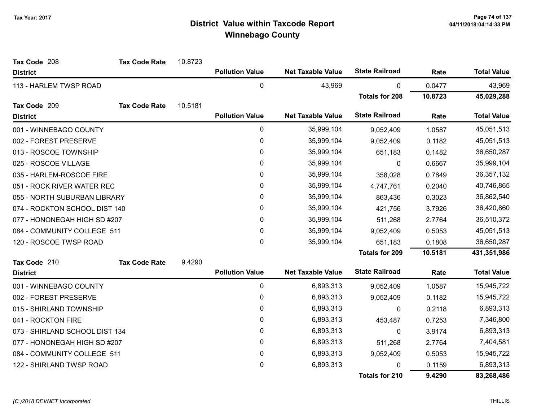| Tax Code 208                   | <b>Tax Code Rate</b> | 10.8723 |                        |                          |                       |         |                    |
|--------------------------------|----------------------|---------|------------------------|--------------------------|-----------------------|---------|--------------------|
| <b>District</b>                |                      |         | <b>Pollution Value</b> | <b>Net Taxable Value</b> | <b>State Railroad</b> | Rate    | <b>Total Value</b> |
| 113 - HARLEM TWSP ROAD         |                      |         | $\pmb{0}$              | 43,969                   | 0                     | 0.0477  | 43,969             |
|                                |                      |         |                        |                          | <b>Totals for 208</b> | 10.8723 | 45,029,288         |
| Tax Code 209                   | <b>Tax Code Rate</b> | 10.5181 |                        |                          |                       |         |                    |
| <b>District</b>                |                      |         | <b>Pollution Value</b> | <b>Net Taxable Value</b> | <b>State Railroad</b> | Rate    | <b>Total Value</b> |
| 001 - WINNEBAGO COUNTY         |                      |         | $\pmb{0}$              | 35,999,104               | 9,052,409             | 1.0587  | 45,051,513         |
| 002 - FOREST PRESERVE          |                      |         | 0                      | 35,999,104               | 9,052,409             | 0.1182  | 45,051,513         |
| 013 - ROSCOE TOWNSHIP          |                      |         | $\pmb{0}$              | 35,999,104               | 651,183               | 0.1482  | 36,650,287         |
| 025 - ROSCOE VILLAGE           |                      |         | 0                      | 35,999,104               | 0                     | 0.6667  | 35,999,104         |
| 035 - HARLEM-ROSCOE FIRE       |                      |         | 0                      | 35,999,104               | 358,028               | 0.7649  | 36, 357, 132       |
| 051 - ROCK RIVER WATER REC     |                      |         | $\pmb{0}$              | 35,999,104               | 4,747,761             | 0.2040  | 40,746,865         |
| 055 - NORTH SUBURBAN LIBRARY   |                      |         | 0                      | 35,999,104               | 863,436               | 0.3023  | 36,862,540         |
| 074 - ROCKTON SCHOOL DIST 140  |                      |         | 0                      | 35,999,104               | 421,756               | 3.7926  | 36,420,860         |
| 077 - HONONEGAH HIGH SD #207   |                      |         | 0                      | 35,999,104               | 511,268               | 2.7764  | 36,510,372         |
| 084 - COMMUNITY COLLEGE 511    |                      |         | 0                      | 35,999,104               | 9,052,409             | 0.5053  | 45,051,513         |
| 120 - ROSCOE TWSP ROAD         |                      |         | $\mathbf 0$            | 35,999,104               | 651,183               | 0.1808  | 36,650,287         |
|                                |                      |         |                        |                          | <b>Totals for 209</b> | 10.5181 | 431,351,986        |
| Tax Code 210                   | <b>Tax Code Rate</b> | 9.4290  |                        |                          |                       |         |                    |
| <b>District</b>                |                      |         | <b>Pollution Value</b> | <b>Net Taxable Value</b> | <b>State Railroad</b> | Rate    | <b>Total Value</b> |
| 001 - WINNEBAGO COUNTY         |                      |         | 0                      | 6,893,313                | 9,052,409             | 1.0587  | 15,945,722         |
| 002 - FOREST PRESERVE          |                      |         | $\pmb{0}$              | 6,893,313                | 9,052,409             | 0.1182  | 15,945,722         |
| 015 - SHIRLAND TOWNSHIP        |                      |         | 0                      | 6,893,313                | $\mathbf{0}$          | 0.2118  | 6,893,313          |
| 041 - ROCKTON FIRE             |                      |         | 0                      | 6,893,313                | 453,487               | 0.7253  | 7,346,800          |
| 073 - SHIRLAND SCHOOL DIST 134 |                      |         | 0                      | 6,893,313                | 0                     | 3.9174  | 6,893,313          |
| 077 - HONONEGAH HIGH SD #207   |                      |         | 0                      | 6,893,313                | 511,268               | 2.7764  | 7,404,581          |
| 084 - COMMUNITY COLLEGE 511    |                      |         | $\pmb{0}$              | 6,893,313                | 9,052,409             | 0.5053  | 15,945,722         |
| 122 - SHIRLAND TWSP ROAD       |                      |         | 0                      | 6,893,313                | 0                     | 0.1159  | 6,893,313          |
|                                |                      |         |                        |                          | <b>Totals for 210</b> | 9.4290  | 83,268,486         |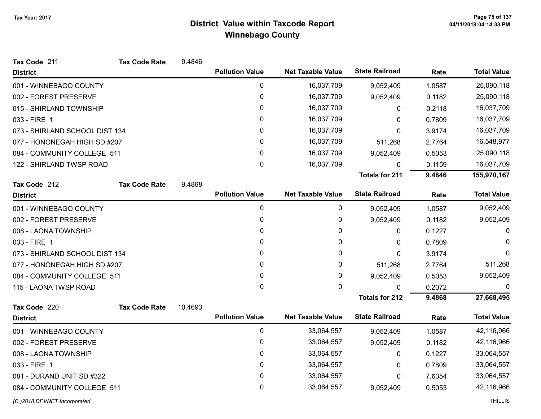Tax Code 211

# District Value within Taxcode Report Winnebago County

Tax Code Rate 9.4846

| <b>District</b>                |                      |         | <b>Pollution Value</b> | <b>Net Taxable Value</b> | <b>State Railroad</b> | Rate   | <b>Total Value</b> |
|--------------------------------|----------------------|---------|------------------------|--------------------------|-----------------------|--------|--------------------|
| 001 - WINNEBAGO COUNTY         |                      |         | 0                      | 16,037,709               | 9,052,409             | 1.0587 | 25,090,118         |
| 002 - FOREST PRESERVE          |                      |         | $\pmb{0}$              | 16,037,709               | 9,052,409             | 0.1182 | 25,090,118         |
| 015 - SHIRLAND TOWNSHIP        |                      |         | 0                      | 16,037,709               | 0                     | 0.2118 | 16,037,709         |
| 033 - FIRE 1                   |                      |         | 0                      | 16,037,709               | 0                     | 0.7809 | 16,037,709         |
| 073 - SHIRLAND SCHOOL DIST 134 |                      |         | 0                      | 16,037,709               | 0                     | 3.9174 | 16,037,709         |
| 077 - HONONEGAH HIGH SD #207   |                      |         | 0                      | 16,037,709               | 511,268               | 2.7764 | 16,548,977         |
| 084 - COMMUNITY COLLEGE 511    |                      |         | $\mathbf{0}$           | 16,037,709               | 9,052,409             | 0.5053 | 25,090,118         |
| 122 - SHIRLAND TWSP ROAD       |                      |         | $\mathbf{0}$           | 16,037,709               | $\mathbf{0}$          | 0.1159 | 16,037,709         |
|                                |                      |         |                        |                          | <b>Totals for 211</b> | 9.4846 | 155,970,167        |
| Tax Code 212                   | <b>Tax Code Rate</b> | 9.4868  |                        |                          |                       |        |                    |
| <b>District</b>                |                      |         | <b>Pollution Value</b> | <b>Net Taxable Value</b> | <b>State Railroad</b> | Rate   | <b>Total Value</b> |
| 001 - WINNEBAGO COUNTY         |                      |         | 0                      | 0                        | 9,052,409             | 1.0587 | 9,052,409          |
| 002 - FOREST PRESERVE          |                      |         | 0                      | 0                        | 9,052,409             | 0.1182 | 9,052,409          |
| 008 - LAONA TOWNSHIP           |                      |         | $\mathbf{0}$           | 0                        | $\mathbf{0}$          | 0.1227 | $\Omega$           |
| 033 - FIRE 1                   |                      |         | $\mathbf 0$            | 0                        | 0                     | 0.7809 | $\Omega$           |
| 073 - SHIRLAND SCHOOL DIST 134 |                      |         | 0                      | 0                        | $\mathbf 0$           | 3.9174 | $\Omega$           |
| 077 - HONONEGAH HIGH SD #207   |                      |         | 0                      | 0                        | 511,268               | 2.7764 | 511,268            |
| 084 - COMMUNITY COLLEGE 511    |                      |         | $\mathbf{0}$           | 0                        | 9,052,409             | 0.5053 | 9,052,409          |
| 115 - LAONA TWSP ROAD          |                      |         | $\mathbf 0$            | 0                        | 0                     | 0.2072 | 0                  |
|                                |                      |         |                        |                          | <b>Totals for 212</b> | 9.4868 | 27,668,495         |
| Tax Code 220                   | <b>Tax Code Rate</b> | 10.4693 |                        |                          |                       |        |                    |
| <b>District</b>                |                      |         | <b>Pollution Value</b> | <b>Net Taxable Value</b> | <b>State Railroad</b> | Rate   | <b>Total Value</b> |
| 001 - WINNEBAGO COUNTY         |                      |         | $\mathbf 0$            | 33,064,557               | 9,052,409             | 1.0587 | 42,116,966         |
| 002 - FOREST PRESERVE          |                      |         | 0                      | 33,064,557               | 9,052,409             | 0.1182 | 42,116,966         |
| 008 - LAONA TOWNSHIP           |                      |         | 0                      | 33,064,557               | 0                     | 0.1227 | 33,064,557         |
| 033 - FIRE 1                   |                      |         | $\mathbf{0}$           | 33,064,557               | 0                     | 0.7809 | 33,064,557         |
| 081 - DURAND UNIT SD #322      |                      |         | $\mathbf{0}$           | 33,064,557               | 0                     | 7.6354 | 33,064,557         |
| 084 - COMMUNITY COLLEGE 511    |                      |         | $\mathbf{0}$           | 33,064,557               | 9,052,409             | 0.5053 | 42,116,966         |
|                                |                      |         |                        |                          |                       |        |                    |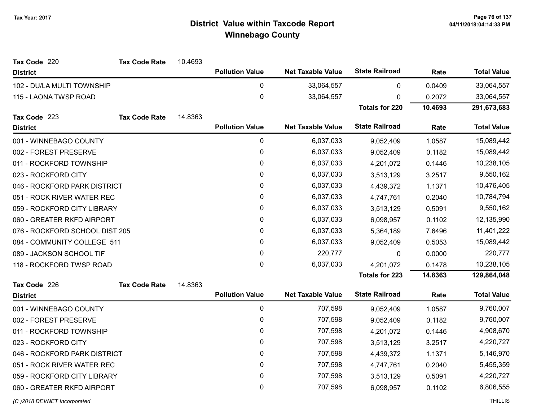| Tax Code 220                   | <b>Tax Code Rate</b> | 10.4693 |                        |                          |                       |         |                    |
|--------------------------------|----------------------|---------|------------------------|--------------------------|-----------------------|---------|--------------------|
| <b>District</b>                |                      |         | <b>Pollution Value</b> | <b>Net Taxable Value</b> | <b>State Railroad</b> | Rate    | <b>Total Value</b> |
| 102 - DU/LA MULTI TOWNSHIP     |                      |         | 0                      | 33,064,557               | 0                     | 0.0409  | 33,064,557         |
| 115 - LAONA TWSP ROAD          |                      |         | $\pmb{0}$              | 33,064,557               | 0                     | 0.2072  | 33,064,557         |
|                                |                      |         |                        |                          | <b>Totals for 220</b> | 10.4693 | 291,673,683        |
| Tax Code 223                   | <b>Tax Code Rate</b> | 14.8363 |                        |                          |                       |         |                    |
| <b>District</b>                |                      |         | <b>Pollution Value</b> | <b>Net Taxable Value</b> | <b>State Railroad</b> | Rate    | <b>Total Value</b> |
| 001 - WINNEBAGO COUNTY         |                      |         | $\mathbf 0$            | 6,037,033                | 9,052,409             | 1.0587  | 15,089,442         |
| 002 - FOREST PRESERVE          |                      |         | $\pmb{0}$              | 6,037,033                | 9,052,409             | 0.1182  | 15,089,442         |
| 011 - ROCKFORD TOWNSHIP        |                      |         | $\pmb{0}$              | 6,037,033                | 4,201,072             | 0.1446  | 10,238,105         |
| 023 - ROCKFORD CITY            |                      |         | $\pmb{0}$              | 6,037,033                | 3,513,129             | 3.2517  | 9,550,162          |
| 046 - ROCKFORD PARK DISTRICT   |                      |         | 0                      | 6,037,033                | 4,439,372             | 1.1371  | 10,476,405         |
| 051 - ROCK RIVER WATER REC     |                      |         | $\pmb{0}$              | 6,037,033                | 4,747,761             | 0.2040  | 10,784,794         |
| 059 - ROCKFORD CITY LIBRARY    |                      |         | 0                      | 6,037,033                | 3,513,129             | 0.5091  | 9,550,162          |
| 060 - GREATER RKFD AIRPORT     |                      |         | $\pmb{0}$              | 6,037,033                | 6,098,957             | 0.1102  | 12,135,990         |
| 076 - ROCKFORD SCHOOL DIST 205 |                      |         | $\pmb{0}$              | 6,037,033                | 5,364,189             | 7.6496  | 11,401,222         |
| 084 - COMMUNITY COLLEGE 511    |                      |         | $\pmb{0}$              | 6,037,033                | 9,052,409             | 0.5053  | 15,089,442         |
| 089 - JACKSON SCHOOL TIF       |                      |         | $\pmb{0}$              | 220,777                  | 0                     | 0.0000  | 220,777            |
| 118 - ROCKFORD TWSP ROAD       |                      |         | $\mathbf 0$            | 6,037,033                | 4,201,072             | 0.1478  | 10,238,105         |
|                                |                      |         |                        |                          | <b>Totals for 223</b> | 14.8363 | 129,864,048        |
| Tax Code 226                   | <b>Tax Code Rate</b> | 14.8363 |                        |                          |                       |         |                    |
| <b>District</b>                |                      |         | <b>Pollution Value</b> | <b>Net Taxable Value</b> | <b>State Railroad</b> | Rate    | <b>Total Value</b> |
| 001 - WINNEBAGO COUNTY         |                      |         | $\pmb{0}$              | 707,598                  | 9,052,409             | 1.0587  | 9,760,007          |
| 002 - FOREST PRESERVE          |                      |         | $\pmb{0}$              | 707,598                  | 9,052,409             | 0.1182  | 9,760,007          |
| 011 - ROCKFORD TOWNSHIP        |                      |         | $\mathbf 0$            | 707,598                  | 4,201,072             | 0.1446  | 4,908,670          |
| 023 - ROCKFORD CITY            |                      |         | $\pmb{0}$              | 707,598                  | 3,513,129             | 3.2517  | 4,220,727          |
| 046 - ROCKFORD PARK DISTRICT   |                      |         | 0                      | 707,598                  | 4,439,372             | 1.1371  | 5,146,970          |
| 051 - ROCK RIVER WATER REC     |                      |         | $\pmb{0}$              | 707,598                  | 4,747,761             | 0.2040  | 5,455,359          |
| 059 - ROCKFORD CITY LIBRARY    |                      |         | $\pmb{0}$              | 707,598                  | 3,513,129             | 0.5091  | 4,220,727          |
| 060 - GREATER RKFD AIRPORT     |                      |         | $\pmb{0}$              | 707,598                  | 6,098,957             | 0.1102  | 6,806,555          |
|                                |                      |         |                        |                          |                       |         |                    |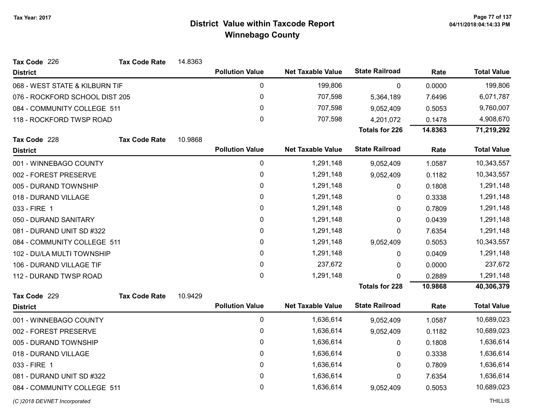| Tax Code 226<br><b>Tax Code Rate</b> | 14.8363 |                        |                          |                       |         |                    |
|--------------------------------------|---------|------------------------|--------------------------|-----------------------|---------|--------------------|
| <b>District</b>                      |         | <b>Pollution Value</b> | <b>Net Taxable Value</b> | <b>State Railroad</b> | Rate    | <b>Total Value</b> |
| 068 - WEST STATE & KILBURN TIF       |         | 0                      | 199,806                  | 0                     | 0.0000  | 199,806            |
| 076 - ROCKFORD SCHOOL DIST 205       |         | 0                      | 707,598                  | 5,364,189             | 7.6496  | 6,071,787          |
| 084 - COMMUNITY COLLEGE 511          |         | 0                      | 707,598                  | 9,052,409             | 0.5053  | 9,760,007          |
| 118 - ROCKFORD TWSP ROAD             |         | 0                      | 707,598                  | 4,201,072             | 0.1478  | 4,908,670          |
|                                      |         |                        |                          | <b>Totals for 226</b> | 14.8363 | 71,219,292         |
| Tax Code 228<br><b>Tax Code Rate</b> | 10.9868 |                        |                          |                       |         |                    |
| <b>District</b>                      |         | <b>Pollution Value</b> | <b>Net Taxable Value</b> | <b>State Railroad</b> | Rate    | <b>Total Value</b> |
| 001 - WINNEBAGO COUNTY               |         | 0                      | 1,291,148                | 9,052,409             | 1.0587  | 10,343,557         |
| 002 - FOREST PRESERVE                |         | 0                      | 1,291,148                | 9,052,409             | 0.1182  | 10,343,557         |
| 005 - DURAND TOWNSHIP                |         | 0                      | 1,291,148                | 0                     | 0.1808  | 1,291,148          |
| 018 - DURAND VILLAGE                 |         | 0                      | 1,291,148                | 0                     | 0.3338  | 1,291,148          |
| 033 - FIRE 1                         |         | 0                      | 1,291,148                | 0                     | 0.7809  | 1,291,148          |
| 050 - DURAND SANITARY                |         | 0                      | 1,291,148                | 0                     | 0.0439  | 1,291,148          |
| 081 - DURAND UNIT SD #322            |         | 0                      | 1,291,148                | 0                     | 7.6354  | 1,291,148          |
| 084 - COMMUNITY COLLEGE 511          |         | 0                      | 1,291,148                | 9,052,409             | 0.5053  | 10,343,557         |
| 102 - DU/LA MULTI TOWNSHIP           |         | 0                      | 1,291,148                | 0                     | 0.0409  | 1,291,148          |
| 106 - DURAND VILLAGE TIF             |         | 0                      | 237,672                  | 0                     | 0.0000  | 237,672            |
| 112 - DURAND TWSP ROAD               |         | 0                      | 1,291,148                | 0                     | 0.2889  | 1,291,148          |
|                                      |         |                        |                          | <b>Totals for 228</b> | 10.9868 | 40,306,379         |
| Tax Code 229<br><b>Tax Code Rate</b> | 10.9429 |                        |                          |                       |         |                    |
| <b>District</b>                      |         | <b>Pollution Value</b> | <b>Net Taxable Value</b> | <b>State Railroad</b> | Rate    | <b>Total Value</b> |
| 001 - WINNEBAGO COUNTY               |         | $\mathbf 0$            | 1,636,614                | 9,052,409             | 1.0587  | 10,689,023         |
| 002 - FOREST PRESERVE                |         | 0                      | 1,636,614                | 9,052,409             | 0.1182  | 10,689,023         |
| 005 - DURAND TOWNSHIP                |         | 0                      | 1,636,614                | 0                     | 0.1808  | 1,636,614          |
| 018 - DURAND VILLAGE                 |         | 0                      | 1,636,614                | 0                     | 0.3338  | 1,636,614          |
| 033 - FIRE 1                         |         | 0                      | 1,636,614                | 0                     | 0.7809  | 1,636,614          |
| 081 - DURAND UNIT SD #322            |         | 0                      | 1,636,614                | $\mathbf{0}$          | 7.6354  | 1,636,614          |
| 084 - COMMUNITY COLLEGE 511          |         | 0                      | 1,636,614                | 9,052,409             | 0.5053  | 10,689,023         |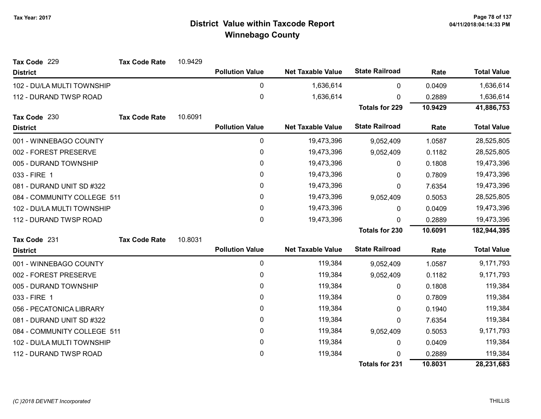| Tax Code 229                | <b>Tax Code Rate</b> | 10.9429 |                        |                          |                       |         |                    |
|-----------------------------|----------------------|---------|------------------------|--------------------------|-----------------------|---------|--------------------|
| <b>District</b>             |                      |         | <b>Pollution Value</b> | <b>Net Taxable Value</b> | <b>State Railroad</b> | Rate    | <b>Total Value</b> |
| 102 - DU/LA MULTI TOWNSHIP  |                      |         | 0                      | 1,636,614                | 0                     | 0.0409  | 1,636,614          |
| 112 - DURAND TWSP ROAD      |                      |         | 0                      | 1,636,614                | 0                     | 0.2889  | 1,636,614          |
|                             |                      |         |                        |                          | <b>Totals for 229</b> | 10.9429 | 41,886,753         |
| Tax Code 230                | <b>Tax Code Rate</b> | 10.6091 |                        |                          |                       |         |                    |
| <b>District</b>             |                      |         | <b>Pollution Value</b> | <b>Net Taxable Value</b> | <b>State Railroad</b> | Rate    | <b>Total Value</b> |
| 001 - WINNEBAGO COUNTY      |                      |         | 0                      | 19,473,396               | 9,052,409             | 1.0587  | 28,525,805         |
| 002 - FOREST PRESERVE       |                      |         | 0                      | 19,473,396               | 9,052,409             | 0.1182  | 28,525,805         |
| 005 - DURAND TOWNSHIP       |                      |         | 0                      | 19,473,396               | 0                     | 0.1808  | 19,473,396         |
| 033 - FIRE 1                |                      |         | 0                      | 19,473,396               | 0                     | 0.7809  | 19,473,396         |
| 081 - DURAND UNIT SD #322   |                      |         | 0                      | 19,473,396               | 0                     | 7.6354  | 19,473,396         |
| 084 - COMMUNITY COLLEGE 511 |                      |         | 0                      | 19,473,396               | 9,052,409             | 0.5053  | 28,525,805         |
| 102 - DU/LA MULTI TOWNSHIP  |                      |         | 0                      | 19,473,396               | 0                     | 0.0409  | 19,473,396         |
| 112 - DURAND TWSP ROAD      |                      |         | 0                      | 19,473,396               | $\Omega$              | 0.2889  | 19,473,396         |
|                             |                      |         |                        |                          | <b>Totals for 230</b> | 10.6091 | 182,944,395        |
| Tax Code 231                | <b>Tax Code Rate</b> | 10.8031 |                        |                          |                       |         |                    |
| <b>District</b>             |                      |         | <b>Pollution Value</b> | <b>Net Taxable Value</b> | <b>State Railroad</b> | Rate    | <b>Total Value</b> |
| 001 - WINNEBAGO COUNTY      |                      |         | 0                      | 119,384                  | 9,052,409             | 1.0587  | 9,171,793          |
| 002 - FOREST PRESERVE       |                      |         | 0                      | 119,384                  | 9,052,409             | 0.1182  | 9,171,793          |
| 005 - DURAND TOWNSHIP       |                      |         | 0                      | 119,384                  | 0                     | 0.1808  | 119,384            |
| 033 - FIRE 1                |                      |         | 0                      | 119,384                  | 0                     | 0.7809  | 119,384            |
| 056 - PECATONICA LIBRARY    |                      |         | 0                      | 119,384                  | 0                     | 0.1940  | 119,384            |
| 081 - DURAND UNIT SD #322   |                      |         | 0                      | 119,384                  | 0                     | 7.6354  | 119,384            |
| 084 - COMMUNITY COLLEGE 511 |                      |         | 0                      | 119,384                  | 9,052,409             | 0.5053  | 9,171,793          |
| 102 - DU/LA MULTI TOWNSHIP  |                      |         | 0                      | 119,384                  | 0                     | 0.0409  | 119,384            |
| 112 - DURAND TWSP ROAD      |                      |         | 0                      | 119,384                  | U                     | 0.2889  | 119,384            |
|                             |                      |         |                        |                          | <b>Totals for 231</b> | 10.8031 | 28,231,683         |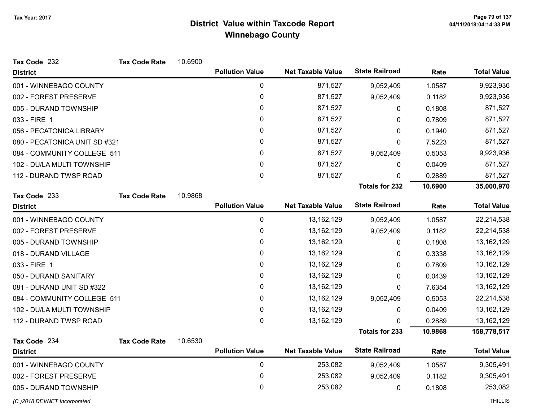| Tax Code 232                  | <b>Tax Code Rate</b> | 10.6900 |                        |                          |                       |         |                    |
|-------------------------------|----------------------|---------|------------------------|--------------------------|-----------------------|---------|--------------------|
| <b>District</b>               |                      |         | <b>Pollution Value</b> | <b>Net Taxable Value</b> | <b>State Railroad</b> | Rate    | <b>Total Value</b> |
| 001 - WINNEBAGO COUNTY        |                      |         | $\pmb{0}$              | 871,527                  | 9,052,409             | 1.0587  | 9,923,936          |
| 002 - FOREST PRESERVE         |                      |         | $\pmb{0}$              | 871,527                  | 9,052,409             | 0.1182  | 9,923,936          |
| 005 - DURAND TOWNSHIP         |                      |         | $\mathbf{0}$           | 871,527                  | 0                     | 0.1808  | 871,527            |
| 033 - FIRE 1                  |                      |         | $\pmb{0}$              | 871,527                  | $\pmb{0}$             | 0.7809  | 871,527            |
| 056 - PECATONICA LIBRARY      |                      |         | 0                      | 871,527                  | 0                     | 0.1940  | 871,527            |
| 080 - PECATONICA UNIT SD #321 |                      |         | 0                      | 871,527                  | 0                     | 7.5223  | 871,527            |
| 084 - COMMUNITY COLLEGE 511   |                      |         | $\mathbf{0}$           | 871,527                  | 9,052,409             | 0.5053  | 9,923,936          |
| 102 - DU/LA MULTI TOWNSHIP    |                      |         | $\mathbf 0$            | 871,527                  | 0                     | 0.0409  | 871,527            |
| 112 - DURAND TWSP ROAD        |                      |         | $\mathbf 0$            | 871,527                  | 0                     | 0.2889  | 871,527            |
|                               |                      |         |                        |                          | <b>Totals for 232</b> | 10.6900 | 35,000,970         |
| Tax Code 233                  | <b>Tax Code Rate</b> | 10.9868 |                        |                          |                       |         |                    |
| <b>District</b>               |                      |         | <b>Pollution Value</b> | <b>Net Taxable Value</b> | <b>State Railroad</b> | Rate    | <b>Total Value</b> |
| 001 - WINNEBAGO COUNTY        |                      |         | $\pmb{0}$              | 13, 162, 129             | 9,052,409             | 1.0587  | 22,214,538         |
| 002 - FOREST PRESERVE         |                      |         | 0                      | 13, 162, 129             | 9,052,409             | 0.1182  | 22,214,538         |
| 005 - DURAND TOWNSHIP         |                      |         | 0                      | 13, 162, 129             | $\mathbf{0}$          | 0.1808  | 13, 162, 129       |
| 018 - DURAND VILLAGE          |                      |         | 0                      | 13, 162, 129             | 0                     | 0.3338  | 13, 162, 129       |
| 033 - FIRE 1                  |                      |         | $\pmb{0}$              | 13, 162, 129             | 0                     | 0.7809  | 13, 162, 129       |
| 050 - DURAND SANITARY         |                      |         | 0                      | 13, 162, 129             | 0                     | 0.0439  | 13,162,129         |
| 081 - DURAND UNIT SD #322     |                      |         | 0                      | 13, 162, 129             | 0                     | 7.6354  | 13,162,129         |
| 084 - COMMUNITY COLLEGE 511   |                      |         | 0                      | 13, 162, 129             | 9,052,409             | 0.5053  | 22,214,538         |
| 102 - DU/LA MULTI TOWNSHIP    |                      |         | $\pmb{0}$              | 13, 162, 129             | 0                     | 0.0409  | 13, 162, 129       |
| 112 - DURAND TWSP ROAD        |                      |         | 0                      | 13, 162, 129             | 0                     | 0.2889  | 13,162,129         |
|                               |                      |         |                        |                          | <b>Totals for 233</b> | 10.9868 | 158,778,517        |
| Tax Code 234                  | <b>Tax Code Rate</b> | 10.6530 |                        |                          |                       |         |                    |
| <b>District</b>               |                      |         | <b>Pollution Value</b> | <b>Net Taxable Value</b> | <b>State Railroad</b> | Rate    | <b>Total Value</b> |
| 001 - WINNEBAGO COUNTY        |                      |         | $\mathbf 0$            | 253,082                  | 9,052,409             | 1.0587  | 9,305,491          |
| 002 - FOREST PRESERVE         |                      |         | $\mathbf 0$            | 253,082                  | 9,052,409             | 0.1182  | 9,305,491          |
| 005 - DURAND TOWNSHIP         |                      |         | 0                      | 253,082                  | 0                     | 0.1808  | 253,082            |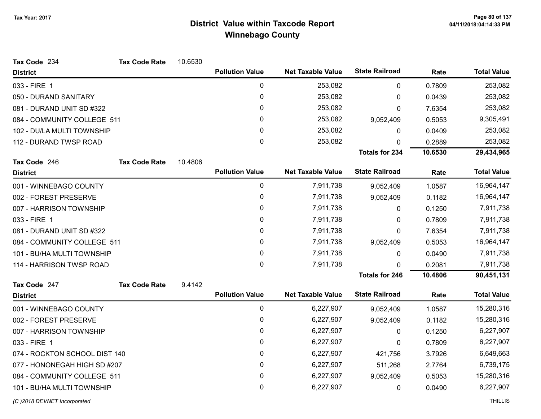| Tax Code 234                  | <b>Tax Code Rate</b> | 10.6530 |                        |                          |                       |         |                    |
|-------------------------------|----------------------|---------|------------------------|--------------------------|-----------------------|---------|--------------------|
| <b>District</b>               |                      |         | <b>Pollution Value</b> | <b>Net Taxable Value</b> | <b>State Railroad</b> | Rate    | <b>Total Value</b> |
| 033 - FIRE 1                  |                      |         | $\pmb{0}$              | 253,082                  | $\mathbf 0$           | 0.7809  | 253,082            |
| 050 - DURAND SANITARY         |                      |         | $\pmb{0}$              | 253,082                  | 0                     | 0.0439  | 253,082            |
| 081 - DURAND UNIT SD #322     |                      |         | 0                      | 253,082                  | 0                     | 7.6354  | 253,082            |
| 084 - COMMUNITY COLLEGE 511   |                      |         | 0                      | 253,082                  | 9,052,409             | 0.5053  | 9,305,491          |
| 102 - DU/LA MULTI TOWNSHIP    |                      |         | 0                      | 253,082                  | 0                     | 0.0409  | 253,082            |
| 112 - DURAND TWSP ROAD        |                      |         | 0                      | 253,082                  | 0                     | 0.2889  | 253,082            |
|                               |                      |         |                        |                          | <b>Totals for 234</b> | 10.6530 | 29,434,965         |
| Tax Code 246                  | <b>Tax Code Rate</b> | 10.4806 |                        |                          |                       |         |                    |
| <b>District</b>               |                      |         | <b>Pollution Value</b> | <b>Net Taxable Value</b> | <b>State Railroad</b> | Rate    | <b>Total Value</b> |
| 001 - WINNEBAGO COUNTY        |                      |         | 0                      | 7,911,738                | 9,052,409             | 1.0587  | 16,964,147         |
| 002 - FOREST PRESERVE         |                      |         | 0                      | 7,911,738                | 9,052,409             | 0.1182  | 16,964,147         |
| 007 - HARRISON TOWNSHIP       |                      |         | 0                      | 7,911,738                | 0                     | 0.1250  | 7,911,738          |
| 033 - FIRE 1                  |                      |         | 0                      | 7,911,738                | 0                     | 0.7809  | 7,911,738          |
| 081 - DURAND UNIT SD #322     |                      |         | 0                      | 7,911,738                | 0                     | 7.6354  | 7,911,738          |
| 084 - COMMUNITY COLLEGE 511   |                      |         | 0                      | 7,911,738                | 9,052,409             | 0.5053  | 16,964,147         |
| 101 - BU/HA MULTI TOWNSHIP    |                      |         | 0                      | 7,911,738                | 0                     | 0.0490  | 7,911,738          |
| 114 - HARRISON TWSP ROAD      |                      |         | 0                      | 7,911,738                | 0                     | 0.2081  | 7,911,738          |
|                               |                      |         |                        |                          | <b>Totals for 246</b> | 10.4806 | 90,451,131         |
| Tax Code 247                  | <b>Tax Code Rate</b> | 9.4142  |                        |                          |                       |         |                    |
| <b>District</b>               |                      |         | <b>Pollution Value</b> | <b>Net Taxable Value</b> | <b>State Railroad</b> | Rate    | <b>Total Value</b> |
| 001 - WINNEBAGO COUNTY        |                      |         | $\pmb{0}$              | 6,227,907                | 9,052,409             | 1.0587  | 15,280,316         |
| 002 - FOREST PRESERVE         |                      |         | 0                      | 6,227,907                | 9,052,409             | 0.1182  | 15,280,316         |
| 007 - HARRISON TOWNSHIP       |                      |         | 0                      | 6,227,907                | 0                     | 0.1250  | 6,227,907          |
| 033 - FIRE 1                  |                      |         | 0                      | 6,227,907                | 0                     | 0.7809  | 6,227,907          |
| 074 - ROCKTON SCHOOL DIST 140 |                      |         | 0                      | 6,227,907                | 421,756               | 3.7926  | 6,649,663          |
| 077 - HONONEGAH HIGH SD #207  |                      |         | 0                      | 6,227,907                | 511,268               | 2.7764  | 6,739,175          |
| 084 - COMMUNITY COLLEGE 511   |                      |         | 0                      | 6,227,907                | 9,052,409             | 0.5053  | 15,280,316         |
| 101 - BU/HA MULTI TOWNSHIP    |                      |         | 0                      | 6,227,907                | 0                     | 0.0490  | 6,227,907          |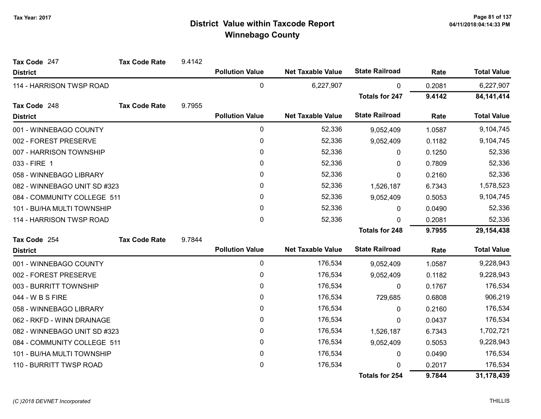| Tax Code 247                 | <b>Tax Code Rate</b> | 9.4142 |                        |                          |                       |        |                    |
|------------------------------|----------------------|--------|------------------------|--------------------------|-----------------------|--------|--------------------|
| <b>District</b>              |                      |        | <b>Pollution Value</b> | <b>Net Taxable Value</b> | <b>State Railroad</b> | Rate   | <b>Total Value</b> |
| 114 - HARRISON TWSP ROAD     |                      |        | 0                      | 6,227,907                | 0                     | 0.2081 | 6,227,907          |
|                              |                      |        |                        |                          | <b>Totals for 247</b> | 9.4142 | 84, 141, 414       |
| Tax Code 248                 | <b>Tax Code Rate</b> | 9.7955 |                        |                          |                       |        |                    |
| <b>District</b>              |                      |        | <b>Pollution Value</b> | <b>Net Taxable Value</b> | <b>State Railroad</b> | Rate   | <b>Total Value</b> |
| 001 - WINNEBAGO COUNTY       |                      |        | 0                      | 52,336                   | 9,052,409             | 1.0587 | 9,104,745          |
| 002 - FOREST PRESERVE        |                      |        | 0                      | 52,336                   | 9,052,409             | 0.1182 | 9,104,745          |
| 007 - HARRISON TOWNSHIP      |                      |        | 0                      | 52,336                   | 0                     | 0.1250 | 52,336             |
| 033 - FIRE 1                 |                      |        | 0                      | 52,336                   | 0                     | 0.7809 | 52,336             |
| 058 - WINNEBAGO LIBRARY      |                      |        | 0                      | 52,336                   | 0                     | 0.2160 | 52,336             |
| 082 - WINNEBAGO UNIT SD #323 |                      |        | 0                      | 52,336                   | 1,526,187             | 6.7343 | 1,578,523          |
| 084 - COMMUNITY COLLEGE 511  |                      |        | 0                      | 52,336                   | 9,052,409             | 0.5053 | 9,104,745          |
| 101 - BU/HA MULTI TOWNSHIP   |                      |        | 0                      | 52,336                   | 0                     | 0.0490 | 52,336             |
| 114 - HARRISON TWSP ROAD     |                      |        | 0                      | 52,336                   | 0                     | 0.2081 | 52,336             |
|                              |                      |        |                        |                          | <b>Totals for 248</b> | 9.7955 | 29,154,438         |
| Tax Code 254                 | <b>Tax Code Rate</b> | 9.7844 |                        |                          |                       |        |                    |
| <b>District</b>              |                      |        | <b>Pollution Value</b> | <b>Net Taxable Value</b> | <b>State Railroad</b> | Rate   | <b>Total Value</b> |
| 001 - WINNEBAGO COUNTY       |                      |        | 0                      | 176,534                  | 9,052,409             | 1.0587 | 9,228,943          |
| 002 - FOREST PRESERVE        |                      |        | 0                      | 176,534                  | 9,052,409             | 0.1182 | 9,228,943          |
| 003 - BURRITT TOWNSHIP       |                      |        | 0                      | 176,534                  | 0                     | 0.1767 | 176,534            |
| 044 - W B S FIRE             |                      |        | 0                      | 176,534                  | 729,685               | 0.6808 | 906,219            |
| 058 - WINNEBAGO LIBRARY      |                      |        | 0                      | 176,534                  | $\mathbf{0}$          | 0.2160 | 176,534            |
| 062 - RKFD - WINN DRAINAGE   |                      |        | 0                      | 176,534                  | 0                     | 0.0437 | 176,534            |
| 082 - WINNEBAGO UNIT SD #323 |                      |        | 0                      | 176,534                  | 1,526,187             | 6.7343 | 1,702,721          |
| 084 - COMMUNITY COLLEGE 511  |                      |        | 0                      | 176,534                  | 9,052,409             | 0.5053 | 9,228,943          |
| 101 - BU/HA MULTI TOWNSHIP   |                      |        | 0                      | 176,534                  | 0                     | 0.0490 | 176,534            |
| 110 - BURRITT TWSP ROAD      |                      |        | 0                      | 176,534                  | 0                     | 0.2017 | 176,534            |
|                              |                      |        |                        |                          | <b>Totals for 254</b> | 9.7844 | 31,178,439         |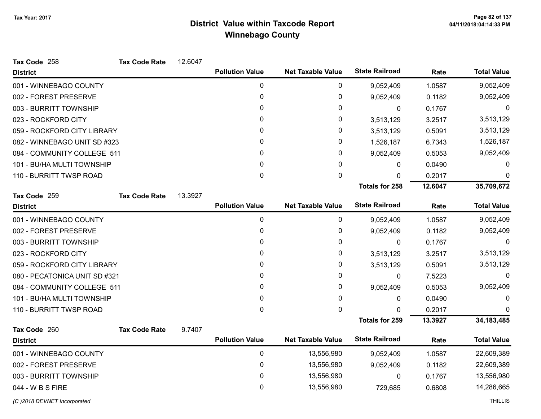| Tax Code 258                  | <b>Tax Code Rate</b> | 12.6047 |                        |                          |                       |         |                    |
|-------------------------------|----------------------|---------|------------------------|--------------------------|-----------------------|---------|--------------------|
| <b>District</b>               |                      |         | <b>Pollution Value</b> | <b>Net Taxable Value</b> | <b>State Railroad</b> | Rate    | <b>Total Value</b> |
| 001 - WINNEBAGO COUNTY        |                      |         | 0                      | 0                        | 9,052,409             | 1.0587  | 9,052,409          |
| 002 - FOREST PRESERVE         |                      |         | 0                      | 0                        | 9,052,409             | 0.1182  | 9,052,409          |
| 003 - BURRITT TOWNSHIP        |                      |         | 0                      | 0                        | $\mathbf{0}$          | 0.1767  | 0                  |
| 023 - ROCKFORD CITY           |                      |         | 0                      | 0                        | 3,513,129             | 3.2517  | 3,513,129          |
| 059 - ROCKFORD CITY LIBRARY   |                      |         | 0                      | 0                        | 3,513,129             | 0.5091  | 3,513,129          |
| 082 - WINNEBAGO UNIT SD #323  |                      |         | 0                      | 0                        | 1,526,187             | 6.7343  | 1,526,187          |
| 084 - COMMUNITY COLLEGE 511   |                      |         | 0                      | 0                        | 9,052,409             | 0.5053  | 9,052,409          |
| 101 - BU/HA MULTI TOWNSHIP    |                      |         | 0                      | 0                        | 0                     | 0.0490  | $\Omega$           |
| 110 - BURRITT TWSP ROAD       |                      |         | 0                      | 0                        | 0                     | 0.2017  | 0                  |
|                               |                      |         |                        |                          | <b>Totals for 258</b> | 12.6047 | 35,709,672         |
| Tax Code 259                  | <b>Tax Code Rate</b> | 13.3927 |                        |                          |                       |         |                    |
| <b>District</b>               |                      |         | <b>Pollution Value</b> | <b>Net Taxable Value</b> | <b>State Railroad</b> | Rate    | <b>Total Value</b> |
| 001 - WINNEBAGO COUNTY        |                      |         | 0                      | 0                        | 9,052,409             | 1.0587  | 9,052,409          |
| 002 - FOREST PRESERVE         |                      |         | 0                      | 0                        | 9,052,409             | 0.1182  | 9,052,409          |
| 003 - BURRITT TOWNSHIP        |                      |         | 0                      | 0                        | $\mathbf 0$           | 0.1767  | 0                  |
| 023 - ROCKFORD CITY           |                      |         | 0                      | 0                        | 3,513,129             | 3.2517  | 3,513,129          |
| 059 - ROCKFORD CITY LIBRARY   |                      |         | 0                      | 0                        | 3,513,129             | 0.5091  | 3,513,129          |
| 080 - PECATONICA UNIT SD #321 |                      |         | 0                      | 0                        | $\mathbf 0$           | 7.5223  | 0                  |
| 084 - COMMUNITY COLLEGE 511   |                      |         | 0                      | 0                        | 9,052,409             | 0.5053  | 9,052,409          |
| 101 - BU/HA MULTI TOWNSHIP    |                      |         | 0                      | 0                        | 0                     | 0.0490  | 0                  |
| 110 - BURRITT TWSP ROAD       |                      |         | 0                      | 0                        | $\Omega$              | 0.2017  | $\Omega$           |
|                               |                      |         |                        |                          | <b>Totals for 259</b> | 13.3927 | 34, 183, 485       |
| Tax Code 260                  | <b>Tax Code Rate</b> | 9.7407  |                        |                          |                       |         |                    |
| <b>District</b>               |                      |         | <b>Pollution Value</b> | <b>Net Taxable Value</b> | <b>State Railroad</b> | Rate    | <b>Total Value</b> |
| 001 - WINNEBAGO COUNTY        |                      |         | 0                      | 13,556,980               | 9,052,409             | 1.0587  | 22,609,389         |
| 002 - FOREST PRESERVE         |                      |         | 0                      | 13,556,980               | 9,052,409             | 0.1182  | 22,609,389         |
| 003 - BURRITT TOWNSHIP        |                      |         | 0                      | 13,556,980               | $\mathbf 0$           | 0.1767  | 13,556,980         |
| 044 - W B S FIRE              |                      |         | 0                      | 13,556,980               | 729,685               | 0.6808  | 14,286,665         |

(C)2018 DEVNET Incorporated THILLIS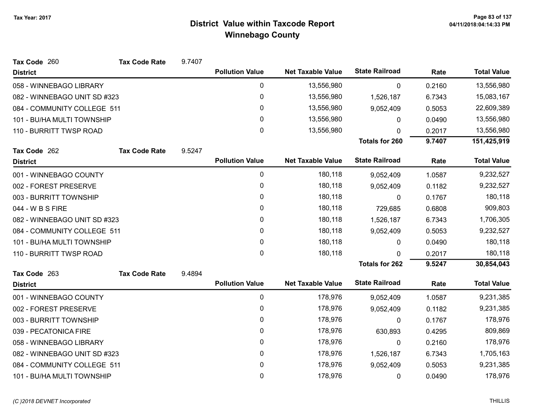| Tax Code 260                 | <b>Tax Code Rate</b> | 9.7407 |                        |                          |                       |        |                    |
|------------------------------|----------------------|--------|------------------------|--------------------------|-----------------------|--------|--------------------|
| <b>District</b>              |                      |        | <b>Pollution Value</b> | <b>Net Taxable Value</b> | <b>State Railroad</b> | Rate   | <b>Total Value</b> |
| 058 - WINNEBAGO LIBRARY      |                      |        | 0                      | 13,556,980               | 0                     | 0.2160 | 13,556,980         |
| 082 - WINNEBAGO UNIT SD #323 |                      |        | 0                      | 13,556,980               | 1,526,187             | 6.7343 | 15,083,167         |
| 084 - COMMUNITY COLLEGE 511  |                      |        | 0                      | 13,556,980               | 9,052,409             | 0.5053 | 22,609,389         |
| 101 - BU/HA MULTI TOWNSHIP   |                      |        | 0                      | 13,556,980               | $\Omega$              | 0.0490 | 13,556,980         |
| 110 - BURRITT TWSP ROAD      |                      |        | 0                      | 13,556,980               | $\Omega$              | 0.2017 | 13,556,980         |
|                              |                      |        |                        |                          | <b>Totals for 260</b> | 9.7407 | 151,425,919        |
| Tax Code 262                 | <b>Tax Code Rate</b> | 9.5247 |                        |                          |                       |        |                    |
| <b>District</b>              |                      |        | <b>Pollution Value</b> | <b>Net Taxable Value</b> | <b>State Railroad</b> | Rate   | <b>Total Value</b> |
| 001 - WINNEBAGO COUNTY       |                      |        | $\mathbf 0$            | 180,118                  | 9,052,409             | 1.0587 | 9,232,527          |
| 002 - FOREST PRESERVE        |                      |        | 0                      | 180,118                  | 9,052,409             | 0.1182 | 9,232,527          |
| 003 - BURRITT TOWNSHIP       |                      |        | 0                      | 180,118                  | $\mathbf{0}$          | 0.1767 | 180,118            |
| 044 - W B S FIRE             |                      |        | $\mathbf{0}$           | 180,118                  | 729,685               | 0.6808 | 909,803            |
| 082 - WINNEBAGO UNIT SD #323 |                      |        | $\mathbf{0}$           | 180,118                  | 1,526,187             | 6.7343 | 1,706,305          |
| 084 - COMMUNITY COLLEGE 511  |                      |        | 0                      | 180,118                  | 9,052,409             | 0.5053 | 9,232,527          |
| 101 - BU/HA MULTI TOWNSHIP   |                      |        | 0                      | 180,118                  | 0                     | 0.0490 | 180,118            |
| 110 - BURRITT TWSP ROAD      |                      |        | 0                      | 180,118                  | U                     | 0.2017 | 180,118            |
|                              |                      |        |                        |                          | Totals for 262        | 9.5247 | 30,854,043         |
| Tax Code 263                 | <b>Tax Code Rate</b> | 9.4894 |                        |                          |                       |        |                    |
| <b>District</b>              |                      |        | <b>Pollution Value</b> | <b>Net Taxable Value</b> | <b>State Railroad</b> | Rate   | <b>Total Value</b> |
| 001 - WINNEBAGO COUNTY       |                      |        | $\pmb{0}$              | 178,976                  | 9,052,409             | 1.0587 | 9,231,385          |
| 002 - FOREST PRESERVE        |                      |        | 0                      | 178,976                  | 9,052,409             | 0.1182 | 9,231,385          |
| 003 - BURRITT TOWNSHIP       |                      |        | 0                      | 178,976                  | $\mathbf{0}$          | 0.1767 | 178,976            |
| 039 - PECATONICA FIRE        |                      |        | 0                      | 178,976                  | 630,893               | 0.4295 | 809,869            |
| 058 - WINNEBAGO LIBRARY      |                      |        | 0                      | 178,976                  | 0                     | 0.2160 | 178,976            |
| 082 - WINNEBAGO UNIT SD #323 |                      |        | 0                      | 178,976                  | 1,526,187             | 6.7343 | 1,705,163          |
| 084 - COMMUNITY COLLEGE 511  |                      |        | 0                      | 178,976                  | 9,052,409             | 0.5053 | 9,231,385          |
| 101 - BU/HA MULTI TOWNSHIP   |                      |        | 0                      | 178,976                  | $\Omega$              | 0.0490 | 178,976            |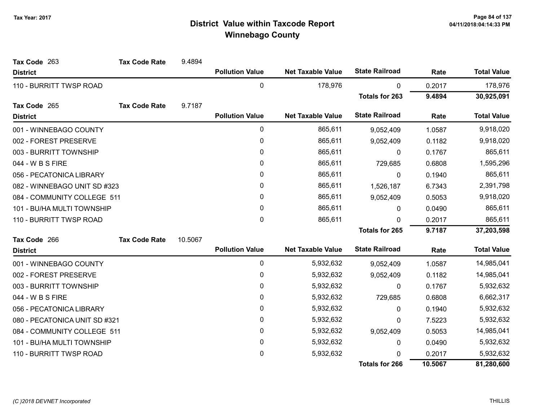| Tax Code 263                  | <b>Tax Code Rate</b> | 9.4894  |                        |                          |                       |         |                    |
|-------------------------------|----------------------|---------|------------------------|--------------------------|-----------------------|---------|--------------------|
| <b>District</b>               |                      |         | <b>Pollution Value</b> | <b>Net Taxable Value</b> | <b>State Railroad</b> | Rate    | <b>Total Value</b> |
| 110 - BURRITT TWSP ROAD       |                      |         | 0                      | 178,976                  | 0                     | 0.2017  | 178,976            |
|                               |                      |         |                        |                          | <b>Totals for 263</b> | 9.4894  | 30,925,091         |
| Tax Code 265                  | <b>Tax Code Rate</b> | 9.7187  |                        |                          |                       |         |                    |
| <b>District</b>               |                      |         | <b>Pollution Value</b> | <b>Net Taxable Value</b> | <b>State Railroad</b> | Rate    | <b>Total Value</b> |
| 001 - WINNEBAGO COUNTY        |                      |         | 0                      | 865,611                  | 9,052,409             | 1.0587  | 9,918,020          |
| 002 - FOREST PRESERVE         |                      |         | 0                      | 865,611                  | 9,052,409             | 0.1182  | 9,918,020          |
| 003 - BURRITT TOWNSHIP        |                      |         | 0                      | 865,611                  | 0                     | 0.1767  | 865,611            |
| 044 - W B S FIRE              |                      |         | $\mathbf{0}$           | 865,611                  | 729,685               | 0.6808  | 1,595,296          |
| 056 - PECATONICA LIBRARY      |                      |         | 0                      | 865,611                  | 0                     | 0.1940  | 865,611            |
| 082 - WINNEBAGO UNIT SD #323  |                      |         | 0                      | 865,611                  | 1,526,187             | 6.7343  | 2,391,798          |
| 084 - COMMUNITY COLLEGE 511   |                      |         | 0                      | 865,611                  | 9,052,409             | 0.5053  | 9,918,020          |
| 101 - BU/HA MULTI TOWNSHIP    |                      |         | 0                      | 865,611                  | $\mathbf{0}$          | 0.0490  | 865,611            |
| 110 - BURRITT TWSP ROAD       |                      |         | 0                      | 865,611                  | $\Omega$              | 0.2017  | 865,611            |
|                               |                      |         |                        |                          | <b>Totals for 265</b> | 9.7187  | 37,203,598         |
| Tax Code 266                  | <b>Tax Code Rate</b> | 10.5067 |                        |                          |                       |         |                    |
| <b>District</b>               |                      |         | <b>Pollution Value</b> | <b>Net Taxable Value</b> | <b>State Railroad</b> | Rate    | <b>Total Value</b> |
| 001 - WINNEBAGO COUNTY        |                      |         | 0                      | 5,932,632                | 9,052,409             | 1.0587  | 14,985,041         |
| 002 - FOREST PRESERVE         |                      |         | 0                      | 5,932,632                | 9,052,409             | 0.1182  | 14,985,041         |
| 003 - BURRITT TOWNSHIP        |                      |         | 0                      | 5,932,632                | $\mathbf{0}$          | 0.1767  | 5,932,632          |
| 044 - W B S FIRE              |                      |         | 0                      | 5,932,632                | 729,685               | 0.6808  | 6,662,317          |
| 056 - PECATONICA LIBRARY      |                      |         | 0                      | 5,932,632                | $\mathbf{0}$          | 0.1940  | 5,932,632          |
| 080 - PECATONICA UNIT SD #321 |                      |         | 0                      | 5,932,632                | 0                     | 7.5223  | 5,932,632          |
| 084 - COMMUNITY COLLEGE 511   |                      |         | 0                      | 5,932,632                | 9,052,409             | 0.5053  | 14,985,041         |
| 101 - BU/HA MULTI TOWNSHIP    |                      |         | 0                      | 5,932,632                | $\mathbf{0}$          | 0.0490  | 5,932,632          |
| 110 - BURRITT TWSP ROAD       |                      |         | 0                      | 5,932,632                | <sup>0</sup>          | 0.2017  | 5,932,632          |
|                               |                      |         |                        |                          | <b>Totals for 266</b> | 10.5067 | 81,280,600         |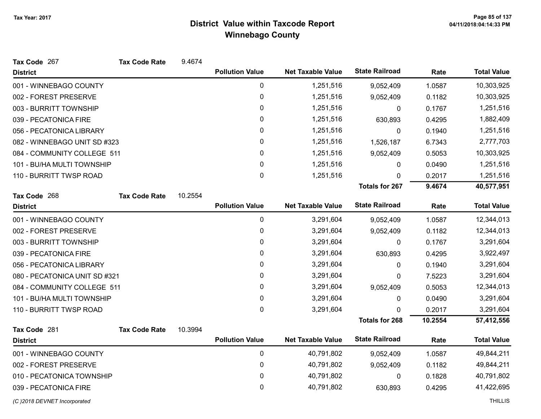| Tax Code 267                  | <b>Tax Code Rate</b> | 9.4674  |                        |                          |                       |         |                    |
|-------------------------------|----------------------|---------|------------------------|--------------------------|-----------------------|---------|--------------------|
| <b>District</b>               |                      |         | <b>Pollution Value</b> | <b>Net Taxable Value</b> | <b>State Railroad</b> | Rate    | <b>Total Value</b> |
| 001 - WINNEBAGO COUNTY        |                      |         | 0                      | 1,251,516                | 9,052,409             | 1.0587  | 10,303,925         |
| 002 - FOREST PRESERVE         |                      |         | $\pmb{0}$              | 1,251,516                | 9,052,409             | 0.1182  | 10,303,925         |
| 003 - BURRITT TOWNSHIP        |                      |         | $\mathbf 0$            | 1,251,516                | 0                     | 0.1767  | 1,251,516          |
| 039 - PECATONICA FIRE         |                      |         | 0                      | 1,251,516                | 630,893               | 0.4295  | 1,882,409          |
| 056 - PECATONICA LIBRARY      |                      |         | $\pmb{0}$              | 1,251,516                | 0                     | 0.1940  | 1,251,516          |
| 082 - WINNEBAGO UNIT SD #323  |                      |         | $\pmb{0}$              | 1,251,516                | 1,526,187             | 6.7343  | 2,777,703          |
| 084 - COMMUNITY COLLEGE 511   |                      |         | 0                      | 1,251,516                | 9,052,409             | 0.5053  | 10,303,925         |
| 101 - BU/HA MULTI TOWNSHIP    |                      |         | $\pmb{0}$              | 1,251,516                | 0                     | 0.0490  | 1,251,516          |
| 110 - BURRITT TWSP ROAD       |                      |         | 0                      | 1,251,516                | 0                     | 0.2017  | 1,251,516          |
|                               |                      |         |                        |                          | <b>Totals for 267</b> | 9.4674  | 40,577,951         |
| Tax Code 268                  | <b>Tax Code Rate</b> | 10.2554 |                        |                          |                       |         |                    |
| <b>District</b>               |                      |         | <b>Pollution Value</b> | <b>Net Taxable Value</b> | <b>State Railroad</b> | Rate    | <b>Total Value</b> |
| 001 - WINNEBAGO COUNTY        |                      |         | $\pmb{0}$              | 3,291,604                | 9,052,409             | 1.0587  | 12,344,013         |
| 002 - FOREST PRESERVE         |                      |         | $\pmb{0}$              | 3,291,604                | 9,052,409             | 0.1182  | 12,344,013         |
| 003 - BURRITT TOWNSHIP        |                      |         | $\pmb{0}$              | 3,291,604                | 0                     | 0.1767  | 3,291,604          |
| 039 - PECATONICA FIRE         |                      |         | $\pmb{0}$              | 3,291,604                | 630,893               | 0.4295  | 3,922,497          |
| 056 - PECATONICA LIBRARY      |                      |         | $\pmb{0}$              | 3,291,604                | 0                     | 0.1940  | 3,291,604          |
| 080 - PECATONICA UNIT SD #321 |                      |         | $\pmb{0}$              | 3,291,604                | 0                     | 7.5223  | 3,291,604          |
| 084 - COMMUNITY COLLEGE 511   |                      |         | $\pmb{0}$              | 3,291,604                | 9,052,409             | 0.5053  | 12,344,013         |
| 101 - BU/HA MULTI TOWNSHIP    |                      |         | $\pmb{0}$              | 3,291,604                | 0                     | 0.0490  | 3,291,604          |
| 110 - BURRITT TWSP ROAD       |                      |         | $\mathbf{0}$           | 3,291,604                | 0                     | 0.2017  | 3,291,604          |
|                               |                      |         |                        |                          | <b>Totals for 268</b> | 10.2554 | 57,412,556         |
| Tax Code 281                  | <b>Tax Code Rate</b> | 10.3994 |                        |                          |                       |         |                    |
| <b>District</b>               |                      |         | <b>Pollution Value</b> | <b>Net Taxable Value</b> | <b>State Railroad</b> | Rate    | <b>Total Value</b> |
| 001 - WINNEBAGO COUNTY        |                      |         | $\pmb{0}$              | 40,791,802               | 9,052,409             | 1.0587  | 49,844,211         |
| 002 - FOREST PRESERVE         |                      |         | 0                      | 40,791,802               | 9,052,409             | 0.1182  | 49,844,211         |
| 010 - PECATONICA TOWNSHIP     |                      |         | $\pmb{0}$              | 40,791,802               | 0                     | 0.1828  | 40,791,802         |
| 039 - PECATONICA FIRE         |                      |         | 0                      | 40,791,802               | 630,893               | 0.4295  | 41,422,695         |
| (C) 2018 DEVNET Incorporated  |                      |         |                        |                          |                       |         | <b>THILLIS</b>     |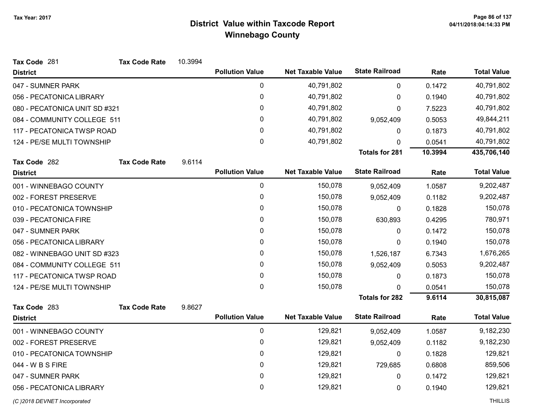| Tax Code 281                  | <b>Tax Code Rate</b> | 10.3994 |                        |                          |                       |         |                    |
|-------------------------------|----------------------|---------|------------------------|--------------------------|-----------------------|---------|--------------------|
| <b>District</b>               |                      |         | <b>Pollution Value</b> | <b>Net Taxable Value</b> | <b>State Railroad</b> | Rate    | <b>Total Value</b> |
| 047 - SUMNER PARK             |                      |         | $\pmb{0}$              | 40,791,802               | $\mathbf 0$           | 0.1472  | 40,791,802         |
| 056 - PECATONICA LIBRARY      |                      |         | 0                      | 40,791,802               | 0                     | 0.1940  | 40,791,802         |
| 080 - PECATONICA UNIT SD #321 |                      |         | 0                      | 40,791,802               | $\Omega$              | 7.5223  | 40,791,802         |
| 084 - COMMUNITY COLLEGE 511   |                      |         | $\mathbf 0$            | 40,791,802               | 9,052,409             | 0.5053  | 49,844,211         |
| 117 - PECATONICA TWSP ROAD    |                      |         | 0                      | 40,791,802               | 0                     | 0.1873  | 40,791,802         |
| 124 - PE/SE MULTI TOWNSHIP    |                      |         | 0                      | 40,791,802               | 0                     | 0.0541  | 40,791,802         |
|                               |                      |         |                        |                          | <b>Totals for 281</b> | 10.3994 | 435,706,140        |
| Tax Code 282                  | <b>Tax Code Rate</b> | 9.6114  |                        |                          |                       |         |                    |
| <b>District</b>               |                      |         | <b>Pollution Value</b> | <b>Net Taxable Value</b> | <b>State Railroad</b> | Rate    | <b>Total Value</b> |
| 001 - WINNEBAGO COUNTY        |                      |         | $\mathbf 0$            | 150,078                  | 9,052,409             | 1.0587  | 9,202,487          |
| 002 - FOREST PRESERVE         |                      |         | 0                      | 150,078                  | 9,052,409             | 0.1182  | 9,202,487          |
| 010 - PECATONICA TOWNSHIP     |                      |         | 0                      | 150,078                  | 0                     | 0.1828  | 150,078            |
| 039 - PECATONICA FIRE         |                      |         | 0                      | 150,078                  | 630,893               | 0.4295  | 780,971            |
| 047 - SUMNER PARK             |                      |         | 0                      | 150,078                  | 0                     | 0.1472  | 150,078            |
| 056 - PECATONICA LIBRARY      |                      |         | 0                      | 150,078                  | 0                     | 0.1940  | 150,078            |
| 082 - WINNEBAGO UNIT SD #323  |                      |         | 0                      | 150,078                  | 1,526,187             | 6.7343  | 1,676,265          |
| 084 - COMMUNITY COLLEGE 511   |                      |         | 0                      | 150,078                  | 9,052,409             | 0.5053  | 9,202,487          |
| 117 - PECATONICA TWSP ROAD    |                      |         | 0                      | 150,078                  | $\mathbf 0$           | 0.1873  | 150,078            |
| 124 - PE/SE MULTI TOWNSHIP    |                      |         | 0                      | 150,078                  | $\Omega$              | 0.0541  | 150,078            |
|                               |                      |         |                        |                          | <b>Totals for 282</b> | 9.6114  | 30,815,087         |
| Tax Code 283                  | <b>Tax Code Rate</b> | 9.8627  |                        |                          |                       |         |                    |
| <b>District</b>               |                      |         | <b>Pollution Value</b> | <b>Net Taxable Value</b> | <b>State Railroad</b> | Rate    | <b>Total Value</b> |
| 001 - WINNEBAGO COUNTY        |                      |         | 0                      | 129,821                  | 9,052,409             | 1.0587  | 9,182,230          |
| 002 - FOREST PRESERVE         |                      |         | 0                      | 129,821                  | 9,052,409             | 0.1182  | 9,182,230          |
| 010 - PECATONICA TOWNSHIP     |                      |         | 0                      | 129,821                  | 0                     | 0.1828  | 129,821            |
| 044 - W B S FIRE              |                      |         | $\mathbf 0$            | 129,821                  | 729,685               | 0.6808  | 859,506            |
| 047 - SUMNER PARK             |                      |         | 0                      | 129,821                  | 0                     | 0.1472  | 129,821            |
| 056 - PECATONICA LIBRARY      |                      |         | 0                      | 129,821                  | 0                     | 0.1940  | 129,821            |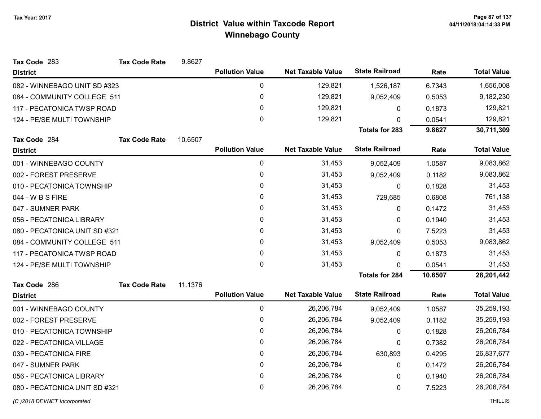| Tax Code 283                  | <b>Tax Code Rate</b> | 9.8627  |                        |                          |                       |         |                    |
|-------------------------------|----------------------|---------|------------------------|--------------------------|-----------------------|---------|--------------------|
| <b>District</b>               |                      |         | <b>Pollution Value</b> | <b>Net Taxable Value</b> | <b>State Railroad</b> | Rate    | <b>Total Value</b> |
| 082 - WINNEBAGO UNIT SD #323  |                      |         | 0                      | 129,821                  | 1,526,187             | 6.7343  | 1,656,008          |
| 084 - COMMUNITY COLLEGE 511   |                      |         | 0                      | 129,821                  | 9,052,409             | 0.5053  | 9,182,230          |
| 117 - PECATONICA TWSP ROAD    |                      |         | $\mathbf{0}$           | 129,821                  | 0                     | 0.1873  | 129,821            |
| 124 - PE/SE MULTI TOWNSHIP    |                      |         | 0                      | 129,821                  | $\Omega$              | 0.0541  | 129,821            |
|                               |                      |         |                        |                          | <b>Totals for 283</b> | 9.8627  | 30,711,309         |
| Tax Code 284                  | <b>Tax Code Rate</b> | 10.6507 |                        |                          |                       |         |                    |
| <b>District</b>               |                      |         | <b>Pollution Value</b> | <b>Net Taxable Value</b> | <b>State Railroad</b> | Rate    | <b>Total Value</b> |
| 001 - WINNEBAGO COUNTY        |                      |         | 0                      | 31,453                   | 9,052,409             | 1.0587  | 9,083,862          |
| 002 - FOREST PRESERVE         |                      |         | 0                      | 31,453                   | 9,052,409             | 0.1182  | 9,083,862          |
| 010 - PECATONICA TOWNSHIP     |                      |         | 0                      | 31,453                   | $\pmb{0}$             | 0.1828  | 31,453             |
| 044 - W B S FIRE              |                      |         | 0                      | 31,453                   | 729,685               | 0.6808  | 761,138            |
| 047 - SUMNER PARK             |                      |         | 0                      | 31,453                   | $\mathbf{0}$          | 0.1472  | 31,453             |
| 056 - PECATONICA LIBRARY      |                      |         | 0                      | 31,453                   | 0                     | 0.1940  | 31,453             |
| 080 - PECATONICA UNIT SD #321 |                      |         | 0                      | 31,453                   | 0                     | 7.5223  | 31,453             |
| 084 - COMMUNITY COLLEGE 511   |                      |         | 0                      | 31,453                   | 9,052,409             | 0.5053  | 9,083,862          |
| 117 - PECATONICA TWSP ROAD    |                      |         | 0                      | 31,453                   | 0                     | 0.1873  | 31,453             |
| 124 - PE/SE MULTI TOWNSHIP    |                      |         | 0                      | 31,453                   | 0                     | 0.0541  | 31,453             |
|                               |                      |         |                        |                          | <b>Totals for 284</b> | 10.6507 | 28,201,442         |
| Tax Code 286                  | <b>Tax Code Rate</b> | 11.1376 |                        |                          |                       |         |                    |
| <b>District</b>               |                      |         | <b>Pollution Value</b> | <b>Net Taxable Value</b> | <b>State Railroad</b> | Rate    | <b>Total Value</b> |
| 001 - WINNEBAGO COUNTY        |                      |         | 0                      | 26,206,784               | 9,052,409             | 1.0587  | 35,259,193         |
| 002 - FOREST PRESERVE         |                      |         | 0                      | 26,206,784               | 9,052,409             | 0.1182  | 35,259,193         |
| 010 - PECATONICA TOWNSHIP     |                      |         | 0                      | 26,206,784               | 0                     | 0.1828  | 26,206,784         |
| 022 - PECATONICA VILLAGE      |                      |         | 0                      | 26,206,784               | 0                     | 0.7382  | 26,206,784         |
| 039 - PECATONICA FIRE         |                      |         | 0                      | 26,206,784               | 630,893               | 0.4295  | 26,837,677         |
| 047 - SUMNER PARK             |                      |         | 0                      | 26,206,784               | 0                     | 0.1472  | 26,206,784         |
| 056 - PECATONICA LIBRARY      |                      |         | 0                      | 26,206,784               | 0                     | 0.1940  | 26,206,784         |
| 080 - PECATONICA UNIT SD #321 |                      |         | 0                      | 26,206,784               | 0                     | 7.5223  | 26,206,784         |
| (C) 2018 DEVNET Incorporated  |                      |         |                        |                          |                       |         | <b>THILLIS</b>     |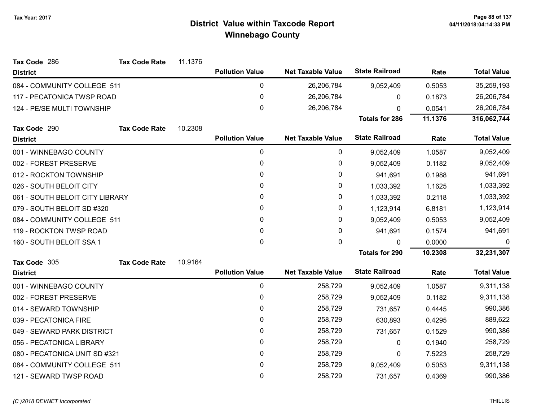| Tax Code 286                    | <b>Tax Code Rate</b> | 11.1376 |                        |                          |                       |         |                    |
|---------------------------------|----------------------|---------|------------------------|--------------------------|-----------------------|---------|--------------------|
| <b>District</b>                 |                      |         | <b>Pollution Value</b> | <b>Net Taxable Value</b> | <b>State Railroad</b> | Rate    | <b>Total Value</b> |
| 084 - COMMUNITY COLLEGE 511     |                      |         | 0                      | 26,206,784               | 9,052,409             | 0.5053  | 35,259,193         |
| 117 - PECATONICA TWSP ROAD      |                      |         | 0                      | 26,206,784               | 0                     | 0.1873  | 26,206,784         |
| 124 - PE/SE MULTI TOWNSHIP      |                      |         | 0                      | 26,206,784               | 0                     | 0.0541  | 26,206,784         |
|                                 |                      |         |                        |                          | <b>Totals for 286</b> | 11.1376 | 316,062,744        |
| Tax Code 290                    | <b>Tax Code Rate</b> | 10.2308 |                        |                          |                       |         |                    |
| <b>District</b>                 |                      |         | <b>Pollution Value</b> | <b>Net Taxable Value</b> | <b>State Railroad</b> | Rate    | <b>Total Value</b> |
| 001 - WINNEBAGO COUNTY          |                      |         | 0                      | 0                        | 9,052,409             | 1.0587  | 9,052,409          |
| 002 - FOREST PRESERVE           |                      |         | 0                      | 0                        | 9,052,409             | 0.1182  | 9,052,409          |
| 012 - ROCKTON TOWNSHIP          |                      |         | 0                      | 0                        | 941,691               | 0.1988  | 941,691            |
| 026 - SOUTH BELOIT CITY         |                      |         | 0                      | 0                        | 1,033,392             | 1.1625  | 1,033,392          |
| 061 - SOUTH BELOIT CITY LIBRARY |                      |         | 0                      | 0                        | 1,033,392             | 0.2118  | 1,033,392          |
| 079 - SOUTH BELOIT SD #320      |                      |         | 0                      | 0                        | 1,123,914             | 6.8181  | 1,123,914          |
| 084 - COMMUNITY COLLEGE 511     |                      |         | 0                      | 0                        | 9,052,409             | 0.5053  | 9,052,409          |
| 119 - ROCKTON TWSP ROAD         |                      |         | 0                      | 0                        | 941,691               | 0.1574  | 941,691            |
| 160 - SOUTH BELOIT SSA 1        |                      |         | $\mathbf 0$            | 0                        | 0                     | 0.0000  | 0                  |
|                                 |                      |         |                        |                          | <b>Totals for 290</b> | 10.2308 | 32,231,307         |
| Tax Code 305                    | <b>Tax Code Rate</b> | 10.9164 |                        |                          |                       |         |                    |
| <b>District</b>                 |                      |         | <b>Pollution Value</b> | <b>Net Taxable Value</b> | <b>State Railroad</b> | Rate    | <b>Total Value</b> |
| 001 - WINNEBAGO COUNTY          |                      |         | 0                      | 258,729                  | 9,052,409             | 1.0587  | 9,311,138          |
| 002 - FOREST PRESERVE           |                      |         | 0                      | 258,729                  | 9,052,409             | 0.1182  | 9,311,138          |
| 014 - SEWARD TOWNSHIP           |                      |         | 0                      | 258,729                  | 731,657               | 0.4445  | 990,386            |
| 039 - PECATONICA FIRE           |                      |         | 0                      | 258,729                  | 630,893               | 0.4295  | 889,622            |
| 049 - SEWARD PARK DISTRICT      |                      |         | 0                      | 258,729                  | 731,657               | 0.1529  | 990,386            |
| 056 - PECATONICA LIBRARY        |                      |         | 0                      | 258,729                  | 0                     | 0.1940  | 258,729            |
| 080 - PECATONICA UNIT SD #321   |                      |         | 0                      | 258,729                  | 0                     | 7.5223  | 258,729            |
| 084 - COMMUNITY COLLEGE 511     |                      |         | 0                      | 258,729                  | 9,052,409             | 0.5053  | 9,311,138          |
| 121 - SEWARD TWSP ROAD          |                      |         | 0                      | 258,729                  | 731,657               | 0.4369  | 990,386            |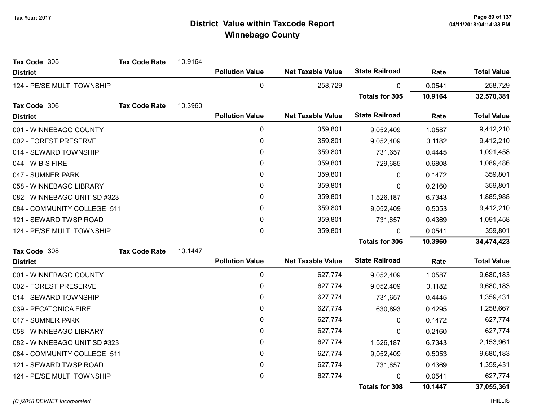| Tax Code 305                 | <b>Tax Code Rate</b> | 10.9164 |                        |                          |                       |         |                    |
|------------------------------|----------------------|---------|------------------------|--------------------------|-----------------------|---------|--------------------|
| <b>District</b>              |                      |         | <b>Pollution Value</b> | <b>Net Taxable Value</b> | <b>State Railroad</b> | Rate    | <b>Total Value</b> |
| 124 - PE/SE MULTI TOWNSHIP   |                      |         | $\mathbf 0$            | 258,729                  | $\mathbf{0}$          | 0.0541  | 258,729            |
|                              |                      |         |                        |                          | <b>Totals for 305</b> | 10.9164 | 32,570,381         |
| Tax Code 306                 | <b>Tax Code Rate</b> | 10.3960 |                        |                          |                       |         |                    |
| <b>District</b>              |                      |         | <b>Pollution Value</b> | <b>Net Taxable Value</b> | <b>State Railroad</b> | Rate    | <b>Total Value</b> |
| 001 - WINNEBAGO COUNTY       |                      |         | $\pmb{0}$              | 359,801                  | 9,052,409             | 1.0587  | 9,412,210          |
| 002 - FOREST PRESERVE        |                      |         | 0                      | 359,801                  | 9,052,409             | 0.1182  | 9,412,210          |
| 014 - SEWARD TOWNSHIP        |                      |         | 0                      | 359,801                  | 731,657               | 0.4445  | 1,091,458          |
| 044 - W B S FIRE             |                      |         | $\mathbf 0$            | 359,801                  | 729,685               | 0.6808  | 1,089,486          |
| 047 - SUMNER PARK            |                      |         | $\mathbf{0}$           | 359,801                  | $\mathbf{0}$          | 0.1472  | 359,801            |
| 058 - WINNEBAGO LIBRARY      |                      |         | 0                      | 359,801                  | 0                     | 0.2160  | 359,801            |
| 082 - WINNEBAGO UNIT SD #323 |                      |         | $\mathbf{0}$           | 359,801                  | 1,526,187             | 6.7343  | 1,885,988          |
| 084 - COMMUNITY COLLEGE 511  |                      |         | $\pmb{0}$              | 359,801                  | 9,052,409             | 0.5053  | 9,412,210          |
| 121 - SEWARD TWSP ROAD       |                      |         | $\mathbf{0}$           | 359,801                  | 731,657               | 0.4369  | 1,091,458          |
| 124 - PE/SE MULTI TOWNSHIP   |                      |         | $\mathbf 0$            | 359,801                  | $\mathbf{0}$          | 0.0541  | 359,801            |
|                              |                      |         |                        |                          | <b>Totals for 306</b> | 10.3960 | 34,474,423         |
| Tax Code 308                 | <b>Tax Code Rate</b> | 10.1447 |                        |                          |                       |         |                    |
| <b>District</b>              |                      |         | <b>Pollution Value</b> | <b>Net Taxable Value</b> | <b>State Railroad</b> | Rate    | <b>Total Value</b> |
| 001 - WINNEBAGO COUNTY       |                      |         | 0                      | 627,774                  | 9,052,409             | 1.0587  | 9,680,183          |
| 002 - FOREST PRESERVE        |                      |         | 0                      | 627,774                  | 9,052,409             | 0.1182  | 9,680,183          |
| 014 - SEWARD TOWNSHIP        |                      |         | 0                      | 627,774                  | 731,657               | 0.4445  | 1,359,431          |
| 039 - PECATONICA FIRE        |                      |         | 0                      | 627,774                  | 630,893               | 0.4295  | 1,258,667          |
| 047 - SUMNER PARK            |                      |         | 0                      | 627,774                  | 0                     | 0.1472  | 627,774            |
| 058 - WINNEBAGO LIBRARY      |                      |         | 0                      | 627,774                  | 0                     | 0.2160  | 627,774            |
| 082 - WINNEBAGO UNIT SD #323 |                      |         | $\pmb{0}$              | 627,774                  | 1,526,187             | 6.7343  | 2,153,961          |
| 084 - COMMUNITY COLLEGE 511  |                      |         | 0                      | 627,774                  | 9,052,409             | 0.5053  | 9,680,183          |
| 121 - SEWARD TWSP ROAD       |                      |         | 0                      | 627,774                  | 731,657               | 0.4369  | 1,359,431          |
| 124 - PE/SE MULTI TOWNSHIP   |                      |         | $\pmb{0}$              | 627,774                  | 0                     | 0.0541  | 627,774            |
|                              |                      |         |                        |                          | <b>Totals for 308</b> | 10.1447 | 37,055,361         |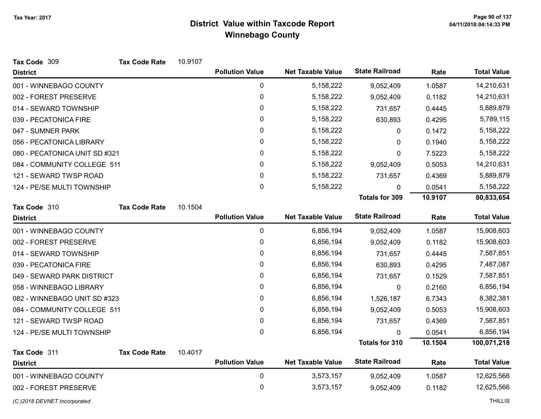| Tax Code 309                  | <b>Tax Code Rate</b> | 10.9107 |                        |                          |                       |         |                    |
|-------------------------------|----------------------|---------|------------------------|--------------------------|-----------------------|---------|--------------------|
| <b>District</b>               |                      |         | <b>Pollution Value</b> | <b>Net Taxable Value</b> | <b>State Railroad</b> | Rate    | <b>Total Value</b> |
| 001 - WINNEBAGO COUNTY        |                      |         | $\pmb{0}$              | 5, 158, 222              | 9,052,409             | 1.0587  | 14,210,631         |
| 002 - FOREST PRESERVE         |                      |         | $\pmb{0}$              | 5,158,222                | 9,052,409             | 0.1182  | 14,210,631         |
| 014 - SEWARD TOWNSHIP         |                      |         | 0                      | 5,158,222                | 731,657               | 0.4445  | 5,889,879          |
| 039 - PECATONICA FIRE         |                      |         | 0                      | 5,158,222                | 630,893               | 0.4295  | 5,789,115          |
| 047 - SUMNER PARK             |                      |         | 0                      | 5,158,222                | 0                     | 0.1472  | 5,158,222          |
| 056 - PECATONICA LIBRARY      |                      |         | 0                      | 5,158,222                | 0                     | 0.1940  | 5,158,222          |
| 080 - PECATONICA UNIT SD #321 |                      |         | 0                      | 5, 158, 222              | 0                     | 7.5223  | 5,158,222          |
| 084 - COMMUNITY COLLEGE 511   |                      |         | 0                      | 5,158,222                | 9,052,409             | 0.5053  | 14,210,631         |
| 121 - SEWARD TWSP ROAD        |                      |         | 0                      | 5,158,222                | 731,657               | 0.4369  | 5,889,879          |
| 124 - PE/SE MULTI TOWNSHIP    |                      |         | 0                      | 5,158,222                | $\pmb{0}$             | 0.0541  | 5,158,222          |
|                               |                      |         |                        |                          | <b>Totals for 309</b> | 10.9107 | 80,833,654         |
| Tax Code 310                  | <b>Tax Code Rate</b> | 10.1504 |                        |                          |                       |         |                    |
| <b>District</b>               |                      |         | <b>Pollution Value</b> | <b>Net Taxable Value</b> | <b>State Railroad</b> | Rate    | <b>Total Value</b> |
| 001 - WINNEBAGO COUNTY        |                      |         | $\pmb{0}$              | 6,856,194                | 9,052,409             | 1.0587  | 15,908,603         |
| 002 - FOREST PRESERVE         |                      |         | 0                      | 6,856,194                | 9,052,409             | 0.1182  | 15,908,603         |
| 014 - SEWARD TOWNSHIP         |                      |         | 0                      | 6,856,194                | 731,657               | 0.4445  | 7,587,851          |
| 039 - PECATONICA FIRE         |                      |         | 0                      | 6,856,194                | 630,893               | 0.4295  | 7,487,087          |
| 049 - SEWARD PARK DISTRICT    |                      |         | 0                      | 6,856,194                | 731,657               | 0.1529  | 7,587,851          |
| 058 - WINNEBAGO LIBRARY       |                      |         | 0                      | 6,856,194                | 0                     | 0.2160  | 6,856,194          |
| 082 - WINNEBAGO UNIT SD #323  |                      |         | 0                      | 6,856,194                | 1,526,187             | 6.7343  | 8,382,381          |
| 084 - COMMUNITY COLLEGE 511   |                      |         | 0                      | 6,856,194                | 9,052,409             | 0.5053  | 15,908,603         |
| 121 - SEWARD TWSP ROAD        |                      |         | 0                      | 6,856,194                | 731,657               | 0.4369  | 7,587,851          |
| 124 - PE/SE MULTI TOWNSHIP    |                      |         | 0                      | 6,856,194                | 0                     | 0.0541  | 6,856,194          |
|                               |                      |         |                        |                          | <b>Totals for 310</b> | 10.1504 | 100,071,218        |
| Tax Code 311                  | <b>Tax Code Rate</b> | 10.4017 |                        |                          |                       |         |                    |
| <b>District</b>               |                      |         | <b>Pollution Value</b> | <b>Net Taxable Value</b> | <b>State Railroad</b> | Rate    | <b>Total Value</b> |
| 001 - WINNEBAGO COUNTY        |                      |         | $\pmb{0}$              | 3,573,157                | 9,052,409             | 1.0587  | 12,625,566         |
| 002 - FOREST PRESERVE         |                      |         | 0                      | 3,573,157                | 9,052,409             | 0.1182  | 12,625,566         |
| (C) 2018 DEVNET Incorporated  |                      |         |                        |                          |                       |         | <b>THILLIS</b>     |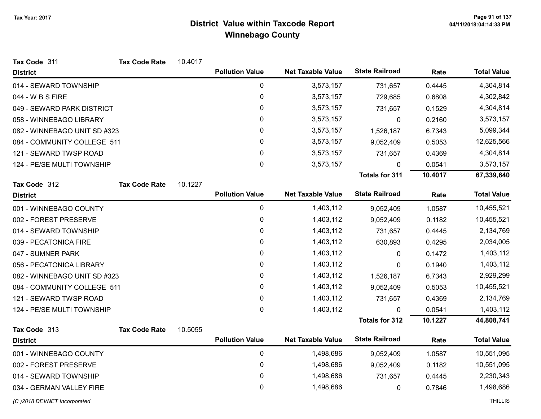| Tax Code 311                 | <b>Tax Code Rate</b> | 10.4017 |                        |                          |                       |         |                    |
|------------------------------|----------------------|---------|------------------------|--------------------------|-----------------------|---------|--------------------|
| <b>District</b>              |                      |         | <b>Pollution Value</b> | <b>Net Taxable Value</b> | <b>State Railroad</b> | Rate    | <b>Total Value</b> |
| 014 - SEWARD TOWNSHIP        |                      |         | $\pmb{0}$              | 3,573,157                | 731,657               | 0.4445  | 4,304,814          |
| 044 - W B S FIRE             |                      |         | 0                      | 3,573,157                | 729,685               | 0.6808  | 4,302,842          |
| 049 - SEWARD PARK DISTRICT   |                      |         | 0                      | 3,573,157                | 731,657               | 0.1529  | 4,304,814          |
| 058 - WINNEBAGO LIBRARY      |                      |         | 0                      | 3,573,157                | 0                     | 0.2160  | 3,573,157          |
| 082 - WINNEBAGO UNIT SD #323 |                      |         | 0                      | 3,573,157                | 1,526,187             | 6.7343  | 5,099,344          |
| 084 - COMMUNITY COLLEGE 511  |                      |         | 0                      | 3,573,157                | 9,052,409             | 0.5053  | 12,625,566         |
| 121 - SEWARD TWSP ROAD       |                      |         | 0                      | 3,573,157                | 731,657               | 0.4369  | 4,304,814          |
| 124 - PE/SE MULTI TOWNSHIP   |                      |         | $\mathsf 0$            | 3,573,157                | 0                     | 0.0541  | 3,573,157          |
|                              |                      |         |                        |                          | <b>Totals for 311</b> | 10.4017 | 67,339,640         |
| Tax Code 312                 | <b>Tax Code Rate</b> | 10.1227 |                        |                          |                       |         |                    |
| <b>District</b>              |                      |         | <b>Pollution Value</b> | <b>Net Taxable Value</b> | <b>State Railroad</b> | Rate    | <b>Total Value</b> |
| 001 - WINNEBAGO COUNTY       |                      |         | 0                      | 1,403,112                | 9,052,409             | 1.0587  | 10,455,521         |
| 002 - FOREST PRESERVE        |                      |         | 0                      | 1,403,112                | 9,052,409             | 0.1182  | 10,455,521         |
| 014 - SEWARD TOWNSHIP        |                      |         | 0                      | 1,403,112                | 731,657               | 0.4445  | 2,134,769          |
| 039 - PECATONICA FIRE        |                      |         | 0                      | 1,403,112                | 630,893               | 0.4295  | 2,034,005          |
| 047 - SUMNER PARK            |                      |         | 0                      | 1,403,112                | 0                     | 0.1472  | 1,403,112          |
| 056 - PECATONICA LIBRARY     |                      |         | $\pmb{0}$              | 1,403,112                | 0                     | 0.1940  | 1,403,112          |
| 082 - WINNEBAGO UNIT SD #323 |                      |         | 0                      | 1,403,112                | 1,526,187             | 6.7343  | 2,929,299          |
| 084 - COMMUNITY COLLEGE 511  |                      |         | 0                      | 1,403,112                | 9,052,409             | 0.5053  | 10,455,521         |
| 121 - SEWARD TWSP ROAD       |                      |         | 0                      | 1,403,112                | 731,657               | 0.4369  | 2,134,769          |
| 124 - PE/SE MULTI TOWNSHIP   |                      |         | 0                      | 1,403,112                | $\mathbf{0}$          | 0.0541  | 1,403,112          |
|                              |                      |         |                        |                          | <b>Totals for 312</b> | 10.1227 | 44,808,741         |
| Tax Code 313                 | <b>Tax Code Rate</b> | 10.5055 |                        |                          |                       |         |                    |
| <b>District</b>              |                      |         | <b>Pollution Value</b> | <b>Net Taxable Value</b> | <b>State Railroad</b> | Rate    | <b>Total Value</b> |
| 001 - WINNEBAGO COUNTY       |                      |         | 0                      | 1,498,686                | 9,052,409             | 1.0587  | 10,551,095         |
| 002 - FOREST PRESERVE        |                      |         | 0                      | 1,498,686                | 9,052,409             | 0.1182  | 10,551,095         |
| 014 - SEWARD TOWNSHIP        |                      |         | 0                      | 1,498,686                | 731,657               | 0.4445  | 2,230,343          |
| 034 - GERMAN VALLEY FIRE     |                      |         | 0                      | 1,498,686                | 0                     | 0.7846  | 1,498,686          |

(C)2018 DEVNET Incorporated THILLIS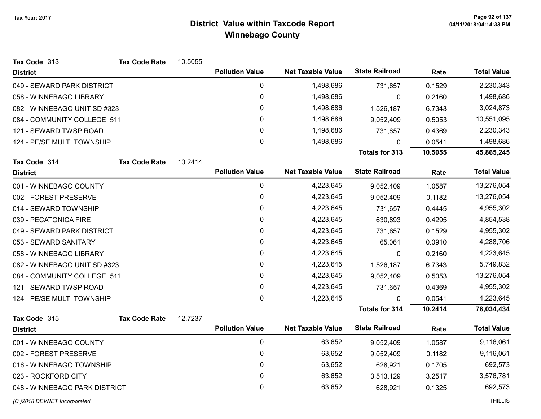| Tax Code 313                  | <b>Tax Code Rate</b> | 10.5055 |                        |                          |                       |         |                    |
|-------------------------------|----------------------|---------|------------------------|--------------------------|-----------------------|---------|--------------------|
| <b>District</b>               |                      |         | <b>Pollution Value</b> | <b>Net Taxable Value</b> | <b>State Railroad</b> | Rate    | <b>Total Value</b> |
| 049 - SEWARD PARK DISTRICT    |                      |         | 0                      | 1,498,686                | 731,657               | 0.1529  | 2,230,343          |
| 058 - WINNEBAGO LIBRARY       |                      |         | $\pmb{0}$              | 1,498,686                | 0                     | 0.2160  | 1,498,686          |
| 082 - WINNEBAGO UNIT SD #323  |                      |         | 0                      | 1,498,686                | 1,526,187             | 6.7343  | 3,024,873          |
| 084 - COMMUNITY COLLEGE 511   |                      |         | 0                      | 1,498,686                | 9,052,409             | 0.5053  | 10,551,095         |
| 121 - SEWARD TWSP ROAD        |                      |         | 0                      | 1,498,686                | 731,657               | 0.4369  | 2,230,343          |
| 124 - PE/SE MULTI TOWNSHIP    |                      |         | 0                      | 1,498,686                | 0                     | 0.0541  | 1,498,686          |
|                               |                      |         |                        |                          | <b>Totals for 313</b> | 10.5055 | 45,865,245         |
| Tax Code 314                  | <b>Tax Code Rate</b> | 10.2414 |                        |                          |                       |         |                    |
| <b>District</b>               |                      |         | <b>Pollution Value</b> | <b>Net Taxable Value</b> | <b>State Railroad</b> | Rate    | <b>Total Value</b> |
| 001 - WINNEBAGO COUNTY        |                      |         | $\mathbf 0$            | 4,223,645                | 9,052,409             | 1.0587  | 13,276,054         |
| 002 - FOREST PRESERVE         |                      |         | 0                      | 4,223,645                | 9,052,409             | 0.1182  | 13,276,054         |
| 014 - SEWARD TOWNSHIP         |                      |         | 0                      | 4,223,645                | 731,657               | 0.4445  | 4,955,302          |
| 039 - PECATONICA FIRE         |                      |         | $\mathbf 0$            | 4,223,645                | 630,893               | 0.4295  | 4,854,538          |
| 049 - SEWARD PARK DISTRICT    |                      |         | 0                      | 4,223,645                | 731,657               | 0.1529  | 4,955,302          |
| 053 - SEWARD SANITARY         |                      |         | 0                      | 4,223,645                | 65,061                | 0.0910  | 4,288,706          |
| 058 - WINNEBAGO LIBRARY       |                      |         | 0                      | 4,223,645                | 0                     | 0.2160  | 4,223,645          |
| 082 - WINNEBAGO UNIT SD #323  |                      |         | 0                      | 4,223,645                | 1,526,187             | 6.7343  | 5,749,832          |
| 084 - COMMUNITY COLLEGE 511   |                      |         | 0                      | 4,223,645                | 9,052,409             | 0.5053  | 13,276,054         |
| 121 - SEWARD TWSP ROAD        |                      |         | 0                      | 4,223,645                | 731,657               | 0.4369  | 4,955,302          |
| 124 - PE/SE MULTI TOWNSHIP    |                      |         | 0                      | 4,223,645                | $\Omega$              | 0.0541  | 4,223,645          |
|                               |                      |         |                        |                          | <b>Totals for 314</b> | 10.2414 | 78,034,434         |
| Tax Code 315                  | <b>Tax Code Rate</b> | 12.7237 |                        |                          |                       |         |                    |
| <b>District</b>               |                      |         | <b>Pollution Value</b> | <b>Net Taxable Value</b> | <b>State Railroad</b> | Rate    | <b>Total Value</b> |
| 001 - WINNEBAGO COUNTY        |                      |         | $\mathbf 0$            | 63,652                   | 9,052,409             | 1.0587  | 9,116,061          |
| 002 - FOREST PRESERVE         |                      |         | 0                      | 63,652                   | 9,052,409             | 0.1182  | 9,116,061          |
| 016 - WINNEBAGO TOWNSHIP      |                      |         | 0                      | 63,652                   | 628,921               | 0.1705  | 692,573            |
| 023 - ROCKFORD CITY           |                      |         | 0                      | 63,652                   | 3,513,129             | 3.2517  | 3,576,781          |
| 048 - WINNEBAGO PARK DISTRICT |                      |         | 0                      | 63,652                   | 628,921               | 0.1325  | 692,573            |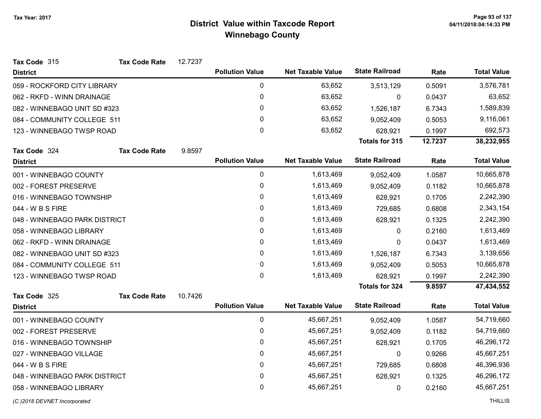| Tax Code 315                  | <b>Tax Code Rate</b> | 12.7237 |                        |                          |                       |         |                    |
|-------------------------------|----------------------|---------|------------------------|--------------------------|-----------------------|---------|--------------------|
| <b>District</b>               |                      |         | <b>Pollution Value</b> | <b>Net Taxable Value</b> | <b>State Railroad</b> | Rate    | <b>Total Value</b> |
| 059 - ROCKFORD CITY LIBRARY   |                      |         | $\mathbf 0$            | 63,652                   | 3,513,129             | 0.5091  | 3,576,781          |
| 062 - RKFD - WINN DRAINAGE    |                      |         | 0                      | 63,652                   | 0                     | 0.0437  | 63,652             |
| 082 - WINNEBAGO UNIT SD #323  |                      |         | 0                      | 63,652                   | 1,526,187             | 6.7343  | 1,589,839          |
| 084 - COMMUNITY COLLEGE 511   |                      |         | 0                      | 63,652                   | 9,052,409             | 0.5053  | 9,116,061          |
| 123 - WINNEBAGO TWSP ROAD     |                      |         | 0                      | 63,652                   | 628,921               | 0.1997  | 692,573            |
|                               |                      |         |                        |                          | Totals for 315        | 12.7237 | 38,232,955         |
| Tax Code 324                  | <b>Tax Code Rate</b> | 9.8597  |                        |                          |                       |         |                    |
| <b>District</b>               |                      |         | <b>Pollution Value</b> | <b>Net Taxable Value</b> | <b>State Railroad</b> | Rate    | <b>Total Value</b> |
| 001 - WINNEBAGO COUNTY        |                      |         | $\boldsymbol{0}$       | 1,613,469                | 9,052,409             | 1.0587  | 10,665,878         |
| 002 - FOREST PRESERVE         |                      |         | 0                      | 1,613,469                | 9,052,409             | 0.1182  | 10,665,878         |
| 016 - WINNEBAGO TOWNSHIP      |                      |         | 0                      | 1,613,469                | 628,921               | 0.1705  | 2,242,390          |
| 044 - W B S FIRE              |                      |         | 0                      | 1,613,469                | 729,685               | 0.6808  | 2,343,154          |
| 048 - WINNEBAGO PARK DISTRICT |                      |         | 0                      | 1,613,469                | 628,921               | 0.1325  | 2,242,390          |
| 058 - WINNEBAGO LIBRARY       |                      |         | 0                      | 1,613,469                | $\mathbf{0}$          | 0.2160  | 1,613,469          |
| 062 - RKFD - WINN DRAINAGE    |                      |         | 0                      | 1,613,469                | 0                     | 0.0437  | 1,613,469          |
| 082 - WINNEBAGO UNIT SD #323  |                      |         | 0                      | 1,613,469                | 1,526,187             | 6.7343  | 3,139,656          |
| 084 - COMMUNITY COLLEGE 511   |                      |         | 0                      | 1,613,469                | 9,052,409             | 0.5053  | 10,665,878         |
| 123 - WINNEBAGO TWSP ROAD     |                      |         | $\mathbf{0}$           | 1,613,469                | 628,921               | 0.1997  | 2,242,390          |
|                               |                      |         |                        |                          | <b>Totals for 324</b> | 9.8597  | 47,434,552         |
| Tax Code 325                  | <b>Tax Code Rate</b> | 10.7426 |                        |                          |                       |         |                    |
| <b>District</b>               |                      |         | <b>Pollution Value</b> | <b>Net Taxable Value</b> | <b>State Railroad</b> | Rate    | <b>Total Value</b> |
| 001 - WINNEBAGO COUNTY        |                      |         | $\boldsymbol{0}$       | 45,667,251               | 9,052,409             | 1.0587  | 54,719,660         |
| 002 - FOREST PRESERVE         |                      |         | 0                      | 45,667,251               | 9,052,409             | 0.1182  | 54,719,660         |
| 016 - WINNEBAGO TOWNSHIP      |                      |         | 0                      | 45,667,251               | 628,921               | 0.1705  | 46,296,172         |
| 027 - WINNEBAGO VILLAGE       |                      |         | $\mathbf 0$            | 45,667,251               | 0                     | 0.9266  | 45,667,251         |
| 044 - W B S FIRE              |                      |         | 0                      | 45,667,251               | 729,685               | 0.6808  | 46,396,936         |
| 048 - WINNEBAGO PARK DISTRICT |                      |         | 0                      | 45,667,251               | 628,921               | 0.1325  | 46,296,172         |
| 058 - WINNEBAGO LIBRARY       |                      |         | $\mathbf 0$            | 45,667,251               | 0                     | 0.2160  | 45,667,251         |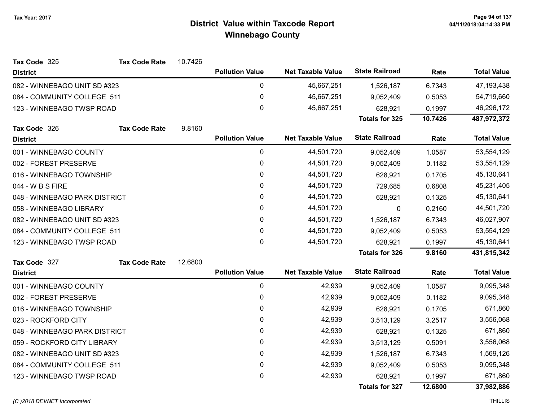| Tax Code 325                  | <b>Tax Code Rate</b> | 10.7426 |                        |                          |                       |         |                    |
|-------------------------------|----------------------|---------|------------------------|--------------------------|-----------------------|---------|--------------------|
| <b>District</b>               |                      |         | <b>Pollution Value</b> | <b>Net Taxable Value</b> | <b>State Railroad</b> | Rate    | <b>Total Value</b> |
| 082 - WINNEBAGO UNIT SD #323  |                      |         | 0                      | 45,667,251               | 1,526,187             | 6.7343  | 47, 193, 438       |
| 084 - COMMUNITY COLLEGE 511   |                      |         | $\pmb{0}$              | 45,667,251               | 9,052,409             | 0.5053  | 54,719,660         |
| 123 - WINNEBAGO TWSP ROAD     |                      |         | 0                      | 45,667,251               | 628,921               | 0.1997  | 46,296,172         |
|                               |                      |         |                        |                          | <b>Totals for 325</b> | 10.7426 | 487,972,372        |
| Tax Code 326                  | <b>Tax Code Rate</b> | 9.8160  |                        |                          |                       |         |                    |
| <b>District</b>               |                      |         | <b>Pollution Value</b> | <b>Net Taxable Value</b> | <b>State Railroad</b> | Rate    | <b>Total Value</b> |
| 001 - WINNEBAGO COUNTY        |                      |         | 0                      | 44,501,720               | 9,052,409             | 1.0587  | 53,554,129         |
| 002 - FOREST PRESERVE         |                      |         | 0                      | 44,501,720               | 9,052,409             | 0.1182  | 53,554,129         |
| 016 - WINNEBAGO TOWNSHIP      |                      |         | $\pmb{0}$              | 44,501,720               | 628,921               | 0.1705  | 45,130,641         |
| 044 - W B S FIRE              |                      |         | 0                      | 44,501,720               | 729,685               | 0.6808  | 45,231,405         |
| 048 - WINNEBAGO PARK DISTRICT |                      |         | 0                      | 44,501,720               | 628,921               | 0.1325  | 45,130,641         |
| 058 - WINNEBAGO LIBRARY       |                      |         | $\pmb{0}$              | 44,501,720               | 0                     | 0.2160  | 44,501,720         |
| 082 - WINNEBAGO UNIT SD #323  |                      |         | $\mathbf{0}$           | 44,501,720               | 1,526,187             | 6.7343  | 46,027,907         |
| 084 - COMMUNITY COLLEGE 511   |                      |         | $\pmb{0}$              | 44,501,720               | 9,052,409             | 0.5053  | 53,554,129         |
| 123 - WINNEBAGO TWSP ROAD     |                      |         | $\mathbf{0}$           | 44,501,720               | 628,921               | 0.1997  | 45,130,641         |
|                               |                      |         |                        |                          | <b>Totals for 326</b> | 9.8160  | 431,815,342        |
| Tax Code 327                  | <b>Tax Code Rate</b> | 12.6800 |                        |                          |                       |         |                    |
| <b>District</b>               |                      |         | <b>Pollution Value</b> | <b>Net Taxable Value</b> | <b>State Railroad</b> | Rate    | <b>Total Value</b> |
| 001 - WINNEBAGO COUNTY        |                      |         | $\pmb{0}$              | 42,939                   | 9,052,409             | 1.0587  | 9,095,348          |
| 002 - FOREST PRESERVE         |                      |         | $\pmb{0}$              | 42,939                   | 9,052,409             | 0.1182  | 9,095,348          |
| 016 - WINNEBAGO TOWNSHIP      |                      |         | $\mathbf{0}$           | 42,939                   | 628,921               | 0.1705  | 671,860            |
| 023 - ROCKFORD CITY           |                      |         | 0                      | 42,939                   | 3,513,129             | 3.2517  | 3,556,068          |
| 048 - WINNEBAGO PARK DISTRICT |                      |         | 0                      | 42,939                   | 628,921               | 0.1325  | 671,860            |
| 059 - ROCKFORD CITY LIBRARY   |                      |         | $\pmb{0}$              | 42,939                   | 3,513,129             | 0.5091  | 3,556,068          |
| 082 - WINNEBAGO UNIT SD #323  |                      |         | 0                      | 42,939                   | 1,526,187             | 6.7343  | 1,569,126          |
| 084 - COMMUNITY COLLEGE 511   |                      |         | 0                      | 42,939                   | 9,052,409             | 0.5053  | 9,095,348          |
| 123 - WINNEBAGO TWSP ROAD     |                      |         | $\pmb{0}$              | 42,939                   | 628,921               | 0.1997  | 671,860            |
|                               |                      |         |                        |                          | <b>Totals for 327</b> | 12.6800 | 37,982,886         |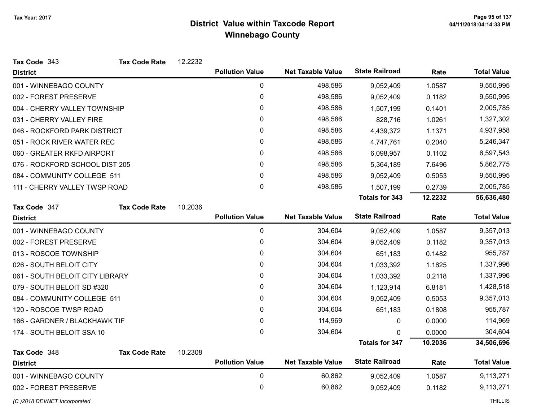| Tax Code 343                    | <b>Tax Code Rate</b> | 12.2232 |                        |                          |                       |         |                    |
|---------------------------------|----------------------|---------|------------------------|--------------------------|-----------------------|---------|--------------------|
| <b>District</b>                 |                      |         | <b>Pollution Value</b> | <b>Net Taxable Value</b> | <b>State Railroad</b> | Rate    | <b>Total Value</b> |
| 001 - WINNEBAGO COUNTY          |                      |         | $\mathbf 0$            | 498,586                  | 9,052,409             | 1.0587  | 9,550,995          |
| 002 - FOREST PRESERVE           |                      |         | 0                      | 498,586                  | 9,052,409             | 0.1182  | 9,550,995          |
| 004 - CHERRY VALLEY TOWNSHIP    |                      |         | 0                      | 498,586                  | 1,507,199             | 0.1401  | 2,005,785          |
| 031 - CHERRY VALLEY FIRE        |                      |         | 0                      | 498,586                  | 828,716               | 1.0261  | 1,327,302          |
| 046 - ROCKFORD PARK DISTRICT    |                      |         | $\pmb{0}$              | 498,586                  | 4,439,372             | 1.1371  | 4,937,958          |
| 051 - ROCK RIVER WATER REC      |                      |         | 0                      | 498,586                  | 4,747,761             | 0.2040  | 5,246,347          |
| 060 - GREATER RKFD AIRPORT      |                      |         | 0                      | 498,586                  | 6,098,957             | 0.1102  | 6,597,543          |
| 076 - ROCKFORD SCHOOL DIST 205  |                      |         | 0                      | 498,586                  | 5,364,189             | 7.6496  | 5,862,775          |
| 084 - COMMUNITY COLLEGE 511     |                      |         | 0                      | 498,586                  | 9,052,409             | 0.5053  | 9,550,995          |
| 111 - CHERRY VALLEY TWSP ROAD   |                      |         | $\pmb{0}$              | 498,586                  | 1,507,199             | 0.2739  | 2,005,785          |
|                                 |                      |         |                        |                          | <b>Totals for 343</b> | 12.2232 | 56,636,480         |
| Tax Code 347                    | <b>Tax Code Rate</b> | 10.2036 |                        |                          |                       |         |                    |
| <b>District</b>                 |                      |         | <b>Pollution Value</b> | <b>Net Taxable Value</b> | <b>State Railroad</b> | Rate    | <b>Total Value</b> |
| 001 - WINNEBAGO COUNTY          |                      |         | $\mathbf 0$            | 304,604                  | 9,052,409             | 1.0587  | 9,357,013          |
| 002 - FOREST PRESERVE           |                      |         | 0                      | 304,604                  | 9,052,409             | 0.1182  | 9,357,013          |
| 013 - ROSCOE TOWNSHIP           |                      |         | 0                      | 304,604                  | 651,183               | 0.1482  | 955,787            |
| 026 - SOUTH BELOIT CITY         |                      |         | 0                      | 304,604                  | 1,033,392             | 1.1625  | 1,337,996          |
| 061 - SOUTH BELOIT CITY LIBRARY |                      |         | 0                      | 304,604                  | 1,033,392             | 0.2118  | 1,337,996          |
| 079 - SOUTH BELOIT SD #320      |                      |         | 0                      | 304,604                  | 1,123,914             | 6.8181  | 1,428,518          |
| 084 - COMMUNITY COLLEGE 511     |                      |         | 0                      | 304,604                  | 9,052,409             | 0.5053  | 9,357,013          |
| 120 - ROSCOE TWSP ROAD          |                      |         | $\mathbf{0}$           | 304,604                  | 651,183               | 0.1808  | 955,787            |
| 166 - GARDNER / BLACKHAWK TIF   |                      |         | $\pmb{0}$              | 114,969                  | 0                     | 0.0000  | 114,969            |
| 174 - SOUTH BELOIT SSA 10       |                      |         | 0                      | 304,604                  | 0                     | 0.0000  | 304,604            |
|                                 |                      |         |                        |                          | <b>Totals for 347</b> | 10.2036 | 34,506,696         |
| Tax Code 348                    | <b>Tax Code Rate</b> | 10.2308 |                        |                          |                       |         |                    |
| <b>District</b>                 |                      |         | <b>Pollution Value</b> | <b>Net Taxable Value</b> | <b>State Railroad</b> | Rate    | <b>Total Value</b> |
| 001 - WINNEBAGO COUNTY          |                      |         | $\mathbf 0$            | 60,862                   | 9,052,409             | 1.0587  | 9,113,271          |
| 002 - FOREST PRESERVE           |                      |         | 0                      | 60,862                   | 9,052,409             | 0.1182  | 9,113,271          |
| (C) 2018 DEVNET Incorporated    |                      |         |                        |                          |                       |         | <b>THILLIS</b>     |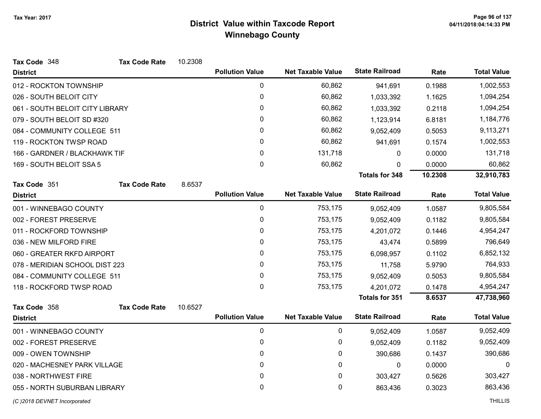| Tax Code 348                    | <b>Tax Code Rate</b> | 10.2308 |                        |                          |                       |         |                    |
|---------------------------------|----------------------|---------|------------------------|--------------------------|-----------------------|---------|--------------------|
| <b>District</b>                 |                      |         | <b>Pollution Value</b> | <b>Net Taxable Value</b> | <b>State Railroad</b> | Rate    | <b>Total Value</b> |
| 012 - ROCKTON TOWNSHIP          |                      |         | 0                      | 60,862                   | 941,691               | 0.1988  | 1,002,553          |
| 026 - SOUTH BELOIT CITY         |                      |         | $\pmb{0}$              | 60,862                   | 1,033,392             | 1.1625  | 1,094,254          |
| 061 - SOUTH BELOIT CITY LIBRARY |                      |         | 0                      | 60,862                   | 1,033,392             | 0.2118  | 1,094,254          |
| 079 - SOUTH BELOIT SD #320      |                      |         | 0                      | 60,862                   | 1,123,914             | 6.8181  | 1,184,776          |
| 084 - COMMUNITY COLLEGE 511     |                      |         | $\pmb{0}$              | 60,862                   | 9,052,409             | 0.5053  | 9,113,271          |
| 119 - ROCKTON TWSP ROAD         |                      |         | 0                      | 60,862                   | 941,691               | 0.1574  | 1,002,553          |
| 166 - GARDNER / BLACKHAWK TIF   |                      |         | 0                      | 131,718                  | 0                     | 0.0000  | 131,718            |
| 169 - SOUTH BELOIT SSA 5        |                      |         | $\mathbf 0$            | 60,862                   | 0                     | 0.0000  | 60,862             |
|                                 |                      |         |                        |                          | <b>Totals for 348</b> | 10.2308 | 32,910,783         |
| Tax Code 351                    | <b>Tax Code Rate</b> | 8.6537  |                        |                          |                       |         |                    |
| <b>District</b>                 |                      |         | <b>Pollution Value</b> | <b>Net Taxable Value</b> | <b>State Railroad</b> | Rate    | <b>Total Value</b> |
| 001 - WINNEBAGO COUNTY          |                      |         | 0                      | 753,175                  | 9,052,409             | 1.0587  | 9,805,584          |
| 002 - FOREST PRESERVE           |                      |         | $\pmb{0}$              | 753,175                  | 9,052,409             | 0.1182  | 9,805,584          |
| 011 - ROCKFORD TOWNSHIP         |                      |         | 0                      | 753,175                  | 4,201,072             | 0.1446  | 4,954,247          |
| 036 - NEW MILFORD FIRE          |                      |         | 0                      | 753,175                  | 43,474                | 0.5899  | 796,649            |
| 060 - GREATER RKFD AIRPORT      |                      |         | 0                      | 753,175                  | 6,098,957             | 0.1102  | 6,852,132          |
| 078 - MERIDIAN SCHOOL DIST 223  |                      |         | 0                      | 753,175                  | 11,758                | 5.9790  | 764,933            |
| 084 - COMMUNITY COLLEGE 511     |                      |         | 0                      | 753,175                  | 9,052,409             | 0.5053  | 9,805,584          |
| 118 - ROCKFORD TWSP ROAD        |                      |         | 0                      | 753,175                  | 4,201,072             | 0.1478  | 4,954,247          |
|                                 |                      |         |                        |                          | <b>Totals for 351</b> | 8.6537  | 47,738,960         |
| Tax Code 358                    | <b>Tax Code Rate</b> | 10.6527 |                        |                          |                       |         |                    |
| <b>District</b>                 |                      |         | <b>Pollution Value</b> | <b>Net Taxable Value</b> | <b>State Railroad</b> | Rate    | <b>Total Value</b> |
| 001 - WINNEBAGO COUNTY          |                      |         | 0                      | 0                        | 9,052,409             | 1.0587  | 9,052,409          |
| 002 - FOREST PRESERVE           |                      |         | 0                      | 0                        | 9,052,409             | 0.1182  | 9,052,409          |
| 009 - OWEN TOWNSHIP             |                      |         | 0                      | 0                        | 390,686               | 0.1437  | 390,686            |
| 020 - MACHESNEY PARK VILLAGE    |                      |         | 0                      | $\mathbf{0}$             | $\mathbf 0$           | 0.0000  | $\mathbf 0$        |
| 038 - NORTHWEST FIRE            |                      |         | 0                      | 0                        | 303,427               | 0.5626  | 303,427            |
| 055 - NORTH SUBURBAN LIBRARY    |                      |         | 0                      | 0                        | 863,436               | 0.3023  | 863,436            |
| (C) 2018 DEVNET Incorporated    |                      |         |                        |                          |                       |         | <b>THILLIS</b>     |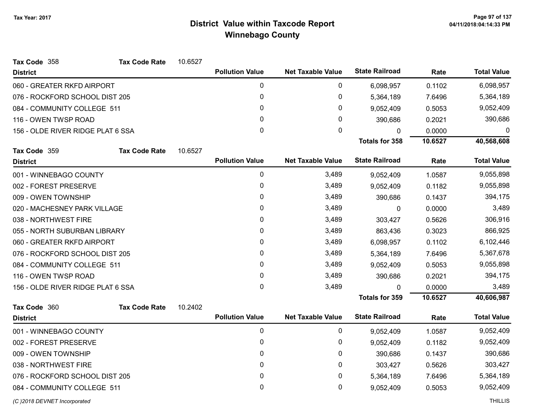| Tax Code 358                      | <b>Tax Code Rate</b> | 10.6527 |                        |                          |                       |         |                    |
|-----------------------------------|----------------------|---------|------------------------|--------------------------|-----------------------|---------|--------------------|
| <b>District</b>                   |                      |         | <b>Pollution Value</b> | <b>Net Taxable Value</b> | <b>State Railroad</b> | Rate    | <b>Total Value</b> |
| 060 - GREATER RKFD AIRPORT        |                      |         | 0                      | 0                        | 6,098,957             | 0.1102  | 6,098,957          |
| 076 - ROCKFORD SCHOOL DIST 205    |                      |         | 0                      | 0                        | 5,364,189             | 7.6496  | 5,364,189          |
| 084 - COMMUNITY COLLEGE 511       |                      |         | 0                      | 0                        | 9,052,409             | 0.5053  | 9,052,409          |
| 116 - OWEN TWSP ROAD              |                      |         | $\mathbf{0}$           | 0                        | 390,686               | 0.2021  | 390,686            |
| 156 - OLDE RIVER RIDGE PLAT 6 SSA |                      |         | 0                      | 0                        | 0                     | 0.0000  | 0                  |
|                                   |                      |         |                        |                          | <b>Totals for 358</b> | 10.6527 | 40,568,608         |
| Tax Code 359                      | <b>Tax Code Rate</b> | 10.6527 |                        |                          |                       |         |                    |
| <b>District</b>                   |                      |         | <b>Pollution Value</b> | <b>Net Taxable Value</b> | <b>State Railroad</b> | Rate    | <b>Total Value</b> |
| 001 - WINNEBAGO COUNTY            |                      |         | 0                      | 3,489                    | 9,052,409             | 1.0587  | 9,055,898          |
| 002 - FOREST PRESERVE             |                      |         | 0                      | 3,489                    | 9,052,409             | 0.1182  | 9,055,898          |
| 009 - OWEN TOWNSHIP               |                      | 0       | 3,489                  | 390,686                  | 0.1437                | 394,175 |                    |
| 020 - MACHESNEY PARK VILLAGE      |                      | 0       | 3,489                  | 0                        | 0.0000                | 3,489   |                    |
| 038 - NORTHWEST FIRE              |                      | 0       | 3,489                  | 303,427                  | 0.5626                | 306,916 |                    |
| 055 - NORTH SUBURBAN LIBRARY      |                      | 0       | 3,489                  | 863,436                  | 0.3023                | 866,925 |                    |
| 060 - GREATER RKFD AIRPORT        |                      |         | 0                      | 3,489                    | 6,098,957             | 0.1102  | 6,102,446          |
| 076 - ROCKFORD SCHOOL DIST 205    |                      |         | 0                      | 3,489                    | 5,364,189             | 7.6496  | 5,367,678          |
| 084 - COMMUNITY COLLEGE 511       |                      |         | 0                      | 3,489                    | 9,052,409             | 0.5053  | 9,055,898          |
| 116 - OWEN TWSP ROAD              |                      |         | 0                      | 3,489                    | 390,686               | 0.2021  | 394,175            |
| 156 - OLDE RIVER RIDGE PLAT 6 SSA |                      |         | $\mathbf{0}$           | 3,489                    | 0                     | 0.0000  | 3,489              |
|                                   |                      |         |                        |                          | <b>Totals for 359</b> | 10.6527 | 40,606,987         |
| Tax Code 360                      | <b>Tax Code Rate</b> | 10.2402 |                        |                          |                       |         |                    |
| <b>District</b>                   |                      |         | <b>Pollution Value</b> | <b>Net Taxable Value</b> | <b>State Railroad</b> | Rate    | <b>Total Value</b> |
| 001 - WINNEBAGO COUNTY            |                      |         | 0                      | 0                        | 9,052,409             | 1.0587  | 9,052,409          |
| 002 - FOREST PRESERVE             |                      |         | 0                      | 0                        | 9,052,409             | 0.1182  | 9,052,409          |
| 009 - OWEN TOWNSHIP               |                      |         | 0                      | 0                        | 390,686               | 0.1437  | 390,686            |
| 038 - NORTHWEST FIRE              |                      |         | 0                      | 0                        | 303,427               | 0.5626  | 303,427            |
| 076 - ROCKFORD SCHOOL DIST 205    |                      |         | 0                      | 0                        | 5,364,189             | 7.6496  | 5,364,189          |
| 084 - COMMUNITY COLLEGE 511       |                      |         | 0                      | 0                        | 9,052,409             | 0.5053  | 9,052,409          |
| (C) 2018 DEVNET Incorporated      |                      |         |                        |                          |                       |         | <b>THILLIS</b>     |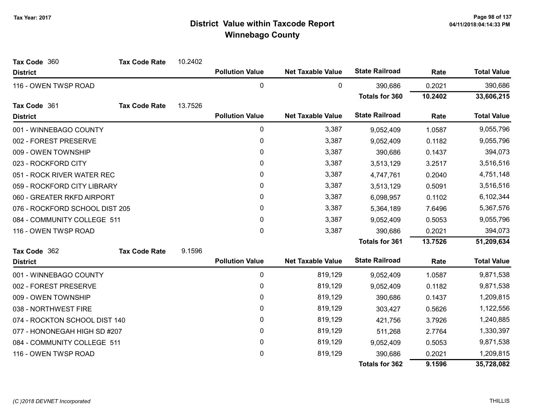| Tax Code 360                   | <b>Tax Code Rate</b> | 10.2402 |                        |                          |                       |           |                    |
|--------------------------------|----------------------|---------|------------------------|--------------------------|-----------------------|-----------|--------------------|
| <b>District</b>                |                      |         | <b>Pollution Value</b> | <b>Net Taxable Value</b> | <b>State Railroad</b> | Rate      | <b>Total Value</b> |
| 116 - OWEN TWSP ROAD           |                      |         | $\pmb{0}$              | 0                        | 390,686               | 0.2021    | 390,686            |
|                                |                      |         |                        |                          | <b>Totals for 360</b> | 10.2402   | 33,606,215         |
| Tax Code 361                   | <b>Tax Code Rate</b> | 13.7526 |                        |                          |                       |           |                    |
| <b>District</b>                |                      |         | <b>Pollution Value</b> | <b>Net Taxable Value</b> | <b>State Railroad</b> | Rate      | <b>Total Value</b> |
| 001 - WINNEBAGO COUNTY         |                      |         | 0                      | 3,387                    | 9,052,409             | 1.0587    | 9,055,796          |
| 002 - FOREST PRESERVE          |                      |         | $\pmb{0}$              | 3,387                    | 9,052,409             | 0.1182    | 9,055,796          |
| 009 - OWEN TOWNSHIP            |                      |         | 0                      | 3,387                    | 390,686               | 0.1437    | 394,073            |
| 023 - ROCKFORD CITY            |                      |         | $\mathbf{0}$           | 3,387                    | 3,513,129             | 3.2517    | 3,516,516          |
| 051 - ROCK RIVER WATER REC     |                      | 0       | 3,387                  | 4,747,761                | 0.2040                | 4,751,148 |                    |
| 059 - ROCKFORD CITY LIBRARY    |                      | 0       | 3,387                  | 3,513,129                | 0.5091                | 3,516,516 |                    |
| 060 - GREATER RKFD AIRPORT     |                      |         | 0                      | 3,387                    | 6,098,957             | 0.1102    | 6,102,344          |
| 076 - ROCKFORD SCHOOL DIST 205 |                      | 0       | 3,387                  | 5,364,189                | 7.6496                | 5,367,576 |                    |
| 084 - COMMUNITY COLLEGE 511    |                      | 0       | 3,387                  | 9,052,409                | 0.5053                | 9,055,796 |                    |
| 116 - OWEN TWSP ROAD           |                      |         | 0                      | 3,387                    | 390,686               | 0.2021    | 394,073            |
|                                |                      |         |                        |                          | <b>Totals for 361</b> | 13.7526   | 51,209,634         |
| Tax Code 362                   | <b>Tax Code Rate</b> | 9.1596  |                        |                          |                       |           |                    |
| <b>District</b>                |                      |         | <b>Pollution Value</b> | <b>Net Taxable Value</b> | <b>State Railroad</b> | Rate      | <b>Total Value</b> |
| 001 - WINNEBAGO COUNTY         |                      |         | 0                      | 819,129                  | 9,052,409             | 1.0587    | 9,871,538          |
| 002 - FOREST PRESERVE          |                      |         | $\pmb{0}$              | 819,129                  | 9,052,409             | 0.1182    | 9,871,538          |
| 009 - OWEN TOWNSHIP            |                      |         | 0                      | 819,129                  | 390,686               | 0.1437    | 1,209,815          |
| 038 - NORTHWEST FIRE           |                      |         | $\mathbf{0}$           | 819,129                  | 303,427               | 0.5626    | 1,122,556          |
| 074 - ROCKTON SCHOOL DIST 140  |                      |         | 0                      | 819,129                  | 421,756               | 3.7926    | 1,240,885          |
| 077 - HONONEGAH HIGH SD #207   |                      |         | $\pmb{0}$              | 819,129                  | 511,268               | 2.7764    | 1,330,397          |
| 084 - COMMUNITY COLLEGE 511    |                      |         | $\pmb{0}$              | 819,129                  | 9,052,409             | 0.5053    | 9,871,538          |
| 116 - OWEN TWSP ROAD           |                      |         | 0                      | 819,129                  | 390,686               | 0.2021    | 1,209,815          |
|                                |                      |         |                        |                          | <b>Totals for 362</b> | 9.1596    | 35,728,082         |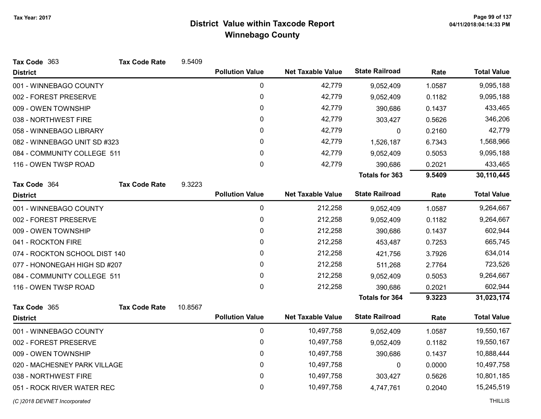| Tax Code 363                  | <b>Tax Code Rate</b> | 9.5409  |                        |                          |                       |           |                    |
|-------------------------------|----------------------|---------|------------------------|--------------------------|-----------------------|-----------|--------------------|
| <b>District</b>               |                      |         | <b>Pollution Value</b> | <b>Net Taxable Value</b> | <b>State Railroad</b> | Rate      | <b>Total Value</b> |
| 001 - WINNEBAGO COUNTY        |                      |         | $\pmb{0}$              | 42,779                   | 9,052,409             | 1.0587    | 9,095,188          |
| 002 - FOREST PRESERVE         |                      |         | 0                      | 42,779                   | 9,052,409             | 0.1182    | 9,095,188          |
| 009 - OWEN TOWNSHIP           |                      |         | $\mathbf{0}$           | 42,779                   | 390,686               | 0.1437    | 433,465            |
| 038 - NORTHWEST FIRE          |                      |         | 0                      | 42,779                   | 303,427               | 0.5626    | 346,206            |
| 058 - WINNEBAGO LIBRARY       |                      |         | 0                      | 42,779                   | 0                     | 0.2160    | 42,779             |
| 082 - WINNEBAGO UNIT SD #323  |                      | 0       | 42,779                 | 1,526,187                | 6.7343                | 1,568,966 |                    |
| 084 - COMMUNITY COLLEGE 511   |                      |         | 0                      | 42,779                   | 9,052,409             | 0.5053    | 9,095,188          |
| 116 - OWEN TWSP ROAD          |                      |         | $\mathbf 0$            | 42,779                   | 390,686               | 0.2021    | 433,465            |
|                               |                      |         |                        |                          | <b>Totals for 363</b> | 9.5409    | 30,110,445         |
| Tax Code 364                  | <b>Tax Code Rate</b> | 9.3223  |                        |                          |                       |           |                    |
| <b>District</b>               |                      |         | <b>Pollution Value</b> | <b>Net Taxable Value</b> | <b>State Railroad</b> | Rate      | <b>Total Value</b> |
| 001 - WINNEBAGO COUNTY        |                      |         | $\mathbf 0$            | 212,258                  | 9,052,409             | 1.0587    | 9,264,667          |
| 002 - FOREST PRESERVE         |                      |         | $\pmb{0}$              | 212,258                  | 9,052,409             | 0.1182    | 9,264,667          |
| 009 - OWEN TOWNSHIP           |                      |         | $\mathbf{0}$           | 212,258                  | 390,686               | 0.1437    | 602,944            |
| 041 - ROCKTON FIRE            |                      |         | 0                      | 212,258                  | 453,487               | 0.7253    | 665,745            |
| 074 - ROCKTON SCHOOL DIST 140 |                      |         | 0                      | 212,258                  | 421,756               | 3.7926    | 634,014            |
| 077 - HONONEGAH HIGH SD #207  |                      |         | 0                      | 212,258                  | 511,268               | 2.7764    | 723,526            |
| 084 - COMMUNITY COLLEGE 511   |                      |         | 0                      | 212,258                  | 9,052,409             | 0.5053    | 9,264,667          |
| 116 - OWEN TWSP ROAD          |                      |         | 0                      | 212,258                  | 390,686               | 0.2021    | 602,944            |
|                               |                      |         |                        |                          | <b>Totals for 364</b> | 9.3223    | 31,023,174         |
| Tax Code 365                  | <b>Tax Code Rate</b> | 10.8567 |                        |                          |                       |           |                    |
| <b>District</b>               |                      |         | <b>Pollution Value</b> | <b>Net Taxable Value</b> | <b>State Railroad</b> | Rate      | <b>Total Value</b> |
| 001 - WINNEBAGO COUNTY        |                      |         | 0                      | 10,497,758               | 9,052,409             | 1.0587    | 19,550,167         |
| 002 - FOREST PRESERVE         |                      |         | 0                      | 10,497,758               | 9,052,409             | 0.1182    | 19,550,167         |
| 009 - OWEN TOWNSHIP           |                      |         | $\pmb{0}$              | 10,497,758               | 390,686               | 0.1437    | 10,888,444         |
| 020 - MACHESNEY PARK VILLAGE  |                      |         | 0                      | 10,497,758               | 0                     | 0.0000    | 10,497,758         |
| 038 - NORTHWEST FIRE          |                      |         | 0                      | 10,497,758               | 303,427               | 0.5626    | 10,801,185         |
| 051 - ROCK RIVER WATER REC    |                      |         | 0                      | 10,497,758               | 4,747,761             | 0.2040    | 15,245,519         |
| (C) 2018 DEVNET Incorporated  |                      |         |                        |                          |                       |           | <b>THILLIS</b>     |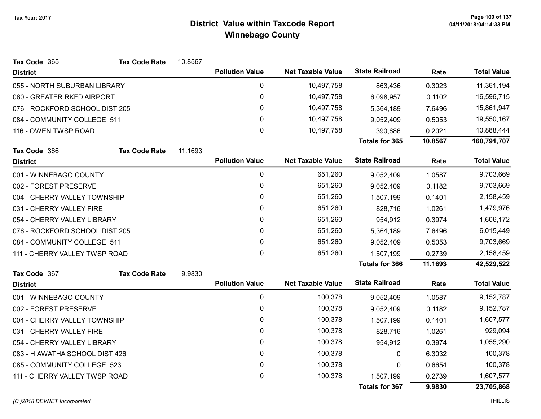| Tax Code 365                   | <b>Tax Code Rate</b> | 10.8567   |                        |                          |                       |           |                    |
|--------------------------------|----------------------|-----------|------------------------|--------------------------|-----------------------|-----------|--------------------|
| <b>District</b>                |                      |           | <b>Pollution Value</b> | <b>Net Taxable Value</b> | <b>State Railroad</b> | Rate      | <b>Total Value</b> |
| 055 - NORTH SUBURBAN LIBRARY   |                      |           | 0                      | 10,497,758               | 863,436               | 0.3023    | 11,361,194         |
| 060 - GREATER RKFD AIRPORT     |                      |           | 0                      | 10,497,758               | 6,098,957             | 0.1102    | 16,596,715         |
| 076 - ROCKFORD SCHOOL DIST 205 |                      |           | 0                      | 10,497,758               | 5,364,189             | 7.6496    | 15,861,947         |
| 084 - COMMUNITY COLLEGE 511    |                      |           | 0                      | 10,497,758               | 9,052,409             | 0.5053    | 19,550,167         |
| 116 - OWEN TWSP ROAD           |                      |           | $\mathbf 0$            | 10,497,758               | 390,686               | 0.2021    | 10,888,444         |
|                                |                      |           |                        |                          | <b>Totals for 365</b> | 10.8567   | 160,791,707        |
| Tax Code 366                   | <b>Tax Code Rate</b> | 11.1693   |                        |                          |                       |           |                    |
| <b>District</b>                |                      |           | <b>Pollution Value</b> | <b>Net Taxable Value</b> | <b>State Railroad</b> | Rate      | <b>Total Value</b> |
| 001 - WINNEBAGO COUNTY         |                      |           | 0                      | 651,260                  | 9,052,409             | 1.0587    | 9,703,669          |
| 002 - FOREST PRESERVE          |                      | $\pmb{0}$ | 651,260                | 9,052,409                | 0.1182                | 9,703,669 |                    |
| 004 - CHERRY VALLEY TOWNSHIP   |                      |           | 0                      | 651,260                  | 1,507,199             | 0.1401    | 2,158,459          |
| 031 - CHERRY VALLEY FIRE       |                      |           | $\pmb{0}$              | 651,260                  | 828,716               | 1.0261    | 1,479,976          |
| 054 - CHERRY VALLEY LIBRARY    |                      |           | 0                      | 651,260                  | 954,912               | 0.3974    | 1,606,172          |
| 076 - ROCKFORD SCHOOL DIST 205 |                      |           | 0                      | 651,260                  | 5,364,189             | 7.6496    | 6,015,449          |
| 084 - COMMUNITY COLLEGE 511    |                      |           | 0                      | 651,260                  | 9,052,409             | 0.5053    | 9,703,669          |
| 111 - CHERRY VALLEY TWSP ROAD  |                      |           | $\mathbf 0$            | 651,260                  | 1,507,199             | 0.2739    | 2,158,459          |
|                                |                      |           |                        |                          | <b>Totals for 366</b> | 11.1693   | 42,529,522         |
| Tax Code 367                   | <b>Tax Code Rate</b> | 9.9830    |                        |                          |                       |           |                    |
| <b>District</b>                |                      |           | <b>Pollution Value</b> | <b>Net Taxable Value</b> | <b>State Railroad</b> | Rate      | <b>Total Value</b> |
| 001 - WINNEBAGO COUNTY         |                      |           | $\pmb{0}$              | 100,378                  | 9,052,409             | 1.0587    | 9,152,787          |
| 002 - FOREST PRESERVE          |                      |           | 0                      | 100,378                  | 9,052,409             | 0.1182    | 9,152,787          |
| 004 - CHERRY VALLEY TOWNSHIP   |                      |           | $\mathbf{0}$           | 100,378                  | 1,507,199             | 0.1401    | 1,607,577          |
| 031 - CHERRY VALLEY FIRE       |                      |           | 0                      | 100,378                  | 828,716               | 1.0261    | 929,094            |
| 054 - CHERRY VALLEY LIBRARY    |                      |           | 0                      | 100,378                  | 954,912               | 0.3974    | 1,055,290          |
| 083 - HIAWATHA SCHOOL DIST 426 |                      |           | 0                      | 100,378                  | 0                     | 6.3032    | 100,378            |
| 085 - COMMUNITY COLLEGE 523    |                      |           | $\pmb{0}$              | 100,378                  | $\mathbf{0}$          | 0.6654    | 100,378            |
| 111 - CHERRY VALLEY TWSP ROAD  |                      |           | $\pmb{0}$              | 100,378                  | 1,507,199             | 0.2739    | 1,607,577          |
|                                |                      |           |                        |                          | <b>Totals for 367</b> | 9.9830    | 23,705,868         |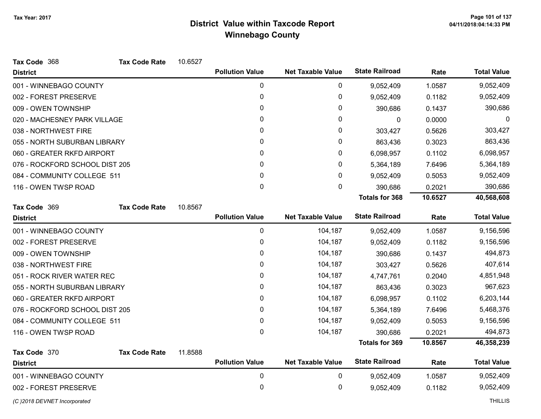| Tax Code 368                   | <b>Tax Code Rate</b> | 10.6527      |                        |                          |                       |           |                    |
|--------------------------------|----------------------|--------------|------------------------|--------------------------|-----------------------|-----------|--------------------|
| <b>District</b>                |                      |              | <b>Pollution Value</b> | <b>Net Taxable Value</b> | <b>State Railroad</b> | Rate      | <b>Total Value</b> |
| 001 - WINNEBAGO COUNTY         |                      |              | 0                      | 0                        | 9,052,409             | 1.0587    | 9,052,409          |
| 002 - FOREST PRESERVE          |                      |              | 0                      | 0                        | 9,052,409             | 0.1182    | 9,052,409          |
| 009 - OWEN TOWNSHIP            |                      |              | 0                      | 0                        | 390,686               | 0.1437    | 390,686            |
| 020 - MACHESNEY PARK VILLAGE   |                      | 0            | 0                      | $\mathbf 0$              | 0.0000                | $\Omega$  |                    |
| 038 - NORTHWEST FIRE           |                      | 0            | 0                      | 303,427                  | 0.5626                | 303,427   |                    |
| 055 - NORTH SUBURBAN LIBRARY   |                      |              | 0                      | 0                        | 863,436               | 0.3023    | 863,436            |
| 060 - GREATER RKFD AIRPORT     |                      |              | 0                      | 0                        | 6,098,957             | 0.1102    | 6,098,957          |
| 076 - ROCKFORD SCHOOL DIST 205 |                      |              | 0                      | 0                        | 5,364,189             | 7.6496    | 5,364,189          |
| 084 - COMMUNITY COLLEGE 511    |                      | $\mathbf{0}$ | 0                      | 9,052,409                | 0.5053                | 9,052,409 |                    |
| 116 - OWEN TWSP ROAD           |                      |              | $\pmb{0}$              | 0                        | 390,686               | 0.2021    | 390,686            |
|                                |                      |              |                        |                          | <b>Totals for 368</b> | 10.6527   | 40,568,608         |
| Tax Code 369                   | <b>Tax Code Rate</b> | 10.8567      |                        |                          |                       |           |                    |
| <b>District</b>                |                      |              | <b>Pollution Value</b> | <b>Net Taxable Value</b> | <b>State Railroad</b> | Rate      | <b>Total Value</b> |
| 001 - WINNEBAGO COUNTY         |                      |              | 0                      | 104,187                  | 9,052,409             | 1.0587    | 9,156,596          |
| 002 - FOREST PRESERVE          |                      |              | 0                      | 104,187                  | 9,052,409             | 0.1182    | 9,156,596          |
| 009 - OWEN TOWNSHIP            |                      |              | 0                      | 104,187                  | 390,686               | 0.1437    | 494,873            |
| 038 - NORTHWEST FIRE           |                      |              | 0                      | 104,187                  | 303,427               | 0.5626    | 407,614            |
| 051 - ROCK RIVER WATER REC     |                      |              | 0                      | 104,187                  | 4,747,761             | 0.2040    | 4,851,948          |
| 055 - NORTH SUBURBAN LIBRARY   |                      |              | 0                      | 104,187                  | 863,436               | 0.3023    | 967,623            |
| 060 - GREATER RKFD AIRPORT     |                      |              | 0                      | 104,187                  | 6,098,957             | 0.1102    | 6,203,144          |
| 076 - ROCKFORD SCHOOL DIST 205 |                      |              | 0                      | 104,187                  | 5,364,189             | 7.6496    | 5,468,376          |
| 084 - COMMUNITY COLLEGE 511    |                      |              | 0                      | 104,187                  | 9,052,409             | 0.5053    | 9,156,596          |
| 116 - OWEN TWSP ROAD           |                      |              | 0                      | 104,187                  | 390,686               | 0.2021    | 494,873            |
|                                |                      |              |                        |                          | <b>Totals for 369</b> | 10.8567   | 46,358,239         |
| Tax Code 370                   | <b>Tax Code Rate</b> | 11.8588      |                        |                          |                       |           |                    |
| <b>District</b>                |                      |              | <b>Pollution Value</b> | <b>Net Taxable Value</b> | <b>State Railroad</b> | Rate      | <b>Total Value</b> |
| 001 - WINNEBAGO COUNTY         |                      |              | 0                      | 0                        | 9,052,409             | 1.0587    | 9,052,409          |
| 002 - FOREST PRESERVE          |                      |              | 0                      | 0                        | 9,052,409             | 0.1182    | 9,052,409          |
| (C) 2018 DEVNET Incorporated   |                      |              |                        |                          |                       |           | <b>THILLIS</b>     |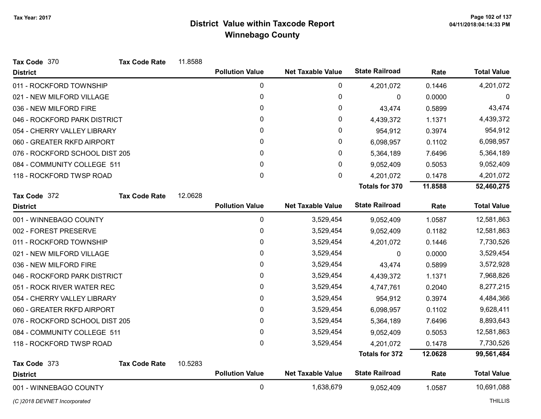| Tax Code 370                   | <b>Tax Code Rate</b> | 11.8588 |                        |                          |                       |         |                    |
|--------------------------------|----------------------|---------|------------------------|--------------------------|-----------------------|---------|--------------------|
| <b>District</b>                |                      |         | <b>Pollution Value</b> | <b>Net Taxable Value</b> | <b>State Railroad</b> | Rate    | <b>Total Value</b> |
| 011 - ROCKFORD TOWNSHIP        |                      |         | 0                      | 0                        | 4,201,072             | 0.1446  | 4,201,072          |
| 021 - NEW MILFORD VILLAGE      |                      |         | $\pmb{0}$              | 0                        | $\mathbf 0$           | 0.0000  | 0                  |
| 036 - NEW MILFORD FIRE         |                      |         | 0                      | 0                        | 43,474                | 0.5899  | 43,474             |
| 046 - ROCKFORD PARK DISTRICT   |                      |         | 0                      | 0                        | 4,439,372             | 1.1371  | 4,439,372          |
| 054 - CHERRY VALLEY LIBRARY    |                      |         | 0                      | 0                        | 954,912               | 0.3974  | 954,912            |
| 060 - GREATER RKFD AIRPORT     |                      |         | 0                      | 0                        | 6,098,957             | 0.1102  | 6,098,957          |
| 076 - ROCKFORD SCHOOL DIST 205 |                      |         | 0                      | 0                        | 5,364,189             | 7.6496  | 5,364,189          |
| 084 - COMMUNITY COLLEGE 511    |                      |         | 0                      | 0                        | 9,052,409             | 0.5053  | 9,052,409          |
| 118 - ROCKFORD TWSP ROAD       |                      |         | $\pmb{0}$              | 0                        | 4,201,072             | 0.1478  | 4,201,072          |
|                                |                      |         |                        |                          | <b>Totals for 370</b> | 11.8588 | 52,460,275         |
| Tax Code 372                   | <b>Tax Code Rate</b> | 12.0628 |                        |                          |                       |         |                    |
| <b>District</b>                |                      |         | <b>Pollution Value</b> | <b>Net Taxable Value</b> | <b>State Railroad</b> | Rate    | <b>Total Value</b> |
| 001 - WINNEBAGO COUNTY         |                      |         | 0                      | 3,529,454                | 9,052,409             | 1.0587  | 12,581,863         |
| 002 - FOREST PRESERVE          |                      |         | 0                      | 3,529,454                | 9,052,409             | 0.1182  | 12,581,863         |
| 011 - ROCKFORD TOWNSHIP        |                      |         | 0                      | 3,529,454                | 4,201,072             | 0.1446  | 7,730,526          |
| 021 - NEW MILFORD VILLAGE      |                      |         | 0                      | 3,529,454                | 0                     | 0.0000  | 3,529,454          |
| 036 - NEW MILFORD FIRE         |                      |         | 0                      | 3,529,454                | 43,474                | 0.5899  | 3,572,928          |
| 046 - ROCKFORD PARK DISTRICT   |                      |         | 0                      | 3,529,454                | 4,439,372             | 1.1371  | 7,968,826          |
| 051 - ROCK RIVER WATER REC     |                      |         | $\pmb{0}$              | 3,529,454                | 4,747,761             | 0.2040  | 8,277,215          |
| 054 - CHERRY VALLEY LIBRARY    |                      |         | 0                      | 3,529,454                | 954,912               | 0.3974  | 4,484,366          |
| 060 - GREATER RKFD AIRPORT     |                      |         | 0                      | 3,529,454                | 6,098,957             | 0.1102  | 9,628,411          |
| 076 - ROCKFORD SCHOOL DIST 205 |                      |         | 0                      | 3,529,454                | 5,364,189             | 7.6496  | 8,893,643          |
| 084 - COMMUNITY COLLEGE 511    |                      |         | 0                      | 3,529,454                | 9,052,409             | 0.5053  | 12,581,863         |
| 118 - ROCKFORD TWSP ROAD       |                      |         | 0                      | 3,529,454                | 4,201,072             | 0.1478  | 7,730,526          |
|                                |                      |         |                        |                          | <b>Totals for 372</b> | 12.0628 | 99,561,484         |
| Tax Code 373                   | <b>Tax Code Rate</b> | 10.5283 |                        |                          |                       |         |                    |
| <b>District</b>                |                      |         | <b>Pollution Value</b> | <b>Net Taxable Value</b> | <b>State Railroad</b> | Rate    | <b>Total Value</b> |
| 001 - WINNEBAGO COUNTY         |                      |         | $\pmb{0}$              | 1,638,679                | 9,052,409             | 1.0587  | 10,691,088         |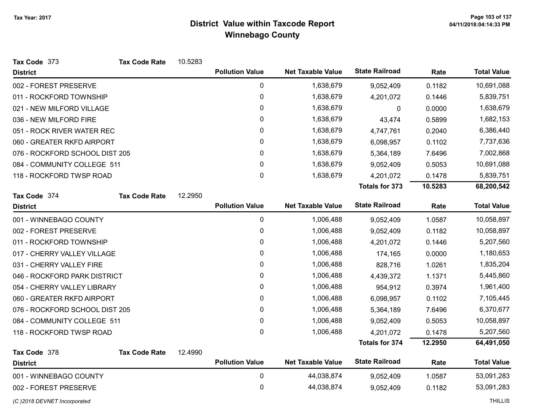| Tax Code 373                   | <b>Tax Code Rate</b> | 10.5283     |                        |                          |                       |           |                    |
|--------------------------------|----------------------|-------------|------------------------|--------------------------|-----------------------|-----------|--------------------|
| <b>District</b>                |                      |             | <b>Pollution Value</b> | <b>Net Taxable Value</b> | <b>State Railroad</b> | Rate      | <b>Total Value</b> |
| 002 - FOREST PRESERVE          |                      |             | 0                      | 1,638,679                | 9,052,409             | 0.1182    | 10,691,088         |
| 011 - ROCKFORD TOWNSHIP        |                      |             | $\mathbf 0$            | 1,638,679                | 4,201,072             | 0.1446    | 5,839,751          |
| 021 - NEW MILFORD VILLAGE      |                      |             | $\pmb{0}$              | 1,638,679                | 0                     | 0.0000    | 1,638,679          |
| 036 - NEW MILFORD FIRE         |                      |             | $\mathbf{0}$           | 1,638,679                | 43,474                | 0.5899    | 1,682,153          |
| 051 - ROCK RIVER WATER REC     |                      |             | $\mathbf 0$            | 1,638,679                | 4,747,761             | 0.2040    | 6,386,440          |
| 060 - GREATER RKFD AIRPORT     |                      |             | 0                      | 1,638,679                | 6,098,957             | 0.1102    | 7,737,636          |
| 076 - ROCKFORD SCHOOL DIST 205 |                      |             | 0                      | 1,638,679                | 5,364,189             | 7.6496    | 7,002,868          |
| 084 - COMMUNITY COLLEGE 511    |                      |             | 0                      | 1,638,679                | 9,052,409             | 0.5053    | 10,691,088         |
| 118 - ROCKFORD TWSP ROAD       |                      | $\mathbf 0$ | 1,638,679              | 4,201,072                | 0.1478                | 5,839,751 |                    |
|                                |                      |             |                        |                          | Totals for 373        | 10.5283   | 68,200,542         |
| Tax Code 374                   | <b>Tax Code Rate</b> | 12.2950     |                        |                          |                       |           |                    |
| <b>District</b>                |                      |             | <b>Pollution Value</b> | <b>Net Taxable Value</b> | <b>State Railroad</b> | Rate      | <b>Total Value</b> |
| 001 - WINNEBAGO COUNTY         |                      |             | 0                      | 1,006,488                | 9,052,409             | 1.0587    | 10,058,897         |
| 002 - FOREST PRESERVE          |                      |             | 0                      | 1,006,488                | 9,052,409             | 0.1182    | 10,058,897         |
| 011 - ROCKFORD TOWNSHIP        |                      |             | 0                      | 1,006,488                | 4,201,072             | 0.1446    | 5,207,560          |
| 017 - CHERRY VALLEY VILLAGE    |                      |             | 0                      | 1,006,488                | 174,165               | 0.0000    | 1,180,653          |
| 031 - CHERRY VALLEY FIRE       |                      |             | 0                      | 1,006,488                | 828,716               | 1.0261    | 1,835,204          |
| 046 - ROCKFORD PARK DISTRICT   |                      |             | 0                      | 1,006,488                | 4,439,372             | 1.1371    | 5,445,860          |
| 054 - CHERRY VALLEY LIBRARY    |                      |             | 0                      | 1,006,488                | 954,912               | 0.3974    | 1,961,400          |
| 060 - GREATER RKFD AIRPORT     |                      |             | 0                      | 1,006,488                | 6,098,957             | 0.1102    | 7,105,445          |
| 076 - ROCKFORD SCHOOL DIST 205 |                      |             | 0                      | 1,006,488                | 5,364,189             | 7.6496    | 6,370,677          |
| 084 - COMMUNITY COLLEGE 511    |                      |             | 0                      | 1,006,488                | 9,052,409             | 0.5053    | 10,058,897         |
| 118 - ROCKFORD TWSP ROAD       |                      |             | $\mathbf 0$            | 1,006,488                | 4,201,072             | 0.1478    | 5,207,560          |
|                                |                      |             |                        |                          | <b>Totals for 374</b> | 12.2950   | 64,491,050         |
| Tax Code 378                   | <b>Tax Code Rate</b> | 12.4990     |                        |                          |                       |           |                    |
| <b>District</b>                |                      |             | <b>Pollution Value</b> | <b>Net Taxable Value</b> | <b>State Railroad</b> | Rate      | <b>Total Value</b> |
| 001 - WINNEBAGO COUNTY         |                      |             | $\mathbf 0$            | 44,038,874               | 9,052,409             | 1.0587    | 53,091,283         |
| 002 - FOREST PRESERVE          |                      |             | 0                      | 44,038,874               | 9,052,409             | 0.1182    | 53,091,283         |
| (C) 2018 DEVNET Incorporated   |                      |             |                        |                          |                       |           | <b>THILLIS</b>     |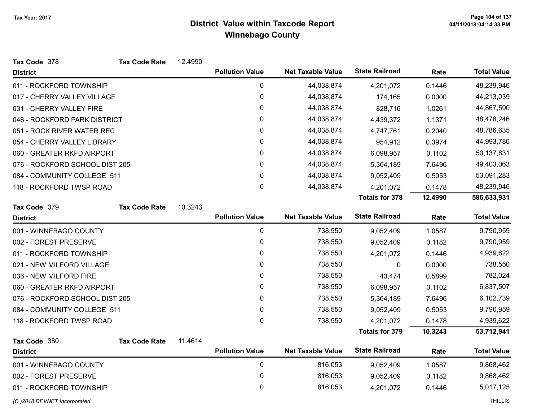| Tax Code 378                   | <b>Tax Code Rate</b> | 12.4990 |                        |                          |                       |         |                    |
|--------------------------------|----------------------|---------|------------------------|--------------------------|-----------------------|---------|--------------------|
| <b>District</b>                |                      |         | <b>Pollution Value</b> | <b>Net Taxable Value</b> | <b>State Railroad</b> | Rate    | <b>Total Value</b> |
| 011 - ROCKFORD TOWNSHIP        |                      |         | $\mathbf{0}$           | 44,038,874               | 4,201,072             | 0.1446  | 48,239,946         |
| 017 - CHERRY VALLEY VILLAGE    |                      |         | 0                      | 44,038,874               | 174,165               | 0.0000  | 44,213,039         |
| 031 - CHERRY VALLEY FIRE       |                      |         | 0                      | 44,038,874               | 828,716               | 1.0261  | 44,867,590         |
| 046 - ROCKFORD PARK DISTRICT   |                      |         | 0                      | 44,038,874               | 4,439,372             | 1.1371  | 48,478,246         |
| 051 - ROCK RIVER WATER REC     |                      |         | 0                      | 44,038,874               | 4,747,761             | 0.2040  | 48,786,635         |
| 054 - CHERRY VALLEY LIBRARY    |                      |         | $\mathbf 0$            | 44,038,874               | 954,912               | 0.3974  | 44,993,786         |
| 060 - GREATER RKFD AIRPORT     |                      |         | 0                      | 44,038,874               | 6,098,957             | 0.1102  | 50,137,831         |
| 076 - ROCKFORD SCHOOL DIST 205 |                      |         | 0                      | 44,038,874               | 5,364,189             | 7.6496  | 49,403,063         |
| 084 - COMMUNITY COLLEGE 511    |                      |         | 0                      | 44,038,874               | 9,052,409             | 0.5053  | 53,091,283         |
| 118 - ROCKFORD TWSP ROAD       |                      |         | 0                      | 44,038,874               | 4,201,072             | 0.1478  | 48,239,946         |
|                                |                      |         |                        |                          | <b>Totals for 378</b> | 12.4990 | 586,633,931        |
| Tax Code 379                   | <b>Tax Code Rate</b> | 10.3243 |                        |                          |                       |         |                    |
| <b>District</b>                |                      |         | <b>Pollution Value</b> | <b>Net Taxable Value</b> | <b>State Railroad</b> | Rate    | <b>Total Value</b> |
| 001 - WINNEBAGO COUNTY         |                      |         | 0                      | 738,550                  | 9,052,409             | 1.0587  | 9,790,959          |
| 002 - FOREST PRESERVE          |                      |         | 0                      | 738,550                  | 9,052,409             | 0.1182  | 9,790,959          |
| 011 - ROCKFORD TOWNSHIP        |                      |         | 0                      | 738,550                  | 4,201,072             | 0.1446  | 4,939,622          |
| 021 - NEW MILFORD VILLAGE      |                      |         | 0                      | 738,550                  | 0                     | 0.0000  | 738,550            |
| 036 - NEW MILFORD FIRE         |                      |         | 0                      | 738,550                  | 43,474                | 0.5899  | 782,024            |
| 060 - GREATER RKFD AIRPORT     |                      |         | 0                      | 738,550                  | 6,098,957             | 0.1102  | 6,837,507          |
| 076 - ROCKFORD SCHOOL DIST 205 |                      |         | 0                      | 738,550                  | 5,364,189             | 7.6496  | 6,102,739          |
| 084 - COMMUNITY COLLEGE 511    |                      |         | 0                      | 738,550                  | 9,052,409             | 0.5053  | 9,790,959          |
| 118 - ROCKFORD TWSP ROAD       |                      |         | 0                      | 738,550                  | 4,201,072             | 0.1478  | 4,939,622          |
|                                |                      |         |                        |                          | <b>Totals for 379</b> | 10.3243 | 53,712,941         |
| Tax Code 380                   | <b>Tax Code Rate</b> | 11.4614 |                        |                          |                       |         |                    |
| <b>District</b>                |                      |         | <b>Pollution Value</b> | <b>Net Taxable Value</b> | <b>State Railroad</b> | Rate    | <b>Total Value</b> |
| 001 - WINNEBAGO COUNTY         |                      |         | 0                      | 816,053                  | 9,052,409             | 1.0587  | 9,868,462          |
| 002 - FOREST PRESERVE          |                      |         | 0                      | 816,053                  | 9,052,409             | 0.1182  | 9,868,462          |
| 011 - ROCKFORD TOWNSHIP        |                      |         | 0                      | 816,053                  | 4,201,072             | 0.1446  | 5,017,125          |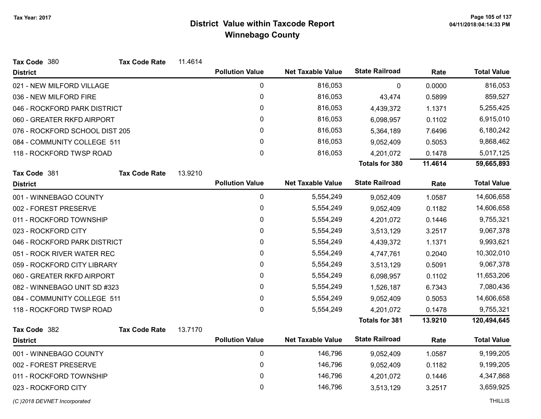| Tax Code 380                   | <b>Tax Code Rate</b> | 11.4614 |                        |                          |                       |            |                    |
|--------------------------------|----------------------|---------|------------------------|--------------------------|-----------------------|------------|--------------------|
| <b>District</b>                |                      |         | <b>Pollution Value</b> | <b>Net Taxable Value</b> | <b>State Railroad</b> | Rate       | <b>Total Value</b> |
| 021 - NEW MILFORD VILLAGE      |                      |         | $\mathbf 0$            | 816,053                  | $\Omega$              | 0.0000     | 816,053            |
| 036 - NEW MILFORD FIRE         |                      |         | $\mathbf 0$            | 816,053                  | 43,474                | 0.5899     | 859,527            |
| 046 - ROCKFORD PARK DISTRICT   |                      |         | 0                      | 816,053                  | 4,439,372             | 1.1371     | 5,255,425          |
| 060 - GREATER RKFD AIRPORT     |                      |         | 0                      | 816,053                  | 6,098,957             | 0.1102     | 6,915,010          |
| 076 - ROCKFORD SCHOOL DIST 205 |                      |         | 0                      | 816,053                  | 5,364,189             | 7.6496     | 6,180,242          |
| 084 - COMMUNITY COLLEGE 511    |                      |         | 0                      | 816,053                  | 9,052,409             | 0.5053     | 9,868,462          |
| 118 - ROCKFORD TWSP ROAD       |                      |         | 0                      | 816,053                  | 4,201,072             | 0.1478     | 5,017,125          |
|                                |                      |         |                        |                          | <b>Totals for 380</b> | 11.4614    | 59,665,893         |
| Tax Code 381                   | <b>Tax Code Rate</b> | 13.9210 |                        |                          |                       |            |                    |
| <b>District</b>                |                      |         | <b>Pollution Value</b> | <b>Net Taxable Value</b> | <b>State Railroad</b> | Rate       | <b>Total Value</b> |
| 001 - WINNEBAGO COUNTY         |                      |         | $\mathbf 0$            | 5,554,249                | 9,052,409             | 1.0587     | 14,606,658         |
| 002 - FOREST PRESERVE          |                      | 0       | 5,554,249              | 9,052,409                | 0.1182                | 14,606,658 |                    |
| 011 - ROCKFORD TOWNSHIP        |                      | 0       | 5,554,249              | 4,201,072                | 0.1446                | 9,755,321  |                    |
| 023 - ROCKFORD CITY            |                      | 0       | 5,554,249              | 3,513,129                | 3.2517                | 9,067,378  |                    |
| 046 - ROCKFORD PARK DISTRICT   |                      |         | 0                      | 5,554,249                | 4,439,372             | 1.1371     | 9,993,621          |
| 051 - ROCK RIVER WATER REC     |                      |         | 0                      | 5,554,249                | 4,747,761             | 0.2040     | 10,302,010         |
| 059 - ROCKFORD CITY LIBRARY    |                      |         | 0                      | 5,554,249                | 3,513,129             | 0.5091     | 9,067,378          |
| 060 - GREATER RKFD AIRPORT     |                      |         | 0                      | 5,554,249                | 6,098,957             | 0.1102     | 11,653,206         |
| 082 - WINNEBAGO UNIT SD #323   |                      |         | 0                      | 5,554,249                | 1,526,187             | 6.7343     | 7,080,436          |
| 084 - COMMUNITY COLLEGE 511    |                      |         | 0                      | 5,554,249                | 9,052,409             | 0.5053     | 14,606,658         |
| 118 - ROCKFORD TWSP ROAD       |                      |         | 0                      | 5,554,249                | 4,201,072             | 0.1478     | 9,755,321          |
|                                |                      |         |                        |                          | <b>Totals for 381</b> | 13.9210    | 120,494,645        |
| Tax Code 382                   | <b>Tax Code Rate</b> | 13.7170 |                        |                          |                       |            |                    |
| <b>District</b>                |                      |         | <b>Pollution Value</b> | <b>Net Taxable Value</b> | <b>State Railroad</b> | Rate       | <b>Total Value</b> |
| 001 - WINNEBAGO COUNTY         |                      |         | $\pmb{0}$              | 146,796                  | 9,052,409             | 1.0587     | 9,199,205          |
| 002 - FOREST PRESERVE          |                      | 0       | 146,796                | 9,052,409                | 0.1182                | 9,199,205  |                    |
| 011 - ROCKFORD TOWNSHIP        |                      | 0       | 146,796                | 4,201,072                | 0.1446                | 4,347,868  |                    |
| 023 - ROCKFORD CITY            |                      |         | 0                      | 146,796                  | 3,513,129             | 3.2517     | 3,659,925          |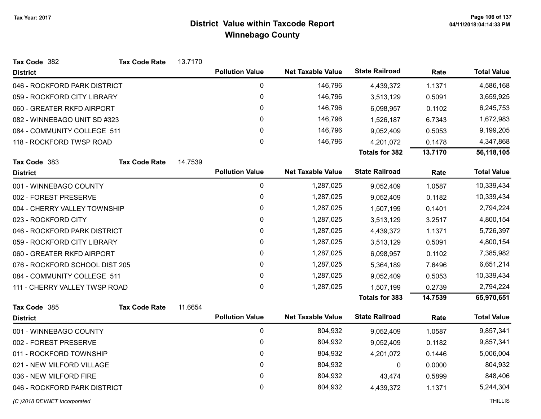| <b>State Railroad</b><br><b>Pollution Value</b><br><b>Net Taxable Value</b><br>Rate<br><b>District</b><br>0<br>146,796<br>046 - ROCKFORD PARK DISTRICT<br>1.1371<br>4,439,372<br>0<br>146,796<br>059 - ROCKFORD CITY LIBRARY<br>0.5091<br>3,513,129 | <b>Total Value</b><br>4,586,168 |
|-----------------------------------------------------------------------------------------------------------------------------------------------------------------------------------------------------------------------------------------------------|---------------------------------|
|                                                                                                                                                                                                                                                     |                                 |
|                                                                                                                                                                                                                                                     |                                 |
|                                                                                                                                                                                                                                                     | 3,659,925                       |
| 0<br>146,796<br>060 - GREATER RKFD AIRPORT<br>0.1102<br>6,098,957                                                                                                                                                                                   | 6,245,753                       |
| 0<br>082 - WINNEBAGO UNIT SD #323<br>146,796<br>6.7343<br>1,526,187                                                                                                                                                                                 | 1,672,983                       |
| 0<br>146,796<br>084 - COMMUNITY COLLEGE 511<br>9,052,409<br>0.5053                                                                                                                                                                                  | 9,199,205                       |
| 0<br>146,796<br>118 - ROCKFORD TWSP ROAD<br>0.1478<br>4,201,072                                                                                                                                                                                     | 4,347,868                       |
| <b>Totals for 382</b><br>13.7170                                                                                                                                                                                                                    | 56,118,105                      |
| Tax Code 383<br><b>Tax Code Rate</b><br>14.7539                                                                                                                                                                                                     |                                 |
| <b>State Railroad</b><br><b>Pollution Value</b><br><b>Net Taxable Value</b><br>Rate<br><b>District</b>                                                                                                                                              | <b>Total Value</b>              |
| 0<br>1,287,025<br>001 - WINNEBAGO COUNTY<br>1.0587<br>9,052,409                                                                                                                                                                                     | 10,339,434                      |
| 0<br>1,287,025<br>002 - FOREST PRESERVE<br>0.1182<br>9,052,409                                                                                                                                                                                      | 10,339,434                      |
| 0<br>1,287,025<br>0.1401<br>004 - CHERRY VALLEY TOWNSHIP<br>1,507,199                                                                                                                                                                               | 2,794,224                       |
| 0<br>1,287,025<br>023 - ROCKFORD CITY<br>3,513,129<br>3.2517                                                                                                                                                                                        | 4,800,154                       |
| 0<br>1,287,025<br>046 - ROCKFORD PARK DISTRICT<br>1.1371<br>4,439,372                                                                                                                                                                               | 5,726,397                       |
| 0<br>1,287,025<br>059 - ROCKFORD CITY LIBRARY<br>3,513,129<br>0.5091                                                                                                                                                                                | 4,800,154                       |
| 060 - GREATER RKFD AIRPORT<br>0<br>1,287,025<br>0.1102<br>6,098,957                                                                                                                                                                                 | 7,385,982                       |
| 0<br>076 - ROCKFORD SCHOOL DIST 205<br>1,287,025<br>5,364,189<br>7.6496                                                                                                                                                                             | 6,651,214                       |
| 084 - COMMUNITY COLLEGE 511<br>0<br>1,287,025<br>0.5053<br>9,052,409                                                                                                                                                                                | 10,339,434                      |
| 0<br>1,287,025<br>0.2739<br>111 - CHERRY VALLEY TWSP ROAD<br>1,507,199                                                                                                                                                                              | 2,794,224                       |
| 14.7539<br><b>Totals for 383</b>                                                                                                                                                                                                                    | 65,970,651                      |
| 11.6654<br>Tax Code 385<br><b>Tax Code Rate</b>                                                                                                                                                                                                     |                                 |
| <b>State Railroad</b><br><b>Pollution Value</b><br><b>Net Taxable Value</b><br>Rate<br><b>District</b>                                                                                                                                              | <b>Total Value</b>              |
| $\pmb{0}$<br>804,932<br>001 - WINNEBAGO COUNTY<br>1.0587<br>9,052,409                                                                                                                                                                               | 9,857,341                       |
| 0<br>002 - FOREST PRESERVE<br>804,932<br>9,052,409<br>0.1182                                                                                                                                                                                        | 9,857,341                       |
| 0<br>011 - ROCKFORD TOWNSHIP<br>804,932<br>4,201,072<br>0.1446                                                                                                                                                                                      | 5,006,004                       |
| $\mathbf 0$<br>804,932<br>021 - NEW MILFORD VILLAGE<br>$\mathbf 0$<br>0.0000                                                                                                                                                                        | 804,932                         |
| 0<br>804,932<br>036 - NEW MILFORD FIRE<br>0.5899<br>43,474                                                                                                                                                                                          | 848,406                         |
| 0<br>804,932<br>046 - ROCKFORD PARK DISTRICT<br>4,439,372<br>1.1371                                                                                                                                                                                 | 5,244,304                       |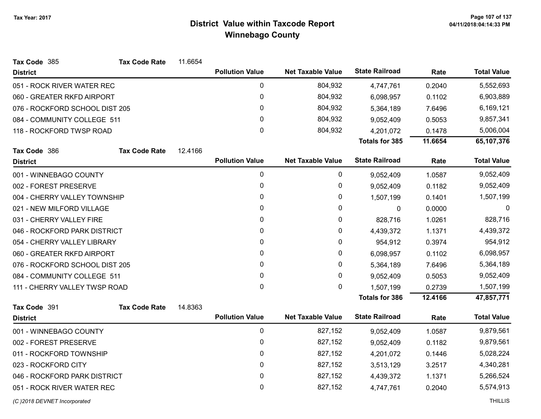| Tax Code 385                   | <b>Tax Code Rate</b> | 11.6654 |                        |                          |                       |           |                    |
|--------------------------------|----------------------|---------|------------------------|--------------------------|-----------------------|-----------|--------------------|
| <b>District</b>                |                      |         | <b>Pollution Value</b> | <b>Net Taxable Value</b> | <b>State Railroad</b> | Rate      | <b>Total Value</b> |
| 051 - ROCK RIVER WATER REC     |                      |         | 0                      | 804,932                  | 4,747,761             | 0.2040    | 5,552,693          |
| 060 - GREATER RKFD AIRPORT     |                      |         | 0                      | 804,932                  | 6,098,957             | 0.1102    | 6,903,889          |
| 076 - ROCKFORD SCHOOL DIST 205 |                      |         | 0                      | 804,932                  | 5,364,189             | 7.6496    | 6,169,121          |
| 084 - COMMUNITY COLLEGE 511    |                      |         | 0                      | 804,932                  | 9,052,409             | 0.5053    | 9,857,341          |
| 118 - ROCKFORD TWSP ROAD       |                      |         | 0                      | 804,932                  | 4,201,072             | 0.1478    | 5,006,004          |
|                                |                      |         |                        |                          | <b>Totals for 385</b> | 11.6654   | 65,107,376         |
| Tax Code 386                   | <b>Tax Code Rate</b> | 12.4166 |                        |                          |                       |           |                    |
| <b>District</b>                |                      |         | <b>Pollution Value</b> | <b>Net Taxable Value</b> | <b>State Railroad</b> | Rate      | <b>Total Value</b> |
| 001 - WINNEBAGO COUNTY         |                      | 0       | 0                      | 9,052,409                | 1.0587                | 9,052,409 |                    |
| 002 - FOREST PRESERVE          |                      |         | 0                      | 0                        | 9,052,409             | 0.1182    | 9,052,409          |
| 004 - CHERRY VALLEY TOWNSHIP   |                      |         | 0                      | 0                        | 1,507,199             | 0.1401    | 1,507,199          |
| 021 - NEW MILFORD VILLAGE      |                      | 0       | 0                      | $\mathbf 0$              | 0.0000                | 0         |                    |
| 031 - CHERRY VALLEY FIRE       |                      | 0       | 0                      | 828,716                  | 1.0261                | 828,716   |                    |
| 046 - ROCKFORD PARK DISTRICT   |                      | 0       | 0                      | 4,439,372                | 1.1371                | 4,439,372 |                    |
| 054 - CHERRY VALLEY LIBRARY    |                      |         | 0                      | 0                        | 954,912               | 0.3974    | 954,912            |
| 060 - GREATER RKFD AIRPORT     |                      |         | 0                      | 0                        | 6,098,957             | 0.1102    | 6,098,957          |
| 076 - ROCKFORD SCHOOL DIST 205 |                      |         | 0                      | 0                        | 5,364,189             | 7.6496    | 5,364,189          |
| 084 - COMMUNITY COLLEGE 511    |                      |         | 0                      | 0                        | 9,052,409             | 0.5053    | 9,052,409          |
| 111 - CHERRY VALLEY TWSP ROAD  |                      |         | 0                      | $\mathbf{0}$             | 1,507,199             | 0.2739    | 1,507,199          |
|                                |                      |         |                        |                          | <b>Totals for 386</b> | 12.4166   | 47,857,771         |
| Tax Code 391                   | <b>Tax Code Rate</b> | 14.8363 |                        |                          |                       |           |                    |
| <b>District</b>                |                      |         | <b>Pollution Value</b> | <b>Net Taxable Value</b> | <b>State Railroad</b> | Rate      | <b>Total Value</b> |
| 001 - WINNEBAGO COUNTY         |                      |         | 0                      | 827,152                  | 9,052,409             | 1.0587    | 9,879,561          |
| 002 - FOREST PRESERVE          |                      |         | 0                      | 827,152                  | 9,052,409             | 0.1182    | 9,879,561          |
| 011 - ROCKFORD TOWNSHIP        |                      |         | 0                      | 827,152                  | 4,201,072             | 0.1446    | 5,028,224          |
| 023 - ROCKFORD CITY            |                      |         | 0                      | 827,152                  | 3,513,129             | 3.2517    | 4,340,281          |
| 046 - ROCKFORD PARK DISTRICT   |                      |         | 0                      | 827,152                  | 4,439,372             | 1.1371    | 5,266,524          |
| 051 - ROCK RIVER WATER REC     |                      |         | 0                      | 827,152                  | 4,747,761             | 0.2040    | 5,574,913          |
| (C) 2018 DEVNET Incorporated   |                      |         |                        |                          |                       |           | <b>THILLIS</b>     |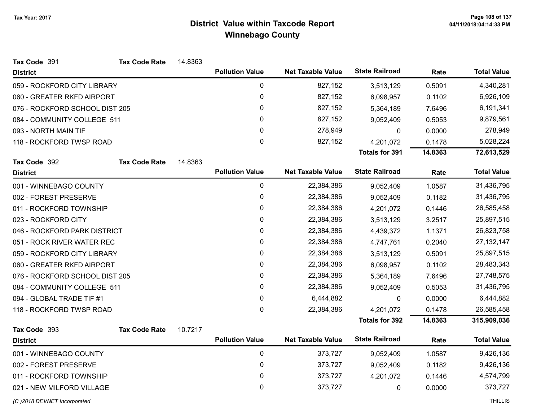| Tax Code 391                   | <b>Tax Code Rate</b> | 14.8363 |                        |                          |                       |            |                    |
|--------------------------------|----------------------|---------|------------------------|--------------------------|-----------------------|------------|--------------------|
| <b>District</b>                |                      |         | <b>Pollution Value</b> | <b>Net Taxable Value</b> | <b>State Railroad</b> | Rate       | <b>Total Value</b> |
| 059 - ROCKFORD CITY LIBRARY    |                      |         | $\pmb{0}$              | 827,152                  | 3,513,129             | 0.5091     | 4,340,281          |
| 060 - GREATER RKFD AIRPORT     |                      |         | 0                      | 827,152                  | 6,098,957             | 0.1102     | 6,926,109          |
| 076 - ROCKFORD SCHOOL DIST 205 |                      |         | 0                      | 827,152                  | 5,364,189             | 7.6496     | 6,191,341          |
| 084 - COMMUNITY COLLEGE 511    |                      |         | $\pmb{0}$              | 827,152                  | 9,052,409             | 0.5053     | 9,879,561          |
| 093 - NORTH MAIN TIF           |                      | 0       | 278,949                | 0                        | 0.0000                | 278,949    |                    |
| 118 - ROCKFORD TWSP ROAD       |                      |         | 0                      | 827,152                  | 4,201,072             | 0.1478     | 5,028,224          |
|                                |                      |         |                        |                          | <b>Totals for 391</b> | 14.8363    | 72,613,529         |
| Tax Code 392                   | <b>Tax Code Rate</b> | 14.8363 |                        |                          |                       |            |                    |
| <b>District</b>                |                      |         | <b>Pollution Value</b> | <b>Net Taxable Value</b> | <b>State Railroad</b> | Rate       | <b>Total Value</b> |
| 001 - WINNEBAGO COUNTY         |                      |         | $\mathbf 0$            | 22,384,386               | 9,052,409             | 1.0587     | 31,436,795         |
| 002 - FOREST PRESERVE          |                      |         | 0                      | 22,384,386               | 9,052,409             | 0.1182     | 31,436,795         |
| 011 - ROCKFORD TOWNSHIP        |                      |         | $\pmb{0}$              | 22,384,386               | 4,201,072             | 0.1446     | 26,585,458         |
| 023 - ROCKFORD CITY            |                      |         | 0                      | 22,384,386               | 3,513,129             | 3.2517     | 25,897,515         |
| 046 - ROCKFORD PARK DISTRICT   |                      | 0       | 22,384,386             | 4,439,372                | 1.1371                | 26,823,758 |                    |
| 051 - ROCK RIVER WATER REC     |                      |         | 0                      | 22,384,386               | 4,747,761             | 0.2040     | 27, 132, 147       |
| 059 - ROCKFORD CITY LIBRARY    |                      |         | $\pmb{0}$              | 22,384,386               | 3,513,129             | 0.5091     | 25,897,515         |
| 060 - GREATER RKFD AIRPORT     |                      |         | $\pmb{0}$              | 22,384,386               | 6,098,957             | 0.1102     | 28,483,343         |
| 076 - ROCKFORD SCHOOL DIST 205 |                      |         | 0                      | 22,384,386               | 5,364,189             | 7.6496     | 27,748,575         |
| 084 - COMMUNITY COLLEGE 511    |                      |         | 0                      | 22,384,386               | 9,052,409             | 0.5053     | 31,436,795         |
| 094 - GLOBAL TRADE TIF #1      |                      |         | $\pmb{0}$              | 6,444,882                | $\mathbf 0$           | 0.0000     | 6,444,882          |
| 118 - ROCKFORD TWSP ROAD       |                      |         | 0                      | 22,384,386               | 4,201,072             | 0.1478     | 26,585,458         |
|                                |                      |         |                        |                          | <b>Totals for 392</b> | 14.8363    | 315,909,036        |
| Tax Code 393                   | <b>Tax Code Rate</b> | 10.7217 |                        |                          |                       |            |                    |
| <b>District</b>                |                      |         | <b>Pollution Value</b> | <b>Net Taxable Value</b> | <b>State Railroad</b> | Rate       | <b>Total Value</b> |
| 001 - WINNEBAGO COUNTY         |                      |         | $\pmb{0}$              | 373,727                  | 9,052,409             | 1.0587     | 9,426,136          |
| 002 - FOREST PRESERVE          |                      |         | $\pmb{0}$              | 373,727                  | 9,052,409             | 0.1182     | 9,426,136          |
| 011 - ROCKFORD TOWNSHIP        |                      | 0       | 373,727                | 4,201,072                | 0.1446                | 4,574,799  |                    |
| 021 - NEW MILFORD VILLAGE      |                      |         | 0                      | 373,727                  | 0                     | 0.0000     | 373,727            |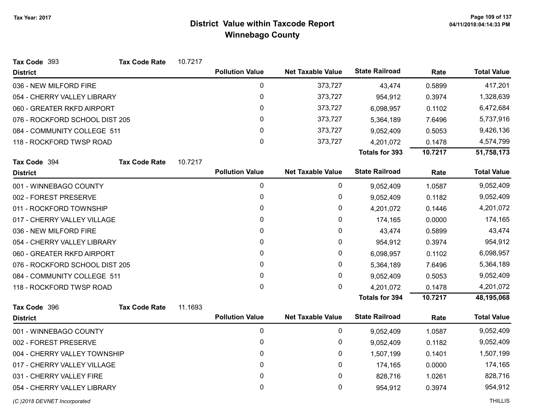| Tax Code 393                   | <b>Tax Code Rate</b> | 10.7217 |                        |                          |                       |         |                    |
|--------------------------------|----------------------|---------|------------------------|--------------------------|-----------------------|---------|--------------------|
| <b>District</b>                |                      |         | <b>Pollution Value</b> | <b>Net Taxable Value</b> | <b>State Railroad</b> | Rate    | <b>Total Value</b> |
| 036 - NEW MILFORD FIRE         |                      |         | $\mathbf 0$            | 373,727                  | 43,474                | 0.5899  | 417,201            |
| 054 - CHERRY VALLEY LIBRARY    |                      |         | 0                      | 373,727                  | 954,912               | 0.3974  | 1,328,639          |
| 060 - GREATER RKFD AIRPORT     |                      |         | 0                      | 373,727                  | 6,098,957             | 0.1102  | 6,472,684          |
| 076 - ROCKFORD SCHOOL DIST 205 |                      |         | $\mathbf{0}$           | 373,727                  | 5,364,189             | 7.6496  | 5,737,916          |
| 084 - COMMUNITY COLLEGE 511    |                      |         | 0                      | 373,727                  | 9,052,409             | 0.5053  | 9,426,136          |
| 118 - ROCKFORD TWSP ROAD       |                      |         | $\mathbf{0}$           | 373,727                  | 4,201,072             | 0.1478  | 4,574,799          |
|                                |                      |         |                        |                          | <b>Totals for 393</b> | 10.7217 | 51,758,173         |
| Tax Code 394                   | <b>Tax Code Rate</b> | 10.7217 |                        |                          |                       |         |                    |
| <b>District</b>                |                      |         | <b>Pollution Value</b> | <b>Net Taxable Value</b> | <b>State Railroad</b> | Rate    | <b>Total Value</b> |
| 001 - WINNEBAGO COUNTY         |                      |         | $\pmb{0}$              | 0                        | 9,052,409             | 1.0587  | 9,052,409          |
| 002 - FOREST PRESERVE          |                      |         | $\pmb{0}$              | 0                        | 9,052,409             | 0.1182  | 9,052,409          |
| 011 - ROCKFORD TOWNSHIP        |                      |         | 0                      | 0                        | 4,201,072             | 0.1446  | 4,201,072          |
| 017 - CHERRY VALLEY VILLAGE    |                      |         | 0                      | 0                        | 174,165               | 0.0000  | 174,165            |
| 036 - NEW MILFORD FIRE         |                      |         | 0                      | 0                        | 43,474                | 0.5899  | 43,474             |
| 054 - CHERRY VALLEY LIBRARY    |                      |         | 0                      | 0                        | 954,912               | 0.3974  | 954,912            |
| 060 - GREATER RKFD AIRPORT     |                      |         | $\mathbf{0}$           | 0                        | 6,098,957             | 0.1102  | 6,098,957          |
| 076 - ROCKFORD SCHOOL DIST 205 |                      |         | 0                      | 0                        | 5,364,189             | 7.6496  | 5,364,189          |
| 084 - COMMUNITY COLLEGE 511    |                      |         | 0                      | 0                        | 9,052,409             | 0.5053  | 9,052,409          |
| 118 - ROCKFORD TWSP ROAD       |                      |         | 0                      | 0                        | 4,201,072             | 0.1478  | 4,201,072          |
|                                |                      |         |                        |                          | <b>Totals for 394</b> | 10.7217 | 48,195,068         |
| Tax Code 396                   | <b>Tax Code Rate</b> | 11.1693 |                        |                          |                       |         |                    |
| <b>District</b>                |                      |         | <b>Pollution Value</b> | <b>Net Taxable Value</b> | <b>State Railroad</b> | Rate    | <b>Total Value</b> |
| 001 - WINNEBAGO COUNTY         |                      |         | $\pmb{0}$              | 0                        | 9,052,409             | 1.0587  | 9,052,409          |
| 002 - FOREST PRESERVE          |                      |         | 0                      | 0                        | 9,052,409             | 0.1182  | 9,052,409          |
| 004 - CHERRY VALLEY TOWNSHIP   |                      |         | $\pmb{0}$              | 0                        | 1,507,199             | 0.1401  | 1,507,199          |
| 017 - CHERRY VALLEY VILLAGE    |                      |         | 0                      | 0                        | 174,165               | 0.0000  | 174,165            |
| 031 - CHERRY VALLEY FIRE       |                      |         | 0                      | 0                        | 828,716               | 1.0261  | 828,716            |
| 054 - CHERRY VALLEY LIBRARY    |                      |         | 0                      | 0                        | 954,912               | 0.3974  | 954,912            |
| (C) 2018 DEVNET Incorporated   |                      |         |                        |                          |                       |         | <b>THILLIS</b>     |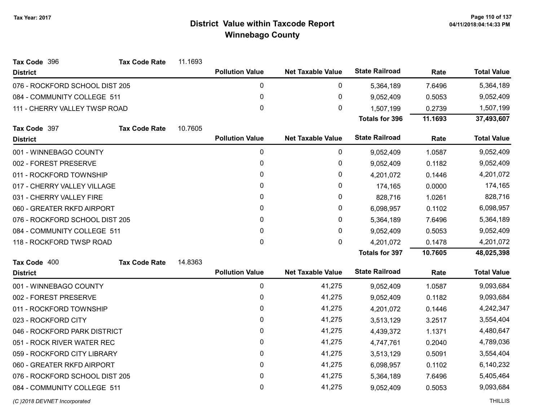| Tax Code 396                   | <b>Tax Code Rate</b>         | 11.1693 |                        |                          |                       |         |                    |
|--------------------------------|------------------------------|---------|------------------------|--------------------------|-----------------------|---------|--------------------|
| <b>District</b>                |                              |         | <b>Pollution Value</b> | <b>Net Taxable Value</b> | <b>State Railroad</b> | Rate    | <b>Total Value</b> |
| 076 - ROCKFORD SCHOOL DIST 205 |                              |         | 0                      | 0                        | 5,364,189             | 7.6496  | 5,364,189          |
| 084 - COMMUNITY COLLEGE 511    |                              |         | 0                      | $\pmb{0}$                | 9,052,409             | 0.5053  | 9,052,409          |
| 111 - CHERRY VALLEY TWSP ROAD  |                              |         | 0                      | 0                        | 1,507,199             | 0.2739  | 1,507,199          |
|                                |                              |         |                        |                          | <b>Totals for 396</b> | 11.1693 | 37,493,607         |
| Tax Code 397                   | <b>Tax Code Rate</b>         | 10.7605 |                        |                          |                       |         |                    |
| <b>District</b>                |                              |         | <b>Pollution Value</b> | <b>Net Taxable Value</b> | <b>State Railroad</b> | Rate    | <b>Total Value</b> |
| 001 - WINNEBAGO COUNTY         |                              |         | $\mathbf 0$            | 0                        | 9,052,409             | 1.0587  | 9,052,409          |
| 002 - FOREST PRESERVE          |                              |         | 0                      | 0                        | 9,052,409             | 0.1182  | 9,052,409          |
| 011 - ROCKFORD TOWNSHIP        |                              |         | 0                      | $\pmb{0}$                | 4,201,072             | 0.1446  | 4,201,072          |
| 017 - CHERRY VALLEY VILLAGE    |                              |         | 0                      | 0                        | 174,165               | 0.0000  | 174,165            |
| 031 - CHERRY VALLEY FIRE       |                              |         | 0                      | $\pmb{0}$                | 828,716               | 1.0261  | 828,716            |
| 060 - GREATER RKFD AIRPORT     |                              |         | 0                      | 0                        | 6,098,957             | 0.1102  | 6,098,957          |
| 076 - ROCKFORD SCHOOL DIST 205 |                              |         | 0                      | $\pmb{0}$                | 5,364,189             | 7.6496  | 5,364,189          |
| 084 - COMMUNITY COLLEGE 511    |                              |         | 0                      | 0                        | 9,052,409             | 0.5053  | 9,052,409          |
| 118 - ROCKFORD TWSP ROAD       |                              |         | 0                      | 0                        | 4,201,072             | 0.1478  | 4,201,072          |
|                                |                              |         |                        |                          | <b>Totals for 397</b> | 10.7605 | 48,025,398         |
| Tax Code 400                   | <b>Tax Code Rate</b>         | 14.8363 |                        |                          |                       |         |                    |
| <b>District</b>                |                              |         | <b>Pollution Value</b> | <b>Net Taxable Value</b> | <b>State Railroad</b> | Rate    | <b>Total Value</b> |
| 001 - WINNEBAGO COUNTY         |                              |         | 0                      | 41,275                   | 9,052,409             | 1.0587  | 9,093,684          |
| 002 - FOREST PRESERVE          |                              |         | 0                      | 41,275                   | 9,052,409             | 0.1182  | 9,093,684          |
| 011 - ROCKFORD TOWNSHIP        |                              |         | 0                      | 41,275                   | 4,201,072             | 0.1446  | 4,242,347          |
| 023 - ROCKFORD CITY            |                              |         | 0                      | 41,275                   | 3,513,129             | 3.2517  | 3,554,404          |
|                                | 046 - ROCKFORD PARK DISTRICT |         | 0                      | 41,275                   | 4,439,372             | 1.1371  | 4,480,647          |
| 051 - ROCK RIVER WATER REC     |                              |         | 0                      | 41,275                   | 4,747,761             | 0.2040  | 4,789,036          |
| 059 - ROCKFORD CITY LIBRARY    |                              |         | 0                      | 41,275                   | 3,513,129             | 0.5091  | 3,554,404          |
| 060 - GREATER RKFD AIRPORT     |                              |         | 0                      | 41,275                   | 6,098,957             | 0.1102  | 6,140,232          |
| 076 - ROCKFORD SCHOOL DIST 205 |                              |         | 0                      | 41,275                   | 5,364,189             | 7.6496  | 5,405,464          |
| 084 - COMMUNITY COLLEGE 511    |                              |         | 0                      | 41,275                   | 9,052,409             | 0.5053  | 9,093,684          |
|                                |                              |         |                        |                          |                       |         |                    |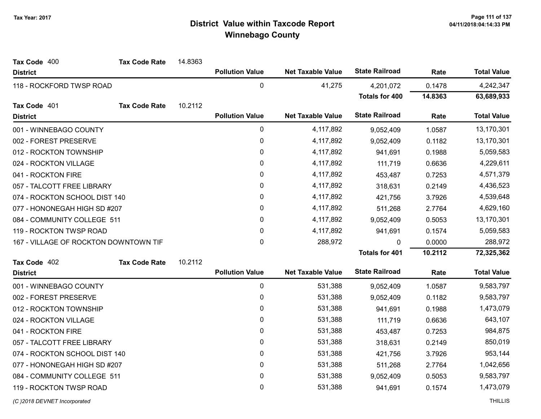| <b>State Railroad</b><br><b>Pollution Value</b><br><b>Net Taxable Value</b><br><b>Total Value</b><br>Rate<br><b>District</b><br>$\mathbf 0$<br>41,275<br>4,242,347<br>118 - ROCKFORD TWSP ROAD<br>0.1478<br>4,201,072<br><b>Totals for 400</b><br>14.8363<br>63,689,933<br>10.2112<br>Tax Code 401<br><b>Tax Code Rate</b><br><b>State Railroad</b><br><b>Pollution Value</b><br><b>Net Taxable Value</b><br><b>Total Value</b><br>Rate<br><b>District</b><br>$\bf{0}$<br>4,117,892<br>13,170,301<br>001 - WINNEBAGO COUNTY<br>1.0587<br>9,052,409<br>0<br>13,170,301<br>002 - FOREST PRESERVE<br>4,117,892<br>0.1182<br>9,052,409<br>0<br>4,117,892<br>5,059,583<br>012 - ROCKTON TOWNSHIP<br>941,691<br>0.1988<br>0<br>4,117,892<br>4,229,611<br>024 - ROCKTON VILLAGE<br>111,719<br>0.6636<br>0<br>4,117,892<br>4,571,379<br>0.7253<br>041 - ROCKTON FIRE<br>453,487<br>0<br>4,117,892<br>4,436,523<br>057 - TALCOTT FREE LIBRARY<br>0.2149<br>318,631<br>0<br>4,539,648<br>074 - ROCKTON SCHOOL DIST 140<br>4,117,892<br>421,756<br>3.7926<br>0<br>4,117,892<br>4,629,160<br>077 - HONONEGAH HIGH SD #207<br>2.7764<br>511,268<br>$\mathbf 0$<br>13,170,301<br>084 - COMMUNITY COLLEGE 511<br>4,117,892<br>0.5053<br>9,052,409<br>0<br>4,117,892<br>5,059,583<br>119 - ROCKTON TWSP ROAD<br>941,691<br>0.1574<br>$\mathbf 0$<br>288,972<br>288,972<br>0.0000<br>167 - VILLAGE OF ROCKTON DOWNTOWN TIF<br>$\mathbf{0}$<br><b>Totals for 401</b><br>10.2112<br>72,325,362<br>10.2112<br>Tax Code 402<br><b>Tax Code Rate</b><br><b>State Railroad</b><br><b>Total Value</b><br><b>Pollution Value</b><br><b>Net Taxable Value</b><br>Rate<br><b>District</b><br>$\mathbf 0$<br>531,388<br>9,583,797<br>001 - WINNEBAGO COUNTY<br>9,052,409<br>1.0587<br>0<br>531,388<br>9,583,797<br>0.1182<br>002 - FOREST PRESERVE<br>9,052,409<br>$\mathbf 0$<br>531,388<br>1,473,079<br>012 - ROCKTON TOWNSHIP<br>941,691<br>0.1988<br>0<br>531,388<br>643,107<br>024 - ROCKTON VILLAGE<br>111,719<br>0.6636<br>0<br>041 - ROCKTON FIRE<br>531,388<br>984,875<br>453,487<br>0.7253<br>0<br>531,388<br>850,019<br>057 - TALCOTT FREE LIBRARY<br>0.2149<br>318,631<br>$\mathbf{0}$<br>531,388<br>953,144<br>074 - ROCKTON SCHOOL DIST 140<br>3.7926<br>421,756<br>0<br>531,388<br>1,042,656<br>077 - HONONEGAH HIGH SD #207<br>2.7764<br>511,268<br>084 - COMMUNITY COLLEGE 511<br>0<br>531,388<br>9,583,797<br>9,052,409<br>0.5053<br>0<br>531,388<br>1,473,079<br>119 - ROCKTON TWSP ROAD<br>941,691<br>0.1574 | Tax Code 400 | <b>Tax Code Rate</b> | 14.8363 |  |  |  |
|------------------------------------------------------------------------------------------------------------------------------------------------------------------------------------------------------------------------------------------------------------------------------------------------------------------------------------------------------------------------------------------------------------------------------------------------------------------------------------------------------------------------------------------------------------------------------------------------------------------------------------------------------------------------------------------------------------------------------------------------------------------------------------------------------------------------------------------------------------------------------------------------------------------------------------------------------------------------------------------------------------------------------------------------------------------------------------------------------------------------------------------------------------------------------------------------------------------------------------------------------------------------------------------------------------------------------------------------------------------------------------------------------------------------------------------------------------------------------------------------------------------------------------------------------------------------------------------------------------------------------------------------------------------------------------------------------------------------------------------------------------------------------------------------------------------------------------------------------------------------------------------------------------------------------------------------------------------------------------------------------------------------------------------------------------------------------------------------------------------------------------------------------------------------------------------------------------------------------------------------------------------------------------------------------------------------------------------------------------------------------------------------------------------------------------------------------------------------------------------------------|--------------|----------------------|---------|--|--|--|
|                                                                                                                                                                                                                                                                                                                                                                                                                                                                                                                                                                                                                                                                                                                                                                                                                                                                                                                                                                                                                                                                                                                                                                                                                                                                                                                                                                                                                                                                                                                                                                                                                                                                                                                                                                                                                                                                                                                                                                                                                                                                                                                                                                                                                                                                                                                                                                                                                                                                                                      |              |                      |         |  |  |  |
|                                                                                                                                                                                                                                                                                                                                                                                                                                                                                                                                                                                                                                                                                                                                                                                                                                                                                                                                                                                                                                                                                                                                                                                                                                                                                                                                                                                                                                                                                                                                                                                                                                                                                                                                                                                                                                                                                                                                                                                                                                                                                                                                                                                                                                                                                                                                                                                                                                                                                                      |              |                      |         |  |  |  |
|                                                                                                                                                                                                                                                                                                                                                                                                                                                                                                                                                                                                                                                                                                                                                                                                                                                                                                                                                                                                                                                                                                                                                                                                                                                                                                                                                                                                                                                                                                                                                                                                                                                                                                                                                                                                                                                                                                                                                                                                                                                                                                                                                                                                                                                                                                                                                                                                                                                                                                      |              |                      |         |  |  |  |
|                                                                                                                                                                                                                                                                                                                                                                                                                                                                                                                                                                                                                                                                                                                                                                                                                                                                                                                                                                                                                                                                                                                                                                                                                                                                                                                                                                                                                                                                                                                                                                                                                                                                                                                                                                                                                                                                                                                                                                                                                                                                                                                                                                                                                                                                                                                                                                                                                                                                                                      |              |                      |         |  |  |  |
|                                                                                                                                                                                                                                                                                                                                                                                                                                                                                                                                                                                                                                                                                                                                                                                                                                                                                                                                                                                                                                                                                                                                                                                                                                                                                                                                                                                                                                                                                                                                                                                                                                                                                                                                                                                                                                                                                                                                                                                                                                                                                                                                                                                                                                                                                                                                                                                                                                                                                                      |              |                      |         |  |  |  |
|                                                                                                                                                                                                                                                                                                                                                                                                                                                                                                                                                                                                                                                                                                                                                                                                                                                                                                                                                                                                                                                                                                                                                                                                                                                                                                                                                                                                                                                                                                                                                                                                                                                                                                                                                                                                                                                                                                                                                                                                                                                                                                                                                                                                                                                                                                                                                                                                                                                                                                      |              |                      |         |  |  |  |
|                                                                                                                                                                                                                                                                                                                                                                                                                                                                                                                                                                                                                                                                                                                                                                                                                                                                                                                                                                                                                                                                                                                                                                                                                                                                                                                                                                                                                                                                                                                                                                                                                                                                                                                                                                                                                                                                                                                                                                                                                                                                                                                                                                                                                                                                                                                                                                                                                                                                                                      |              |                      |         |  |  |  |
|                                                                                                                                                                                                                                                                                                                                                                                                                                                                                                                                                                                                                                                                                                                                                                                                                                                                                                                                                                                                                                                                                                                                                                                                                                                                                                                                                                                                                                                                                                                                                                                                                                                                                                                                                                                                                                                                                                                                                                                                                                                                                                                                                                                                                                                                                                                                                                                                                                                                                                      |              |                      |         |  |  |  |
|                                                                                                                                                                                                                                                                                                                                                                                                                                                                                                                                                                                                                                                                                                                                                                                                                                                                                                                                                                                                                                                                                                                                                                                                                                                                                                                                                                                                                                                                                                                                                                                                                                                                                                                                                                                                                                                                                                                                                                                                                                                                                                                                                                                                                                                                                                                                                                                                                                                                                                      |              |                      |         |  |  |  |
|                                                                                                                                                                                                                                                                                                                                                                                                                                                                                                                                                                                                                                                                                                                                                                                                                                                                                                                                                                                                                                                                                                                                                                                                                                                                                                                                                                                                                                                                                                                                                                                                                                                                                                                                                                                                                                                                                                                                                                                                                                                                                                                                                                                                                                                                                                                                                                                                                                                                                                      |              |                      |         |  |  |  |
|                                                                                                                                                                                                                                                                                                                                                                                                                                                                                                                                                                                                                                                                                                                                                                                                                                                                                                                                                                                                                                                                                                                                                                                                                                                                                                                                                                                                                                                                                                                                                                                                                                                                                                                                                                                                                                                                                                                                                                                                                                                                                                                                                                                                                                                                                                                                                                                                                                                                                                      |              |                      |         |  |  |  |
|                                                                                                                                                                                                                                                                                                                                                                                                                                                                                                                                                                                                                                                                                                                                                                                                                                                                                                                                                                                                                                                                                                                                                                                                                                                                                                                                                                                                                                                                                                                                                                                                                                                                                                                                                                                                                                                                                                                                                                                                                                                                                                                                                                                                                                                                                                                                                                                                                                                                                                      |              |                      |         |  |  |  |
|                                                                                                                                                                                                                                                                                                                                                                                                                                                                                                                                                                                                                                                                                                                                                                                                                                                                                                                                                                                                                                                                                                                                                                                                                                                                                                                                                                                                                                                                                                                                                                                                                                                                                                                                                                                                                                                                                                                                                                                                                                                                                                                                                                                                                                                                                                                                                                                                                                                                                                      |              |                      |         |  |  |  |
|                                                                                                                                                                                                                                                                                                                                                                                                                                                                                                                                                                                                                                                                                                                                                                                                                                                                                                                                                                                                                                                                                                                                                                                                                                                                                                                                                                                                                                                                                                                                                                                                                                                                                                                                                                                                                                                                                                                                                                                                                                                                                                                                                                                                                                                                                                                                                                                                                                                                                                      |              |                      |         |  |  |  |
|                                                                                                                                                                                                                                                                                                                                                                                                                                                                                                                                                                                                                                                                                                                                                                                                                                                                                                                                                                                                                                                                                                                                                                                                                                                                                                                                                                                                                                                                                                                                                                                                                                                                                                                                                                                                                                                                                                                                                                                                                                                                                                                                                                                                                                                                                                                                                                                                                                                                                                      |              |                      |         |  |  |  |
|                                                                                                                                                                                                                                                                                                                                                                                                                                                                                                                                                                                                                                                                                                                                                                                                                                                                                                                                                                                                                                                                                                                                                                                                                                                                                                                                                                                                                                                                                                                                                                                                                                                                                                                                                                                                                                                                                                                                                                                                                                                                                                                                                                                                                                                                                                                                                                                                                                                                                                      |              |                      |         |  |  |  |
|                                                                                                                                                                                                                                                                                                                                                                                                                                                                                                                                                                                                                                                                                                                                                                                                                                                                                                                                                                                                                                                                                                                                                                                                                                                                                                                                                                                                                                                                                                                                                                                                                                                                                                                                                                                                                                                                                                                                                                                                                                                                                                                                                                                                                                                                                                                                                                                                                                                                                                      |              |                      |         |  |  |  |
|                                                                                                                                                                                                                                                                                                                                                                                                                                                                                                                                                                                                                                                                                                                                                                                                                                                                                                                                                                                                                                                                                                                                                                                                                                                                                                                                                                                                                                                                                                                                                                                                                                                                                                                                                                                                                                                                                                                                                                                                                                                                                                                                                                                                                                                                                                                                                                                                                                                                                                      |              |                      |         |  |  |  |
|                                                                                                                                                                                                                                                                                                                                                                                                                                                                                                                                                                                                                                                                                                                                                                                                                                                                                                                                                                                                                                                                                                                                                                                                                                                                                                                                                                                                                                                                                                                                                                                                                                                                                                                                                                                                                                                                                                                                                                                                                                                                                                                                                                                                                                                                                                                                                                                                                                                                                                      |              |                      |         |  |  |  |
|                                                                                                                                                                                                                                                                                                                                                                                                                                                                                                                                                                                                                                                                                                                                                                                                                                                                                                                                                                                                                                                                                                                                                                                                                                                                                                                                                                                                                                                                                                                                                                                                                                                                                                                                                                                                                                                                                                                                                                                                                                                                                                                                                                                                                                                                                                                                                                                                                                                                                                      |              |                      |         |  |  |  |
|                                                                                                                                                                                                                                                                                                                                                                                                                                                                                                                                                                                                                                                                                                                                                                                                                                                                                                                                                                                                                                                                                                                                                                                                                                                                                                                                                                                                                                                                                                                                                                                                                                                                                                                                                                                                                                                                                                                                                                                                                                                                                                                                                                                                                                                                                                                                                                                                                                                                                                      |              |                      |         |  |  |  |
|                                                                                                                                                                                                                                                                                                                                                                                                                                                                                                                                                                                                                                                                                                                                                                                                                                                                                                                                                                                                                                                                                                                                                                                                                                                                                                                                                                                                                                                                                                                                                                                                                                                                                                                                                                                                                                                                                                                                                                                                                                                                                                                                                                                                                                                                                                                                                                                                                                                                                                      |              |                      |         |  |  |  |
|                                                                                                                                                                                                                                                                                                                                                                                                                                                                                                                                                                                                                                                                                                                                                                                                                                                                                                                                                                                                                                                                                                                                                                                                                                                                                                                                                                                                                                                                                                                                                                                                                                                                                                                                                                                                                                                                                                                                                                                                                                                                                                                                                                                                                                                                                                                                                                                                                                                                                                      |              |                      |         |  |  |  |
|                                                                                                                                                                                                                                                                                                                                                                                                                                                                                                                                                                                                                                                                                                                                                                                                                                                                                                                                                                                                                                                                                                                                                                                                                                                                                                                                                                                                                                                                                                                                                                                                                                                                                                                                                                                                                                                                                                                                                                                                                                                                                                                                                                                                                                                                                                                                                                                                                                                                                                      |              |                      |         |  |  |  |
|                                                                                                                                                                                                                                                                                                                                                                                                                                                                                                                                                                                                                                                                                                                                                                                                                                                                                                                                                                                                                                                                                                                                                                                                                                                                                                                                                                                                                                                                                                                                                                                                                                                                                                                                                                                                                                                                                                                                                                                                                                                                                                                                                                                                                                                                                                                                                                                                                                                                                                      |              |                      |         |  |  |  |
|                                                                                                                                                                                                                                                                                                                                                                                                                                                                                                                                                                                                                                                                                                                                                                                                                                                                                                                                                                                                                                                                                                                                                                                                                                                                                                                                                                                                                                                                                                                                                                                                                                                                                                                                                                                                                                                                                                                                                                                                                                                                                                                                                                                                                                                                                                                                                                                                                                                                                                      |              |                      |         |  |  |  |
|                                                                                                                                                                                                                                                                                                                                                                                                                                                                                                                                                                                                                                                                                                                                                                                                                                                                                                                                                                                                                                                                                                                                                                                                                                                                                                                                                                                                                                                                                                                                                                                                                                                                                                                                                                                                                                                                                                                                                                                                                                                                                                                                                                                                                                                                                                                                                                                                                                                                                                      |              |                      |         |  |  |  |
|                                                                                                                                                                                                                                                                                                                                                                                                                                                                                                                                                                                                                                                                                                                                                                                                                                                                                                                                                                                                                                                                                                                                                                                                                                                                                                                                                                                                                                                                                                                                                                                                                                                                                                                                                                                                                                                                                                                                                                                                                                                                                                                                                                                                                                                                                                                                                                                                                                                                                                      |              |                      |         |  |  |  |
|                                                                                                                                                                                                                                                                                                                                                                                                                                                                                                                                                                                                                                                                                                                                                                                                                                                                                                                                                                                                                                                                                                                                                                                                                                                                                                                                                                                                                                                                                                                                                                                                                                                                                                                                                                                                                                                                                                                                                                                                                                                                                                                                                                                                                                                                                                                                                                                                                                                                                                      |              |                      |         |  |  |  |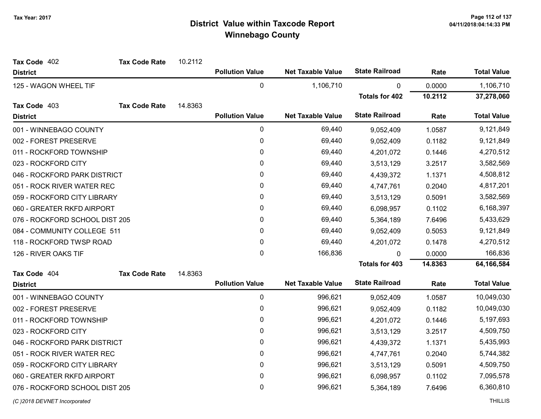| Tax Code 402                   | <b>Tax Code Rate</b> | 10.2112 |                        |                          |                       |         |                    |
|--------------------------------|----------------------|---------|------------------------|--------------------------|-----------------------|---------|--------------------|
| <b>District</b>                |                      |         | <b>Pollution Value</b> | <b>Net Taxable Value</b> | <b>State Railroad</b> | Rate    | <b>Total Value</b> |
| 125 - WAGON WHEEL TIF          |                      |         | $\pmb{0}$              | 1,106,710                | $\mathbf 0$           | 0.0000  | 1,106,710          |
|                                |                      |         |                        |                          | <b>Totals for 402</b> | 10.2112 | 37,278,060         |
| Tax Code 403                   | <b>Tax Code Rate</b> | 14.8363 |                        |                          |                       |         |                    |
| <b>District</b>                |                      |         | <b>Pollution Value</b> | <b>Net Taxable Value</b> | <b>State Railroad</b> | Rate    | <b>Total Value</b> |
| 001 - WINNEBAGO COUNTY         |                      |         | $\pmb{0}$              | 69,440                   | 9,052,409             | 1.0587  | 9,121,849          |
| 002 - FOREST PRESERVE          |                      |         | $\pmb{0}$              | 69,440                   | 9,052,409             | 0.1182  | 9,121,849          |
| 011 - ROCKFORD TOWNSHIP        |                      |         | 0                      | 69,440                   | 4,201,072             | 0.1446  | 4,270,512          |
| 023 - ROCKFORD CITY            |                      |         | $\pmb{0}$              | 69,440                   | 3,513,129             | 3.2517  | 3,582,569          |
| 046 - ROCKFORD PARK DISTRICT   |                      |         | $\pmb{0}$              | 69,440                   | 4,439,372             | 1.1371  | 4,508,812          |
| 051 - ROCK RIVER WATER REC     |                      |         | 0                      | 69,440                   | 4,747,761             | 0.2040  | 4,817,201          |
| 059 - ROCKFORD CITY LIBRARY    |                      |         | $\mathbf 0$            | 69,440                   | 3,513,129             | 0.5091  | 3,582,569          |
| 060 - GREATER RKFD AIRPORT     |                      |         | 0                      | 69,440                   | 6,098,957             | 0.1102  | 6,168,397          |
| 076 - ROCKFORD SCHOOL DIST 205 |                      |         | $\pmb{0}$              | 69,440                   | 5,364,189             | 7.6496  | 5,433,629          |
| 084 - COMMUNITY COLLEGE 511    |                      |         | 0                      | 69,440                   | 9,052,409             | 0.5053  | 9,121,849          |
| 118 - ROCKFORD TWSP ROAD       |                      |         | $\pmb{0}$              | 69,440                   | 4,201,072             | 0.1478  | 4,270,512          |
| 126 - RIVER OAKS TIF           |                      |         | 0                      | 166,836                  | 0                     | 0.0000  | 166,836            |
|                                |                      |         |                        |                          | <b>Totals for 403</b> | 14.8363 | 64,166,584         |
| Tax Code 404                   | <b>Tax Code Rate</b> | 14.8363 |                        |                          |                       |         |                    |
| <b>District</b>                |                      |         | <b>Pollution Value</b> | <b>Net Taxable Value</b> | <b>State Railroad</b> | Rate    | <b>Total Value</b> |
| 001 - WINNEBAGO COUNTY         |                      |         | $\pmb{0}$              | 996,621                  | 9,052,409             | 1.0587  | 10,049,030         |
| 002 - FOREST PRESERVE          |                      |         | $\pmb{0}$              | 996,621                  | 9,052,409             | 0.1182  | 10,049,030         |
| 011 - ROCKFORD TOWNSHIP        |                      |         | $\pmb{0}$              | 996,621                  | 4,201,072             | 0.1446  | 5,197,693          |
| 023 - ROCKFORD CITY            |                      |         | 0                      | 996,621                  | 3,513,129             | 3.2517  | 4,509,750          |
| 046 - ROCKFORD PARK DISTRICT   |                      |         | $\pmb{0}$              | 996,621                  | 4,439,372             | 1.1371  | 5,435,993          |
| 051 - ROCK RIVER WATER REC     |                      |         | 0                      | 996,621                  | 4,747,761             | 0.2040  | 5,744,382          |
| 059 - ROCKFORD CITY LIBRARY    |                      |         | $\mathbf 0$            | 996,621                  | 3,513,129             | 0.5091  | 4,509,750          |
| 060 - GREATER RKFD AIRPORT     |                      |         | 0                      | 996,621                  | 6,098,957             | 0.1102  | 7,095,578          |
| 076 - ROCKFORD SCHOOL DIST 205 |                      |         | $\mathbf 0$            | 996,621                  | 5,364,189             | 7.6496  | 6,360,810          |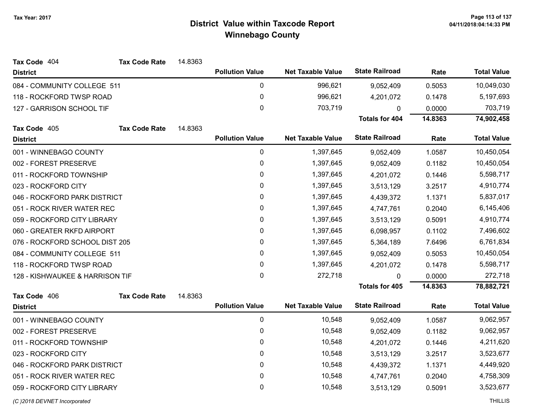| Tax Code 404                    | <b>Tax Code Rate</b> | 14.8363 |                        |                          |                       |         |                    |
|---------------------------------|----------------------|---------|------------------------|--------------------------|-----------------------|---------|--------------------|
| <b>District</b>                 |                      |         | <b>Pollution Value</b> | <b>Net Taxable Value</b> | <b>State Railroad</b> | Rate    | <b>Total Value</b> |
| 084 - COMMUNITY COLLEGE 511     |                      |         | 0                      | 996,621                  | 9,052,409             | 0.5053  | 10,049,030         |
| 118 - ROCKFORD TWSP ROAD        |                      |         | $\pmb{0}$              | 996,621                  | 4,201,072             | 0.1478  | 5,197,693          |
| 127 - GARRISON SCHOOL TIF       |                      |         | $\mathbf 0$            | 703,719                  | $\Omega$              | 0.0000  | 703,719            |
|                                 |                      |         |                        |                          | <b>Totals for 404</b> | 14.8363 | 74,902,458         |
| Tax Code 405                    | <b>Tax Code Rate</b> | 14.8363 |                        |                          |                       |         |                    |
| <b>District</b>                 |                      |         | <b>Pollution Value</b> | <b>Net Taxable Value</b> | <b>State Railroad</b> | Rate    | <b>Total Value</b> |
| 001 - WINNEBAGO COUNTY          |                      |         | $\pmb{0}$              | 1,397,645                | 9,052,409             | 1.0587  | 10,450,054         |
| 002 - FOREST PRESERVE           |                      |         | 0                      | 1,397,645                | 9,052,409             | 0.1182  | 10,450,054         |
| 011 - ROCKFORD TOWNSHIP         |                      |         | $\pmb{0}$              | 1,397,645                | 4,201,072             | 0.1446  | 5,598,717          |
| 023 - ROCKFORD CITY             |                      |         | 0                      | 1,397,645                | 3,513,129             | 3.2517  | 4,910,774          |
| 046 - ROCKFORD PARK DISTRICT    |                      |         | $\mathbf 0$            | 1,397,645                | 4,439,372             | 1.1371  | 5,837,017          |
| 051 - ROCK RIVER WATER REC      |                      |         | $\mathbf{0}$           | 1,397,645                | 4,747,761             | 0.2040  | 6,145,406          |
| 059 - ROCKFORD CITY LIBRARY     |                      |         | $\pmb{0}$              | 1,397,645                | 3,513,129             | 0.5091  | 4,910,774          |
| 060 - GREATER RKFD AIRPORT      |                      |         | $\pmb{0}$              | 1,397,645                | 6,098,957             | 0.1102  | 7,496,602          |
| 076 - ROCKFORD SCHOOL DIST 205  |                      |         | 0                      | 1,397,645                | 5,364,189             | 7.6496  | 6,761,834          |
| 084 - COMMUNITY COLLEGE 511     |                      |         | $\pmb{0}$              | 1,397,645                | 9,052,409             | 0.5053  | 10,450,054         |
| 118 - ROCKFORD TWSP ROAD        |                      |         | 0                      | 1,397,645                | 4,201,072             | 0.1478  | 5,598,717          |
| 128 - KISHWAUKEE & HARRISON TIF |                      |         | $\mathbf 0$            | 272,718                  | $\Omega$              | 0.0000  | 272,718            |
|                                 |                      |         |                        |                          | <b>Totals for 405</b> | 14.8363 | 78,882,721         |
| Tax Code 406                    | <b>Tax Code Rate</b> | 14.8363 |                        |                          |                       |         |                    |
| <b>District</b>                 |                      |         | <b>Pollution Value</b> | <b>Net Taxable Value</b> | <b>State Railroad</b> | Rate    | <b>Total Value</b> |
| 001 - WINNEBAGO COUNTY          |                      |         | $\pmb{0}$              | 10,548                   | 9,052,409             | 1.0587  | 9,062,957          |
| 002 - FOREST PRESERVE           |                      |         | $\pmb{0}$              | 10,548                   | 9,052,409             | 0.1182  | 9,062,957          |
| 011 - ROCKFORD TOWNSHIP         |                      |         | $\pmb{0}$              | 10,548                   | 4,201,072             | 0.1446  | 4,211,620          |
| 023 - ROCKFORD CITY             |                      |         | 0                      | 10,548                   | 3,513,129             | 3.2517  | 3,523,677          |
| 046 - ROCKFORD PARK DISTRICT    |                      |         | $\pmb{0}$              | 10,548                   | 4,439,372             | 1.1371  | 4,449,920          |
| 051 - ROCK RIVER WATER REC      |                      |         | 0                      | 10,548                   | 4,747,761             | 0.2040  | 4,758,309          |
| 059 - ROCKFORD CITY LIBRARY     |                      |         | 0                      | 10,548                   | 3,513,129             | 0.5091  | 3,523,677          |
|                                 |                      |         |                        |                          |                       |         |                    |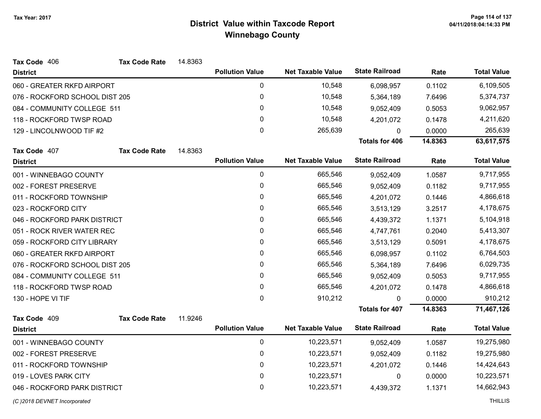| Tax Code 406                   | <b>Tax Code Rate</b> | 14.8363 |                        |                          |                       |         |                    |
|--------------------------------|----------------------|---------|------------------------|--------------------------|-----------------------|---------|--------------------|
| <b>District</b>                |                      |         | <b>Pollution Value</b> | <b>Net Taxable Value</b> | <b>State Railroad</b> | Rate    | <b>Total Value</b> |
| 060 - GREATER RKFD AIRPORT     |                      |         | $\pmb{0}$              | 10,548                   | 6,098,957             | 0.1102  | 6,109,505          |
| 076 - ROCKFORD SCHOOL DIST 205 |                      |         | $\pmb{0}$              | 10,548                   | 5,364,189             | 7.6496  | 5,374,737          |
| 084 - COMMUNITY COLLEGE 511    |                      |         | 0                      | 10,548                   | 9,052,409             | 0.5053  | 9,062,957          |
| 118 - ROCKFORD TWSP ROAD       |                      |         | $\pmb{0}$              | 10,548                   | 4,201,072             | 0.1478  | 4,211,620          |
| 129 - LINCOLNWOOD TIF #2       |                      |         | $\mathbf{0}$           | 265,639                  | 0                     | 0.0000  | 265,639            |
|                                |                      |         |                        |                          | <b>Totals for 406</b> | 14.8363 | 63,617,575         |
| Tax Code 407                   | <b>Tax Code Rate</b> | 14.8363 |                        |                          |                       |         |                    |
| <b>District</b>                |                      |         | <b>Pollution Value</b> | <b>Net Taxable Value</b> | <b>State Railroad</b> | Rate    | <b>Total Value</b> |
| 001 - WINNEBAGO COUNTY         |                      |         | $\pmb{0}$              | 665,546                  | 9,052,409             | 1.0587  | 9,717,955          |
| 002 - FOREST PRESERVE          |                      |         | $\pmb{0}$              | 665,546                  | 9,052,409             | 0.1182  | 9,717,955          |
| 011 - ROCKFORD TOWNSHIP        |                      |         | $\pmb{0}$              | 665,546                  | 4,201,072             | 0.1446  | 4,866,618          |
| 023 - ROCKFORD CITY            |                      |         | $\pmb{0}$              | 665,546                  | 3,513,129             | 3.2517  | 4,178,675          |
| 046 - ROCKFORD PARK DISTRICT   |                      |         | $\pmb{0}$              | 665,546                  | 4,439,372             | 1.1371  | 5,104,918          |
| 051 - ROCK RIVER WATER REC     |                      |         | 0                      | 665,546                  | 4,747,761             | 0.2040  | 5,413,307          |
| 059 - ROCKFORD CITY LIBRARY    |                      |         | 0                      | 665,546                  | 3,513,129             | 0.5091  | 4,178,675          |
| 060 - GREATER RKFD AIRPORT     |                      |         | $\mathbf 0$            | 665,546                  | 6,098,957             | 0.1102  | 6,764,503          |
| 076 - ROCKFORD SCHOOL DIST 205 |                      |         | $\mathbf 0$            | 665,546                  | 5,364,189             | 7.6496  | 6,029,735          |
| 084 - COMMUNITY COLLEGE 511    |                      |         | 0                      | 665,546                  | 9,052,409             | 0.5053  | 9,717,955          |
| 118 - ROCKFORD TWSP ROAD       |                      |         | 0                      | 665,546                  | 4,201,072             | 0.1478  | 4,866,618          |
| 130 - HOPE VI TIF              |                      |         | $\mathbf 0$            | 910,212                  | 0                     | 0.0000  | 910,212            |
|                                |                      |         |                        |                          | <b>Totals for 407</b> | 14.8363 | 71,467,126         |
| Tax Code 409                   | <b>Tax Code Rate</b> | 11.9246 |                        |                          |                       |         |                    |
| <b>District</b>                |                      |         | <b>Pollution Value</b> | <b>Net Taxable Value</b> | <b>State Railroad</b> | Rate    | <b>Total Value</b> |
| 001 - WINNEBAGO COUNTY         |                      |         | 0                      | 10,223,571               | 9,052,409             | 1.0587  | 19,275,980         |
| 002 - FOREST PRESERVE          |                      |         | $\pmb{0}$              | 10,223,571               | 9,052,409             | 0.1182  | 19,275,980         |
| 011 - ROCKFORD TOWNSHIP        |                      |         | 0                      | 10,223,571               | 4,201,072             | 0.1446  | 14,424,643         |
| 019 - LOVES PARK CITY          |                      |         | $\pmb{0}$              | 10,223,571               | $\mathbf 0$           | 0.0000  | 10,223,571         |
| 046 - ROCKFORD PARK DISTRICT   |                      |         | 0                      | 10,223,571               | 4,439,372             | 1.1371  | 14,662,943         |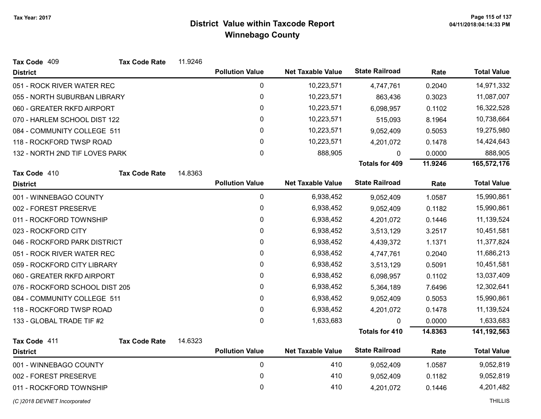| Tax Code 409                   | <b>Tax Code Rate</b> | 11.9246 |                        |                          |                       |         |                    |
|--------------------------------|----------------------|---------|------------------------|--------------------------|-----------------------|---------|--------------------|
| <b>District</b>                |                      |         | <b>Pollution Value</b> | <b>Net Taxable Value</b> | <b>State Railroad</b> | Rate    | <b>Total Value</b> |
| 051 - ROCK RIVER WATER REC     |                      |         | $\mathbf 0$            | 10,223,571               | 4,747,761             | 0.2040  | 14,971,332         |
| 055 - NORTH SUBURBAN LIBRARY   |                      |         | 0                      | 10,223,571               | 863,436               | 0.3023  | 11,087,007         |
| 060 - GREATER RKFD AIRPORT     |                      |         | 0                      | 10,223,571               | 6,098,957             | 0.1102  | 16,322,528         |
| 070 - HARLEM SCHOOL DIST 122   |                      |         | 0                      | 10,223,571               | 515,093               | 8.1964  | 10,738,664         |
| 084 - COMMUNITY COLLEGE 511    |                      |         | 0                      | 10,223,571               | 9,052,409             | 0.5053  | 19,275,980         |
| 118 - ROCKFORD TWSP ROAD       |                      |         | 0                      | 10,223,571               | 4,201,072             | 0.1478  | 14,424,643         |
| 132 - NORTH 2ND TIF LOVES PARK |                      |         | 0                      | 888,905                  | $\mathbf{0}$          | 0.0000  | 888,905            |
|                                |                      |         |                        |                          | <b>Totals for 409</b> | 11.9246 | 165,572,176        |
| Tax Code 410                   | <b>Tax Code Rate</b> | 14.8363 |                        |                          |                       |         |                    |
| <b>District</b>                |                      |         | <b>Pollution Value</b> | <b>Net Taxable Value</b> | <b>State Railroad</b> | Rate    | <b>Total Value</b> |
| 001 - WINNEBAGO COUNTY         |                      |         | 0                      | 6,938,452                | 9,052,409             | 1.0587  | 15,990,861         |
| 002 - FOREST PRESERVE          |                      |         | 0                      | 6,938,452                | 9,052,409             | 0.1182  | 15,990,861         |
| 011 - ROCKFORD TOWNSHIP        |                      |         | 0                      | 6,938,452                | 4,201,072             | 0.1446  | 11,139,524         |
| 023 - ROCKFORD CITY            |                      |         | 0                      | 6,938,452                | 3,513,129             | 3.2517  | 10,451,581         |
| 046 - ROCKFORD PARK DISTRICT   |                      |         | 0                      | 6,938,452                | 4,439,372             | 1.1371  | 11,377,824         |
| 051 - ROCK RIVER WATER REC     |                      |         | 0                      | 6,938,452                | 4,747,761             | 0.2040  | 11,686,213         |
| 059 - ROCKFORD CITY LIBRARY    |                      |         | 0                      | 6,938,452                | 3,513,129             | 0.5091  | 10,451,581         |
| 060 - GREATER RKFD AIRPORT     |                      |         | 0                      | 6,938,452                | 6,098,957             | 0.1102  | 13,037,409         |
| 076 - ROCKFORD SCHOOL DIST 205 |                      |         | 0                      | 6,938,452                | 5,364,189             | 7.6496  | 12,302,641         |
| 084 - COMMUNITY COLLEGE 511    |                      |         | 0                      | 6,938,452                | 9,052,409             | 0.5053  | 15,990,861         |
| 118 - ROCKFORD TWSP ROAD       |                      |         | 0                      | 6,938,452                | 4,201,072             | 0.1478  | 11,139,524         |
| 133 - GLOBAL TRADE TIF #2      |                      |         | 0                      | 1,633,683                | $\mathbf{0}$          | 0.0000  | 1,633,683          |
|                                |                      |         |                        |                          | <b>Totals for 410</b> | 14.8363 | 141,192,563        |
| Tax Code 411                   | <b>Tax Code Rate</b> | 14.6323 |                        |                          |                       |         |                    |
| <b>District</b>                |                      |         | <b>Pollution Value</b> | <b>Net Taxable Value</b> | <b>State Railroad</b> | Rate    | <b>Total Value</b> |
| 001 - WINNEBAGO COUNTY         |                      |         | $\pmb{0}$              | 410                      | 9,052,409             | 1.0587  | 9,052,819          |
| 002 - FOREST PRESERVE          |                      |         | 0                      | 410                      | 9,052,409             | 0.1182  | 9,052,819          |
| 011 - ROCKFORD TOWNSHIP        |                      |         | 0                      | 410                      | 4,201,072             | 0.1446  | 4,201,482          |
|                                |                      |         |                        |                          |                       |         |                    |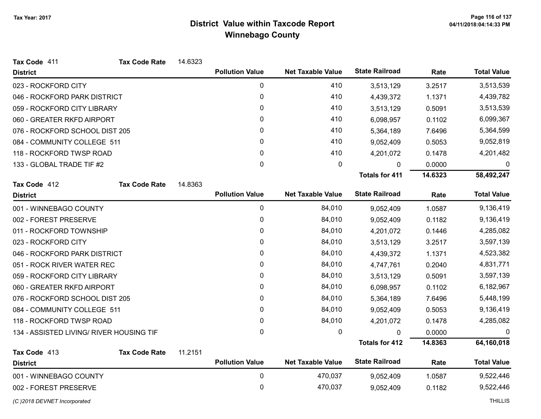| Tax Code 411                             | <b>Tax Code Rate</b> | 14.6323 |                        |                          |                       |         |                    |
|------------------------------------------|----------------------|---------|------------------------|--------------------------|-----------------------|---------|--------------------|
| <b>District</b>                          |                      |         | <b>Pollution Value</b> | <b>Net Taxable Value</b> | <b>State Railroad</b> | Rate    | <b>Total Value</b> |
| 023 - ROCKFORD CITY                      |                      |         | 0                      | 410                      | 3,513,129             | 3.2517  | 3,513,539          |
| 046 - ROCKFORD PARK DISTRICT             |                      |         | 0                      | 410                      | 4,439,372             | 1.1371  | 4,439,782          |
| 059 - ROCKFORD CITY LIBRARY              |                      |         | 0                      | 410                      | 3,513,129             | 0.5091  | 3,513,539          |
| 060 - GREATER RKFD AIRPORT               |                      |         | 0                      | 410                      | 6,098,957             | 0.1102  | 6,099,367          |
| 076 - ROCKFORD SCHOOL DIST 205           |                      |         | 0                      | 410                      | 5,364,189             | 7.6496  | 5,364,599          |
| 084 - COMMUNITY COLLEGE 511              |                      |         | 0                      | 410                      | 9,052,409             | 0.5053  | 9,052,819          |
| 118 - ROCKFORD TWSP ROAD                 |                      |         | 0                      | 410                      | 4,201,072             | 0.1478  | 4,201,482          |
| 133 - GLOBAL TRADE TIF #2                |                      |         | 0                      | 0                        | 0                     | 0.0000  | 0                  |
|                                          |                      |         |                        |                          | <b>Totals for 411</b> | 14.6323 | 58,492,247         |
| Tax Code 412                             | <b>Tax Code Rate</b> | 14.8363 |                        |                          |                       |         |                    |
| <b>District</b>                          |                      |         | <b>Pollution Value</b> | <b>Net Taxable Value</b> | <b>State Railroad</b> | Rate    | <b>Total Value</b> |
| 001 - WINNEBAGO COUNTY                   |                      |         | 0                      | 84,010                   | 9,052,409             | 1.0587  | 9,136,419          |
| 002 - FOREST PRESERVE                    |                      |         | 0                      | 84,010                   | 9,052,409             | 0.1182  | 9,136,419          |
| 011 - ROCKFORD TOWNSHIP                  |                      |         | 0                      | 84,010                   | 4,201,072             | 0.1446  | 4,285,082          |
| 023 - ROCKFORD CITY                      |                      |         | 0                      | 84,010                   | 3,513,129             | 3.2517  | 3,597,139          |
| 046 - ROCKFORD PARK DISTRICT             |                      |         | 0                      | 84,010                   | 4,439,372             | 1.1371  | 4,523,382          |
| 051 - ROCK RIVER WATER REC               |                      |         | 0                      | 84,010                   | 4,747,761             | 0.2040  | 4,831,771          |
| 059 - ROCKFORD CITY LIBRARY              |                      |         | 0                      | 84,010                   | 3,513,129             | 0.5091  | 3,597,139          |
| 060 - GREATER RKFD AIRPORT               |                      |         | 0                      | 84,010                   | 6,098,957             | 0.1102  | 6,182,967          |
| 076 - ROCKFORD SCHOOL DIST 205           |                      |         | 0                      | 84,010                   | 5,364,189             | 7.6496  | 5,448,199          |
| 084 - COMMUNITY COLLEGE 511              |                      |         | 0                      | 84,010                   | 9,052,409             | 0.5053  | 9,136,419          |
| 118 - ROCKFORD TWSP ROAD                 |                      |         | 0                      | 84,010                   | 4,201,072             | 0.1478  | 4,285,082          |
| 134 - ASSISTED LIVING/ RIVER HOUSING TIF |                      |         | 0                      | 0                        | 0                     | 0.0000  | $\mathbf{0}$       |
|                                          |                      |         |                        |                          | <b>Totals for 412</b> | 14.8363 | 64,160,018         |
| Tax Code 413                             | <b>Tax Code Rate</b> | 11.2151 | <b>Pollution Value</b> | <b>Net Taxable Value</b> | <b>State Railroad</b> | Rate    | <b>Total Value</b> |
| <b>District</b>                          |                      |         |                        |                          |                       |         |                    |
| 001 - WINNEBAGO COUNTY                   |                      |         | $\mathbf 0$            | 470,037                  | 9,052,409             | 1.0587  | 9,522,446          |
| 002 - FOREST PRESERVE                    |                      |         | 0                      | 470,037                  | 9,052,409             | 0.1182  | 9,522,446          |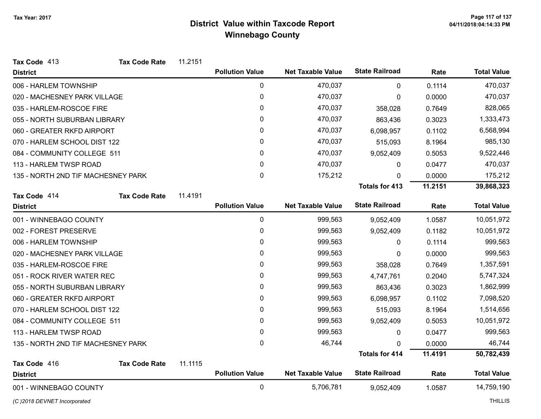| Tax Code 413                       | <b>Tax Code Rate</b> | 11.2151 |                        |                          |                       |         |                    |
|------------------------------------|----------------------|---------|------------------------|--------------------------|-----------------------|---------|--------------------|
| <b>District</b>                    |                      |         | <b>Pollution Value</b> | <b>Net Taxable Value</b> | <b>State Railroad</b> | Rate    | <b>Total Value</b> |
| 006 - HARLEM TOWNSHIP              |                      |         | $\mathbf 0$            | 470,037                  | 0                     | 0.1114  | 470,037            |
| 020 - MACHESNEY PARK VILLAGE       |                      |         | $\mathbf 0$            | 470,037                  | 0                     | 0.0000  | 470,037            |
| 035 - HARLEM-ROSCOE FIRE           |                      |         | 0                      | 470,037                  | 358,028               | 0.7649  | 828,065            |
| 055 - NORTH SUBURBAN LIBRARY       |                      |         | 0                      | 470,037                  | 863,436               | 0.3023  | 1,333,473          |
| 060 - GREATER RKFD AIRPORT         |                      |         | 0                      | 470,037                  | 6,098,957             | 0.1102  | 6,568,994          |
| 070 - HARLEM SCHOOL DIST 122       |                      |         | 0                      | 470,037                  | 515,093               | 8.1964  | 985,130            |
| 084 - COMMUNITY COLLEGE 511        |                      |         | 0                      | 470,037                  | 9,052,409             | 0.5053  | 9,522,446          |
| 113 - HARLEM TWSP ROAD             |                      |         | $\mathbf{0}$           | 470,037                  | 0                     | 0.0477  | 470,037            |
| 135 - NORTH 2ND TIF MACHESNEY PARK |                      |         | $\mathsf 0$            | 175,212                  | 0                     | 0.0000  | 175,212            |
|                                    |                      |         |                        |                          | <b>Totals for 413</b> | 11.2151 | 39,868,323         |
| Tax Code 414                       | <b>Tax Code Rate</b> | 11.4191 |                        |                          |                       |         |                    |
| <b>District</b>                    |                      |         | <b>Pollution Value</b> | <b>Net Taxable Value</b> | <b>State Railroad</b> | Rate    | <b>Total Value</b> |
| 001 - WINNEBAGO COUNTY             |                      |         | $\pmb{0}$              | 999,563                  | 9,052,409             | 1.0587  | 10,051,972         |
| 002 - FOREST PRESERVE              |                      |         | 0                      | 999,563                  | 9,052,409             | 0.1182  | 10,051,972         |
| 006 - HARLEM TOWNSHIP              |                      |         | 0                      | 999,563                  | 0                     | 0.1114  | 999,563            |
| 020 - MACHESNEY PARK VILLAGE       |                      |         | 0                      | 999,563                  | 0                     | 0.0000  | 999,563            |
| 035 - HARLEM-ROSCOE FIRE           |                      |         | 0                      | 999,563                  | 358,028               | 0.7649  | 1,357,591          |
| 051 - ROCK RIVER WATER REC         |                      |         | 0                      | 999,563                  | 4,747,761             | 0.2040  | 5,747,324          |
| 055 - NORTH SUBURBAN LIBRARY       |                      |         | 0                      | 999,563                  | 863,436               | 0.3023  | 1,862,999          |
| 060 - GREATER RKFD AIRPORT         |                      |         | 0                      | 999,563                  | 6,098,957             | 0.1102  | 7,098,520          |
| 070 - HARLEM SCHOOL DIST 122       |                      |         | 0                      | 999,563                  | 515,093               | 8.1964  | 1,514,656          |
| 084 - COMMUNITY COLLEGE 511        |                      |         | 0                      | 999,563                  | 9,052,409             | 0.5053  | 10,051,972         |
| 113 - HARLEM TWSP ROAD             |                      |         | 0                      | 999,563                  | 0                     | 0.0477  | 999,563            |
| 135 - NORTH 2ND TIF MACHESNEY PARK |                      |         | 0                      | 46,744                   | $\Omega$              | 0.0000  | 46,744             |
|                                    |                      |         |                        |                          | <b>Totals for 414</b> | 11.4191 | 50,782,439         |
| Tax Code 416                       | <b>Tax Code Rate</b> | 11.1115 |                        |                          |                       |         |                    |
| <b>District</b>                    |                      |         | <b>Pollution Value</b> | <b>Net Taxable Value</b> | <b>State Railroad</b> | Rate    | <b>Total Value</b> |
| 001 - WINNEBAGO COUNTY             |                      |         | $\mathbf{0}$           | 5,706,781                | 9,052,409             | 1.0587  | 14,759,190         |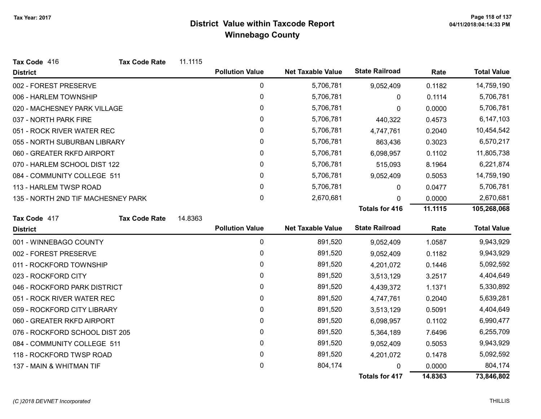| Tax Code 416                       | <b>Tax Code Rate</b> | 11.1115 |                        |                          |                       |         |                    |
|------------------------------------|----------------------|---------|------------------------|--------------------------|-----------------------|---------|--------------------|
| <b>District</b>                    |                      |         | <b>Pollution Value</b> | <b>Net Taxable Value</b> | <b>State Railroad</b> | Rate    | <b>Total Value</b> |
| 002 - FOREST PRESERVE              |                      |         | 0                      | 5,706,781                | 9,052,409             | 0.1182  | 14,759,190         |
| 006 - HARLEM TOWNSHIP              |                      |         | $\pmb{0}$              | 5,706,781                | 0                     | 0.1114  | 5,706,781          |
| 020 - MACHESNEY PARK VILLAGE       |                      |         | $\pmb{0}$              | 5,706,781                | 0                     | 0.0000  | 5,706,781          |
| 037 - NORTH PARK FIRE              |                      |         | 0                      | 5,706,781                | 440,322               | 0.4573  | 6,147,103          |
| 051 - ROCK RIVER WATER REC         |                      |         | 0                      | 5,706,781                | 4,747,761             | 0.2040  | 10,454,542         |
| 055 - NORTH SUBURBAN LIBRARY       |                      |         | 0                      | 5,706,781                | 863,436               | 0.3023  | 6,570,217          |
| 060 - GREATER RKFD AIRPORT         |                      |         | 0                      | 5,706,781                | 6,098,957             | 0.1102  | 11,805,738         |
| 070 - HARLEM SCHOOL DIST 122       |                      |         | 0                      | 5,706,781                | 515,093               | 8.1964  | 6,221,874          |
| 084 - COMMUNITY COLLEGE 511        |                      |         | 0                      | 5,706,781                | 9,052,409             | 0.5053  | 14,759,190         |
| 113 - HARLEM TWSP ROAD             |                      |         | 0                      | 5,706,781                | 0                     | 0.0477  | 5,706,781          |
| 135 - NORTH 2ND TIF MACHESNEY PARK |                      |         | 0                      | 2,670,681                | $\mathbf{0}$          | 0.0000  | 2,670,681          |
|                                    |                      |         |                        |                          | <b>Totals for 416</b> | 11.1115 | 105,268,068        |
| Tax Code 417                       | <b>Tax Code Rate</b> | 14.8363 |                        |                          |                       |         |                    |
| <b>District</b>                    |                      |         | <b>Pollution Value</b> | <b>Net Taxable Value</b> | <b>State Railroad</b> | Rate    | <b>Total Value</b> |
| 001 - WINNEBAGO COUNTY             |                      |         | $\pmb{0}$              | 891,520                  | 9,052,409             | 1.0587  | 9,943,929          |
| 002 - FOREST PRESERVE              |                      |         | 0                      | 891,520                  | 9,052,409             | 0.1182  | 9,943,929          |
| 011 - ROCKFORD TOWNSHIP            |                      |         | $\pmb{0}$              | 891,520                  | 4,201,072             | 0.1446  | 5,092,592          |
| 023 - ROCKFORD CITY                |                      |         | $\mathbf{0}$           | 891,520                  | 3,513,129             | 3.2517  | 4,404,649          |
| 046 - ROCKFORD PARK DISTRICT       |                      |         | 0                      | 891,520                  | 4,439,372             | 1.1371  | 5,330,892          |
| 051 - ROCK RIVER WATER REC         |                      |         | $\mathbf 0$            | 891,520                  | 4,747,761             | 0.2040  | 5,639,281          |
| 059 - ROCKFORD CITY LIBRARY        |                      |         | 0                      | 891,520                  | 3,513,129             | 0.5091  | 4,404,649          |
| 060 - GREATER RKFD AIRPORT         |                      |         | 0                      | 891,520                  | 6,098,957             | 0.1102  | 6,990,477          |
| 076 - ROCKFORD SCHOOL DIST 205     |                      |         | 0                      | 891,520                  | 5,364,189             | 7.6496  | 6,255,709          |
| 084 - COMMUNITY COLLEGE 511        |                      |         | 0                      | 891,520                  | 9,052,409             | 0.5053  | 9,943,929          |
| 118 - ROCKFORD TWSP ROAD           |                      |         | 0                      | 891,520                  | 4,201,072             | 0.1478  | 5,092,592          |
| 137 - MAIN & WHITMAN TIF           |                      |         | 0                      | 804,174                  | 0                     | 0.0000  | 804,174            |
|                                    |                      |         |                        |                          | <b>Totals for 417</b> | 14.8363 | 73,846,802         |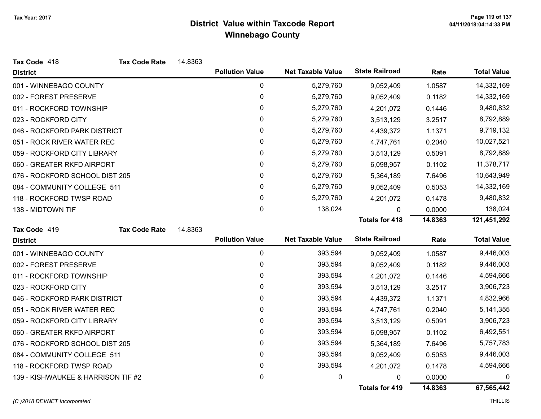| Tax Code 418                       | <b>Tax Code Rate</b> | 14.8363 |                        |                          |                       |         |                    |
|------------------------------------|----------------------|---------|------------------------|--------------------------|-----------------------|---------|--------------------|
| <b>District</b>                    |                      |         | <b>Pollution Value</b> | <b>Net Taxable Value</b> | <b>State Railroad</b> | Rate    | <b>Total Value</b> |
| 001 - WINNEBAGO COUNTY             |                      |         | 0                      | 5,279,760                | 9,052,409             | 1.0587  | 14,332,169         |
| 002 - FOREST PRESERVE              |                      |         | 0                      | 5,279,760                | 9,052,409             | 0.1182  | 14,332,169         |
| 011 - ROCKFORD TOWNSHIP            |                      |         | 0                      | 5,279,760                | 4,201,072             | 0.1446  | 9,480,832          |
| 023 - ROCKFORD CITY                |                      |         | 0                      | 5,279,760                | 3,513,129             | 3.2517  | 8,792,889          |
| 046 - ROCKFORD PARK DISTRICT       |                      |         | 0                      | 5,279,760                | 4,439,372             | 1.1371  | 9,719,132          |
| 051 - ROCK RIVER WATER REC         |                      |         | 0                      | 5,279,760                | 4,747,761             | 0.2040  | 10,027,521         |
| 059 - ROCKFORD CITY LIBRARY        |                      |         | 0                      | 5,279,760                | 3,513,129             | 0.5091  | 8,792,889          |
| 060 - GREATER RKFD AIRPORT         |                      |         | 0                      | 5,279,760                | 6,098,957             | 0.1102  | 11,378,717         |
| 076 - ROCKFORD SCHOOL DIST 205     |                      |         | 0                      | 5,279,760                | 5,364,189             | 7.6496  | 10,643,949         |
| 084 - COMMUNITY COLLEGE 511        |                      |         | 0                      | 5,279,760                | 9,052,409             | 0.5053  | 14,332,169         |
| 118 - ROCKFORD TWSP ROAD           |                      |         | 0                      | 5,279,760                | 4,201,072             | 0.1478  | 9,480,832          |
| 138 - MIDTOWN TIF                  |                      |         | 0                      | 138,024                  | 0                     | 0.0000  | 138,024            |
|                                    |                      |         |                        |                          | <b>Totals for 418</b> | 14.8363 | 121,451,292        |
| Tax Code 419                       | <b>Tax Code Rate</b> | 14.8363 |                        |                          |                       |         |                    |
| <b>District</b>                    |                      |         | <b>Pollution Value</b> | <b>Net Taxable Value</b> | <b>State Railroad</b> | Rate    | <b>Total Value</b> |
| 001 - WINNEBAGO COUNTY             |                      |         | 0                      | 393,594                  | 9,052,409             | 1.0587  | 9,446,003          |
| 002 - FOREST PRESERVE              |                      |         | 0                      | 393,594                  | 9,052,409             | 0.1182  | 9,446,003          |
| 011 - ROCKFORD TOWNSHIP            |                      |         | 0                      | 393,594                  | 4,201,072             | 0.1446  | 4,594,666          |
| 023 - ROCKFORD CITY                |                      |         | 0                      | 393,594                  | 3,513,129             | 3.2517  | 3,906,723          |
| 046 - ROCKFORD PARK DISTRICT       |                      |         | 0                      | 393,594                  | 4,439,372             | 1.1371  | 4,832,966          |
| 051 - ROCK RIVER WATER REC         |                      |         | 0                      | 393,594                  | 4,747,761             | 0.2040  | 5,141,355          |
| 059 - ROCKFORD CITY LIBRARY        |                      |         | 0                      | 393,594                  | 3,513,129             | 0.5091  | 3,906,723          |
| 060 - GREATER RKFD AIRPORT         |                      |         | 0                      | 393,594                  | 6,098,957             | 0.1102  | 6,492,551          |
| 076 - ROCKFORD SCHOOL DIST 205     |                      |         | 0                      | 393,594                  | 5,364,189             | 7.6496  | 5,757,783          |
| 084 - COMMUNITY COLLEGE 511        |                      |         | 0                      | 393,594                  | 9,052,409             | 0.5053  | 9,446,003          |
| 118 - ROCKFORD TWSP ROAD           |                      |         | 0                      | 393,594                  | 4,201,072             | 0.1478  | 4,594,666          |
|                                    |                      |         |                        |                          |                       |         |                    |
| 139 - KISHWAUKEE & HARRISON TIF #2 |                      |         | 0                      | 0                        | 0                     | 0.0000  | 0                  |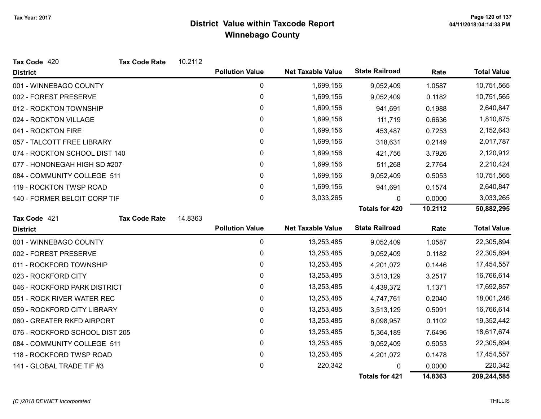| Tax Code 420                   | <b>Tax Code Rate</b> | 10.2112 |                        |                          |                       |         |                    |
|--------------------------------|----------------------|---------|------------------------|--------------------------|-----------------------|---------|--------------------|
| <b>District</b>                |                      |         | <b>Pollution Value</b> | <b>Net Taxable Value</b> | <b>State Railroad</b> | Rate    | <b>Total Value</b> |
| 001 - WINNEBAGO COUNTY         |                      |         | 0                      | 1,699,156                | 9,052,409             | 1.0587  | 10,751,565         |
| 002 - FOREST PRESERVE          |                      |         | 0                      | 1,699,156                | 9,052,409             | 0.1182  | 10,751,565         |
| 012 - ROCKTON TOWNSHIP         |                      |         | 0                      | 1,699,156                | 941,691               | 0.1988  | 2,640,847          |
| 024 - ROCKTON VILLAGE          |                      |         | 0                      | 1,699,156                | 111,719               | 0.6636  | 1,810,875          |
| 041 - ROCKTON FIRE             |                      |         | 0                      | 1,699,156                | 453,487               | 0.7253  | 2,152,643          |
| 057 - TALCOTT FREE LIBRARY     |                      |         | $\mathbf{0}$           | 1,699,156                | 318,631               | 0.2149  | 2,017,787          |
| 074 - ROCKTON SCHOOL DIST 140  |                      |         | 0                      | 1,699,156                | 421,756               | 3.7926  | 2,120,912          |
| 077 - HONONEGAH HIGH SD #207   |                      |         | 0                      | 1,699,156                | 511,268               | 2.7764  | 2,210,424          |
| 084 - COMMUNITY COLLEGE 511    |                      |         | 0                      | 1,699,156                | 9,052,409             | 0.5053  | 10,751,565         |
| 119 - ROCKTON TWSP ROAD        |                      |         | 0                      | 1,699,156                | 941,691               | 0.1574  | 2,640,847          |
| 140 - FORMER BELOIT CORP TIF   |                      |         | $\mathbf{0}$           | 3,033,265                | 0                     | 0.0000  | 3,033,265          |
|                                |                      |         |                        |                          | <b>Totals for 420</b> | 10.2112 | 50,882,295         |
| Tax Code 421                   | <b>Tax Code Rate</b> | 14.8363 |                        |                          |                       |         |                    |
| <b>District</b>                |                      |         | <b>Pollution Value</b> | <b>Net Taxable Value</b> | <b>State Railroad</b> | Rate    | <b>Total Value</b> |
| 001 - WINNEBAGO COUNTY         |                      |         | $\mathbf 0$            | 13,253,485               | 9,052,409             | 1.0587  | 22,305,894         |
| 002 - FOREST PRESERVE          |                      |         | $\mathbf{0}$           | 13,253,485               | 9,052,409             | 0.1182  | 22,305,894         |
| 011 - ROCKFORD TOWNSHIP        |                      |         | 0                      | 13,253,485               | 4,201,072             | 0.1446  | 17,454,557         |
| 023 - ROCKFORD CITY            |                      |         | 0                      | 13,253,485               | 3,513,129             | 3.2517  | 16,766,614         |
| 046 - ROCKFORD PARK DISTRICT   |                      |         | 0                      | 13,253,485               | 4,439,372             | 1.1371  | 17,692,857         |
| 051 - ROCK RIVER WATER REC     |                      |         | $\pmb{0}$              | 13,253,485               | 4,747,761             | 0.2040  | 18,001,246         |
| 059 - ROCKFORD CITY LIBRARY    |                      |         | 0                      | 13,253,485               | 3,513,129             | 0.5091  | 16,766,614         |
| 060 - GREATER RKFD AIRPORT     |                      |         | 0                      | 13,253,485               | 6,098,957             | 0.1102  | 19,352,442         |
| 076 - ROCKFORD SCHOOL DIST 205 |                      |         | 0                      | 13,253,485               | 5,364,189             | 7.6496  | 18,617,674         |
| 084 - COMMUNITY COLLEGE 511    |                      |         | $\mathbf{0}$           | 13,253,485               | 9,052,409             | 0.5053  | 22,305,894         |
| 118 - ROCKFORD TWSP ROAD       |                      |         | 0                      | 13,253,485               | 4,201,072             | 0.1478  | 17,454,557         |
| 141 - GLOBAL TRADE TIF #3      |                      |         | 0                      | 220,342                  | 0                     | 0.0000  | 220,342            |
|                                |                      |         |                        |                          | <b>Totals for 421</b> | 14.8363 | 209,244,585        |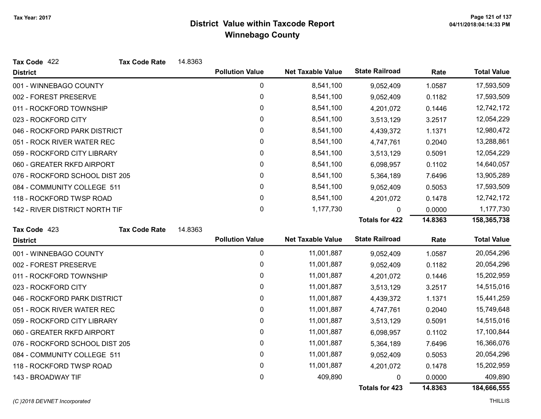| Tax Code 422                   | <b>Tax Code Rate</b> | 14.8363 |                        |                          |                       |         |                    |
|--------------------------------|----------------------|---------|------------------------|--------------------------|-----------------------|---------|--------------------|
| <b>District</b>                |                      |         | <b>Pollution Value</b> | <b>Net Taxable Value</b> | <b>State Railroad</b> | Rate    | <b>Total Value</b> |
| 001 - WINNEBAGO COUNTY         |                      |         | 0                      | 8,541,100                | 9,052,409             | 1.0587  | 17,593,509         |
| 002 - FOREST PRESERVE          |                      |         | 0                      | 8,541,100                | 9,052,409             | 0.1182  | 17,593,509         |
| 011 - ROCKFORD TOWNSHIP        |                      |         | 0                      | 8,541,100                | 4,201,072             | 0.1446  | 12,742,172         |
| 023 - ROCKFORD CITY            |                      |         | 0                      | 8,541,100                | 3,513,129             | 3.2517  | 12,054,229         |
| 046 - ROCKFORD PARK DISTRICT   |                      |         | 0                      | 8,541,100                | 4,439,372             | 1.1371  | 12,980,472         |
| 051 - ROCK RIVER WATER REC     |                      |         | 0                      | 8,541,100                | 4,747,761             | 0.2040  | 13,288,861         |
| 059 - ROCKFORD CITY LIBRARY    |                      |         | 0                      | 8,541,100                | 3,513,129             | 0.5091  | 12,054,229         |
| 060 - GREATER RKFD AIRPORT     |                      |         | 0                      | 8,541,100                | 6,098,957             | 0.1102  | 14,640,057         |
| 076 - ROCKFORD SCHOOL DIST 205 |                      |         | 0                      | 8,541,100                | 5,364,189             | 7.6496  | 13,905,289         |
| 084 - COMMUNITY COLLEGE 511    |                      |         | 0                      | 8,541,100                | 9,052,409             | 0.5053  | 17,593,509         |
| 118 - ROCKFORD TWSP ROAD       |                      |         | 0                      | 8,541,100                | 4,201,072             | 0.1478  | 12,742,172         |
| 142 - RIVER DISTRICT NORTH TIF |                      |         | 0                      | 1,177,730                | 0                     | 0.0000  | 1,177,730          |
|                                |                      |         |                        |                          | <b>Totals for 422</b> | 14.8363 | 158,365,738        |
| Tax Code 423                   | <b>Tax Code Rate</b> | 14.8363 |                        |                          |                       |         |                    |
| <b>District</b>                |                      |         | <b>Pollution Value</b> | <b>Net Taxable Value</b> | <b>State Railroad</b> | Rate    | <b>Total Value</b> |
| 001 - WINNEBAGO COUNTY         |                      |         | 0                      | 11,001,887               | 9,052,409             | 1.0587  | 20,054,296         |
| 002 - FOREST PRESERVE          |                      |         | 0                      | 11,001,887               | 9,052,409             | 0.1182  | 20,054,296         |
| 011 - ROCKFORD TOWNSHIP        |                      |         | 0                      | 11,001,887               | 4,201,072             | 0.1446  | 15,202,959         |
| 023 - ROCKFORD CITY            |                      |         | 0                      | 11,001,887               | 3,513,129             | 3.2517  | 14,515,016         |
| 046 - ROCKFORD PARK DISTRICT   |                      |         | $\pmb{0}$              | 11,001,887               | 4,439,372             | 1.1371  | 15,441,259         |
| 051 - ROCK RIVER WATER REC     |                      |         | 0                      | 11,001,887               | 4,747,761             | 0.2040  | 15,749,648         |
| 059 - ROCKFORD CITY LIBRARY    |                      |         | 0                      | 11,001,887               | 3,513,129             | 0.5091  | 14,515,016         |
| 060 - GREATER RKFD AIRPORT     |                      |         | 0                      | 11,001,887               | 6,098,957             | 0.1102  | 17,100,844         |
| 076 - ROCKFORD SCHOOL DIST 205 |                      |         | 0                      | 11,001,887               | 5,364,189             | 7.6496  | 16,366,076         |
| 084 - COMMUNITY COLLEGE 511    |                      |         | 0                      | 11,001,887               | 9,052,409             | 0.5053  | 20,054,296         |
| 118 - ROCKFORD TWSP ROAD       |                      |         | 0                      | 11,001,887               | 4,201,072             | 0.1478  | 15,202,959         |
| 143 - BROADWAY TIF             |                      |         | 0                      | 409,890                  | 0                     | 0.0000  | 409,890            |
|                                |                      |         |                        |                          | <b>Totals for 423</b> | 14.8363 | 184,666,555        |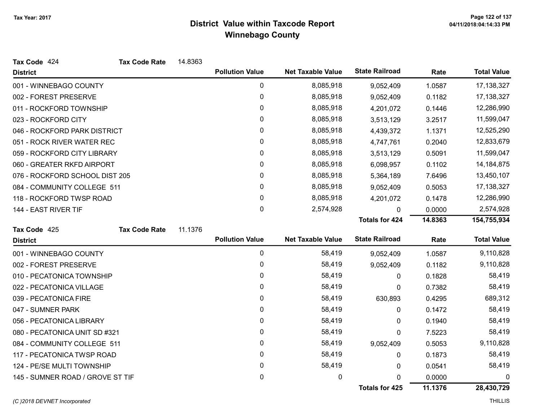| Tax Code 424                     | <b>Tax Code Rate</b> | 14.8363 |                        |                          |                       |         |                    |
|----------------------------------|----------------------|---------|------------------------|--------------------------|-----------------------|---------|--------------------|
| <b>District</b>                  |                      |         | <b>Pollution Value</b> | <b>Net Taxable Value</b> | <b>State Railroad</b> | Rate    | <b>Total Value</b> |
| 001 - WINNEBAGO COUNTY           |                      |         | 0                      | 8,085,918                | 9,052,409             | 1.0587  | 17,138,327         |
| 002 - FOREST PRESERVE            |                      |         | 0                      | 8,085,918                | 9,052,409             | 0.1182  | 17,138,327         |
| 011 - ROCKFORD TOWNSHIP          |                      |         | 0                      | 8,085,918                | 4,201,072             | 0.1446  | 12,286,990         |
| 023 - ROCKFORD CITY              |                      |         | 0                      | 8,085,918                | 3,513,129             | 3.2517  | 11,599,047         |
| 046 - ROCKFORD PARK DISTRICT     |                      |         | 0                      | 8,085,918                | 4,439,372             | 1.1371  | 12,525,290         |
| 051 - ROCK RIVER WATER REC       |                      |         | 0                      | 8,085,918                | 4,747,761             | 0.2040  | 12,833,679         |
| 059 - ROCKFORD CITY LIBRARY      |                      |         | 0                      | 8,085,918                | 3,513,129             | 0.5091  | 11,599,047         |
| 060 - GREATER RKFD AIRPORT       |                      |         | 0                      | 8,085,918                | 6,098,957             | 0.1102  | 14,184,875         |
| 076 - ROCKFORD SCHOOL DIST 205   |                      |         | 0                      | 8,085,918                | 5,364,189             | 7.6496  | 13,450,107         |
| 084 - COMMUNITY COLLEGE 511      |                      |         | 0                      | 8,085,918                | 9,052,409             | 0.5053  | 17,138,327         |
| 118 - ROCKFORD TWSP ROAD         |                      |         | 0                      | 8,085,918                | 4,201,072             | 0.1478  | 12,286,990         |
| 144 - EAST RIVER TIF             |                      |         | 0                      | 2,574,928                | 0                     | 0.0000  | 2,574,928          |
|                                  |                      |         |                        |                          | <b>Totals for 424</b> | 14.8363 | 154,755,934        |
| Tax Code 425                     | <b>Tax Code Rate</b> | 11.1376 |                        |                          |                       |         |                    |
| <b>District</b>                  |                      |         | <b>Pollution Value</b> | <b>Net Taxable Value</b> | <b>State Railroad</b> | Rate    | <b>Total Value</b> |
| 001 - WINNEBAGO COUNTY           |                      |         | 0                      | 58,419                   | 9,052,409             | 1.0587  | 9,110,828          |
| 002 - FOREST PRESERVE            |                      |         | 0                      | 58,419                   | 9,052,409             | 0.1182  | 9,110,828          |
| 010 - PECATONICA TOWNSHIP        |                      |         | 0                      | 58,419                   | 0                     | 0.1828  | 58,419             |
| 022 - PECATONICA VILLAGE         |                      |         | 0                      | 58,419                   | 0                     | 0.7382  | 58,419             |
| 039 - PECATONICA FIRE            |                      |         | 0                      | 58,419                   | 630,893               | 0.4295  | 689,312            |
| 047 - SUMNER PARK                |                      |         | 0                      | 58,419                   | 0                     | 0.1472  | 58,419             |
| 056 - PECATONICA LIBRARY         |                      |         | 0                      | 58,419                   | 0                     | 0.1940  | 58,419             |
|                                  |                      |         |                        |                          |                       |         |                    |
| 080 - PECATONICA UNIT SD #321    |                      |         | 0                      | 58,419                   | 0                     | 7.5223  | 58,419             |
| 084 - COMMUNITY COLLEGE 511      |                      |         | 0                      | 58,419                   | 9,052,409             | 0.5053  | 9,110,828          |
| 117 - PECATONICA TWSP ROAD       |                      |         | 0                      | 58,419                   | 0                     | 0.1873  | 58,419             |
| 124 - PE/SE MULTI TOWNSHIP       |                      |         | 0                      | 58,419                   | 0                     | 0.0541  | 58,419             |
| 145 - SUMNER ROAD / GROVE ST TIF |                      |         | 0                      | 0                        | 0                     | 0.0000  | 0                  |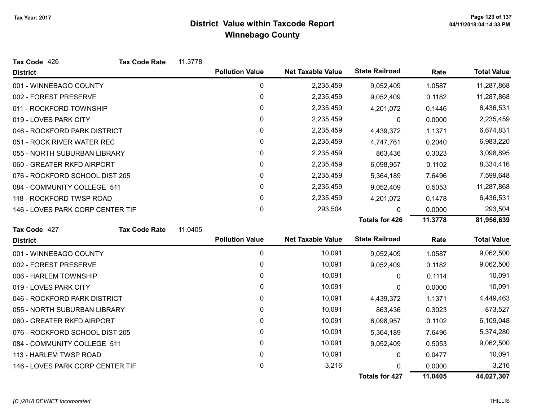| Tax Code 426                     | <b>Tax Code Rate</b> | 11.3778 |                        |                          |                       |         |                    |
|----------------------------------|----------------------|---------|------------------------|--------------------------|-----------------------|---------|--------------------|
| <b>District</b>                  |                      |         | <b>Pollution Value</b> | <b>Net Taxable Value</b> | <b>State Railroad</b> | Rate    | <b>Total Value</b> |
| 001 - WINNEBAGO COUNTY           |                      |         | 0                      | 2,235,459                | 9,052,409             | 1.0587  | 11,287,868         |
| 002 - FOREST PRESERVE            |                      |         | 0                      | 2,235,459                | 9,052,409             | 0.1182  | 11,287,868         |
| 011 - ROCKFORD TOWNSHIP          |                      |         | 0                      | 2,235,459                | 4,201,072             | 0.1446  | 6,436,531          |
| 019 - LOVES PARK CITY            |                      |         | 0                      | 2,235,459                | 0                     | 0.0000  | 2,235,459          |
| 046 - ROCKFORD PARK DISTRICT     |                      |         | 0                      | 2,235,459                | 4,439,372             | 1.1371  | 6,674,831          |
| 051 - ROCK RIVER WATER REC       |                      |         | 0                      | 2,235,459                | 4,747,761             | 0.2040  | 6,983,220          |
| 055 - NORTH SUBURBAN LIBRARY     |                      |         | 0                      | 2,235,459                | 863,436               | 0.3023  | 3,098,895          |
| 060 - GREATER RKFD AIRPORT       |                      |         | 0                      | 2,235,459                | 6,098,957             | 0.1102  | 8,334,416          |
| 076 - ROCKFORD SCHOOL DIST 205   |                      |         | 0                      | 2,235,459                | 5,364,189             | 7.6496  | 7,599,648          |
| 084 - COMMUNITY COLLEGE 511      |                      |         | 0                      | 2,235,459                | 9,052,409             | 0.5053  | 11,287,868         |
| 118 - ROCKFORD TWSP ROAD         |                      |         | 0                      | 2,235,459                | 4,201,072             | 0.1478  | 6,436,531          |
| 146 - LOVES PARK CORP CENTER TIF |                      |         | 0                      | 293,504                  | 0                     | 0.0000  | 293,504            |
|                                  |                      |         |                        |                          | <b>Totals for 426</b> | 11.3778 | 81,956,639         |
| Tax Code 427                     | <b>Tax Code Rate</b> | 11.0405 |                        |                          |                       |         |                    |
| <b>District</b>                  |                      |         | <b>Pollution Value</b> | <b>Net Taxable Value</b> | <b>State Railroad</b> | Rate    | <b>Total Value</b> |
| 001 - WINNEBAGO COUNTY           |                      |         | $\pmb{0}$              | 10,091                   | 9,052,409             | 1.0587  | 9,062,500          |
| 002 - FOREST PRESERVE            |                      |         | 0                      | 10,091                   | 9,052,409             | 0.1182  | 9,062,500          |
| 006 - HARLEM TOWNSHIP            |                      |         | $\Omega$               | 10,091                   | 0                     | 0.1114  | 10,091             |
| 019 - LOVES PARK CITY            |                      |         | 0                      | 10,091                   | 0                     | 0.0000  | 10,091             |
| 046 - ROCKFORD PARK DISTRICT     |                      |         | 0                      | 10,091                   | 4,439,372             | 1.1371  | 4,449,463          |
| 055 - NORTH SUBURBAN LIBRARY     |                      |         | 0                      | 10,091                   | 863,436               | 0.3023  | 873,527            |
| 060 - GREATER RKFD AIRPORT       |                      |         | 0                      | 10,091                   | 6,098,957             | 0.1102  | 6,109,048          |
| 076 - ROCKFORD SCHOOL DIST 205   |                      |         | 0                      | 10,091                   | 5,364,189             | 7.6496  | 5,374,280          |
| 084 - COMMUNITY COLLEGE 511      |                      |         | 0                      | 10,091                   | 9,052,409             | 0.5053  | 9,062,500          |
| 113 - HARLEM TWSP ROAD           |                      |         | 0                      | 10,091                   | 0                     | 0.0477  | 10,091             |
| 146 - LOVES PARK CORP CENTER TIF |                      |         | 0                      | 3,216                    | 0                     | 0.0000  | 3,216              |
|                                  |                      |         |                        |                          | <b>Totals for 427</b> | 11.0405 | 44,027,307         |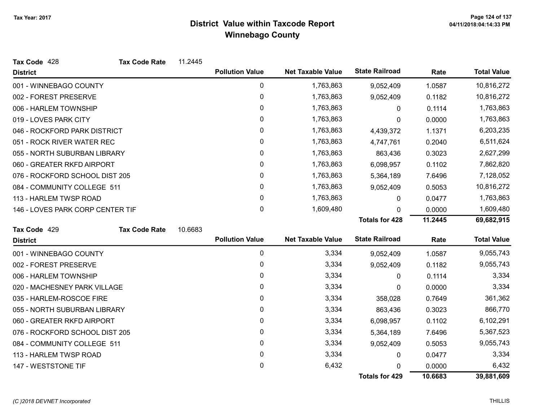| Tax Code 428                     | <b>Tax Code Rate</b> | 11.2445 |                        |                          |                       |         |                    |
|----------------------------------|----------------------|---------|------------------------|--------------------------|-----------------------|---------|--------------------|
| <b>District</b>                  |                      |         | <b>Pollution Value</b> | <b>Net Taxable Value</b> | <b>State Railroad</b> | Rate    | <b>Total Value</b> |
| 001 - WINNEBAGO COUNTY           |                      |         | 0                      | 1,763,863                | 9,052,409             | 1.0587  | 10,816,272         |
| 002 - FOREST PRESERVE            |                      |         | $\mathbf 0$            | 1,763,863                | 9,052,409             | 0.1182  | 10,816,272         |
| 006 - HARLEM TOWNSHIP            |                      |         | 0                      | 1,763,863                | 0                     | 0.1114  | 1,763,863          |
| 019 - LOVES PARK CITY            |                      |         | 0                      | 1,763,863                | 0                     | 0.0000  | 1,763,863          |
| 046 - ROCKFORD PARK DISTRICT     |                      |         | 0                      | 1,763,863                | 4,439,372             | 1.1371  | 6,203,235          |
| 051 - ROCK RIVER WATER REC       |                      |         | 0                      | 1,763,863                | 4,747,761             | 0.2040  | 6,511,624          |
| 055 - NORTH SUBURBAN LIBRARY     |                      |         | 0                      | 1,763,863                | 863,436               | 0.3023  | 2,627,299          |
| 060 - GREATER RKFD AIRPORT       |                      |         | 0                      | 1,763,863                | 6,098,957             | 0.1102  | 7,862,820          |
| 076 - ROCKFORD SCHOOL DIST 205   |                      |         | $\mathbf{0}$           | 1,763,863                | 5,364,189             | 7.6496  | 7,128,052          |
| 084 - COMMUNITY COLLEGE 511      |                      |         | $\pmb{0}$              | 1,763,863                | 9,052,409             | 0.5053  | 10,816,272         |
| 113 - HARLEM TWSP ROAD           |                      |         | 0                      | 1,763,863                | 0                     | 0.0477  | 1,763,863          |
| 146 - LOVES PARK CORP CENTER TIF |                      |         | 0                      | 1,609,480                | <sup>0</sup>          | 0.0000  | 1,609,480          |
|                                  |                      |         |                        |                          | <b>Totals for 428</b> | 11.2445 | 69,682,915         |
| Tax Code 429                     | <b>Tax Code Rate</b> | 10.6683 |                        |                          |                       |         |                    |
| <b>District</b>                  |                      |         | <b>Pollution Value</b> | <b>Net Taxable Value</b> | <b>State Railroad</b> | Rate    | <b>Total Value</b> |
| 001 - WINNEBAGO COUNTY           |                      |         | 0                      | 3,334                    | 9,052,409             | 1.0587  | 9,055,743          |
| 002 - FOREST PRESERVE            |                      |         | 0                      | 3,334                    | 9,052,409             | 0.1182  | 9,055,743          |
| 006 - HARLEM TOWNSHIP            |                      |         | 0                      | 3,334                    | 0                     | 0.1114  | 3,334              |
| 020 - MACHESNEY PARK VILLAGE     |                      |         | 0                      | 3,334                    | 0                     | 0.0000  | 3,334              |
| 035 - HARLEM-ROSCOE FIRE         |                      |         | 0                      | 3,334                    | 358,028               | 0.7649  | 361,362            |
| 055 - NORTH SUBURBAN LIBRARY     |                      |         | 0                      | 3,334                    | 863,436               | 0.3023  | 866,770            |
| 060 - GREATER RKFD AIRPORT       |                      |         | 0                      | 3,334                    | 6,098,957             | 0.1102  | 6,102,291          |
| 076 - ROCKFORD SCHOOL DIST 205   |                      |         | 0                      | 3,334                    | 5,364,189             | 7.6496  | 5,367,523          |
| 084 - COMMUNITY COLLEGE 511      |                      |         | 0                      | 3,334                    | 9,052,409             | 0.5053  | 9,055,743          |
| 113 - HARLEM TWSP ROAD           |                      |         | 0                      | 3,334                    | 0                     | 0.0477  | 3,334              |
| 147 - WESTSTONE TIF              |                      |         | 0                      | 6,432                    |                       | 0.0000  | 6,432              |
|                                  |                      |         |                        |                          | <b>Totals for 429</b> | 10.6683 | 39,881,609         |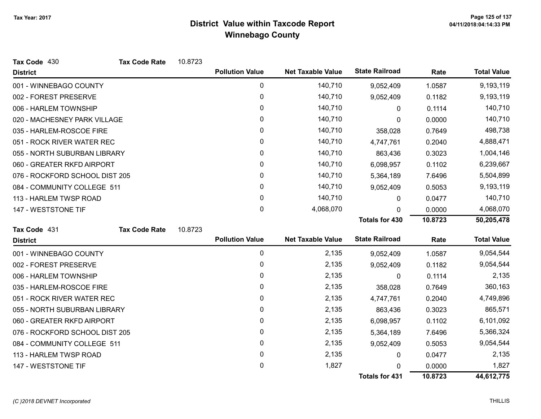| Tax Code 430                   | <b>Tax Code Rate</b> | 10.8723 |                        |                          |                       |         |                    |
|--------------------------------|----------------------|---------|------------------------|--------------------------|-----------------------|---------|--------------------|
| <b>District</b>                |                      |         | <b>Pollution Value</b> | <b>Net Taxable Value</b> | <b>State Railroad</b> | Rate    | <b>Total Value</b> |
| 001 - WINNEBAGO COUNTY         |                      |         | 0                      | 140,710                  | 9,052,409             | 1.0587  | 9,193,119          |
| 002 - FOREST PRESERVE          |                      |         | 0                      | 140,710                  | 9,052,409             | 0.1182  | 9,193,119          |
| 006 - HARLEM TOWNSHIP          |                      |         | $\mathbf{0}$           | 140,710                  | $\mathbf{0}$          | 0.1114  | 140,710            |
| 020 - MACHESNEY PARK VILLAGE   |                      |         | 0                      | 140,710                  | 0                     | 0.0000  | 140,710            |
| 035 - HARLEM-ROSCOE FIRE       |                      |         | 0                      | 140,710                  | 358,028               | 0.7649  | 498,738            |
| 051 - ROCK RIVER WATER REC     |                      |         | 0                      | 140,710                  | 4,747,761             | 0.2040  | 4,888,471          |
| 055 - NORTH SUBURBAN LIBRARY   |                      |         | 0                      | 140,710                  | 863,436               | 0.3023  | 1,004,146          |
| 060 - GREATER RKFD AIRPORT     |                      |         | 0                      | 140,710                  | 6,098,957             | 0.1102  | 6,239,667          |
| 076 - ROCKFORD SCHOOL DIST 205 |                      |         | 0                      | 140,710                  | 5,364,189             | 7.6496  | 5,504,899          |
| 084 - COMMUNITY COLLEGE 511    |                      |         | 0                      | 140,710                  | 9,052,409             | 0.5053  | 9,193,119          |
| 113 - HARLEM TWSP ROAD         |                      |         | $\mathbf{0}$           | 140,710                  | $\mathbf{0}$          | 0.0477  | 140,710            |
| 147 - WESTSTONE TIF            |                      |         | 0                      | 4,068,070                | U                     | 0.0000  | 4,068,070          |
|                                |                      |         |                        |                          | <b>Totals for 430</b> | 10.8723 | 50,205,478         |
| Tax Code 431                   | <b>Tax Code Rate</b> | 10.8723 |                        |                          |                       |         |                    |
| <b>District</b>                |                      |         | <b>Pollution Value</b> | <b>Net Taxable Value</b> | <b>State Railroad</b> | Rate    | <b>Total Value</b> |
| 001 - WINNEBAGO COUNTY         |                      |         | 0                      | 2,135                    | 9,052,409             | 1.0587  | 9,054,544          |
| 002 - FOREST PRESERVE          |                      |         | 0                      | 2,135                    | 9,052,409             | 0.1182  | 9,054,544          |
| 006 - HARLEM TOWNSHIP          |                      |         | 0                      | 2,135                    | 0                     | 0.1114  | 2,135              |
| 035 - HARLEM-ROSCOE FIRE       |                      |         | 0                      | 2,135                    | 358,028               | 0.7649  | 360,163            |
| 051 - ROCK RIVER WATER REC     |                      |         | 0                      | 2,135                    | 4,747,761             | 0.2040  | 4,749,896          |
| 055 - NORTH SUBURBAN LIBRARY   |                      |         | 0                      | 2,135                    | 863,436               | 0.3023  | 865,571            |
| 060 - GREATER RKFD AIRPORT     |                      |         | 0                      | 2,135                    | 6,098,957             | 0.1102  | 6,101,092          |
| 076 - ROCKFORD SCHOOL DIST 205 |                      |         | 0                      | 2,135                    | 5,364,189             | 7.6496  | 5,366,324          |
| 084 - COMMUNITY COLLEGE 511    |                      |         | 0                      | 2,135                    | 9,052,409             | 0.5053  | 9,054,544          |
| 113 - HARLEM TWSP ROAD         |                      |         | 0                      | 2,135                    | 0                     | 0.0477  | 2,135              |
| 147 - WESTSTONE TIF            |                      |         | 0                      | 1,827                    |                       | 0.0000  | 1,827              |
|                                |                      |         |                        |                          | <b>Totals for 431</b> | 10.8723 | 44,612,775         |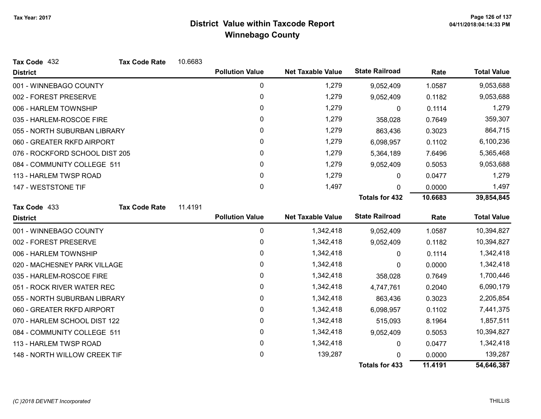| Tax Code 432                   | <b>Tax Code Rate</b> | 10.6683 |                        |                          |                       |         |                    |
|--------------------------------|----------------------|---------|------------------------|--------------------------|-----------------------|---------|--------------------|
| <b>District</b>                |                      |         | <b>Pollution Value</b> | <b>Net Taxable Value</b> | <b>State Railroad</b> | Rate    | <b>Total Value</b> |
| 001 - WINNEBAGO COUNTY         |                      |         | $\mathbf 0$            | 1,279                    | 9,052,409             | 1.0587  | 9,053,688          |
| 002 - FOREST PRESERVE          |                      |         | $\mathbf 0$            | 1,279                    | 9,052,409             | 0.1182  | 9,053,688          |
| 006 - HARLEM TOWNSHIP          |                      |         | 0                      | 1,279                    | 0                     | 0.1114  | 1,279              |
| 035 - HARLEM-ROSCOE FIRE       |                      |         | $\mathbf{0}$           | 1,279                    | 358,028               | 0.7649  | 359,307            |
| 055 - NORTH SUBURBAN LIBRARY   |                      |         | 0                      | 1,279                    | 863,436               | 0.3023  | 864,715            |
| 060 - GREATER RKFD AIRPORT     |                      |         | 0                      | 1,279                    | 6,098,957             | 0.1102  | 6,100,236          |
| 076 - ROCKFORD SCHOOL DIST 205 |                      |         | 0                      | 1,279                    | 5,364,189             | 7.6496  | 5,365,468          |
| 084 - COMMUNITY COLLEGE 511    |                      |         | $\mathbf{0}$           | 1,279                    | 9,052,409             | 0.5053  | 9,053,688          |
| 113 - HARLEM TWSP ROAD         |                      |         | $\mathbf 0$            | 1,279                    | 0                     | 0.0477  | 1,279              |
| 147 - WESTSTONE TIF            |                      |         | $\mathbf 0$            | 1,497                    | $\Omega$              | 0.0000  | 1,497              |
|                                |                      |         |                        |                          | <b>Totals for 432</b> | 10.6683 | 39,854,845         |
| Tax Code 433                   | <b>Tax Code Rate</b> | 11.4191 |                        |                          |                       |         |                    |
| <b>District</b>                |                      |         | <b>Pollution Value</b> | <b>Net Taxable Value</b> | <b>State Railroad</b> | Rate    | <b>Total Value</b> |
| 001 - WINNEBAGO COUNTY         |                      |         | 0                      | 1,342,418                | 9,052,409             | 1.0587  | 10,394,827         |
| 002 - FOREST PRESERVE          |                      |         | 0                      | 1,342,418                | 9,052,409             | 0.1182  | 10,394,827         |
| 006 - HARLEM TOWNSHIP          |                      |         | 0                      | 1,342,418                | 0                     | 0.1114  | 1,342,418          |
| 020 - MACHESNEY PARK VILLAGE   |                      |         | 0                      | 1,342,418                | 0                     | 0.0000  | 1,342,418          |
| 035 - HARLEM-ROSCOE FIRE       |                      |         | 0                      | 1,342,418                | 358,028               | 0.7649  | 1,700,446          |
| 051 - ROCK RIVER WATER REC     |                      |         | 0                      | 1,342,418                | 4,747,761             | 0.2040  | 6,090,179          |
| 055 - NORTH SUBURBAN LIBRARY   |                      |         | 0                      | 1,342,418                | 863,436               | 0.3023  | 2,205,854          |
| 060 - GREATER RKFD AIRPORT     |                      |         | $\mathbf 0$            | 1,342,418                | 6,098,957             | 0.1102  | 7,441,375          |
| 070 - HARLEM SCHOOL DIST 122   |                      |         | 0                      | 1,342,418                | 515,093               | 8.1964  | 1,857,511          |
| 084 - COMMUNITY COLLEGE 511    |                      |         | $\mathbf 0$            | 1,342,418                | 9,052,409             | 0.5053  | 10,394,827         |
| 113 - HARLEM TWSP ROAD         |                      |         | $\mathbf 0$            | 1,342,418                | 0                     | 0.0477  | 1,342,418          |
| 148 - NORTH WILLOW CREEK TIF   |                      |         | 0                      | 139,287                  | U                     | 0.0000  | 139,287            |
|                                |                      |         |                        |                          | <b>Totals for 433</b> | 11.4191 | 54,646,387         |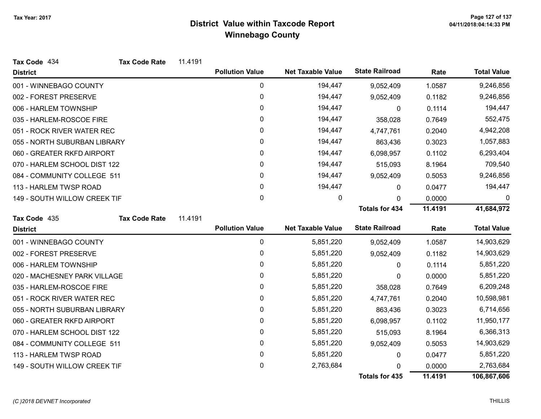| Tax Code 434                 | <b>Tax Code Rate</b> | 11.4191 |                        |                          |                       |         |                    |
|------------------------------|----------------------|---------|------------------------|--------------------------|-----------------------|---------|--------------------|
| <b>District</b>              |                      |         | <b>Pollution Value</b> | <b>Net Taxable Value</b> | <b>State Railroad</b> | Rate    | <b>Total Value</b> |
| 001 - WINNEBAGO COUNTY       |                      |         | 0                      | 194,447                  | 9,052,409             | 1.0587  | 9,246,856          |
| 002 - FOREST PRESERVE        |                      |         | 0                      | 194,447                  | 9,052,409             | 0.1182  | 9,246,856          |
| 006 - HARLEM TOWNSHIP        |                      |         | 0                      | 194,447                  | 0                     | 0.1114  | 194,447            |
| 035 - HARLEM-ROSCOE FIRE     |                      |         | 0                      | 194,447                  | 358,028               | 0.7649  | 552,475            |
| 051 - ROCK RIVER WATER REC   |                      |         | 0                      | 194,447                  | 4,747,761             | 0.2040  | 4,942,208          |
| 055 - NORTH SUBURBAN LIBRARY |                      |         | 0                      | 194,447                  | 863,436               | 0.3023  | 1,057,883          |
| 060 - GREATER RKFD AIRPORT   |                      |         | 0                      | 194,447                  | 6,098,957             | 0.1102  | 6,293,404          |
| 070 - HARLEM SCHOOL DIST 122 |                      |         | $\mathbf 0$            | 194,447                  | 515,093               | 8.1964  | 709,540            |
| 084 - COMMUNITY COLLEGE 511  |                      |         | 0                      | 194,447                  | 9,052,409             | 0.5053  | 9,246,856          |
| 113 - HARLEM TWSP ROAD       |                      |         | $\pmb{0}$              | 194,447                  | 0                     | 0.0477  | 194,447            |
| 149 - SOUTH WILLOW CREEK TIF |                      |         | 0                      | 0                        | 0                     | 0.0000  | 0                  |
|                              |                      |         |                        |                          | <b>Totals for 434</b> | 11.4191 | 41,684,972         |
| Tax Code 435                 | <b>Tax Code Rate</b> | 11.4191 |                        |                          |                       |         |                    |
| <b>District</b>              |                      |         | <b>Pollution Value</b> | <b>Net Taxable Value</b> | <b>State Railroad</b> | Rate    | <b>Total Value</b> |
| 001 - WINNEBAGO COUNTY       |                      |         | 0                      | 5,851,220                | 9,052,409             | 1.0587  | 14,903,629         |
| 002 - FOREST PRESERVE        |                      |         | 0                      | 5,851,220                | 9,052,409             | 0.1182  | 14,903,629         |
| 006 - HARLEM TOWNSHIP        |                      |         | $\pmb{0}$              | 5,851,220                | 0                     | 0.1114  | 5,851,220          |
| 020 - MACHESNEY PARK VILLAGE |                      |         | 0                      | 5,851,220                | 0                     | 0.0000  | 5,851,220          |
| 035 - HARLEM-ROSCOE FIRE     |                      |         | 0                      | 5,851,220                | 358,028               | 0.7649  | 6,209,248          |
| 051 - ROCK RIVER WATER REC   |                      |         | 0                      | 5,851,220                | 4,747,761             | 0.2040  | 10,598,981         |
| 055 - NORTH SUBURBAN LIBRARY |                      |         | 0                      | 5,851,220                | 863,436               | 0.3023  | 6,714,656          |
| 060 - GREATER RKFD AIRPORT   |                      |         | 0                      | 5,851,220                | 6,098,957             | 0.1102  | 11,950,177         |
| 070 - HARLEM SCHOOL DIST 122 |                      |         | 0                      | 5,851,220                | 515,093               | 8.1964  | 6,366,313          |
| 084 - COMMUNITY COLLEGE 511  |                      |         | 0                      | 5,851,220                | 9,052,409             | 0.5053  | 14,903,629         |
| 113 - HARLEM TWSP ROAD       |                      |         | $\pmb{0}$              | 5,851,220                | 0                     | 0.0477  | 5,851,220          |
| 149 - SOUTH WILLOW CREEK TIF |                      |         | 0                      | 2,763,684                | $\Omega$              | 0.0000  | 2,763,684          |
|                              |                      |         |                        |                          | <b>Totals for 435</b> | 11.4191 | 106,867,606        |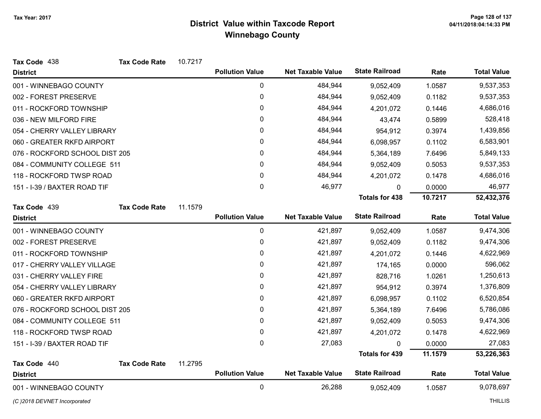| Tax Code 438                   | <b>Tax Code Rate</b> | 10.7217 |                        |                          |                       |         |                    |
|--------------------------------|----------------------|---------|------------------------|--------------------------|-----------------------|---------|--------------------|
| <b>District</b>                |                      |         | <b>Pollution Value</b> | <b>Net Taxable Value</b> | <b>State Railroad</b> | Rate    | <b>Total Value</b> |
| 001 - WINNEBAGO COUNTY         |                      |         | $\pmb{0}$              | 484,944                  | 9,052,409             | 1.0587  | 9,537,353          |
| 002 - FOREST PRESERVE          |                      |         | 0                      | 484,944                  | 9,052,409             | 0.1182  | 9,537,353          |
| 011 - ROCKFORD TOWNSHIP        |                      |         | 0                      | 484,944                  | 4,201,072             | 0.1446  | 4,686,016          |
| 036 - NEW MILFORD FIRE         |                      |         | 0                      | 484,944                  | 43,474                | 0.5899  | 528,418            |
| 054 - CHERRY VALLEY LIBRARY    |                      |         | 0                      | 484,944                  | 954,912               | 0.3974  | 1,439,856          |
| 060 - GREATER RKFD AIRPORT     |                      |         | 0                      | 484,944                  | 6,098,957             | 0.1102  | 6,583,901          |
| 076 - ROCKFORD SCHOOL DIST 205 |                      |         | 0                      | 484,944                  | 5,364,189             | 7.6496  | 5,849,133          |
| 084 - COMMUNITY COLLEGE 511    |                      |         | 0                      | 484,944                  | 9,052,409             | 0.5053  | 9,537,353          |
| 118 - ROCKFORD TWSP ROAD       |                      |         | 0                      | 484,944                  | 4,201,072             | 0.1478  | 4,686,016          |
| 151 - I-39 / BAXTER ROAD TIF   |                      |         | 0                      | 46,977                   | $\mathbf{0}$          | 0.0000  | 46,977             |
|                                |                      |         |                        |                          | <b>Totals for 438</b> | 10.7217 | 52,432,376         |
| Tax Code 439                   | <b>Tax Code Rate</b> | 11.1579 |                        |                          |                       |         |                    |
| <b>District</b>                |                      |         | <b>Pollution Value</b> | <b>Net Taxable Value</b> | <b>State Railroad</b> | Rate    | <b>Total Value</b> |
| 001 - WINNEBAGO COUNTY         |                      |         | $\mathbf 0$            | 421,897                  | 9,052,409             | 1.0587  | 9,474,306          |
| 002 - FOREST PRESERVE          |                      |         | 0                      | 421,897                  | 9,052,409             | 0.1182  | 9,474,306          |
| 011 - ROCKFORD TOWNSHIP        |                      |         | 0                      | 421,897                  | 4,201,072             | 0.1446  | 4,622,969          |
| 017 - CHERRY VALLEY VILLAGE    |                      |         | 0                      | 421,897                  | 174,165               | 0.0000  | 596,062            |
| 031 - CHERRY VALLEY FIRE       |                      |         | 0                      | 421,897                  | 828,716               | 1.0261  | 1,250,613          |
| 054 - CHERRY VALLEY LIBRARY    |                      |         | 0                      | 421,897                  | 954,912               | 0.3974  | 1,376,809          |
| 060 - GREATER RKFD AIRPORT     |                      |         | 0                      | 421,897                  | 6,098,957             | 0.1102  | 6,520,854          |
| 076 - ROCKFORD SCHOOL DIST 205 |                      |         | 0                      | 421,897                  | 5,364,189             | 7.6496  | 5,786,086          |
| 084 - COMMUNITY COLLEGE 511    |                      |         | 0                      | 421,897                  | 9,052,409             | 0.5053  | 9,474,306          |
| 118 - ROCKFORD TWSP ROAD       |                      |         | 0                      | 421,897                  | 4,201,072             | 0.1478  | 4,622,969          |
| 151 - I-39 / BAXTER ROAD TIF   |                      |         | 0                      | 27,083                   | $\Omega$              | 0.0000  | 27,083             |
|                                |                      |         |                        |                          | <b>Totals for 439</b> | 11.1579 | 53,226,363         |
| Tax Code 440                   | <b>Tax Code Rate</b> | 11.2795 |                        |                          |                       |         |                    |
| <b>District</b>                |                      |         | <b>Pollution Value</b> | <b>Net Taxable Value</b> | <b>State Railroad</b> | Rate    | <b>Total Value</b> |
| 001 - WINNEBAGO COUNTY         |                      |         | $\mathbf 0$            | 26,288                   | 9,052,409             | 1.0587  | 9,078,697          |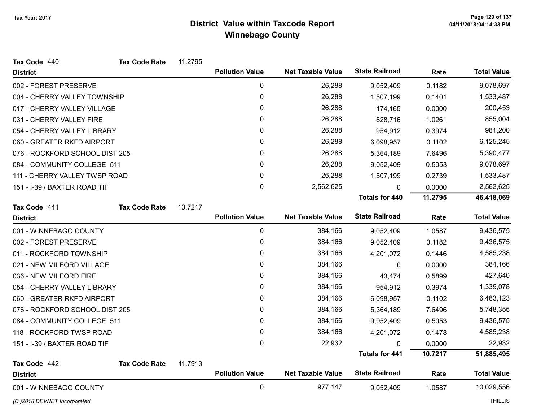| Tax Code 440                   | <b>Tax Code Rate</b> | 11.2795 |                        |                          |                       |         |                    |
|--------------------------------|----------------------|---------|------------------------|--------------------------|-----------------------|---------|--------------------|
| <b>District</b>                |                      |         | <b>Pollution Value</b> | <b>Net Taxable Value</b> | <b>State Railroad</b> | Rate    | <b>Total Value</b> |
| 002 - FOREST PRESERVE          |                      |         | 0                      | 26,288                   | 9,052,409             | 0.1182  | 9,078,697          |
| 004 - CHERRY VALLEY TOWNSHIP   |                      |         | 0                      | 26,288                   | 1,507,199             | 0.1401  | 1,533,487          |
| 017 - CHERRY VALLEY VILLAGE    |                      |         | 0                      | 26,288                   | 174,165               | 0.0000  | 200,453            |
| 031 - CHERRY VALLEY FIRE       |                      |         | 0                      | 26,288                   | 828,716               | 1.0261  | 855,004            |
| 054 - CHERRY VALLEY LIBRARY    |                      |         | 0                      | 26,288                   | 954,912               | 0.3974  | 981,200            |
| 060 - GREATER RKFD AIRPORT     |                      |         | 0                      | 26,288                   | 6,098,957             | 0.1102  | 6,125,245          |
| 076 - ROCKFORD SCHOOL DIST 205 |                      |         | 0                      | 26,288                   | 5,364,189             | 7.6496  | 5,390,477          |
| 084 - COMMUNITY COLLEGE 511    |                      |         | 0                      | 26,288                   | 9,052,409             | 0.5053  | 9,078,697          |
| 111 - CHERRY VALLEY TWSP ROAD  |                      |         | 0                      | 26,288                   | 1,507,199             | 0.2739  | 1,533,487          |
| 151 - I-39 / BAXTER ROAD TIF   |                      |         | 0                      | 2,562,625                | 0                     | 0.0000  | 2,562,625          |
|                                |                      |         |                        |                          | <b>Totals for 440</b> | 11.2795 | 46,418,069         |
| Tax Code 441                   | <b>Tax Code Rate</b> | 10.7217 |                        |                          |                       |         |                    |
| <b>District</b>                |                      |         | <b>Pollution Value</b> | <b>Net Taxable Value</b> | <b>State Railroad</b> | Rate    | <b>Total Value</b> |
| 001 - WINNEBAGO COUNTY         |                      |         | 0                      | 384,166                  | 9,052,409             | 1.0587  | 9,436,575          |
| 002 - FOREST PRESERVE          |                      |         | 0                      | 384,166                  | 9,052,409             | 0.1182  | 9,436,575          |
| 011 - ROCKFORD TOWNSHIP        |                      |         | 0                      | 384,166                  | 4,201,072             | 0.1446  | 4,585,238          |
| 021 - NEW MILFORD VILLAGE      |                      |         | 0                      | 384,166                  | 0                     | 0.0000  | 384,166            |
| 036 - NEW MILFORD FIRE         |                      |         | 0                      | 384,166                  | 43,474                | 0.5899  | 427,640            |
| 054 - CHERRY VALLEY LIBRARY    |                      |         | 0                      | 384,166                  | 954,912               | 0.3974  | 1,339,078          |
| 060 - GREATER RKFD AIRPORT     |                      |         | 0                      | 384,166                  | 6,098,957             | 0.1102  | 6,483,123          |
| 076 - ROCKFORD SCHOOL DIST 205 |                      |         | 0                      | 384,166                  | 5,364,189             | 7.6496  | 5,748,355          |
| 084 - COMMUNITY COLLEGE 511    |                      |         | 0                      | 384,166                  | 9,052,409             | 0.5053  | 9,436,575          |
| 118 - ROCKFORD TWSP ROAD       |                      |         | 0                      | 384,166                  | 4,201,072             | 0.1478  | 4,585,238          |
| 151 - I-39 / BAXTER ROAD TIF   |                      |         | 0                      | 22,932                   | $\mathbf{0}$          | 0.0000  | 22,932             |
|                                |                      |         |                        |                          | <b>Totals for 441</b> | 10.7217 | 51,885,495         |
| Tax Code 442                   | <b>Tax Code Rate</b> | 11.7913 |                        |                          |                       |         |                    |
| <b>District</b>                |                      |         | <b>Pollution Value</b> | <b>Net Taxable Value</b> | <b>State Railroad</b> | Rate    | <b>Total Value</b> |
| 001 - WINNEBAGO COUNTY         |                      |         | 0                      | 977,147                  | 9,052,409             | 1.0587  | 10,029,556         |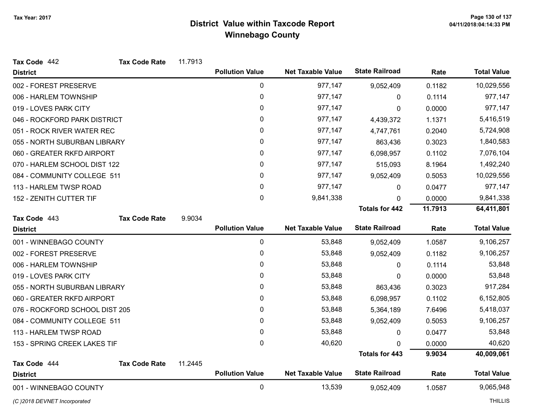| Tax Code 442                   | <b>Tax Code Rate</b> | 11.7913 |                        |                          |                       |         |                    |
|--------------------------------|----------------------|---------|------------------------|--------------------------|-----------------------|---------|--------------------|
| <b>District</b>                |                      |         | <b>Pollution Value</b> | <b>Net Taxable Value</b> | <b>State Railroad</b> | Rate    | <b>Total Value</b> |
| 002 - FOREST PRESERVE          |                      |         | $\pmb{0}$              | 977,147                  | 9,052,409             | 0.1182  | 10,029,556         |
| 006 - HARLEM TOWNSHIP          |                      |         | 0                      | 977,147                  | 0                     | 0.1114  | 977,147            |
| 019 - LOVES PARK CITY          |                      |         | 0                      | 977,147                  | $\Omega$              | 0.0000  | 977,147            |
| 046 - ROCKFORD PARK DISTRICT   |                      |         | 0                      | 977,147                  | 4,439,372             | 1.1371  | 5,416,519          |
| 051 - ROCK RIVER WATER REC     |                      |         | 0                      | 977,147                  | 4,747,761             | 0.2040  | 5,724,908          |
| 055 - NORTH SUBURBAN LIBRARY   |                      |         | 0                      | 977,147                  | 863,436               | 0.3023  | 1,840,583          |
| 060 - GREATER RKFD AIRPORT     |                      |         | 0                      | 977,147                  | 6,098,957             | 0.1102  | 7,076,104          |
| 070 - HARLEM SCHOOL DIST 122   |                      |         | 0                      | 977,147                  | 515,093               | 8.1964  | 1,492,240          |
| 084 - COMMUNITY COLLEGE 511    |                      |         | 0                      | 977,147                  | 9,052,409             | 0.5053  | 10,029,556         |
| 113 - HARLEM TWSP ROAD         |                      |         | 0                      | 977,147                  | 0                     | 0.0477  | 977,147            |
| 152 - ZENITH CUTTER TIF        |                      |         | 0                      | 9,841,338                | $\Omega$              | 0.0000  | 9,841,338          |
|                                |                      |         |                        |                          | <b>Totals for 442</b> | 11.7913 | 64,411,801         |
| Tax Code 443                   | <b>Tax Code Rate</b> | 9.9034  |                        |                          |                       |         |                    |
| <b>District</b>                |                      |         | <b>Pollution Value</b> | <b>Net Taxable Value</b> | <b>State Railroad</b> | Rate    | <b>Total Value</b> |
| 001 - WINNEBAGO COUNTY         |                      |         | $\mathbf 0$            | 53,848                   | 9,052,409             | 1.0587  | 9,106,257          |
| 002 - FOREST PRESERVE          |                      |         | 0                      | 53,848                   | 9,052,409             | 0.1182  | 9,106,257          |
| 006 - HARLEM TOWNSHIP          |                      |         | 0                      | 53,848                   | 0                     | 0.1114  | 53,848             |
| 019 - LOVES PARK CITY          |                      |         | 0                      | 53,848                   | 0                     | 0.0000  | 53,848             |
| 055 - NORTH SUBURBAN LIBRARY   |                      |         | 0                      | 53,848                   | 863,436               | 0.3023  | 917,284            |
| 060 - GREATER RKFD AIRPORT     |                      |         | 0                      | 53,848                   | 6,098,957             | 0.1102  | 6,152,805          |
| 076 - ROCKFORD SCHOOL DIST 205 |                      |         | 0                      | 53,848                   | 5,364,189             | 7.6496  | 5,418,037          |
| 084 - COMMUNITY COLLEGE 511    |                      |         | 0                      | 53,848                   | 9,052,409             | 0.5053  | 9,106,257          |
| 113 - HARLEM TWSP ROAD         |                      |         | 0                      | 53,848                   | 0                     | 0.0477  | 53,848             |
| 153 - SPRING CREEK LAKES TIF   |                      |         | 0                      | 40,620                   | 0                     | 0.0000  | 40,620             |
|                                |                      |         |                        |                          | <b>Totals for 443</b> | 9.9034  | 40,009,061         |
| Tax Code 444                   | <b>Tax Code Rate</b> | 11.2445 |                        |                          |                       |         |                    |
| <b>District</b>                |                      |         | <b>Pollution Value</b> | <b>Net Taxable Value</b> | <b>State Railroad</b> | Rate    | <b>Total Value</b> |
| 001 - WINNEBAGO COUNTY         |                      |         | $\pmb{0}$              | 13,539                   | 9,052,409             | 1.0587  | 9,065,948          |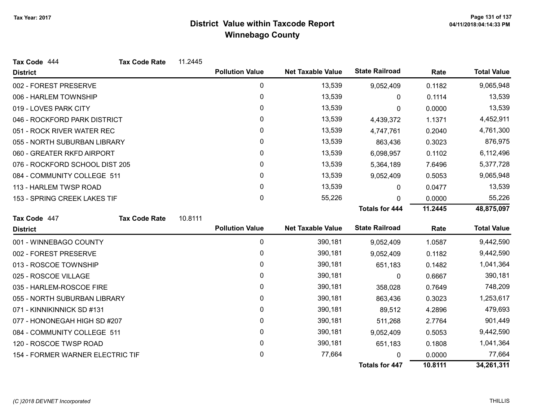| Tax Code 444                     | <b>Tax Code Rate</b> | 11.2445 |                        |                          |                       |         |                    |
|----------------------------------|----------------------|---------|------------------------|--------------------------|-----------------------|---------|--------------------|
| <b>District</b>                  |                      |         | <b>Pollution Value</b> | <b>Net Taxable Value</b> | <b>State Railroad</b> | Rate    | <b>Total Value</b> |
| 002 - FOREST PRESERVE            |                      |         | 0                      | 13,539                   | 9,052,409             | 0.1182  | 9,065,948          |
| 006 - HARLEM TOWNSHIP            |                      |         | 0                      | 13,539                   | 0                     | 0.1114  | 13,539             |
| 019 - LOVES PARK CITY            |                      |         | 0                      | 13,539                   | 0                     | 0.0000  | 13,539             |
| 046 - ROCKFORD PARK DISTRICT     |                      |         | $\mathbf{0}$           | 13,539                   | 4,439,372             | 1.1371  | 4,452,911          |
| 051 - ROCK RIVER WATER REC       |                      |         | 0                      | 13,539                   | 4,747,761             | 0.2040  | 4,761,300          |
| 055 - NORTH SUBURBAN LIBRARY     |                      |         | 0                      | 13,539                   | 863,436               | 0.3023  | 876,975            |
| 060 - GREATER RKFD AIRPORT       |                      |         | 0                      | 13,539                   | 6,098,957             | 0.1102  | 6,112,496          |
| 076 - ROCKFORD SCHOOL DIST 205   |                      |         | 0                      | 13,539                   | 5,364,189             | 7.6496  | 5,377,728          |
| 084 - COMMUNITY COLLEGE 511      |                      |         | 0                      | 13,539                   | 9,052,409             | 0.5053  | 9,065,948          |
| 113 - HARLEM TWSP ROAD           |                      |         | $\mathbf{0}$           | 13,539                   | 0                     | 0.0477  | 13,539             |
| 153 - SPRING CREEK LAKES TIF     |                      |         | 0                      | 55,226                   | 0                     | 0.0000  | 55,226             |
|                                  |                      |         |                        |                          | <b>Totals for 444</b> | 11.2445 | 48,875,097         |
| Tax Code 447                     | <b>Tax Code Rate</b> | 10.8111 |                        |                          |                       |         |                    |
| <b>District</b>                  |                      |         | <b>Pollution Value</b> | <b>Net Taxable Value</b> | <b>State Railroad</b> | Rate    | <b>Total Value</b> |
| 001 - WINNEBAGO COUNTY           |                      |         | 0                      | 390,181                  | 9,052,409             | 1.0587  | 9,442,590          |
| 002 - FOREST PRESERVE            |                      |         | 0                      | 390,181                  | 9,052,409             | 0.1182  | 9,442,590          |
| 013 - ROSCOE TOWNSHIP            |                      |         | 0                      | 390,181                  | 651,183               | 0.1482  | 1,041,364          |
| 025 - ROSCOE VILLAGE             |                      |         | 0                      | 390,181                  | 0                     | 0.6667  | 390,181            |
| 035 - HARLEM-ROSCOE FIRE         |                      |         | 0                      | 390,181                  | 358,028               | 0.7649  | 748,209            |
| 055 - NORTH SUBURBAN LIBRARY     |                      |         | 0                      | 390,181                  | 863,436               | 0.3023  | 1,253,617          |
| 071 - KINNIKINNICK SD #131       |                      |         | 0                      | 390,181                  | 89,512                | 4.2896  | 479,693            |
| 077 - HONONEGAH HIGH SD #207     |                      |         | 0                      | 390,181                  | 511,268               | 2.7764  | 901,449            |
| 084 - COMMUNITY COLLEGE 511      |                      |         | 0                      | 390,181                  | 9,052,409             | 0.5053  | 9,442,590          |
| 120 - ROSCOE TWSP ROAD           |                      |         | 0                      | 390,181                  | 651,183               | 0.1808  | 1,041,364          |
| 154 - FORMER WARNER ELECTRIC TIF |                      |         | 0                      | 77,664                   | 0                     | 0.0000  | 77,664             |
|                                  |                      |         |                        |                          | <b>Totals for 447</b> | 10.8111 | 34,261,311         |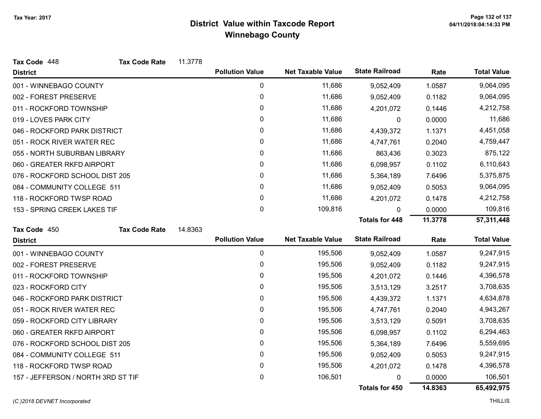| Tax Code 448                       | <b>Tax Code Rate</b> | 11.3778 |                        |                          |                       |         |                    |
|------------------------------------|----------------------|---------|------------------------|--------------------------|-----------------------|---------|--------------------|
| <b>District</b>                    |                      |         | <b>Pollution Value</b> | <b>Net Taxable Value</b> | <b>State Railroad</b> | Rate    | <b>Total Value</b> |
| 001 - WINNEBAGO COUNTY             |                      |         | 0                      | 11,686                   | 9,052,409             | 1.0587  | 9,064,095          |
| 002 - FOREST PRESERVE              |                      |         | 0                      | 11,686                   | 9,052,409             | 0.1182  | 9,064,095          |
| 011 - ROCKFORD TOWNSHIP            |                      |         | 0                      | 11,686                   | 4,201,072             | 0.1446  | 4,212,758          |
| 019 - LOVES PARK CITY              |                      |         | 0                      | 11,686                   | $\mathbf 0$           | 0.0000  | 11,686             |
| 046 - ROCKFORD PARK DISTRICT       |                      |         | 0                      | 11,686                   | 4,439,372             | 1.1371  | 4,451,058          |
| 051 - ROCK RIVER WATER REC         |                      |         | 0                      | 11,686                   | 4,747,761             | 0.2040  | 4,759,447          |
| 055 - NORTH SUBURBAN LIBRARY       |                      |         | 0                      | 11,686                   | 863,436               | 0.3023  | 875,122            |
| 060 - GREATER RKFD AIRPORT         |                      |         | 0                      | 11,686                   | 6,098,957             | 0.1102  | 6,110,643          |
| 076 - ROCKFORD SCHOOL DIST 205     |                      |         | 0                      | 11,686                   | 5,364,189             | 7.6496  | 5,375,875          |
| 084 - COMMUNITY COLLEGE 511        |                      |         | 0                      | 11,686                   | 9,052,409             | 0.5053  | 9,064,095          |
| 118 - ROCKFORD TWSP ROAD           |                      |         | 0                      | 11,686                   | 4,201,072             | 0.1478  | 4,212,758          |
| 153 - SPRING CREEK LAKES TIF       |                      |         | 0                      | 109,816                  | $\mathbf{0}$          | 0.0000  | 109,816            |
|                                    |                      |         |                        |                          | <b>Totals for 448</b> | 11.3778 | 57,311,448         |
| Tax Code 450                       | <b>Tax Code Rate</b> | 14.8363 |                        |                          |                       |         |                    |
| <b>District</b>                    |                      |         | <b>Pollution Value</b> | <b>Net Taxable Value</b> | <b>State Railroad</b> | Rate    | <b>Total Value</b> |
| 001 - WINNEBAGO COUNTY             |                      |         | $\pmb{0}$              | 195,506                  | 9,052,409             | 1.0587  | 9,247,915          |
| 002 - FOREST PRESERVE              |                      |         | 0                      | 195,506                  | 9,052,409             | 0.1182  | 9,247,915          |
| 011 - ROCKFORD TOWNSHIP            |                      |         | 0                      | 195,506                  | 4,201,072             | 0.1446  | 4,396,578          |
| 023 - ROCKFORD CITY                |                      |         | 0                      | 195,506                  | 3,513,129             | 3.2517  | 3,708,635          |
| 046 - ROCKFORD PARK DISTRICT       |                      |         | 0                      | 195,506                  | 4,439,372             | 1.1371  | 4,634,878          |
| 051 - ROCK RIVER WATER REC         |                      |         | 0                      | 195,506                  | 4,747,761             | 0.2040  | 4,943,267          |
| 059 - ROCKFORD CITY LIBRARY        |                      |         | 0                      | 195,506                  | 3,513,129             | 0.5091  | 3,708,635          |
| 060 - GREATER RKFD AIRPORT         |                      |         | 0                      | 195,506                  | 6,098,957             | 0.1102  | 6,294,463          |
| 076 - ROCKFORD SCHOOL DIST 205     |                      |         | 0                      | 195,506                  | 5,364,189             | 7.6496  | 5,559,695          |
| 084 - COMMUNITY COLLEGE 511        |                      |         | 0                      | 195,506                  | 9,052,409             | 0.5053  | 9,247,915          |
| 118 - ROCKFORD TWSP ROAD           |                      |         | 0                      | 195,506                  | 4,201,072             | 0.1478  | 4,396,578          |
| 157 - JEFFERSON / NORTH 3RD ST TIF |                      |         | 0                      | 106,501                  | $\mathbf{0}$          | 0.0000  | 106,501            |
|                                    |                      |         |                        |                          | <b>Totals for 450</b> | 14.8363 | 65,492,975         |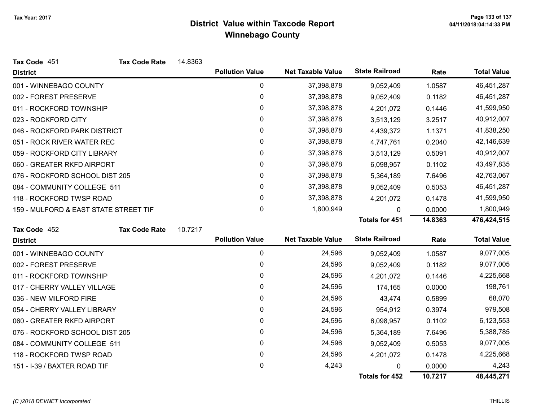| Tax Code 451                          | <b>Tax Code Rate</b> | 14.8363 |                        |                          |                       |           |                    |
|---------------------------------------|----------------------|---------|------------------------|--------------------------|-----------------------|-----------|--------------------|
| <b>District</b>                       |                      |         | <b>Pollution Value</b> | <b>Net Taxable Value</b> | <b>State Railroad</b> | Rate      | <b>Total Value</b> |
| 001 - WINNEBAGO COUNTY                |                      |         | 0                      | 37,398,878               | 9,052,409             | 1.0587    | 46,451,287         |
| 002 - FOREST PRESERVE                 |                      |         | 0                      | 37,398,878               | 9,052,409             | 0.1182    | 46,451,287         |
| 011 - ROCKFORD TOWNSHIP               |                      |         | 0                      | 37,398,878               | 4,201,072             | 0.1446    | 41,599,950         |
| 023 - ROCKFORD CITY                   |                      |         | 0                      | 37,398,878               | 3,513,129             | 3.2517    | 40,912,007         |
| 046 - ROCKFORD PARK DISTRICT          |                      |         | 0                      | 37,398,878               | 4,439,372             | 1.1371    | 41,838,250         |
| 051 - ROCK RIVER WATER REC            |                      |         | 0                      | 37,398,878               | 4,747,761             | 0.2040    | 42,146,639         |
| 059 - ROCKFORD CITY LIBRARY           |                      |         | 0                      | 37,398,878               | 3,513,129             | 0.5091    | 40,912,007         |
| 060 - GREATER RKFD AIRPORT            |                      |         | 0                      | 37,398,878               | 6,098,957             | 0.1102    | 43,497,835         |
| 076 - ROCKFORD SCHOOL DIST 205        |                      |         | 0                      | 37,398,878               | 5,364,189             | 7.6496    | 42,763,067         |
| 084 - COMMUNITY COLLEGE 511           |                      |         | 0                      | 37,398,878               | 9,052,409             | 0.5053    | 46,451,287         |
| 118 - ROCKFORD TWSP ROAD              |                      |         | 0                      | 37,398,878               | 4,201,072             | 0.1478    | 41,599,950         |
| 159 - MULFORD & EAST STATE STREET TIF |                      |         | 0                      | 1,800,949                | 0                     | 0.0000    | 1,800,949          |
|                                       |                      |         |                        |                          | <b>Totals for 451</b> | 14.8363   | 476,424,515        |
| Tax Code 452                          | <b>Tax Code Rate</b> | 10.7217 |                        |                          |                       |           |                    |
| <b>District</b>                       |                      |         | <b>Pollution Value</b> | <b>Net Taxable Value</b> | <b>State Railroad</b> | Rate      | <b>Total Value</b> |
| 001 - WINNEBAGO COUNTY                |                      |         | 0                      | 24,596                   | 9,052,409             | 1.0587    | 9,077,005          |
| 002 - FOREST PRESERVE                 |                      |         | 0                      | 24,596                   | 9,052,409             | 0.1182    | 9,077,005          |
| 011 - ROCKFORD TOWNSHIP               |                      |         | 0                      | 24,596                   | 4,201,072             | 0.1446    | 4,225,668          |
| 017 - CHERRY VALLEY VILLAGE           |                      |         | 0                      | 24,596                   | 174,165               | 0.0000    | 198,761            |
| 036 - NEW MILFORD FIRE                |                      |         | 0                      | 24,596                   | 43,474                | 0.5899    | 68,070             |
| 054 - CHERRY VALLEY LIBRARY           |                      |         | 0                      | 24,596                   | 954,912               | 0.3974    | 979,508            |
| 060 - GREATER RKFD AIRPORT            |                      |         | 0                      | 24,596                   | 6,098,957             | 0.1102    | 6,123,553          |
| 076 - ROCKFORD SCHOOL DIST 205        |                      |         | 0                      | 24,596                   | 5,364,189             | 7.6496    | 5,388,785          |
| 084 - COMMUNITY COLLEGE 511           |                      | 0       | 24,596                 | 9,052,409                | 0.5053                | 9,077,005 |                    |
| 118 - ROCKFORD TWSP ROAD              |                      | 0       | 24,596                 | 4,201,072                | 0.1478                | 4,225,668 |                    |
| 151 - I-39 / BAXTER ROAD TIF          |                      |         | 0                      | 4,243                    | N                     | 0.0000    | 4,243              |
|                                       |                      |         |                        |                          | <b>Totals for 452</b> | 10.7217   | 48,445,271         |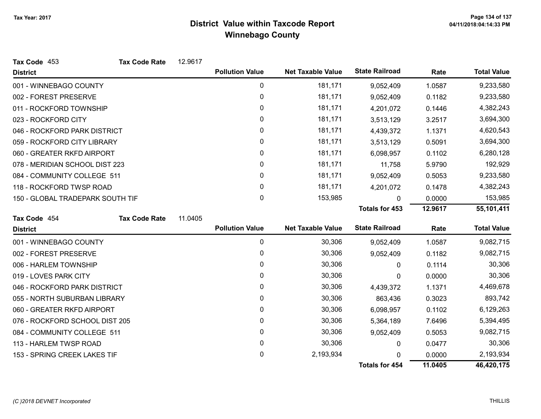| Tax Code 453                     | <b>Tax Code Rate</b> | 12.9617 |                        |                          |                       |         |                    |
|----------------------------------|----------------------|---------|------------------------|--------------------------|-----------------------|---------|--------------------|
| <b>District</b>                  |                      |         | <b>Pollution Value</b> | <b>Net Taxable Value</b> | <b>State Railroad</b> | Rate    | <b>Total Value</b> |
| 001 - WINNEBAGO COUNTY           |                      |         | $\pmb{0}$              | 181,171                  | 9,052,409             | 1.0587  | 9,233,580          |
| 002 - FOREST PRESERVE            |                      |         | 0                      | 181,171                  | 9,052,409             | 0.1182  | 9,233,580          |
| 011 - ROCKFORD TOWNSHIP          |                      |         | 0                      | 181,171                  | 4,201,072             | 0.1446  | 4,382,243          |
| 023 - ROCKFORD CITY              |                      |         | 0                      | 181,171                  | 3,513,129             | 3.2517  | 3,694,300          |
| 046 - ROCKFORD PARK DISTRICT     |                      |         | 0                      | 181,171                  | 4,439,372             | 1.1371  | 4,620,543          |
| 059 - ROCKFORD CITY LIBRARY      |                      |         | 0                      | 181,171                  | 3,513,129             | 0.5091  | 3,694,300          |
| 060 - GREATER RKFD AIRPORT       |                      |         | 0                      | 181,171                  | 6,098,957             | 0.1102  | 6,280,128          |
| 078 - MERIDIAN SCHOOL DIST 223   |                      |         | 0                      | 181,171                  | 11,758                | 5.9790  | 192,929            |
| 084 - COMMUNITY COLLEGE 511      |                      |         | 0                      | 181,171                  | 9,052,409             | 0.5053  | 9,233,580          |
| 118 - ROCKFORD TWSP ROAD         |                      |         | 0                      | 181,171                  | 4,201,072             | 0.1478  | 4,382,243          |
| 150 - GLOBAL TRADEPARK SOUTH TIF |                      |         | 0                      | 153,985                  | 0                     | 0.0000  | 153,985            |
|                                  |                      |         |                        |                          | <b>Totals for 453</b> | 12.9617 | 55,101,411         |
| Tax Code 454                     | <b>Tax Code Rate</b> | 11.0405 |                        |                          |                       |         |                    |
| <b>District</b>                  |                      |         | <b>Pollution Value</b> | <b>Net Taxable Value</b> | <b>State Railroad</b> | Rate    | <b>Total Value</b> |
| 001 - WINNEBAGO COUNTY           |                      |         | 0                      | 30,306                   | 9,052,409             | 1.0587  | 9,082,715          |
| 002 - FOREST PRESERVE            |                      |         | 0                      | 30,306                   | 9,052,409             | 0.1182  | 9,082,715          |
| 006 - HARLEM TOWNSHIP            |                      |         | 0                      | 30,306                   | 0                     | 0.1114  | 30,306             |
| 019 - LOVES PARK CITY            |                      |         | 0                      | 30,306                   | 0                     | 0.0000  | 30,306             |
| 046 - ROCKFORD PARK DISTRICT     |                      |         | 0                      | 30,306                   | 4,439,372             | 1.1371  | 4,469,678          |
| 055 - NORTH SUBURBAN LIBRARY     |                      |         | 0                      | 30,306                   | 863,436               | 0.3023  | 893,742            |
| 060 - GREATER RKFD AIRPORT       |                      |         | 0                      | 30,306                   | 6,098,957             | 0.1102  | 6,129,263          |
| 076 - ROCKFORD SCHOOL DIST 205   |                      |         | 0                      | 30,306                   | 5,364,189             | 7.6496  | 5,394,495          |
| 084 - COMMUNITY COLLEGE 511      |                      |         | 0                      | 30,306                   | 9,052,409             | 0.5053  | 9,082,715          |
| 113 - HARLEM TWSP ROAD           |                      | 0       | 30,306                 | 0                        | 0.0477                | 30,306  |                    |
| 153 - SPRING CREEK LAKES TIF     |                      |         | 0                      | 2,193,934                | 0                     | 0.0000  | 2,193,934          |
|                                  |                      |         |                        |                          | <b>Totals for 454</b> | 11.0405 | 46,420,175         |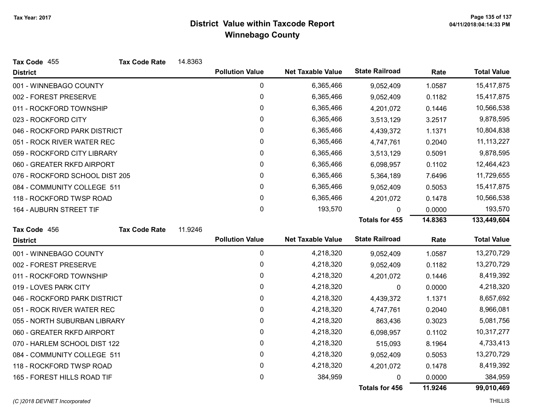| Tax Code 455                   | <b>Tax Code Rate</b> | 14.8363 |                        |                          |                       |            |                    |
|--------------------------------|----------------------|---------|------------------------|--------------------------|-----------------------|------------|--------------------|
| <b>District</b>                |                      |         | <b>Pollution Value</b> | <b>Net Taxable Value</b> | <b>State Railroad</b> | Rate       | <b>Total Value</b> |
| 001 - WINNEBAGO COUNTY         |                      |         | 0                      | 6,365,466                | 9,052,409             | 1.0587     | 15,417,875         |
| 002 - FOREST PRESERVE          |                      |         | 0                      | 6,365,466                | 9,052,409             | 0.1182     | 15,417,875         |
| 011 - ROCKFORD TOWNSHIP        |                      |         | 0                      | 6,365,466                | 4,201,072             | 0.1446     | 10,566,538         |
| 023 - ROCKFORD CITY            |                      |         | 0                      | 6,365,466                | 3,513,129             | 3.2517     | 9,878,595          |
| 046 - ROCKFORD PARK DISTRICT   |                      |         | 0                      | 6,365,466                | 4,439,372             | 1.1371     | 10,804,838         |
| 051 - ROCK RIVER WATER REC     |                      |         | 0                      | 6,365,466                | 4,747,761             | 0.2040     | 11, 113, 227       |
| 059 - ROCKFORD CITY LIBRARY    |                      |         | 0                      | 6,365,466                | 3,513,129             | 0.5091     | 9,878,595          |
| 060 - GREATER RKFD AIRPORT     |                      |         | 0                      | 6,365,466                | 6,098,957             | 0.1102     | 12,464,423         |
| 076 - ROCKFORD SCHOOL DIST 205 |                      |         | 0                      | 6,365,466                | 5,364,189             | 7.6496     | 11,729,655         |
| 084 - COMMUNITY COLLEGE 511    |                      |         | 0                      | 6,365,466                | 9,052,409             | 0.5053     | 15,417,875         |
| 118 - ROCKFORD TWSP ROAD       |                      |         | 0                      | 6,365,466                | 4,201,072             | 0.1478     | 10,566,538         |
| 164 - AUBURN STREET TIF        |                      |         | $\mathbf 0$            | 193,570                  | 0                     | 0.0000     | 193,570            |
|                                |                      |         |                        |                          | <b>Totals for 455</b> | 14.8363    | 133,449,604        |
| Tax Code 456                   | <b>Tax Code Rate</b> | 11.9246 |                        |                          |                       |            |                    |
| <b>District</b>                |                      |         | <b>Pollution Value</b> | <b>Net Taxable Value</b> | <b>State Railroad</b> | Rate       | <b>Total Value</b> |
| 001 - WINNEBAGO COUNTY         |                      |         | $\mathbf 0$            | 4,218,320                | 9,052,409             | 1.0587     | 13,270,729         |
| 002 - FOREST PRESERVE          |                      |         | 0                      | 4,218,320                | 9,052,409             | 0.1182     | 13,270,729         |
| 011 - ROCKFORD TOWNSHIP        |                      |         | $\pmb{0}$              | 4,218,320                | 4,201,072             | 0.1446     | 8,419,392          |
| 019 - LOVES PARK CITY          |                      |         | 0                      | 4,218,320                | 0                     | 0.0000     | 4,218,320          |
| 046 - ROCKFORD PARK DISTRICT   |                      |         | 0                      | 4,218,320                | 4,439,372             | 1.1371     | 8,657,692          |
| 051 - ROCK RIVER WATER REC     |                      |         | 0                      | 4,218,320                | 4,747,761             | 0.2040     | 8,966,081          |
| 055 - NORTH SUBURBAN LIBRARY   |                      |         | 0                      | 4,218,320                | 863,436               | 0.3023     | 5,081,756          |
| 060 - GREATER RKFD AIRPORT     |                      |         | 0                      | 4,218,320                | 6,098,957             | 0.1102     | 10,317,277         |
| 070 - HARLEM SCHOOL DIST 122   |                      | 0       | 4,218,320              | 515,093                  | 8.1964                | 4,733,413  |                    |
| 084 - COMMUNITY COLLEGE 511    |                      | 0       | 4,218,320              | 9,052,409                | 0.5053                | 13,270,729 |                    |
| 118 - ROCKFORD TWSP ROAD       |                      | 0       | 4,218,320              | 4,201,072                | 0.1478                | 8,419,392  |                    |
| 165 - FOREST HILLS ROAD TIF    |                      |         | 0                      | 384,959                  | 0                     | 0.0000     | 384,959            |
|                                |                      |         |                        |                          | Totals for 456        | 11.9246    | 99,010,469         |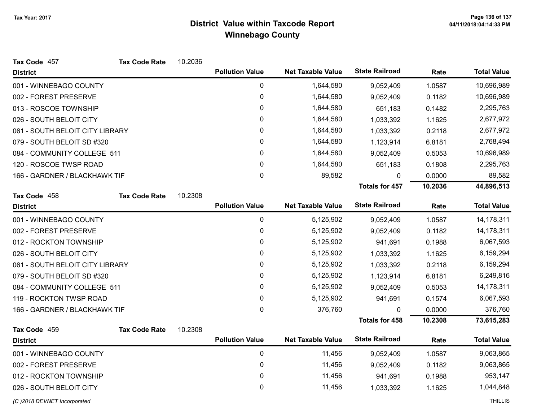| Tax Code 457                    | <b>Tax Code Rate</b> | 10.2036          |                        |                          |                       |           |                    |
|---------------------------------|----------------------|------------------|------------------------|--------------------------|-----------------------|-----------|--------------------|
| <b>District</b>                 |                      |                  | <b>Pollution Value</b> | <b>Net Taxable Value</b> | <b>State Railroad</b> | Rate      | <b>Total Value</b> |
| 001 - WINNEBAGO COUNTY          |                      |                  | $\pmb{0}$              | 1,644,580                | 9,052,409             | 1.0587    | 10,696,989         |
| 002 - FOREST PRESERVE           |                      |                  | $\pmb{0}$              | 1,644,580                | 9,052,409             | 0.1182    | 10,696,989         |
| 013 - ROSCOE TOWNSHIP           |                      |                  | 0                      | 1,644,580                | 651,183               | 0.1482    | 2,295,763          |
| 026 - SOUTH BELOIT CITY         |                      |                  | 0                      | 1,644,580                | 1,033,392             | 1.1625    | 2,677,972          |
| 061 - SOUTH BELOIT CITY LIBRARY |                      |                  | 0                      | 1,644,580                | 1,033,392             | 0.2118    | 2,677,972          |
| 079 - SOUTH BELOIT SD #320      |                      |                  | 0                      | 1,644,580                | 1,123,914             | 6.8181    | 2,768,494          |
| 084 - COMMUNITY COLLEGE 511     |                      |                  | 0                      | 1,644,580                | 9,052,409             | 0.5053    | 10,696,989         |
| 120 - ROSCOE TWSP ROAD          |                      |                  | 0                      | 1,644,580                | 651,183               | 0.1808    | 2,295,763          |
| 166 - GARDNER / BLACKHAWK TIF   |                      |                  | 0                      | 89,582                   | 0                     | 0.0000    | 89,582             |
|                                 |                      |                  |                        |                          | <b>Totals for 457</b> | 10.2036   | 44,896,513         |
| Tax Code 458                    | <b>Tax Code Rate</b> | 10.2308          |                        |                          |                       |           |                    |
| <b>District</b>                 |                      |                  | <b>Pollution Value</b> | <b>Net Taxable Value</b> | <b>State Railroad</b> | Rate      | <b>Total Value</b> |
| 001 - WINNEBAGO COUNTY          |                      |                  | $\pmb{0}$              | 5,125,902                | 9,052,409             | 1.0587    | 14,178,311         |
| 002 - FOREST PRESERVE           |                      |                  | $\pmb{0}$              | 5,125,902                | 9,052,409             | 0.1182    | 14,178,311         |
| 012 - ROCKTON TOWNSHIP          |                      | $\boldsymbol{0}$ | 5,125,902              | 941,691                  | 0.1988                | 6,067,593 |                    |
| 026 - SOUTH BELOIT CITY         |                      |                  | 0                      | 5,125,902                | 1,033,392             | 1.1625    | 6,159,294          |
| 061 - SOUTH BELOIT CITY LIBRARY |                      |                  | $\pmb{0}$              | 5,125,902                | 1,033,392             | 0.2118    | 6,159,294          |
| 079 - SOUTH BELOIT SD #320      |                      |                  | 0                      | 5,125,902                | 1,123,914             | 6.8181    | 6,249,816          |
| 084 - COMMUNITY COLLEGE 511     |                      |                  | 0                      | 5,125,902                | 9,052,409             | 0.5053    | 14,178,311         |
| 119 - ROCKTON TWSP ROAD         |                      |                  | $\pmb{0}$              | 5,125,902                | 941,691               | 0.1574    | 6,067,593          |
| 166 - GARDNER / BLACKHAWK TIF   |                      |                  | 0                      | 376,760                  | $\Omega$              | 0.0000    | 376,760            |
|                                 |                      |                  |                        |                          | <b>Totals for 458</b> | 10.2308   | 73,615,283         |
| Tax Code 459                    | <b>Tax Code Rate</b> | 10.2308          |                        |                          |                       |           |                    |
| <b>District</b>                 |                      |                  | <b>Pollution Value</b> | <b>Net Taxable Value</b> | <b>State Railroad</b> | Rate      | <b>Total Value</b> |
| 001 - WINNEBAGO COUNTY          |                      |                  | $\pmb{0}$              | 11,456                   | 9,052,409             | 1.0587    | 9,063,865          |
| 002 - FOREST PRESERVE           |                      | $\pmb{0}$        | 11,456                 | 9,052,409                | 0.1182                | 9,063,865 |                    |
| 012 - ROCKTON TOWNSHIP          |                      | 0                | 11,456                 | 941,691                  | 0.1988                | 953,147   |                    |
| 026 - SOUTH BELOIT CITY         |                      | 0                | 11,456                 | 1,033,392                | 1.1625                | 1,044,848 |                    |
| (C) 2018 DEVNET Incorporated    |                      |                  |                        |                          |                       |           | <b>THILLIS</b>     |